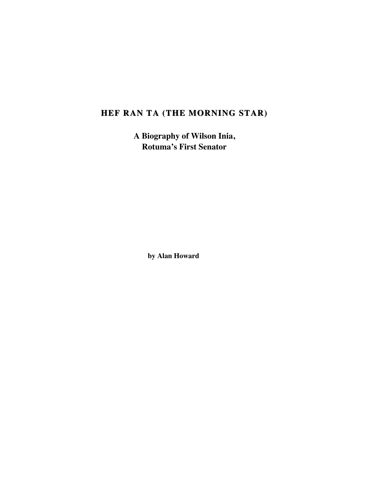# **HEF RAN TA (THE MORNING STAR) HEF RAN TA (THE MORNING STAR)**

**A Biography of Wilson Inia, Rotuma's First Senator**

**by Alan Howard**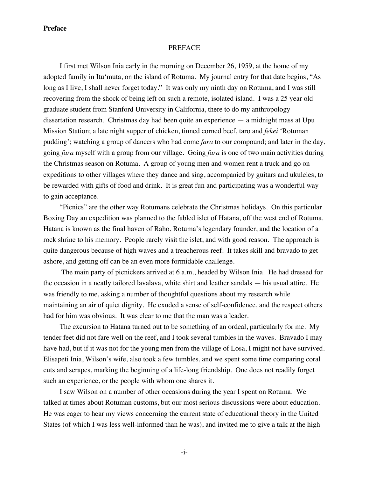## PREFACE

I first met Wilson Inia early in the morning on December 26, 1959, at the home of my adopted family in Itu'muta, on the island of Rotuma. My journal entry for that date begins, "As long as I live, I shall never forget today." It was only my ninth day on Rotuma, and I was still recovering from the shock of being left on such a remote, isolated island. I was a 25 year old graduate student from Stanford University in California, there to do my anthropology dissertation research. Christmas day had been quite an experience — a midnight mass at Upu Mission Station; a late night supper of chicken, tinned corned beef, taro and *fekei* 'Rotuman pudding'; watching a group of dancers who had come *fara* to our compound; and later in the day, going *fara* myself with a group from our village. Going *fara* is one of two main activities during the Christmas season on Rotuma. A group of young men and women rent a truck and go on expeditions to other villages where they dance and sing, accompanied by guitars and ukuleles, to be rewarded with gifts of food and drink. It is great fun and participating was a wonderful way to gain acceptance.

"Picnics" are the other way Rotumans celebrate the Christmas holidays. On this particular Boxing Day an expedition was planned to the fabled islet of Hatana, off the west end of Rotuma. Hatana is known as the final haven of Raho, Rotuma's legendary founder, and the location of a rock shrine to his memory. People rarely visit the islet, and with good reason. The approach is quite dangerous because of high waves and a treacherous reef. It takes skill and bravado to get ashore, and getting off can be an even more formidable challenge.

 The main party of picnickers arrived at 6 a.m., headed by Wilson Inia. He had dressed for the occasion in a neatly tailored lavalava, white shirt and leather sandals — his usual attire. He was friendly to me, asking a number of thoughtful questions about my research while maintaining an air of quiet dignity. He exuded a sense of self-confidence, and the respect others had for him was obvious. It was clear to me that the man was a leader.

The excursion to Hatana turned out to be something of an ordeal, particularly for me. My tender feet did not fare well on the reef, and I took several tumbles in the waves. Bravado I may have had, but if it was not for the young men from the village of Losa, I might not have survived. Elisapeti Inia, Wilson's wife, also took a few tumbles, and we spent some time comparing coral cuts and scrapes, marking the beginning of a life-long friendship. One does not readily forget such an experience, or the people with whom one shares it.

I saw Wilson on a number of other occasions during the year I spent on Rotuma. We talked at times about Rotuman customs, but our most serious discussions were about education. He was eager to hear my views concerning the current state of educational theory in the United States (of which I was less well-informed than he was), and invited me to give a talk at the high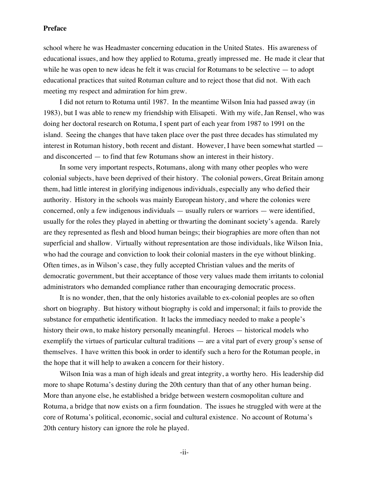school where he was Headmaster concerning education in the United States. His awareness of educational issues, and how they applied to Rotuma, greatly impressed me. He made it clear that while he was open to new ideas he felt it was crucial for Rotumans to be selective — to adopt educational practices that suited Rotuman culture and to reject those that did not. With each meeting my respect and admiration for him grew.

I did not return to Rotuma until 1987. In the meantime Wilson Inia had passed away (in 1983), but I was able to renew my friendship with Elisapeti. With my wife, Jan Rensel, who was doing her doctoral research on Rotuma, I spent part of each year from 1987 to 1991 on the island. Seeing the changes that have taken place over the past three decades has stimulated my interest in Rotuman history, both recent and distant. However, I have been somewhat startled and disconcerted — to find that few Rotumans show an interest in their history.

In some very important respects, Rotumans, along with many other peoples who were colonial subjects, have been deprived of their history. The colonial powers, Great Britain among them, had little interest in glorifying indigenous individuals, especially any who defied their authority. History in the schools was mainly European history, and where the colonies were concerned, only a few indigenous individuals — usually rulers or warriors — were identified, usually for the roles they played in abetting or thwarting the dominant society's agenda. Rarely are they represented as flesh and blood human beings; their biographies are more often than not superficial and shallow. Virtually without representation are those individuals, like Wilson Inia, who had the courage and conviction to look their colonial masters in the eye without blinking. Often times, as in Wilson's case, they fully accepted Christian values and the merits of democratic government, but their acceptance of those very values made them irritants to colonial administrators who demanded compliance rather than encouraging democratic process.

It is no wonder, then, that the only histories available to ex-colonial peoples are so often short on biography. But history without biography is cold and impersonal; it fails to provide the substance for empathetic identification. It lacks the immediacy needed to make a people's history their own, to make history personally meaningful. Heroes — historical models who exemplify the virtues of particular cultural traditions — are a vital part of every group's sense of themselves. I have written this book in order to identify such a hero for the Rotuman people, in the hope that it will help to awaken a concern for their history.

Wilson Inia was a man of high ideals and great integrity, a worthy hero. His leadership did more to shape Rotuma's destiny during the 20th century than that of any other human being. More than anyone else, he established a bridge between western cosmopolitan culture and Rotuma, a bridge that now exists on a firm foundation. The issues he struggled with were at the core of Rotuma's political, economic, social and cultural existence. No account of Rotuma's 20th century history can ignore the role he played.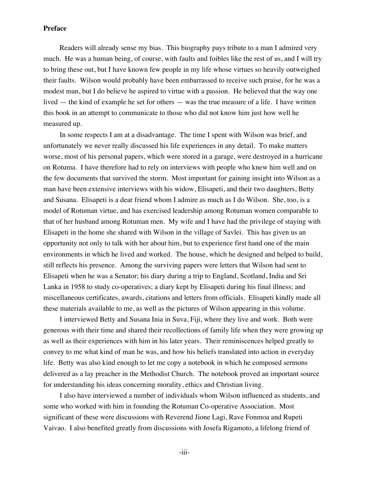Readers will already sense my bias. This biography pays tribute to a man I admired very much. He was a human being, of course, with faults and foibles like the rest of us, and I will try to bring these out, but I have known few people in my life whose virtues so heavily outweighed their faults. Wilson would probably have been embarrassed to receive such praise, for he was a modest man, but I do believe he aspired to virtue with a passion. He believed that the way one lived — the kind of example he set for others — was the true measure of a life. I have written this book in an attempt to communicate to those who did not know him just how well he measured up.

In some respects I am at a disadvantage. The time I spent with Wilson was brief, and unfortunately we never really discussed his life experiences in any detail. To make matters worse, most of his personal papers, which were stored in a garage, were destroyed in a hurricane on Rotuma. I have therefore had to rely on interviews with people who knew him well and on the few documents that survived the storm. Most important for gaining insight into Wilson as a man have been extensive interviews with his widow, Elisapeti, and their two daughters, Betty and Susana. Elisapeti is a dear friend whom I admire as much as I do Wilson. She, too, is a model of Rotuman virtue, and has exercised leadership among Rotuman women comparable to that of her husband among Rotuman men. My wife and I have had the privilege of staying with Elisapeti in the home she shared with Wilson in the village of Savlei. This has given us an opportunity not only to talk with her about him, but to experience first hand one of the main environments in which he lived and worked. The house, which he designed and helped to build, still reflects his presence. Among the surviving papers were letters that Wilson had sent to Elisapeti when he was a Senator; his diary during a trip to England, Scotland, India and Sri Lanka in 1958 to study co-operatives; a diary kept by Elisapeti during his final illness; and miscellaneous certificates, awards, citations and letters from officials. Elisapeti kindly made all these materials available to me, as well as the pictures of Wilson appearing in this volume.

I interviewed Betty and Susana Inia in Suva, Fiji, where they live and work. Both were generous with their time and shared their recollections of family life when they were growing up as well as their experiences with him in his later years. Their reminiscences helped greatly to convey to me what kind of man he was, and how his beliefs translated into action in everyday life. Betty was also kind enough to let me copy a notebook in which he composed sermons delivered as a lay preacher in the Methodist Church. The notebook proved an important source for understanding his ideas concerning morality, ethics and Christian living.

I also have interviewed a number of individuals whom Wilson influenced as students, and some who worked with him in founding the Rotuman Co-operative Association. Most significant of these were discussions with Reverend Jione Lagi, Rave Fonmoa and Rupeti Vaivao. I also benefited greatly from discussions with Josefa Rigamoto, a lifelong friend of

-iii-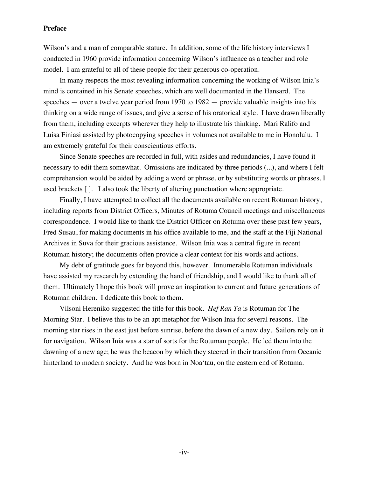Wilson's and a man of comparable stature. In addition, some of the life history interviews I conducted in 1960 provide information concerning Wilson's influence as a teacher and role model. I am grateful to all of these people for their generous co-operation.

In many respects the most revealing information concerning the working of Wilson Inia's mind is contained in his Senate speeches, which are well documented in the Hansard. The speeches — over a twelve year period from 1970 to 1982 — provide valuable insights into his thinking on a wide range of issues, and give a sense of his oratorical style. I have drawn liberally from them, including excerpts wherever they help to illustrate his thinking. Mari Ralifo and Luisa Finiasi assisted by photocopying speeches in volumes not available to me in Honolulu. I am extremely grateful for their conscientious efforts.

Since Senate speeches are recorded in full, with asides and redundancies, I have found it necessary to edit them somewhat. Omissions are indicated by three periods (...), and where I felt comprehension would be aided by adding a word or phrase, or by substituting words or phrases, I used brackets [ ]. I also took the liberty of altering punctuation where appropriate.

Finally, I have attempted to collect all the documents available on recent Rotuman history, including reports from District Officers, Minutes of Rotuma Council meetings and miscellaneous correspondence. I would like to thank the District Officer on Rotuma over these past few years, Fred Susau, for making documents in his office available to me, and the staff at the Fiji National Archives in Suva for their gracious assistance. Wilson Inia was a central figure in recent Rotuman history; the documents often provide a clear context for his words and actions.

My debt of gratitude goes far beyond this, however. Innumerable Rotuman individuals have assisted my research by extending the hand of friendship, and I would like to thank all of them. Ultimately I hope this book will prove an inspiration to current and future generations of Rotuman children. I dedicate this book to them.

Vilsoni Hereniko suggested the title for this book. *Hef Ran Ta* is Rotuman for The Morning Star. I believe this to be an apt metaphor for Wilson Inia for several reasons. The morning star rises in the east just before sunrise, before the dawn of a new day. Sailors rely on it for navigation. Wilson Inia was a star of sorts for the Rotuman people. He led them into the dawning of a new age; he was the beacon by which they steered in their transition from Oceanic hinterland to modern society. And he was born in Noa'tau, on the eastern end of Rotuma.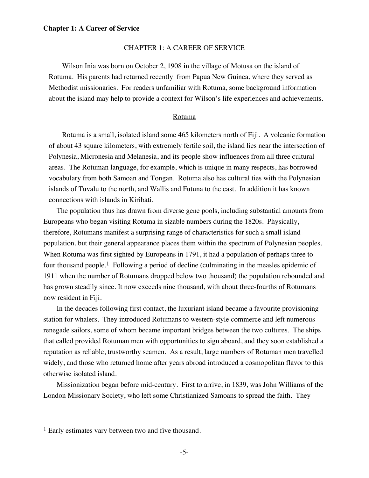# CHAPTER 1: A CAREER OF SERVICE

Wilson Inia was born on October 2, 1908 in the village of Motusa on the island of Rotuma. His parents had returned recently from Papua New Guinea, where they served as Methodist missionaries. For readers unfamiliar with Rotuma, some background information about the island may help to provide a context for Wilson's life experiences and achievements.

#### Rotuma

Rotuma is a small, isolated island some 465 kilometers north of Fiji. A volcanic formation of about 43 square kilometers, with extremely fertile soil, the island lies near the intersection of Polynesia, Micronesia and Melanesia, and its people show influences from all three cultural areas. The Rotuman language, for example, which is unique in many respects, has borrowed vocabulary from both Samoan and Tongan. Rotuma also has cultural ties with the Polynesian islands of Tuvalu to the north, and Wallis and Futuna to the east. In addition it has known connections with islands in Kiribati.

The population thus has drawn from diverse gene pools, including substantial amounts from Europeans who began visiting Rotuma in sizable numbers during the 1820s. Physically, therefore, Rotumans manifest a surprising range of characteristics for such a small island population, but their general appearance places them within the spectrum of Polynesian peoples. When Rotuma was first sighted by Europeans in 1791, it had a population of perhaps three to four thousand people.<sup>1</sup> Following a period of decline (culminating in the measles epidemic of 1911 when the number of Rotumans dropped below two thousand) the population rebounded and has grown steadily since. It now exceeds nine thousand, with about three-fourths of Rotumans now resident in Fiji.

In the decades following first contact, the luxuriant island became a favourite provisioning station for whalers. They introduced Rotumans to western-style commerce and left numerous renegade sailors, some of whom became important bridges between the two cultures. The ships that called provided Rotuman men with opportunities to sign aboard, and they soon established a reputation as reliable, trustworthy seamen. As a result, large numbers of Rotuman men travelled widely, and those who returned home after years abroad introduced a cosmopolitan flavor to this otherwise isolated island.

Missionization began before mid-century. First to arrive, in 1839, was John Williams of the London Missionary Society, who left some Christianized Samoans to spread the faith. They

 $\overline{a}$ 

<sup>&</sup>lt;sup>1</sup> Early estimates vary between two and five thousand.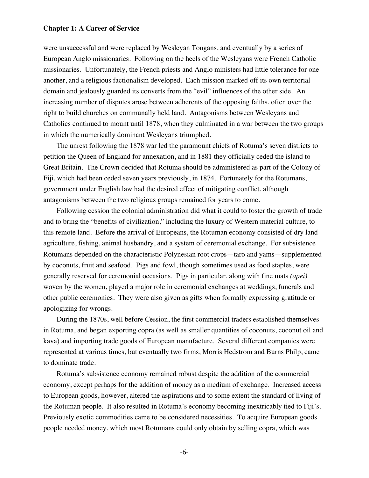were unsuccessful and were replaced by Wesleyan Tongans, and eventually by a series of European Anglo missionaries. Following on the heels of the Wesleyans were French Catholic missionaries. Unfortunately, the French priests and Anglo ministers had little tolerance for one another, and a religious factionalism developed. Each mission marked off its own territorial domain and jealously guarded its converts from the "evil" influences of the other side. An increasing number of disputes arose between adherents of the opposing faiths, often over the right to build churches on communally held land. Antagonisms between Wesleyans and Catholics continued to mount until 1878, when they culminated in a war between the two groups in which the numerically dominant Wesleyans triumphed.

The unrest following the 1878 war led the paramount chiefs of Rotuma's seven districts to petition the Queen of England for annexation, and in 1881 they officially ceded the island to Great Britain. The Crown decided that Rotuma should be administered as part of the Colony of Fiji, which had been ceded seven years previously, in 1874. Fortunately for the Rotumans, government under English law had the desired effect of mitigating conflict, although antagonisms between the two religious groups remained for years to come.

Following cession the colonial administration did what it could to foster the growth of trade and to bring the "benefits of civilization," including the luxury of Western material culture, to this remote land. Before the arrival of Europeans, the Rotuman economy consisted of dry land agriculture, fishing, animal husbandry, and a system of ceremonial exchange. For subsistence Rotumans depended on the characteristic Polynesian root crops—taro and yams—supplemented by coconuts, fruit and seafood. Pigs and fowl, though sometimes used as food staples, were generally reserved for ceremonial occasions. Pigs in particular, along with fine mats *(apei)*  woven by the women, played a major role in ceremonial exchanges at weddings, funerals and other public ceremonies. They were also given as gifts when formally expressing gratitude or apologizing for wrongs.

During the 1870s, well before Cession, the first commercial traders established themselves in Rotuma, and began exporting copra (as well as smaller quantities of coconuts, coconut oil and kava) and importing trade goods of European manufacture. Several different companies were represented at various times, but eventually two firms, Morris Hedstrom and Burns Philp, came to dominate trade.

Rotuma's subsistence economy remained robust despite the addition of the commercial economy, except perhaps for the addition of money as a medium of exchange. Increased access to European goods, however, altered the aspirations and to some extent the standard of living of the Rotuman people. It also resulted in Rotuma's economy becoming inextricably tied to Fiji's. Previously exotic commodities came to be considered necessities. To acquire European goods people needed money, which most Rotumans could only obtain by selling copra, which was

-6-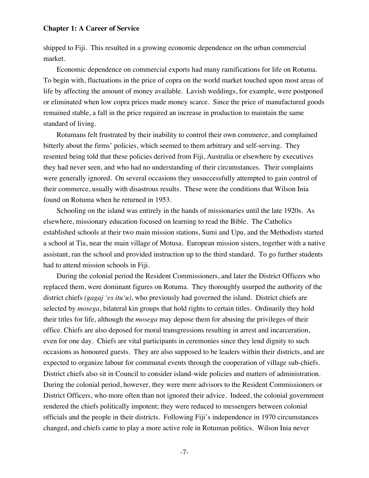shipped to Fiji. This resulted in a growing economic dependence on the urban commercial market.

Economic dependence on commercial exports had many ramifications for life on Rotuma. To begin with, fluctuations in the price of copra on the world market touched upon most areas of life by affecting the amount of money available. Lavish weddings, for example, were postponed or eliminated when low copra prices made money scarce. Since the price of manufactured goods remained stable, a fall in the price required an increase in production to maintain the same standard of living.

Rotumans felt frustrated by their inability to control their own commerce, and complained bitterly about the firms' policies, which seemed to them arbitrary and self-serving. They resented being told that these policies derived from Fiji, Australia or elsewhere by executives they had never seen, and who had no understanding of their circumstances. Their complaints were generally ignored. On several occasions they unsuccessfully attempted to gain control of their commerce, usually with disastrous results. These were the conditions that Wilson Inia found on Rotuma when he returned in 1953.

Schooling on the island was entirely in the hands of missionaries until the late 1920s. As elsewhere, missionary education focused on learning to read the Bible. The Catholics established schools at their two main mission stations, Sumi and Upu, and the Methodists started a school at Tia, near the main village of Motusa. European mission sisters, together with a native assistant, ran the school and provided instruction up to the third standard. To go further students had to attend mission schools in Fiji.

During the colonial period the Resident Commissioners, and later the District Officers who replaced them, were dominant figures on Rotuma. They thoroughly usurped the authority of the district chiefs *(gagaj 'es itu'u)*, who previously had governed the island. District chiefs are selected by *mosega*, bilateral kin groups that hold rights to certain titles. Ordinarily they hold their titles for life, although the *mosega* may depose them for abusing the privileges of their office. Chiefs are also deposed for moral transgressions resulting in arrest and incarceration, even for one day. Chiefs are vital participants in ceremonies since they lend dignity to such occasions as honoured guests. They are also supposed to be leaders within their districts, and are expected to organize labour for communal events through the cooperation of village sub-chiefs. District chiefs also sit in Council to consider island-wide policies and matters of administration. During the colonial period, however, they were mere advisors to the Resident Commissioners or District Officers, who more often than not ignored their advice. Indeed, the colonial government rendered the chiefs politically impotent; they were reduced to messengers between colonial officials and the people in their districts. Following Fiji's independence in 1970 circumstances changed, and chiefs came to play a more active role in Rotuman politics. Wilson Inia never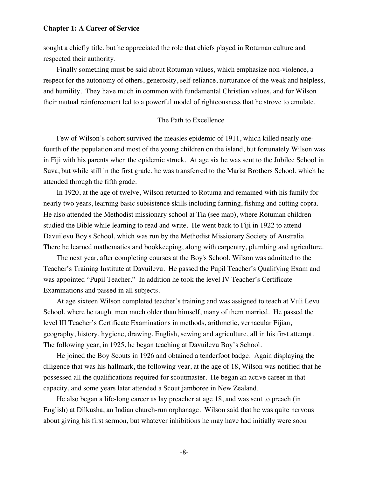sought a chiefly title, but he appreciated the role that chiefs played in Rotuman culture and respected their authority.

Finally something must be said about Rotuman values, which emphasize non-violence, a respect for the autonomy of others, generosity, self-reliance, nurturance of the weak and helpless, and humility. They have much in common with fundamental Christian values, and for Wilson their mutual reinforcement led to a powerful model of righteousness that he strove to emulate.

# The Path to Excellence

Few of Wilson's cohort survived the measles epidemic of 1911, which killed nearly onefourth of the population and most of the young children on the island, but fortunately Wilson was in Fiji with his parents when the epidemic struck. At age six he was sent to the Jubilee School in Suva, but while still in the first grade, he was transferred to the Marist Brothers School, which he attended through the fifth grade.

In 1920, at the age of twelve, Wilson returned to Rotuma and remained with his family for nearly two years, learning basic subsistence skills including farming, fishing and cutting copra. He also attended the Methodist missionary school at Tia (see map), where Rotuman children studied the Bible while learning to read and write. He went back to Fiji in 1922 to attend Davuilevu Boy's School, which was run by the Methodist Missionary Society of Australia. There he learned mathematics and bookkeeping, along with carpentry, plumbing and agriculture.

The next year, after completing courses at the Boy's School, Wilson was admitted to the Teacher's Training Institute at Davuilevu. He passed the Pupil Teacher's Qualifying Exam and was appointed "Pupil Teacher." In addition he took the level IV Teacher's Certificate Examinations and passed in all subjects.

At age sixteen Wilson completed teacher's training and was assigned to teach at Vuli Levu School, where he taught men much older than himself, many of them married. He passed the level III Teacher's Certificate Examinations in methods, arithmetic, vernacular Fijian, geography, history, hygiene, drawing, English, sewing and agriculture, all in his first attempt. The following year, in 1925, he began teaching at Davuilevu Boy's School.

He joined the Boy Scouts in 1926 and obtained a tenderfoot badge. Again displaying the diligence that was his hallmark, the following year, at the age of 18, Wilson was notified that he possessed all the qualifications required for scoutmaster. He began an active career in that capacity, and some years later attended a Scout jamboree in New Zealand.

He also began a life-long career as lay preacher at age 18, and was sent to preach (in English) at Dilkusha, an Indian church-run orphanage. Wilson said that he was quite nervous about giving his first sermon, but whatever inhibitions he may have had initially were soon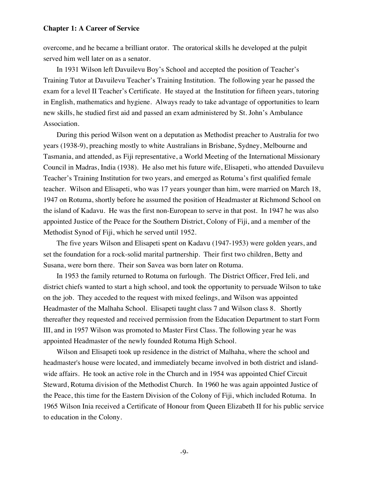overcome, and he became a brilliant orator. The oratorical skills he developed at the pulpit served him well later on as a senator.

In 1931 Wilson left Davuilevu Boy's School and accepted the position of Teacher's Training Tutor at Davuilevu Teacher's Training Institution. The following year he passed the exam for a level II Teacher's Certificate. He stayed at the Institution for fifteen years, tutoring in English, mathematics and hygiene. Always ready to take advantage of opportunities to learn new skills, he studied first aid and passed an exam administered by St. John's Ambulance Association.

During this period Wilson went on a deputation as Methodist preacher to Australia for two years (1938-9), preaching mostly to white Australians in Brisbane, Sydney, Melbourne and Tasmania, and attended, as Fiji representative, a World Meeting of the International Missionary Council in Madras, India (1938). He also met his future wife, Elisapeti, who attended Davuilevu Teacher's Training Institution for two years, and emerged as Rotuma's first qualified female teacher. Wilson and Elisapeti, who was 17 years younger than him, were married on March 18, 1947 on Rotuma, shortly before he assumed the position of Headmaster at Richmond School on the island of Kadavu. He was the first non-European to serve in that post. In 1947 he was also appointed Justice of the Peace for the Southern District, Colony of Fiji, and a member of the Methodist Synod of Fiji, which he served until 1952.

The five years Wilson and Elisapeti spent on Kadavu (1947-1953) were golden years, and set the foundation for a rock-solid marital partnership. Their first two children, Betty and Susana, were born there. Their son Savea was born later on Rotuma.

In 1953 the family returned to Rotuma on furlough. The District Officer, Fred Ieli, and district chiefs wanted to start a high school, and took the opportunity to persuade Wilson to take on the job. They acceded to the request with mixed feelings, and Wilson was appointed Headmaster of the Malhaha School. Elisapeti taught class 7 and Wilson class 8. Shortly thereafter they requested and received permission from the Education Department to start Form III, and in 1957 Wilson was promoted to Master First Class. The following year he was appointed Headmaster of the newly founded Rotuma High School.

Wilson and Elisapeti took up residence in the district of Malhaha, where the school and headmaster's house were located, and immediately became involved in both district and islandwide affairs. He took an active role in the Church and in 1954 was appointed Chief Circuit Steward, Rotuma division of the Methodist Church. In 1960 he was again appointed Justice of the Peace, this time for the Eastern Division of the Colony of Fiji, which included Rotuma. In 1965 Wilson Inia received a Certificate of Honour from Queen Elizabeth II for his public service to education in the Colony.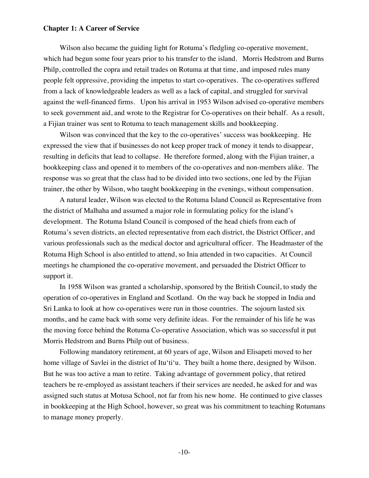Wilson also became the guiding light for Rotuma's fledgling co-operative movement, which had begun some four years prior to his transfer to the island. Morris Hedstrom and Burns Philp, controlled the copra and retail trades on Rotuma at that time, and imposed rules many people felt oppressive, providing the impetus to start co-operatives. The co-operatives suffered from a lack of knowledgeable leaders as well as a lack of capital, and struggled for survival against the well-financed firms. Upon his arrival in 1953 Wilson advised co-operative members to seek government aid, and wrote to the Registrar for Co-operatives on their behalf. As a result, a Fijian trainer was sent to Rotuma to teach management skills and bookkeeping.

Wilson was convinced that the key to the co-operatives' success was bookkeeping. He expressed the view that if businesses do not keep proper track of money it tends to disappear, resulting in deficits that lead to collapse. He therefore formed, along with the Fijian trainer, a bookkeeping class and opened it to members of the co-operatives and non-members alike. The response was so great that the class had to be divided into two sections, one led by the Fijian trainer, the other by Wilson, who taught bookkeeping in the evenings, without compensation.

A natural leader, Wilson was elected to the Rotuma Island Council as Representative from the district of Malhaha and assumed a major role in formulating policy for the island's development. The Rotuma Island Council is composed of the head chiefs from each of Rotuma's seven districts, an elected representative from each district, the District Officer, and various professionals such as the medical doctor and agricultural officer. The Headmaster of the Rotuma High School is also entitled to attend, so Inia attended in two capacities. At Council meetings he championed the co-operative movement, and persuaded the District Officer to support it.

In 1958 Wilson was granted a scholarship, sponsored by the British Council, to study the operation of co-operatives in England and Scotland. On the way back he stopped in India and Sri Lanka to look at how co-operatives were run in those countries. The sojourn lasted six months, and he came back with some very definite ideas. For the remainder of his life he was the moving force behind the Rotuma Co-operative Association, which was so successful it put Morris Hedstrom and Burns Philp out of business.

Following mandatory retirement, at 60 years of age, Wilson and Elisapeti moved to her home village of Savlei in the district of Itu'ti'u. They built a home there, designed by Wilson. But he was too active a man to retire. Taking advantage of government policy, that retired teachers be re-employed as assistant teachers if their services are needed, he asked for and was assigned such status at Motusa School, not far from his new home. He continued to give classes in bookkeeping at the High School, however, so great was his commitment to teaching Rotumans to manage money properly.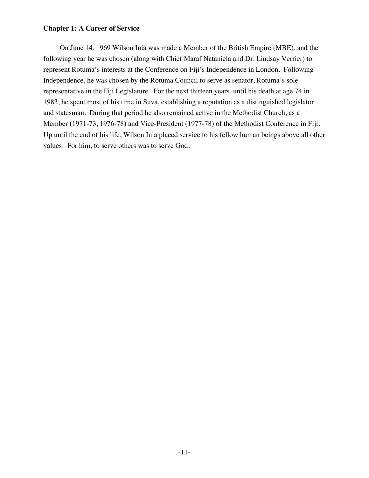On June 14, 1969 Wilson Inia was made a Member of the British Empire (MBE), and the following year he was chosen (along with Chief Maraf Nataniela and Dr. Lindsay Verrier) to represent Rotuma's interests at the Conference on Fiji's Independence in London. Following Independence, he was chosen by the Rotuma Council to serve as senator, Rotuma's sole representative in the Fiji Legislature. For the next thirteen years, until his death at age 74 in 1983, he spent most of his time in Suva, establishing a reputation as a distinguished legislator and statesman. During that period he also remained active in the Methodist Church, as a Member (1971-73, 1976-78) and Vice-President (1977-78) of the Methodist Conference in Fiji. Up until the end of his life, Wilson Inia placed service to his fellow human beings above all other values. For him, to serve others was to serve God.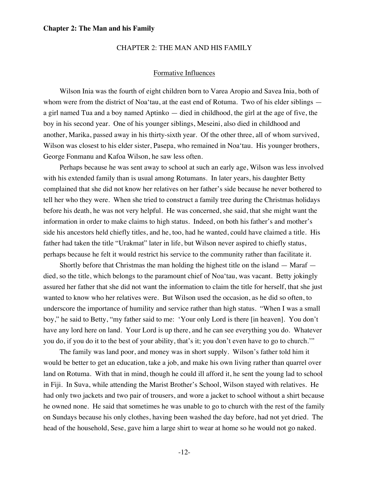## CHAPTER 2: THE MAN AND HIS FAMILY

#### Formative Influences

Wilson Inia was the fourth of eight children born to Varea Aropio and Savea Inia, both of whom were from the district of Noa'tau, at the east end of Rotuma. Two of his elder siblings a girl named Tua and a boy named Aptinko — died in childhood, the girl at the age of five, the boy in his second year. One of his younger siblings, Meseini, also died in childhood and another, Marika, passed away in his thirty-sixth year. Of the other three, all of whom survived, Wilson was closest to his elder sister, Pasepa, who remained in Noa'tau. His younger brothers, George Fonmanu and Kafoa Wilson, he saw less often.

Perhaps because he was sent away to school at such an early age, Wilson was less involved with his extended family than is usual among Rotumans. In later years, his daughter Betty complained that she did not know her relatives on her father's side because he never bothered to tell her who they were. When she tried to construct a family tree during the Christmas holidays before his death, he was not very helpful. He was concerned, she said, that she might want the information in order to make claims to high status. Indeed, on both his father's and mother's side his ancestors held chiefly titles, and he, too, had he wanted, could have claimed a title. His father had taken the title "Urakmat" later in life, but Wilson never aspired to chiefly status, perhaps because he felt it would restrict his service to the community rather than facilitate it.

Shortly before that Christmas the man holding the highest title on the island — Maraf died, so the title, which belongs to the paramount chief of Noa'tau, was vacant. Betty jokingly assured her father that she did not want the information to claim the title for herself, that she just wanted to know who her relatives were. But Wilson used the occasion, as he did so often, to underscore the importance of humility and service rather than high status. "When I was a small boy," he said to Betty, "my father said to me: 'Your only Lord is there [in heaven]. You don't have any lord here on land. Your Lord is up there, and he can see everything you do. Whatever you do, if you do it to the best of your ability, that's it; you don't even have to go to church.'"

The family was land poor, and money was in short supply. Wilson's father told him it would be better to get an education, take a job, and make his own living rather than quarrel over land on Rotuma. With that in mind, though he could ill afford it, he sent the young lad to school in Fiji. In Suva, while attending the Marist Brother's School, Wilson stayed with relatives. He had only two jackets and two pair of trousers, and wore a jacket to school without a shirt because he owned none. He said that sometimes he was unable to go to church with the rest of the family on Sundays because his only clothes, having been washed the day before, had not yet dried. The head of the household, Sese, gave him a large shirt to wear at home so he would not go naked.

-12-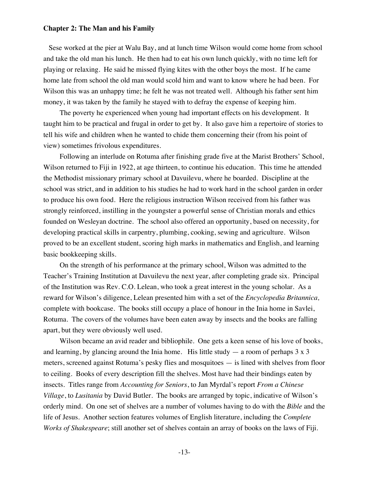Sese worked at the pier at Walu Bay, and at lunch time Wilson would come home from school and take the old man his lunch. He then had to eat his own lunch quickly, with no time left for playing or relaxing. He said he missed flying kites with the other boys the most. If he came home late from school the old man would scold him and want to know where he had been. For Wilson this was an unhappy time; he felt he was not treated well. Although his father sent him money, it was taken by the family he stayed with to defray the expense of keeping him.

The poverty he experienced when young had important effects on his development. It taught him to be practical and frugal in order to get by. It also gave him a repertoire of stories to tell his wife and children when he wanted to chide them concerning their (from his point of view) sometimes frivolous expenditures.

Following an interlude on Rotuma after finishing grade five at the Marist Brothers' School, Wilson returned to Fiji in 1922, at age thirteen, to continue his education. This time he attended the Methodist missionary primary school at Davuilevu, where he boarded. Discipline at the school was strict, and in addition to his studies he had to work hard in the school garden in order to produce his own food. Here the religious instruction Wilson received from his father was strongly reinforced, instilling in the youngster a powerful sense of Christian morals and ethics founded on Wesleyan doctrine. The school also offered an opportunity, based on necessity, for developing practical skills in carpentry, plumbing, cooking, sewing and agriculture. Wilson proved to be an excellent student, scoring high marks in mathematics and English, and learning basic bookkeeping skills.

On the strength of his performance at the primary school, Wilson was admitted to the Teacher's Training Institution at Davuilevu the next year, after completing grade six. Principal of the Institution was Rev. C.O. Lelean, who took a great interest in the young scholar. As a reward for Wilson's diligence, Lelean presented him with a set of the *Encyclopedia Britannica,*  complete with bookcase. The books still occupy a place of honour in the Inia home in Savlei, Rotuma. The covers of the volumes have been eaten away by insects and the books are falling apart, but they were obviously well used.

Wilson became an avid reader and bibliophile. One gets a keen sense of his love of books, and learning, by glancing around the Inia home. His little study  $-$  a room of perhaps  $3 \times 3$ meters, screened against Rotuma's pesky flies and mosquitoes — is lined with shelves from floor to ceiling. Books of every description fill the shelves. Most have had their bindings eaten by insects. Titles range from *Accounting for Seniors*, to Jan Myrdal's report *From a Chinese Village*, to *Lusitania* by David Butler. The books are arranged by topic, indicative of Wilson's orderly mind. On one set of shelves are a number of volumes having to do with the *Bible* and the life of Jesus. Another section features volumes of English literature, including the *Complete Works of Shakespeare*; still another set of shelves contain an array of books on the laws of Fiji.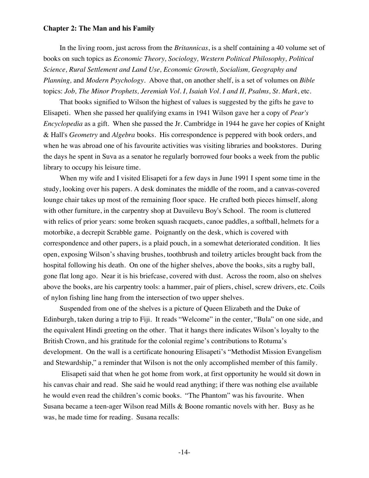In the living room, just across from the *Britannicas*, is a shelf containing a 40 volume set of books on such topics as *Economic Theory, Sociology, Western Political Philosophy, Political Science, Rural Settlement and Land Use, Economic Growth, Socialism, Geography and Planning,* and *Modern Psychology*. Above that, on another shelf, is a set of volumes on *Bible* topics: *Job, The Minor Prophets, Jeremiah Vol. I, Isaiah Vol. I and II, Psalms, St. Mark*, etc.

That books signified to Wilson the highest of values is suggested by the gifts he gave to Elisapeti. When she passed her qualifying exams in 1941 Wilson gave her a copy of *Pear's Encyclopedia* as a gift. When she passed the Jr. Cambridge in 1944 he gave her copies of Knight & Hall's *Geometry* and *Algebra* books. His correspondence is peppered with book orders, and when he was abroad one of his favourite activities was visiting libraries and bookstores. During the days he spent in Suva as a senator he regularly borrowed four books a week from the public library to occupy his leisure time.

When my wife and I visited Elisapeti for a few days in June 1991 I spent some time in the study, looking over his papers. A desk dominates the middle of the room, and a canvas-covered lounge chair takes up most of the remaining floor space. He crafted both pieces himself, along with other furniture, in the carpentry shop at Davuilevu Boy's School. The room is cluttered with relics of prior years: some broken squash racquets, canoe paddles, a softball, helmets for a motorbike, a decrepit Scrabble game. Poignantly on the desk, which is covered with correspondence and other papers, is a plaid pouch, in a somewhat deteriorated condition. It lies open, exposing Wilson's shaving brushes, toothbrush and toiletry articles brought back from the hospital following his death. On one of the higher shelves, above the books, sits a rugby ball, gone flat long ago. Near it is his briefcase, covered with dust. Across the room, also on shelves above the books, are his carpentry tools: a hammer, pair of pliers, chisel, screw drivers, etc. Coils of nylon fishing line hang from the intersection of two upper shelves.

Suspended from one of the shelves is a picture of Queen Elizabeth and the Duke of Edinburgh, taken during a trip to Fiji. It reads "Welcome" in the center, "Bula" on one side, and the equivalent Hindi greeting on the other. That it hangs there indicates Wilson's loyalty to the British Crown, and his gratitude for the colonial regime's contributions to Rotuma's development. On the wall is a certificate honouring Elisapeti's "Methodist Mission Evangelism and Stewardship," a reminder that Wilson is not the only accomplished member of this family.

 Elisapeti said that when he got home from work, at first opportunity he would sit down in his canvas chair and read. She said he would read anything; if there was nothing else available he would even read the children's comic books. "The Phantom" was his favourite. When Susana became a teen-ager Wilson read Mills & Boone romantic novels with her. Busy as he was, he made time for reading. Susana recalls: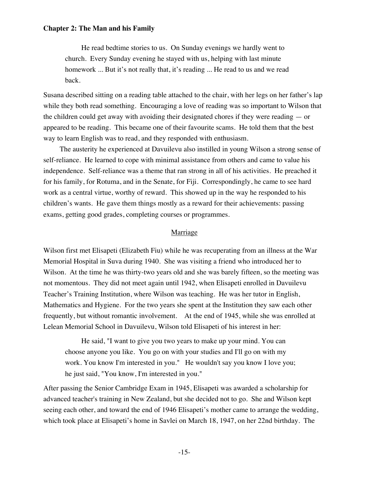He read bedtime stories to us. On Sunday evenings we hardly went to church. Every Sunday evening he stayed with us, helping with last minute homework ... But it's not really that, it's reading ... He read to us and we read back.

Susana described sitting on a reading table attached to the chair, with her legs on her father's lap while they both read something. Encouraging a love of reading was so important to Wilson that the children could get away with avoiding their designated chores if they were reading — or appeared to be reading. This became one of their favourite scams. He told them that the best way to learn English was to read, and they responded with enthusiasm.

The austerity he experienced at Davuilevu also instilled in young Wilson a strong sense of self-reliance. He learned to cope with minimal assistance from others and came to value his independence. Self-reliance was a theme that ran strong in all of his activities. He preached it for his family, for Rotuma, and in the Senate, for Fiji. Correspondingly, he came to see hard work as a central virtue, worthy of reward. This showed up in the way he responded to his children's wants. He gave them things mostly as a reward for their achievements: passing exams, getting good grades, completing courses or programmes.

# Marriage

Wilson first met Elisapeti (Elizabeth Fiu) while he was recuperating from an illness at the War Memorial Hospital in Suva during 1940. She was visiting a friend who introduced her to Wilson. At the time he was thirty-two years old and she was barely fifteen, so the meeting was not momentous. They did not meet again until 1942, when Elisapeti enrolled in Davuilevu Teacher's Training Institution, where Wilson was teaching. He was her tutor in English, Mathematics and Hygiene. For the two years she spent at the Institution they saw each other frequently, but without romantic involvement. At the end of 1945, while she was enrolled at Lelean Memorial School in Davuilevu, Wilson told Elisapeti of his interest in her:

He said, "I want to give you two years to make up your mind. You can choose anyone you like. You go on with your studies and I'll go on with my work. You know I'm interested in you." He wouldn't say you know I love you; he just said, "You know, I'm interested in you."

After passing the Senior Cambridge Exam in 1945, Elisapeti was awarded a scholarship for advanced teacher's training in New Zealand, but she decided not to go. She and Wilson kept seeing each other, and toward the end of 1946 Elisapeti's mother came to arrange the wedding, which took place at Elisapeti's home in Savlei on March 18, 1947, on her 22nd birthday. The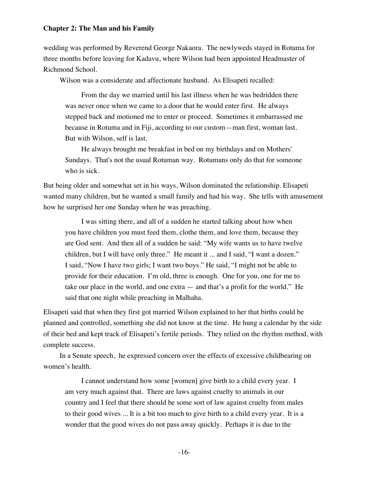wedding was performed by Reverend George Nakaora. The newlyweds stayed in Rotuma for three months before leaving for Kadavu, where Wilson had been appointed Headmaster of Richmond School.

Wilson was a considerate and affectionate husband. As Elisapeti recalled:

From the day we married until his last illness when he was bedridden there was never once when we came to a door that he would enter first. He always stepped back and motioned me to enter or proceed. Sometimes it embarrassed me because in Rotuma and in Fiji, according to our custom—man first, woman last. But with Wilson, self is last.

He always brought me breakfast in bed on my birthdays and on Mothers' Sundays. That's not the usual Rotuman way. Rotumans only do that for someone who is sick.

But being older and somewhat set in his ways, Wilson dominated the relationship. Elisapeti wanted many children, but he wanted a small family and had his way. She tells with amusement how he surprised her one Sunday when he was preaching.

I was sitting there, and all of a sudden he started talking about how when you have children you must feed them, clothe them, and love them, because they are God sent. And then all of a sudden he said: "My wife wants us to have twelve children, but I will have only three." He meant it ... and I said, "I want a dozen." I said, "Now I have two girls; I want two boys." He said, "I might not be able to provide for their education. I'm old, three is enough. One for you, one for me to take our place in the world, and one extra — and that's a profit for the world." He said that one night while preaching in Malhaha.

Elisapeti said that when they first got married Wilson explained to her that births could be planned and controlled, something she did not know at the time. He hung a calendar by the side of their bed and kept track of Elisapeti's fertile periods. They relied on the rhythm method, with complete success.

In a Senate speech, he expressed concern over the effects of excessive childbearing on women's health.

I cannot understand how some [women] give birth to a child every year. I am very much against that. There are laws against cruelty to animals in our country and I feel that there should be some sort of law against cruelty from males to their good wives ... It is a bit too much to give birth to a child every year. It is a wonder that the good wives do not pass away quickly. Perhaps it is due to the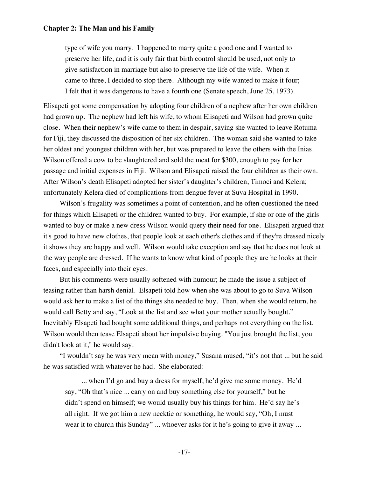type of wife you marry. I happened to marry quite a good one and I wanted to preserve her life, and it is only fair that birth control should be used, not only to give satisfaction in marriage but also to preserve the life of the wife. When it came to three, I decided to stop there. Although my wife wanted to make it four; I felt that it was dangerous to have a fourth one (Senate speech, June 25, 1973).

Elisapeti got some compensation by adopting four children of a nephew after her own children had grown up. The nephew had left his wife, to whom Elisapeti and Wilson had grown quite close. When their nephew's wife came to them in despair, saying she wanted to leave Rotuma for Fiji, they discussed the disposition of her six children. The woman said she wanted to take her oldest and youngest children with her, but was prepared to leave the others with the Inias. Wilson offered a cow to be slaughtered and sold the meat for \$300, enough to pay for her passage and initial expenses in Fiji. Wilson and Elisapeti raised the four children as their own. After Wilson's death Elisapeti adopted her sister's daughter's children, Timoci and Kelera; unfortunately Kelera died of complications from dengue fever at Suva Hospital in 1990.

Wilson's frugality was sometimes a point of contention, and he often questioned the need for things which Elisapeti or the children wanted to buy. For example, if she or one of the girls wanted to buy or make a new dress Wilson would query their need for one. Elisapeti argued that it's good to have new clothes, that people look at each other's clothes and if they're dressed nicely it shows they are happy and well. Wilson would take exception and say that he does not look at the way people are dressed. If he wants to know what kind of people they are he looks at their faces, and especially into their eyes.

But his comments were usually softened with humour; he made the issue a subject of teasing rather than harsh denial. Elsapeti told how when she was about to go to Suva Wilson would ask her to make a list of the things she needed to buy. Then, when she would return, he would call Betty and say, "Look at the list and see what your mother actually bought." Inevitably Elsapeti had bought some additional things, and perhaps not everything on the list. Wilson would then tease Elsapeti about her impulsive buying. "You just brought the list, you didn't look at it," he would say.

"I wouldn't say he was very mean with money," Susana mused, "it's not that ... but he said he was satisfied with whatever he had. She elaborated:

... when I'd go and buy a dress for myself, he'd give me some money. He'd say, "Oh that's nice ... carry on and buy something else for yourself," but he didn't spend on himself; we would usually buy his things for him. He'd say he's all right. If we got him a new necktie or something, he would say, "Oh, I must wear it to church this Sunday" ... whoever asks for it he's going to give it away ...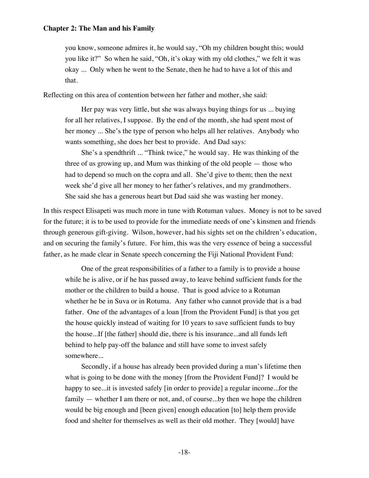you know, someone admires it, he would say, "Oh my children bought this; would you like it?" So when he said, "Oh, it's okay with my old clothes," we felt it was okay ... Only when he went to the Senate, then he had to have a lot of this and that.

Reflecting on this area of contention between her father and mother, she said:

Her pay was very little, but she was always buying things for us ... buying for all her relatives, I suppose. By the end of the month, she had spent most of her money ... She's the type of person who helps all her relatives. Anybody who wants something, she does her best to provide. And Dad says:

She's a spendthrift ... "Think twice," he would say. He was thinking of the three of us growing up, and Mum was thinking of the old people — those who had to depend so much on the copra and all. She'd give to them; then the next week she'd give all her money to her father's relatives, and my grandmothers. She said she has a generous heart but Dad said she was wasting her money.

In this respect Elisapeti was much more in tune with Rotuman values. Money is not to be saved for the future; it is to be used to provide for the immediate needs of one's kinsmen and friends through generous gift-giving. Wilson, however, had his sights set on the children's education, and on securing the family's future. For him, this was the very essence of being a successful father, as he made clear in Senate speech concerning the Fiji National Provident Fund:

One of the great responsibilities of a father to a family is to provide a house while he is alive, or if he has passed away, to leave behind sufficient funds for the mother or the children to build a house. That is good advice to a Rotuman whether he be in Suva or in Rotuma. Any father who cannot provide that is a bad father. One of the advantages of a loan [from the Provident Fund] is that you get the house quickly instead of waiting for 10 years to save sufficient funds to buy the house...If [the father] should die, there is his insurance...and all funds left behind to help pay-off the balance and still have some to invest safely somewhere...

Secondly, if a house has already been provided during a man's lifetime then what is going to be done with the money [from the Provident Fund]? I would be happy to see...it is invested safely [in order to provide] a regular income...for the family — whether I am there or not, and, of course...by then we hope the children would be big enough and [been given] enough education [to] help them provide food and shelter for themselves as well as their old mother. They [would] have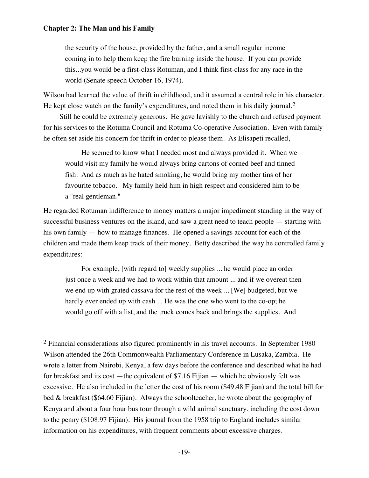$\overline{a}$ 

the security of the house, provided by the father, and a small regular income coming in to help them keep the fire burning inside the house. If you can provide this...you would be a first-class Rotuman, and I think first-class for any race in the world (Senate speech October 16, 1974).

Wilson had learned the value of thrift in childhood, and it assumed a central role in his character. He kept close watch on the family's expenditures, and noted them in his daily journal.<sup>2</sup>

Still he could be extremely generous. He gave lavishly to the church and refused payment for his services to the Rotuma Council and Rotuma Co-operative Association. Even with family he often set aside his concern for thrift in order to please them. As Elisapeti recalled,

He seemed to know what I needed most and always provided it. When we would visit my family he would always bring cartons of corned beef and tinned fish. And as much as he hated smoking, he would bring my mother tins of her favourite tobacco. My family held him in high respect and considered him to be a "real gentleman."

He regarded Rotuman indifference to money matters a major impediment standing in the way of successful business ventures on the island, and saw a great need to teach people — starting with his own family — how to manage finances. He opened a savings account for each of the children and made them keep track of their money. Betty described the way he controlled family expenditures:

For example, [with regard to] weekly supplies ... he would place an order just once a week and we had to work within that amount ... and if we overeat then we end up with grated cassava for the rest of the week ... [We] budgeted, but we hardly ever ended up with cash ... He was the one who went to the co-op; he would go off with a list, and the truck comes back and brings the supplies. And

<sup>&</sup>lt;sup>2</sup> Financial considerations also figured prominently in his travel accounts. In September 1980 Wilson attended the 26th Commonwealth Parliamentary Conference in Lusaka, Zambia. He wrote a letter from Nairobi, Kenya, a few days before the conference and described what he had for breakfast and its cost —the equivalent of \$7.16 Fijian — which he obviously felt was excessive. He also included in the letter the cost of his room (\$49.48 Fijian) and the total bill for bed & breakfast (\$64.60 Fijian). Always the schoolteacher, he wrote about the geography of Kenya and about a four hour bus tour through a wild animal sanctuary, including the cost down to the penny (\$108.97 Fijian). His journal from the 1958 trip to England includes similar information on his expenditures, with frequent comments about excessive charges.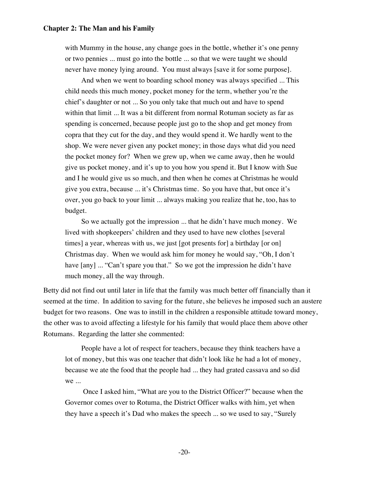with Mummy in the house, any change goes in the bottle, whether it's one penny or two pennies ... must go into the bottle ... so that we were taught we should never have money lying around. You must always [save it for some purpose].

And when we went to boarding school money was always specified ... This child needs this much money, pocket money for the term, whether you're the chief's daughter or not ... So you only take that much out and have to spend within that limit ... It was a bit different from normal Rotuman society as far as spending is concerned, because people just go to the shop and get money from copra that they cut for the day, and they would spend it. We hardly went to the shop. We were never given any pocket money; in those days what did you need the pocket money for? When we grew up, when we came away, then he would give us pocket money, and it's up to you how you spend it. But I know with Sue and I he would give us so much, and then when he comes at Christmas he would give you extra, because ... it's Christmas time. So you have that, but once it's over, you go back to your limit ... always making you realize that he, too, has to budget.

So we actually got the impression ... that he didn't have much money. We lived with shopkeepers' children and they used to have new clothes [several times] a year, whereas with us, we just [got presents for] a birthday [or on] Christmas day. When we would ask him for money he would say, "Oh, I don't have [any] ... "Can't spare you that." So we got the impression he didn't have much money, all the way through.

Betty did not find out until later in life that the family was much better off financially than it seemed at the time. In addition to saving for the future, she believes he imposed such an austere budget for two reasons. One was to instill in the children a responsible attitude toward money, the other was to avoid affecting a lifestyle for his family that would place them above other Rotumans. Regarding the latter she commented:

People have a lot of respect for teachers, because they think teachers have a lot of money, but this was one teacher that didn't look like he had a lot of money, because we ate the food that the people had ... they had grated cassava and so did we ...

 Once I asked him, "What are you to the District Officer?" because when the Governor comes over to Rotuma, the District Officer walks with him, yet when they have a speech it's Dad who makes the speech ... so we used to say, "Surely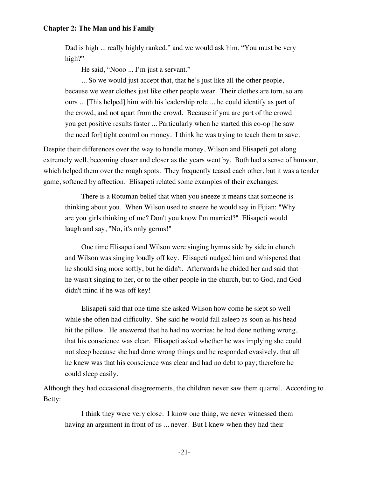Dad is high ... really highly ranked," and we would ask him, "You must be very high?"

He said, "Nooo ... I'm just a servant."

... So we would just accept that, that he's just like all the other people, because we wear clothes just like other people wear. Their clothes are torn, so are ours ... [This helped] him with his leadership role ... he could identify as part of the crowd, and not apart from the crowd. Because if you are part of the crowd you get positive results faster ... Particularly when he started this co-op [he saw the need for] tight control on money. I think he was trying to teach them to save.

Despite their differences over the way to handle money, Wilson and Elisapeti got along extremely well, becoming closer and closer as the years went by. Both had a sense of humour, which helped them over the rough spots. They frequently teased each other, but it was a tender game, softened by affection. Elisapeti related some examples of their exchanges:

There is a Rotuman belief that when you sneeze it means that someone is thinking about you. When Wilson used to sneeze he would say in Fijian: "Why are you girls thinking of me? Don't you know I'm married?" Elisapeti would laugh and say, "No, it's only germs!"

One time Elisapeti and Wilson were singing hymns side by side in church and Wilson was singing loudly off key. Elisapeti nudged him and whispered that he should sing more softly, but he didn't. Afterwards he chided her and said that he wasn't singing to her, or to the other people in the church, but to God, and God didn't mind if he was off key!

Elisapeti said that one time she asked Wilson how come he slept so well while she often had difficulty. She said he would fall asleep as soon as his head hit the pillow. He answered that he had no worries; he had done nothing wrong, that his conscience was clear. Elisapeti asked whether he was implying she could not sleep because she had done wrong things and he responded evasively, that all he knew was that his conscience was clear and had no debt to pay; therefore he could sleep easily.

Although they had occasional disagreements, the children never saw them quarrel. According to Betty:

I think they were very close. I know one thing, we never witnessed them having an argument in front of us ... never. But I knew when they had their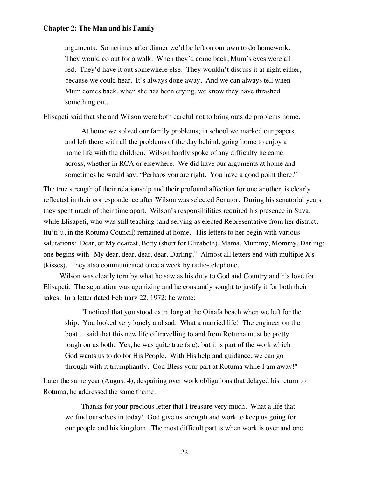arguments. Sometimes after dinner we'd be left on our own to do homework. They would go out for a walk. When they'd come back, Mum's eyes were all red. They'd have it out somewhere else. They wouldn't discuss it at night either, because we could hear. It's always done away. And we can always tell when Mum comes back, when she has been crying, we know they have thrashed something out.

Elisapeti said that she and Wilson were both careful not to bring outside problems home.

At home we solved our family problems; in school we marked our papers and left there with all the problems of the day behind, going home to enjoy a home life with the children. Wilson hardly spoke of any difficulty he came across, whether in RCA or elsewhere. We did have our arguments at home and sometimes he would say, "Perhaps you are right. You have a good point there."

The true strength of their relationship and their profound affection for one another, is clearly reflected in their correspondence after Wilson was selected Senator. During his senatorial years they spent much of their time apart. Wilson's responsibilities required his presence in Suva, while Elisapeti, who was still teaching (and serving as elected Representative from her district, Itu'ti'u, in the Rotuma Council) remained at home. His letters to her begin with various salutations: Dear, or My dearest, Betty (short for Elizabeth), Mama, Mummy, Mommy, Darling; one begins with "My dear, dear, dear, dear, Darling." Almost all letters end with multiple X's (kisses). They also communicated once a week by radio-telephone.

Wilson was clearly torn by what he saw as his duty to God and Country and his love for Elisapeti. The separation was agonizing and he constantly sought to justify it for both their sakes. In a letter dated February 22, 1972: he wrote:

"I noticed that you stood extra long at the Oinafa beach when we left for the ship. You looked very lonely and sad. What a married life! The engineer on the boat ... said that this new life of travelling to and from Rotuma must be pretty tough on us both. Yes, he was quite true (sic), but it is part of the work which God wants us to do for His People. With His help and guidance, we can go through with it triumphantly. God Bless your part at Rotuma while I am away!"

Later the same year (August 4), despairing over work obligations that delayed his return to Rotuma, he addressed the same theme.

Thanks for your precious letter that I treasure very much. What a life that we find ourselves in today! God give us strength and work to keep us going for our people and his kingdom. The most difficult part is when work is over and one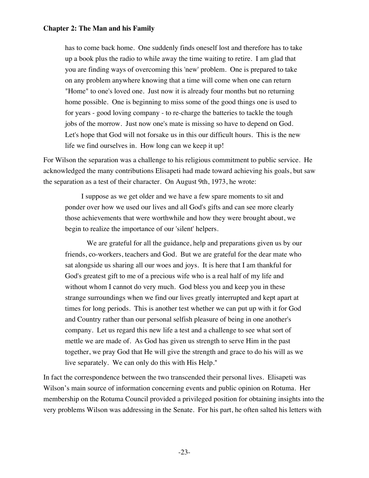has to come back home. One suddenly finds oneself lost and therefore has to take up a book plus the radio to while away the time waiting to retire. I am glad that you are finding ways of overcoming this 'new' problem. One is prepared to take on any problem anywhere knowing that a time will come when one can return "Home" to one's loved one. Just now it is already four months but no returning home possible. One is beginning to miss some of the good things one is used to for years - good loving company - to re-charge the batteries to tackle the tough jobs of the morrow. Just now one's mate is missing so have to depend on God. Let's hope that God will not forsake us in this our difficult hours. This is the new life we find ourselves in. How long can we keep it up!

For Wilson the separation was a challenge to his religious commitment to public service. He acknowledged the many contributions Elisapeti had made toward achieving his goals, but saw the separation as a test of their character. On August 9th, 1973, he wrote:

I suppose as we get older and we have a few spare moments to sit and ponder over how we used our lives and all God's gifts and can see more clearly those achievements that were worthwhile and how they were brought about, we begin to realize the importance of our 'silent' helpers.

 We are grateful for all the guidance, help and preparations given us by our friends, co-workers, teachers and God. But we are grateful for the dear mate who sat alongside us sharing all our woes and joys. It is here that I am thankful for God's greatest gift to me of a precious wife who is a real half of my life and without whom I cannot do very much. God bless you and keep you in these strange surroundings when we find our lives greatly interrupted and kept apart at times for long periods. This is another test whether we can put up with it for God and Country rather than our personal selfish pleasure of being in one another's company. Let us regard this new life a test and a challenge to see what sort of mettle we are made of. As God has given us strength to serve Him in the past together, we pray God that He will give the strength and grace to do his will as we live separately. We can only do this with His Help."

In fact the correspondence between the two transcended their personal lives. Elisapeti was Wilson's main source of information concerning events and public opinion on Rotuma. Her membership on the Rotuma Council provided a privileged position for obtaining insights into the very problems Wilson was addressing in the Senate. For his part, he often salted his letters with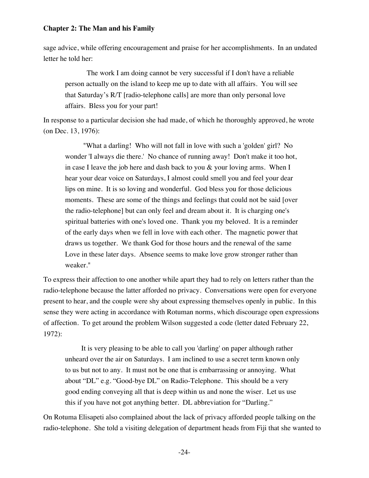sage advice, while offering encouragement and praise for her accomplishments. In an undated letter he told her:

 The work I am doing cannot be very successful if I don't have a reliable person actually on the island to keep me up to date with all affairs. You will see that Saturday's R/T [radio-telephone calls] are more than only personal love affairs. Bless you for your part!

In response to a particular decision she had made, of which he thoroughly approved, he wrote (on Dec. 13, 1976):

 "What a darling! Who will not fall in love with such a 'golden' girl? No wonder 'I always die there.' No chance of running away! Don't make it too hot, in case I leave the job here and dash back to you & your loving arms. When I hear your dear voice on Saturdays, I almost could smell you and feel your dear lips on mine. It is so loving and wonderful. God bless you for those delicious moments. These are some of the things and feelings that could not be said [over the radio-telephone] but can only feel and dream about it. It is charging one's spiritual batteries with one's loved one. Thank you my beloved. It is a reminder of the early days when we fell in love with each other. The magnetic power that draws us together. We thank God for those hours and the renewal of the same Love in these later days. Absence seems to make love grow stronger rather than weaker."

To express their affection to one another while apart they had to rely on letters rather than the radio-telephone because the latter afforded no privacy. Conversations were open for everyone present to hear, and the couple were shy about expressing themselves openly in public. In this sense they were acting in accordance with Rotuman norms, which discourage open expressions of affection. To get around the problem Wilson suggested a code (letter dated February 22, 1972):

It is very pleasing to be able to call you 'darling' on paper although rather unheard over the air on Saturdays. I am inclined to use a secret term known only to us but not to any. It must not be one that is embarrassing or annoying. What about "DL" e.g. "Good-bye DL" on Radio-Telephone. This should be a very good ending conveying all that is deep within us and none the wiser. Let us use this if you have not got anything better. DL abbreviation for "Darling."

On Rotuma Elisapeti also complained about the lack of privacy afforded people talking on the radio-telephone. She told a visiting delegation of department heads from Fiji that she wanted to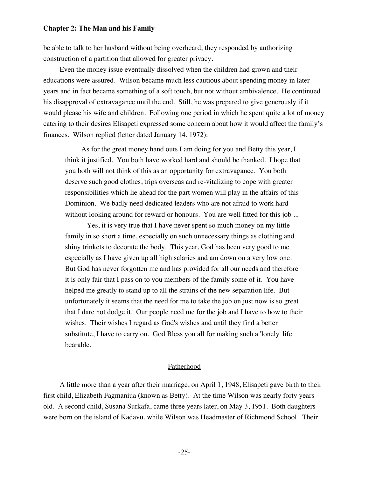be able to talk to her husband without being overheard; they responded by authorizing construction of a partition that allowed for greater privacy.

Even the money issue eventually dissolved when the children had grown and their educations were assured. Wilson became much less cautious about spending money in later years and in fact became something of a soft touch, but not without ambivalence. He continued his disapproval of extravagance until the end. Still, he was prepared to give generously if it would please his wife and children. Following one period in which he spent quite a lot of money catering to their desires Elisapeti expressed some concern about how it would affect the family's finances. Wilson replied (letter dated January 14, 1972):

As for the great money hand outs I am doing for you and Betty this year, I think it justified. You both have worked hard and should be thanked. I hope that you both will not think of this as an opportunity for extravagance. You both deserve such good clothes, trips overseas and re-vitalizing to cope with greater responsibilities which lie ahead for the part women will play in the affairs of this Dominion. We badly need dedicated leaders who are not afraid to work hard without looking around for reward or honours. You are well fitted for this job ...

 Yes, it is very true that I have never spent so much money on my little family in so short a time, especially on such unnecessary things as clothing and shiny trinkets to decorate the body. This year, God has been very good to me especially as I have given up all high salaries and am down on a very low one. But God has never forgotten me and has provided for all our needs and therefore it is only fair that I pass on to you members of the family some of it. You have helped me greatly to stand up to all the strains of the new separation life. But unfortunately it seems that the need for me to take the job on just now is so great that I dare not dodge it. Our people need me for the job and I have to bow to their wishes. Their wishes I regard as God's wishes and until they find a better substitute, I have to carry on. God Bless you all for making such a 'lonely' life bearable.

# Fatherhood

A little more than a year after their marriage, on April 1, 1948, Elisapeti gave birth to their first child, Elizabeth Fagmaniua (known as Betty). At the time Wilson was nearly forty years old. A second child, Susana Surkafa, came three years later, on May 3, 1951. Both daughters were born on the island of Kadavu, while Wilson was Headmaster of Richmond School. Their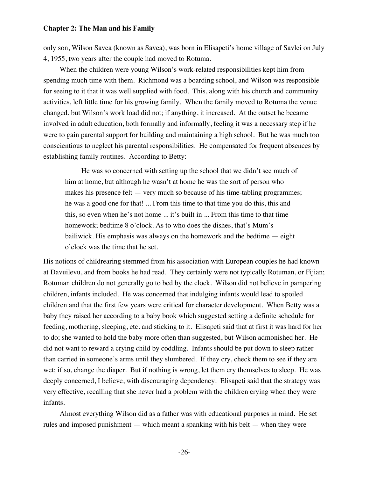only son, Wilson Savea (known as Savea), was born in Elisapeti's home village of Savlei on July 4, 1955, two years after the couple had moved to Rotuma.

When the children were young Wilson's work-related responsibilities kept him from spending much time with them. Richmond was a boarding school, and Wilson was responsible for seeing to it that it was well supplied with food. This, along with his church and community activities, left little time for his growing family. When the family moved to Rotuma the venue changed, but Wilson's work load did not; if anything, it increased. At the outset he became involved in adult education, both formally and informally, feeling it was a necessary step if he were to gain parental support for building and maintaining a high school. But he was much too conscientious to neglect his parental responsibilities. He compensated for frequent absences by establishing family routines. According to Betty:

He was so concerned with setting up the school that we didn't see much of him at home, but although he wasn't at home he was the sort of person who makes his presence felt — very much so because of his time-tabling programmes; he was a good one for that! ... From this time to that time you do this, this and this, so even when he's not home ... it's built in ... From this time to that time homework; bedtime 8 o'clock. As to who does the dishes, that's Mum's bailiwick. His emphasis was always on the homework and the bedtime — eight o'clock was the time that he set.

His notions of childrearing stemmed from his association with European couples he had known at Davuilevu, and from books he had read. They certainly were not typically Rotuman, or Fijian; Rotuman children do not generally go to bed by the clock. Wilson did not believe in pampering children, infants included. He was concerned that indulging infants would lead to spoiled children and that the first few years were critical for character development. When Betty was a baby they raised her according to a baby book which suggested setting a definite schedule for feeding, mothering, sleeping, etc. and sticking to it. Elisapeti said that at first it was hard for her to do; she wanted to hold the baby more often than suggested, but Wilson admonished her. He did not want to reward a crying child by coddling. Infants should be put down to sleep rather than carried in someone's arms until they slumbered. If they cry, check them to see if they are wet; if so, change the diaper. But if nothing is wrong, let them cry themselves to sleep. He was deeply concerned, I believe, with discouraging dependency. Elisapeti said that the strategy was very effective, recalling that she never had a problem with the children crying when they were infants.

Almost everything Wilson did as a father was with educational purposes in mind. He set rules and imposed punishment — which meant a spanking with his belt — when they were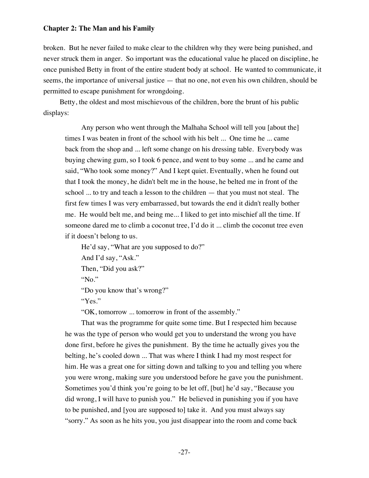broken. But he never failed to make clear to the children why they were being punished, and never struck them in anger. So important was the educational value he placed on discipline, he once punished Betty in front of the entire student body at school. He wanted to communicate, it seems, the importance of universal justice — that no one, not even his own children, should be permitted to escape punishment for wrongdoing.

Betty, the oldest and most mischievous of the children, bore the brunt of his public displays:

Any person who went through the Malhaha School will tell you [about the] times I was beaten in front of the school with his belt ... One time he ... came back from the shop and ... left some change on his dressing table. Everybody was buying chewing gum, so I took 6 pence, and went to buy some ... and he came and said, "Who took some money?" And I kept quiet. Eventually, when he found out that I took the money, he didn't belt me in the house, he belted me in front of the school ... to try and teach a lesson to the children — that you must not steal. The first few times I was very embarrassed, but towards the end it didn't really bother me. He would belt me, and being me... I liked to get into mischief all the time. If someone dared me to climb a coconut tree, I'd do it ... climb the coconut tree even if it doesn't belong to us.

He'd say, "What are you supposed to do?" And I'd say, "Ask." Then, "Did you ask?"

"No."

"Do you know that's wrong?"

"Yes."

"OK, tomorrow ... tomorrow in front of the assembly."

That was the programme for quite some time. But I respected him because he was the type of person who would get you to understand the wrong you have done first, before he gives the punishment. By the time he actually gives you the belting, he's cooled down ... That was where I think I had my most respect for him. He was a great one for sitting down and talking to you and telling you where you were wrong, making sure you understood before he gave you the punishment. Sometimes you'd think you're going to be let off, [but] he'd say, "Because you did wrong, I will have to punish you." He believed in punishing you if you have to be punished, and [you are supposed to] take it. And you must always say "sorry." As soon as he hits you, you just disappear into the room and come back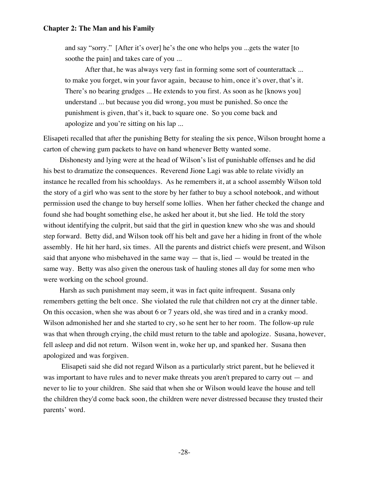and say "sorry." [After it's over] he's the one who helps you ...gets the water [to soothe the pain] and takes care of you ...

 After that, he was always very fast in forming some sort of counterattack ... to make you forget, win your favor again, because to him, once it's over, that's it. There's no bearing grudges ... He extends to you first. As soon as he [knows you] understand ... but because you did wrong, you must be punished. So once the punishment is given, that's it, back to square one. So you come back and apologize and you're sitting on his lap ...

Elisapeti recalled that after the punishing Betty for stealing the six pence, Wilson brought home a carton of chewing gum packets to have on hand whenever Betty wanted some.

Dishonesty and lying were at the head of Wilson's list of punishable offenses and he did his best to dramatize the consequences. Reverend Jione Lagi was able to relate vividly an instance he recalled from his schooldays. As he remembers it, at a school assembly Wilson told the story of a girl who was sent to the store by her father to buy a school notebook, and without permission used the change to buy herself some lollies. When her father checked the change and found she had bought something else, he asked her about it, but she lied. He told the story without identifying the culprit, but said that the girl in question knew who she was and should step forward. Betty did, and Wilson took off his belt and gave her a hiding in front of the whole assembly. He hit her hard, six times. All the parents and district chiefs were present, and Wilson said that anyone who misbehaved in the same way  $-$  that is, lied  $-$  would be treated in the same way. Betty was also given the onerous task of hauling stones all day for some men who were working on the school ground.

Harsh as such punishment may seem, it was in fact quite infrequent. Susana only remembers getting the belt once. She violated the rule that children not cry at the dinner table. On this occasion, when she was about 6 or 7 years old, she was tired and in a cranky mood. Wilson admonished her and she started to cry, so he sent her to her room. The follow-up rule was that when through crying, the child must return to the table and apologize. Susana, however, fell asleep and did not return. Wilson went in, woke her up, and spanked her. Susana then apologized and was forgiven.

 Elisapeti said she did not regard Wilson as a particularly strict parent, but he believed it was important to have rules and to never make threats you aren't prepared to carry out — and never to lie to your children. She said that when she or Wilson would leave the house and tell the children they'd come back soon, the children were never distressed because they trusted their parents' word.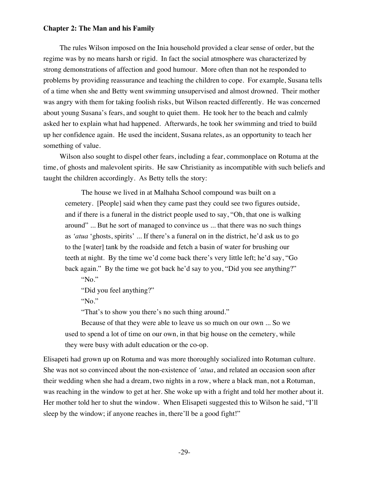The rules Wilson imposed on the Inia household provided a clear sense of order, but the regime was by no means harsh or rigid. In fact the social atmosphere was characterized by strong demonstrations of affection and good humour. More often than not he responded to problems by providing reassurance and teaching the children to cope. For example, Susana tells of a time when she and Betty went swimming unsupervised and almost drowned. Their mother was angry with them for taking foolish risks, but Wilson reacted differently. He was concerned about young Susana's fears, and sought to quiet them. He took her to the beach and calmly asked her to explain what had happened. Afterwards, he took her swimming and tried to build up her confidence again. He used the incident, Susana relates, as an opportunity to teach her something of value.

Wilson also sought to dispel other fears, including a fear, commonplace on Rotuma at the time, of ghosts and malevolent spirits. He saw Christianity as incompatible with such beliefs and taught the children accordingly. As Betty tells the story:

The house we lived in at Malhaha School compound was built on a cemetery. [People] said when they came past they could see two figures outside, and if there is a funeral in the district people used to say, "Oh, that one is walking around" ... But he sort of managed to convince us ... that there was no such things as *'atua* 'ghosts, spirits' ... If there's a funeral on in the district, he'd ask us to go to the [water] tank by the roadside and fetch a basin of water for brushing our teeth at night. By the time we'd come back there's very little left; he'd say, "Go back again." By the time we got back he'd say to you, "Did you see anything?" "No."

"Did you feel anything?"

"No."

"That's to show you there's no such thing around."

Because of that they were able to leave us so much on our own ... So we used to spend a lot of time on our own, in that big house on the cemetery, while they were busy with adult education or the co-op.

Elisapeti had grown up on Rotuma and was more thoroughly socialized into Rotuman culture. She was not so convinced about the non-existence of *'atua*, and related an occasion soon after their wedding when she had a dream, two nights in a row, where a black man, not a Rotuman, was reaching in the window to get at her. She woke up with a fright and told her mother about it. Her mother told her to shut the window. When Elisapeti suggested this to Wilson he said, "I'll sleep by the window; if anyone reaches in, there'll be a good fight!"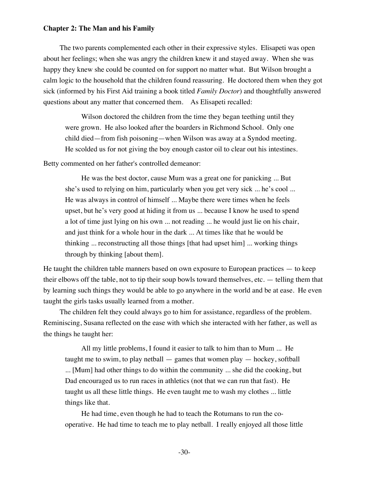The two parents complemented each other in their expressive styles. Elisapeti was open about her feelings; when she was angry the children knew it and stayed away. When she was happy they knew she could be counted on for support no matter what. But Wilson brought a calm logic to the household that the children found reassuring. He doctored them when they got sick (informed by his First Aid training a book titled *Family Doctor*) and thoughtfully answered questions about any matter that concerned them. As Elisapeti recalled:

Wilson doctored the children from the time they began teething until they were grown. He also looked after the boarders in Richmond School. Only one child died—from fish poisoning—when Wilson was away at a Syndod meeting. He scolded us for not giving the boy enough castor oil to clear out his intestines.

Betty commented on her father's controlled demeanor:

He was the best doctor, cause Mum was a great one for panicking ... But she's used to relying on him, particularly when you get very sick ... he's cool ... He was always in control of himself ... Maybe there were times when he feels upset, but he's very good at hiding it from us ... because I know he used to spend a lot of time just lying on his own ... not reading ... he would just lie on his chair, and just think for a whole hour in the dark ... At times like that he would be thinking ... reconstructing all those things [that had upset him] ... working things through by thinking [about them].

He taught the children table manners based on own exposure to European practices — to keep their elbows off the table, not to tip their soup bowls toward themselves, etc. — telling them that by learning such things they would be able to go anywhere in the world and be at ease. He even taught the girls tasks usually learned from a mother.

The children felt they could always go to him for assistance, regardless of the problem. Reminiscing, Susana reflected on the ease with which she interacted with her father, as well as the things he taught her:

All my little problems, I found it easier to talk to him than to Mum ... He taught me to swim, to play netball  $-$  games that women play  $-$  hockey, softball ... [Mum] had other things to do within the community ... she did the cooking, but Dad encouraged us to run races in athletics (not that we can run that fast). He taught us all these little things. He even taught me to wash my clothes ... little things like that.

He had time, even though he had to teach the Rotumans to run the cooperative. He had time to teach me to play netball. I really enjoyed all those little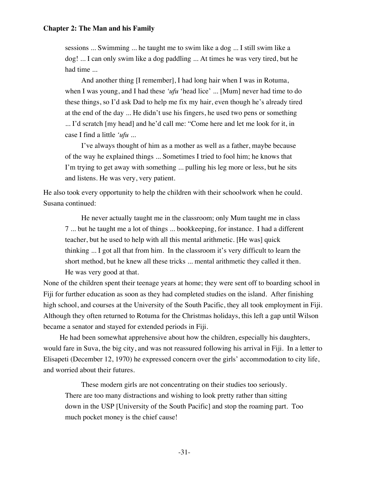sessions ... Swimming ... he taught me to swim like a dog ... I still swim like a dog! ... I can only swim like a dog paddling ... At times he was very tired, but he had time ...

And another thing [I remember], I had long hair when I was in Rotuma, when I was young, and I had these *'ufu* 'head lice' ... [Mum] never had time to do these things, so I'd ask Dad to help me fix my hair, even though he's already tired at the end of the day ... He didn't use his fingers, he used two pens or something ... I'd scratch [my head] and he'd call me: "Come here and let me look for it, in case I find a little *'ufu* ...

I've always thought of him as a mother as well as a father, maybe because of the way he explained things ... Sometimes I tried to fool him; he knows that I'm trying to get away with something ... pulling his leg more or less, but he sits and listens. He was very, very patient.

He also took every opportunity to help the children with their schoolwork when he could. Susana continued:

He never actually taught me in the classroom; only Mum taught me in class 7 ... but he taught me a lot of things ... bookkeeping, for instance. I had a different teacher, but he used to help with all this mental arithmetic. [He was] quick thinking ... I got all that from him. In the classroom it's very difficult to learn the short method, but he knew all these tricks ... mental arithmetic they called it then. He was very good at that.

None of the children spent their teenage years at home; they were sent off to boarding school in Fiji for further education as soon as they had completed studies on the island. After finishing high school, and courses at the University of the South Pacific, they all took employment in Fiji. Although they often returned to Rotuma for the Christmas holidays, this left a gap until Wilson became a senator and stayed for extended periods in Fiji.

He had been somewhat apprehensive about how the children, especially his daughters, would fare in Suva, the big city, and was not reassured following his arrival in Fiji. In a letter to Elisapeti (December 12, 1970) he expressed concern over the girls' accommodation to city life, and worried about their futures.

These modern girls are not concentrating on their studies too seriously. There are too many distractions and wishing to look pretty rather than sitting down in the USP [University of the South Pacific] and stop the roaming part. Too much pocket money is the chief cause!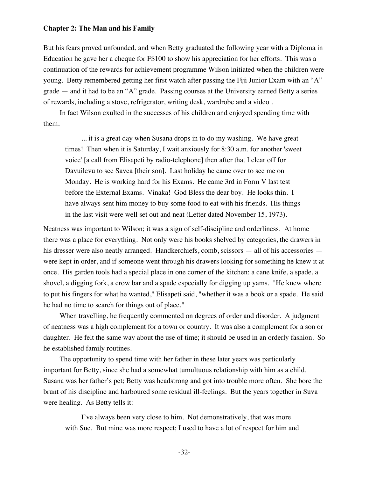But his fears proved unfounded, and when Betty graduated the following year with a Diploma in Education he gave her a cheque for F\$100 to show his appreciation for her efforts. This was a continuation of the rewards for achievement programme Wilson initiated when the children were young. Betty remembered getting her first watch after passing the Fiji Junior Exam with an "A" grade — and it had to be an "A" grade. Passing courses at the University earned Betty a series of rewards, including a stove, refrigerator, writing desk, wardrobe and a video .

In fact Wilson exulted in the successes of his children and enjoyed spending time with them.

... it is a great day when Susana drops in to do my washing. We have great times! Then when it is Saturday, I wait anxiously for 8:30 a.m. for another 'sweet voice' [a call from Elisapeti by radio-telephone] then after that I clear off for Davuilevu to see Savea [their son]. Last holiday he came over to see me on Monday. He is working hard for his Exams. He came 3rd in Form V last test before the External Exams. Vinaka! God Bless the dear boy. He looks thin. I have always sent him money to buy some food to eat with his friends. His things in the last visit were well set out and neat (Letter dated November 15, 1973).

Neatness was important to Wilson; it was a sign of self-discipline and orderliness. At home there was a place for everything. Not only were his books shelved by categories, the drawers in his dresser were also neatly arranged. Handkerchiefs, comb, scissors — all of his accessories were kept in order, and if someone went through his drawers looking for something he knew it at once. His garden tools had a special place in one corner of the kitchen: a cane knife, a spade, a shovel, a digging fork, a crow bar and a spade especially for digging up yams. "He knew where to put his fingers for what he wanted," Elisapeti said, "whether it was a book or a spade. He said he had no time to search for things out of place."

When travelling, he frequently commented on degrees of order and disorder. A judgment of neatness was a high complement for a town or country. It was also a complement for a son or daughter. He felt the same way about the use of time; it should be used in an orderly fashion. So he established family routines.

The opportunity to spend time with her father in these later years was particularly important for Betty, since she had a somewhat tumultuous relationship with him as a child. Susana was her father's pet; Betty was headstrong and got into trouble more often. She bore the brunt of his discipline and harboured some residual ill-feelings. But the years together in Suva were healing. As Betty tells it:

I've always been very close to him. Not demonstratively, that was more with Sue. But mine was more respect; I used to have a lot of respect for him and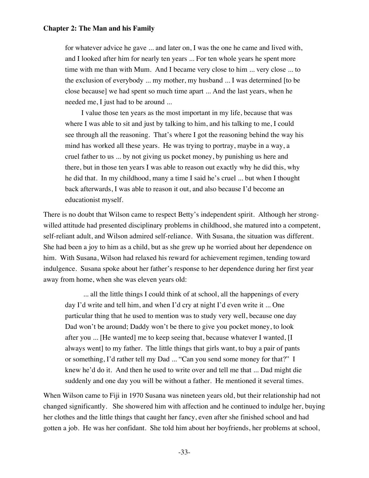for whatever advice he gave ... and later on, I was the one he came and lived with, and I looked after him for nearly ten years ... For ten whole years he spent more time with me than with Mum. And I became very close to him ... very close ... to the exclusion of everybody ... my mother, my husband ... I was determined [to be close because] we had spent so much time apart ... And the last years, when he needed me, I just had to be around ...

I value those ten years as the most important in my life, because that was where I was able to sit and just by talking to him, and his talking to me, I could see through all the reasoning. That's where I got the reasoning behind the way his mind has worked all these years. He was trying to portray, maybe in a way, a cruel father to us ... by not giving us pocket money, by punishing us here and there, but in those ten years I was able to reason out exactly why he did this, why he did that. In my childhood, many a time I said he's cruel ... but when I thought back afterwards, I was able to reason it out, and also because I'd become an educationist myself.

There is no doubt that Wilson came to respect Betty's independent spirit. Although her strongwilled attitude had presented disciplinary problems in childhood, she matured into a competent, self-reliant adult, and Wilson admired self-reliance. With Susana, the situation was different. She had been a joy to him as a child, but as she grew up he worried about her dependence on him. With Susana, Wilson had relaxed his reward for achievement regimen, tending toward indulgence. Susana spoke about her father's response to her dependence during her first year away from home, when she was eleven years old:

 ... all the little things I could think of at school, all the happenings of every day I'd write and tell him, and when I'd cry at night I'd even write it ... One particular thing that he used to mention was to study very well, because one day Dad won't be around; Daddy won't be there to give you pocket money, to look after you ... [He wanted] me to keep seeing that, because whatever I wanted, [I always went] to my father. The little things that girls want, to buy a pair of pants or something, I'd rather tell my Dad ... "Can you send some money for that?" I knew he'd do it. And then he used to write over and tell me that ... Dad might die suddenly and one day you will be without a father. He mentioned it several times.

When Wilson came to Fiji in 1970 Susana was nineteen years old, but their relationship had not changed significantly. She showered him with affection and he continued to indulge her, buying her clothes and the little things that caught her fancy, even after she finished school and had gotten a job. He was her confidant. She told him about her boyfriends, her problems at school,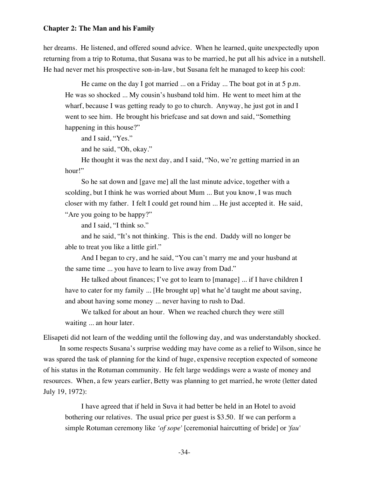her dreams. He listened, and offered sound advice. When he learned, quite unexpectedly upon returning from a trip to Rotuma, that Susana was to be married, he put all his advice in a nutshell. He had never met his prospective son-in-law, but Susana felt he managed to keep his cool:

He came on the day I got married ... on a Friday ... The boat got in at 5 p.m. He was so shocked ... My cousin's husband told him. He went to meet him at the wharf, because I was getting ready to go to church. Anyway, he just got in and I went to see him. He brought his briefcase and sat down and said, "Something happening in this house?"

and I said, "Yes."

and he said, "Oh, okay."

He thought it was the next day, and I said, "No, we're getting married in an hour!"

So he sat down and [gave me] all the last minute advice, together with a scolding, but I think he was worried about Mum ... But you know, I was much closer with my father. I felt I could get round him ... He just accepted it. He said, "Are you going to be happy?"

and I said, "I think so."

and he said, "It's not thinking. This is the end. Daddy will no longer be able to treat you like a little girl."

And I began to cry, and he said, "You can't marry me and your husband at the same time ... you have to learn to live away from Dad."

He talked about finances; I've got to learn to [manage] ... if I have children I have to cater for my family ... [He brought up] what he'd taught me about saving, and about having some money ... never having to rush to Dad.

We talked for about an hour. When we reached church they were still waiting ... an hour later.

Elisapeti did not learn of the wedding until the following day, and was understandably shocked.

In some respects Susana's surprise wedding may have come as a relief to Wilson, since he was spared the task of planning for the kind of huge, expensive reception expected of someone of his status in the Rotuman community. He felt large weddings were a waste of money and resources. When, a few years earlier, Betty was planning to get married, he wrote (letter dated July 19, 1972):

I have agreed that if held in Suva it had better be held in an Hotel to avoid bothering our relatives. The usual price per guest is \$3.50. If we can perform a simple Rotuman ceremony like *'of sope'* [ceremonial haircutting of bride] or *'fau'*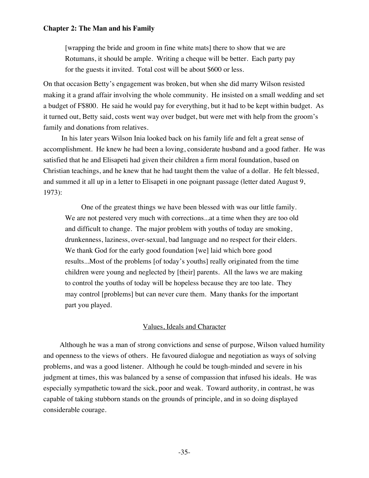[wrapping the bride and groom in fine white mats] there to show that we are Rotumans, it should be ample. Writing a cheque will be better. Each party pay for the guests it invited. Total cost will be about \$600 or less.

On that occasion Betty's engagement was broken, but when she did marry Wilson resisted making it a grand affair involving the whole community. He insisted on a small wedding and set a budget of F\$800. He said he would pay for everything, but it had to be kept within budget. As it turned out, Betty said, costs went way over budget, but were met with help from the groom's family and donations from relatives.

 In his later years Wilson Inia looked back on his family life and felt a great sense of accomplishment. He knew he had been a loving, considerate husband and a good father. He was satisfied that he and Elisapeti had given their children a firm moral foundation, based on Christian teachings, and he knew that he had taught them the value of a dollar. He felt blessed, and summed it all up in a letter to Elisapeti in one poignant passage (letter dated August 9, 1973):

One of the greatest things we have been blessed with was our little family. We are not pestered very much with corrections...at a time when they are too old and difficult to change. The major problem with youths of today are smoking, drunkenness, laziness, over-sexual, bad language and no respect for their elders. We thank God for the early good foundation [we] laid which bore good results...Most of the problems [of today's youths] really originated from the time children were young and neglected by [their] parents. All the laws we are making to control the youths of today will be hopeless because they are too late. They may control [problems] but can never cure them. Many thanks for the important part you played.

## Values, Ideals and Character

Although he was a man of strong convictions and sense of purpose, Wilson valued humility and openness to the views of others. He favoured dialogue and negotiation as ways of solving problems, and was a good listener. Although he could be tough-minded and severe in his judgment at times, this was balanced by a sense of compassion that infused his ideals. He was especially sympathetic toward the sick, poor and weak. Toward authority, in contrast, he was capable of taking stubborn stands on the grounds of principle, and in so doing displayed considerable courage.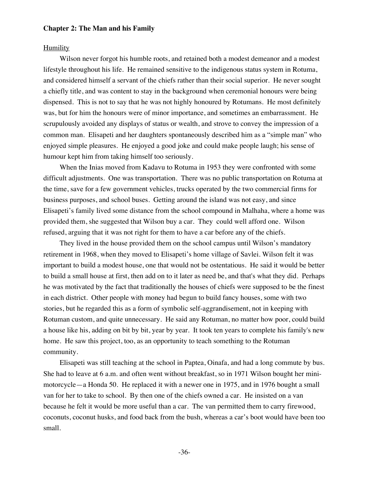#### Humility

Wilson never forgot his humble roots, and retained both a modest demeanor and a modest lifestyle throughout his life. He remained sensitive to the indigenous status system in Rotuma, and considered himself a servant of the chiefs rather than their social superior. He never sought a chiefly title, and was content to stay in the background when ceremonial honours were being dispensed. This is not to say that he was not highly honoured by Rotumans. He most definitely was, but for him the honours were of minor importance, and sometimes an embarrassment. He scrupulously avoided any displays of status or wealth, and strove to convey the impression of a common man. Elisapeti and her daughters spontaneously described him as a "simple man" who enjoyed simple pleasures. He enjoyed a good joke and could make people laugh; his sense of humour kept him from taking himself too seriously.

When the Inias moved from Kadavu to Rotuma in 1953 they were confronted with some difficult adjustments. One was transportation. There was no public transportation on Rotuma at the time, save for a few government vehicles, trucks operated by the two commercial firms for business purposes, and school buses. Getting around the island was not easy, and since Elisapeti's family lived some distance from the school compound in Malhaha, where a home was provided them, she suggested that Wilson buy a car. They could well afford one. Wilson refused, arguing that it was not right for them to have a car before any of the chiefs.

They lived in the house provided them on the school campus until Wilson's mandatory retirement in 1968, when they moved to Elisapeti's home village of Savlei. Wilson felt it was important to build a modest house, one that would not be ostentatious. He said it would be better to build a small house at first, then add on to it later as need be, and that's what they did. Perhaps he was motivated by the fact that traditionally the houses of chiefs were supposed to be the finest in each district. Other people with money had begun to build fancy houses, some with two stories, but he regarded this as a form of symbolic self-aggrandisement, not in keeping with Rotuman custom, and quite unnecessary. He said any Rotuman, no matter how poor, could build a house like his, adding on bit by bit, year by year. It took ten years to complete his family's new home. He saw this project, too, as an opportunity to teach something to the Rotuman community.

Elisapeti was still teaching at the school in Paptea, Oinafa, and had a long commute by bus. She had to leave at 6 a.m. and often went without breakfast, so in 1971 Wilson bought her minimotorcycle—a Honda 50. He replaced it with a newer one in 1975, and in 1976 bought a small van for her to take to school. By then one of the chiefs owned a car. He insisted on a van because he felt it would be more useful than a car. The van permitted them to carry firewood, coconuts, coconut husks, and food back from the bush, whereas a car's boot would have been too small.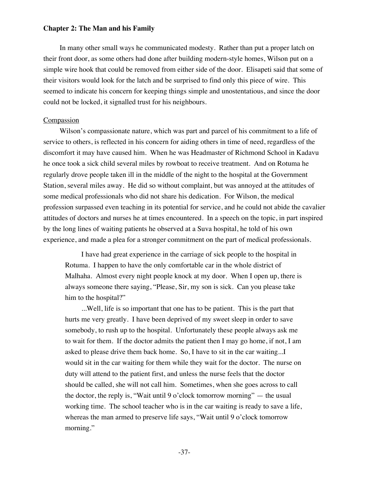In many other small ways he communicated modesty. Rather than put a proper latch on their front door, as some others had done after building modern-style homes, Wilson put on a simple wire hook that could be removed from either side of the door. Elisapeti said that some of their visitors would look for the latch and be surprised to find only this piece of wire. This seemed to indicate his concern for keeping things simple and unostentatious, and since the door could not be locked, it signalled trust for his neighbours.

## Compassion

Wilson's compassionate nature, which was part and parcel of his commitment to a life of service to others, is reflected in his concern for aiding others in time of need, regardless of the discomfort it may have caused him. When he was Headmaster of Richmond School in Kadavu he once took a sick child several miles by rowboat to receive treatment. And on Rotuma he regularly drove people taken ill in the middle of the night to the hospital at the Government Station, several miles away. He did so without complaint, but was annoyed at the attitudes of some medical professionals who did not share his dedication. For Wilson, the medical profession surpassed even teaching in its potential for service, and he could not abide the cavalier attitudes of doctors and nurses he at times encountered. In a speech on the topic, in part inspired by the long lines of waiting patients he observed at a Suva hospital, he told of his own experience, and made a plea for a stronger commitment on the part of medical professionals.

I have had great experience in the carriage of sick people to the hospital in Rotuma. I happen to have the only comfortable car in the whole district of Malhaha. Almost every night people knock at my door. When I open up, there is always someone there saying, "Please, Sir, my son is sick. Can you please take him to the hospital?"

...Well, life is so important that one has to be patient. This is the part that hurts me very greatly. I have been deprived of my sweet sleep in order to save somebody, to rush up to the hospital. Unfortunately these people always ask me to wait for them. If the doctor admits the patient then I may go home, if not, I am asked to please drive them back home. So, I have to sit in the car waiting...I would sit in the car waiting for them while they wait for the doctor. The nurse on duty will attend to the patient first, and unless the nurse feels that the doctor should be called, she will not call him. Sometimes, when she goes across to call the doctor, the reply is, "Wait until 9 o'clock tomorrow morning"  $-$  the usual working time. The school teacher who is in the car waiting is ready to save a life, whereas the man armed to preserve life says, "Wait until 9 o'clock tomorrow morning."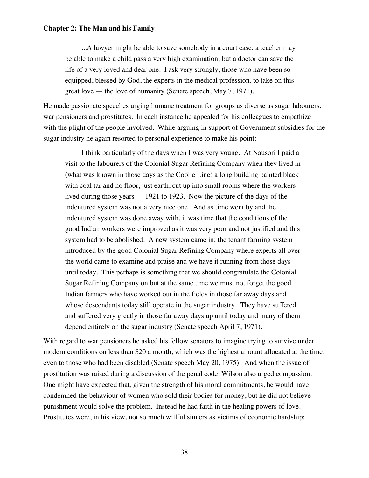...A lawyer might be able to save somebody in a court case; a teacher may be able to make a child pass a very high examination; but a doctor can save the life of a very loved and dear one. I ask very strongly, those who have been so equipped, blessed by God, the experts in the medical profession, to take on this great love — the love of humanity (Senate speech, May 7, 1971).

He made passionate speeches urging humane treatment for groups as diverse as sugar labourers, war pensioners and prostitutes. In each instance he appealed for his colleagues to empathize with the plight of the people involved. While arguing in support of Government subsidies for the sugar industry he again resorted to personal experience to make his point:

I think particularly of the days when I was very young. At Nausori I paid a visit to the labourers of the Colonial Sugar Refining Company when they lived in (what was known in those days as the Coolie Line) a long building painted black with coal tar and no floor, just earth, cut up into small rooms where the workers lived during those years — 1921 to 1923. Now the picture of the days of the indentured system was not a very nice one. And as time went by and the indentured system was done away with, it was time that the conditions of the good Indian workers were improved as it was very poor and not justified and this system had to be abolished. A new system came in; the tenant farming system introduced by the good Colonial Sugar Refining Company where experts all over the world came to examine and praise and we have it running from those days until today. This perhaps is something that we should congratulate the Colonial Sugar Refining Company on but at the same time we must not forget the good Indian farmers who have worked out in the fields in those far away days and whose descendants today still operate in the sugar industry. They have suffered and suffered very greatly in those far away days up until today and many of them depend entirely on the sugar industry (Senate speech April 7, 1971).

With regard to war pensioners he asked his fellow senators to imagine trying to survive under modern conditions on less than \$20 a month, which was the highest amount allocated at the time, even to those who had been disabled (Senate speech May 20, 1975). And when the issue of prostitution was raised during a discussion of the penal code, Wilson also urged compassion. One might have expected that, given the strength of his moral commitments, he would have condemned the behaviour of women who sold their bodies for money, but he did not believe punishment would solve the problem. Instead he had faith in the healing powers of love. Prostitutes were, in his view, not so much willful sinners as victims of economic hardship: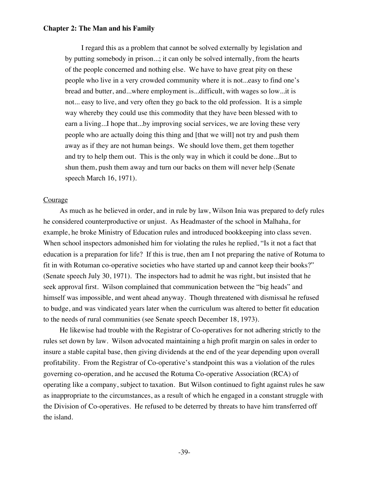I regard this as a problem that cannot be solved externally by legislation and by putting somebody in prison...; it can only be solved internally, from the hearts of the people concerned and nothing else. We have to have great pity on these people who live in a very crowded community where it is not...easy to find one's bread and butter, and...where employment is...difficult, with wages so low...it is not... easy to live, and very often they go back to the old profession. It is a simple way whereby they could use this commodity that they have been blessed with to earn a living...I hope that...by improving social services, we are loving these very people who are actually doing this thing and [that we will] not try and push them away as if they are not human beings. We should love them, get them together and try to help them out. This is the only way in which it could be done...But to shun them, push them away and turn our backs on them will never help (Senate speech March 16, 1971).

## Courage

As much as he believed in order, and in rule by law, Wilson Inia was prepared to defy rules he considered counterproductive or unjust. As Headmaster of the school in Malhaha, for example, he broke Ministry of Education rules and introduced bookkeeping into class seven. When school inspectors admonished him for violating the rules he replied, "Is it not a fact that education is a preparation for life? If this is true, then am I not preparing the native of Rotuma to fit in with Rotuman co-operative societies who have started up and cannot keep their books?" (Senate speech July 30, 1971). The inspectors had to admit he was right, but insisted that he seek approval first. Wilson complained that communication between the "big heads" and himself was impossible, and went ahead anyway. Though threatened with dismissal he refused to budge, and was vindicated years later when the curriculum was altered to better fit education to the needs of rural communities (see Senate speech December 18, 1973).

He likewise had trouble with the Registrar of Co-operatives for not adhering strictly to the rules set down by law. Wilson advocated maintaining a high profit margin on sales in order to insure a stable capital base, then giving dividends at the end of the year depending upon overall profitability. From the Registrar of Co-operative's standpoint this was a violation of the rules governing co-operation, and he accused the Rotuma Co-operative Association (RCA) of operating like a company, subject to taxation. But Wilson continued to fight against rules he saw as inappropriate to the circumstances, as a result of which he engaged in a constant struggle with the Division of Co-operatives. He refused to be deterred by threats to have him transferred off the island.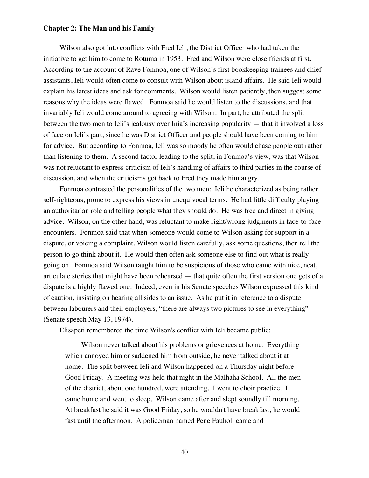Wilson also got into conflicts with Fred Ieli, the District Officer who had taken the initiative to get him to come to Rotuma in 1953. Fred and Wilson were close friends at first. According to the account of Rave Fonmoa, one of Wilson's first bookkeeping trainees and chief assistants, Ieli would often come to consult with Wilson about island affairs. He said Ieli would explain his latest ideas and ask for comments. Wilson would listen patiently, then suggest some reasons why the ideas were flawed. Fonmoa said he would listen to the discussions, and that invariably Ieli would come around to agreeing with Wilson. In part, he attributed the split between the two men to Ieli's jealousy over Inia's increasing popularity — that it involved a loss of face on Ieli's part, since he was District Officer and people should have been coming to him for advice. But according to Fonmoa, Ieli was so moody he often would chase people out rather than listening to them. A second factor leading to the split, in Fonmoa's view, was that Wilson was not reluctant to express criticism of Ieli's handling of affairs to third parties in the course of discussion, and when the criticisms got back to Fred they made him angry.

Fonmoa contrasted the personalities of the two men: Ieli he characterized as being rather self-righteous, prone to express his views in unequivocal terms. He had little difficulty playing an authoritarian role and telling people what they should do. He was free and direct in giving advice. Wilson, on the other hand, was reluctant to make right/wrong judgments in face-to-face encounters. Fonmoa said that when someone would come to Wilson asking for support in a dispute, or voicing a complaint, Wilson would listen carefully, ask some questions, then tell the person to go think about it. He would then often ask someone else to find out what is really going on. Fonmoa said Wilson taught him to be suspicious of those who came with nice, neat, articulate stories that might have been rehearsed — that quite often the first version one gets of a dispute is a highly flawed one. Indeed, even in his Senate speeches Wilson expressed this kind of caution, insisting on hearing all sides to an issue. As he put it in reference to a dispute between labourers and their employers, "there are always two pictures to see in everything" (Senate speech May 13, 1974).

Elisapeti remembered the time Wilson's conflict with Ieli became public:

Wilson never talked about his problems or grievences at home. Everything which annoyed him or saddened him from outside, he never talked about it at home. The split between Ieli and Wilson happened on a Thursday night before Good Friday. A meeting was held that night in the Malhaha School. All the men of the district, about one hundred, were attending. I went to choir practice. I came home and went to sleep. Wilson came after and slept soundly till morning. At breakfast he said it was Good Friday, so he wouldn't have breakfast; he would fast until the afternoon. A policeman named Pene Fauholi came and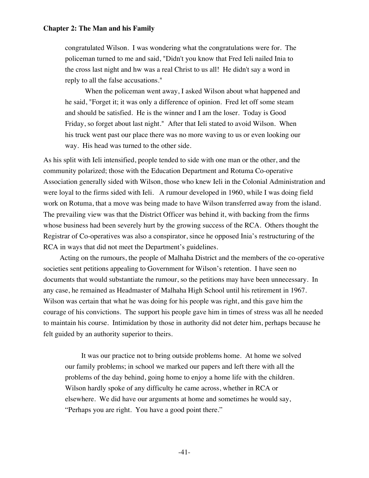congratulated Wilson. I was wondering what the congratulations were for. The policeman turned to me and said, "Didn't you know that Fred Ieli nailed Inia to the cross last night and hw was a real Christ to us all! He didn't say a word in reply to all the false accusations."

 When the policeman went away, I asked Wilson about what happened and he said, "Forget it; it was only a difference of opinion. Fred let off some steam and should be satisfied. He is the winner and I am the loser. Today is Good Friday, so forget about last night." After that Ieli stated to avoid Wilson. When his truck went past our place there was no more waving to us or even looking our way. His head was turned to the other side.

As his split with Ieli intensified, people tended to side with one man or the other, and the community polarized; those with the Education Department and Rotuma Co-operative Association generally sided with Wilson, those who knew Ieli in the Colonial Administration and were loyal to the firms sided with Ieli. A rumour developed in 1960, while I was doing field work on Rotuma, that a move was being made to have Wilson transferred away from the island. The prevailing view was that the District Officer was behind it, with backing from the firms whose business had been severely hurt by the growing success of the RCA. Others thought the Registrar of Co-operatives was also a conspirator, since he opposed Inia's restructuring of the RCA in ways that did not meet the Department's guidelines.

Acting on the rumours, the people of Malhaha District and the members of the co-operative societies sent petitions appealing to Government for Wilson's retention. I have seen no documents that would substantiate the rumour, so the petitions may have been unnecessary. In any case, he remained as Headmaster of Malhaha High School until his retirement in 1967. Wilson was certain that what he was doing for his people was right, and this gave him the courage of his convictions. The support his people gave him in times of stress was all he needed to maintain his course. Intimidation by those in authority did not deter him, perhaps because he felt guided by an authority superior to theirs.

It was our practice not to bring outside problems home. At home we solved our family problems; in school we marked our papers and left there with all the problems of the day behind, going home to enjoy a home life with the children. Wilson hardly spoke of any difficulty he came across, whether in RCA or elsewhere. We did have our arguments at home and sometimes he would say, "Perhaps you are right. You have a good point there."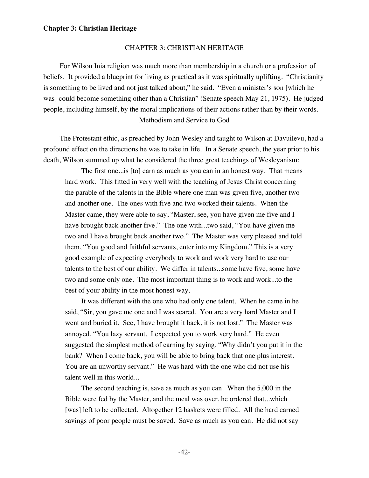### CHAPTER 3: CHRISTIAN HERITAGE

For Wilson Inia religion was much more than membership in a church or a profession of beliefs. It provided a blueprint for living as practical as it was spiritually uplifting. "Christianity is something to be lived and not just talked about," he said. "Even a minister's son [which he was] could become something other than a Christian" (Senate speech May 21, 1975). He judged people, including himself, by the moral implications of their actions rather than by their words. Methodism and Service to God

The Protestant ethic, as preached by John Wesley and taught to Wilson at Davuilevu, had a profound effect on the directions he was to take in life. In a Senate speech, the year prior to his death, Wilson summed up what he considered the three great teachings of Wesleyanism:

The first one...is [to] earn as much as you can in an honest way. That means hard work. This fitted in very well with the teaching of Jesus Christ concerning the parable of the talents in the Bible where one man was given five, another two and another one. The ones with five and two worked their talents. When the Master came, they were able to say, "Master, see, you have given me five and I have brought back another five." The one with...two said, "You have given me two and I have brought back another two." The Master was very pleased and told them, "You good and faithful servants, enter into my Kingdom." This is a very good example of expecting everybody to work and work very hard to use our talents to the best of our ability. We differ in talents...some have five, some have two and some only one. The most important thing is to work and work...to the best of your ability in the most honest way.

It was different with the one who had only one talent. When he came in he said, "Sir, you gave me one and I was scared. You are a very hard Master and I went and buried it. See, I have brought it back, it is not lost." The Master was annoyed, "You lazy servant. I expected you to work very hard." He even suggested the simplest method of earning by saying, "Why didn't you put it in the bank? When I come back, you will be able to bring back that one plus interest. You are an unworthy servant." He was hard with the one who did not use his talent well in this world...

The second teaching is, save as much as you can. When the 5,000 in the Bible were fed by the Master, and the meal was over, he ordered that...which [was] left to be collected. Altogether 12 baskets were filled. All the hard earned savings of poor people must be saved. Save as much as you can. He did not say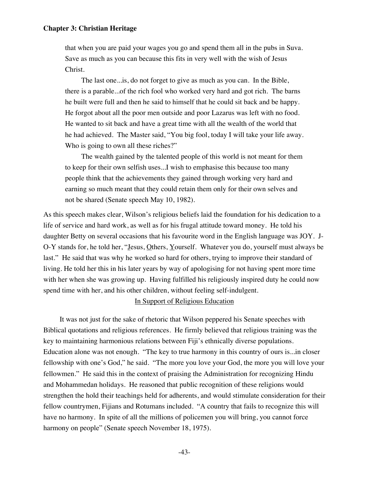that when you are paid your wages you go and spend them all in the pubs in Suva. Save as much as you can because this fits in very well with the wish of Jesus Christ.

The last one...is, do not forget to give as much as you can. In the Bible, there is a parable...of the rich fool who worked very hard and got rich. The barns he built were full and then he said to himself that he could sit back and be happy. He forgot about all the poor men outside and poor Lazarus was left with no food. He wanted to sit back and have a great time with all the wealth of the world that he had achieved. The Master said, "You big fool, today I will take your life away. Who is going to own all these riches?"

The wealth gained by the talented people of this world is not meant for them to keep for their own selfish uses...I wish to emphasise this because too many people think that the achievements they gained through working very hard and earning so much meant that they could retain them only for their own selves and not be shared (Senate speech May 10, 1982).

As this speech makes clear, Wilson's religious beliefs laid the foundation for his dedication to a life of service and hard work, as well as for his frugal attitude toward money. He told his daughter Betty on several occasions that his favourite word in the English language was JOY. J-O-Y stands for, he told her, "Jesus, Others, Yourself. Whatever you do, yourself must always be last." He said that was why he worked so hard for others, trying to improve their standard of living. He told her this in his later years by way of apologising for not having spent more time with her when she was growing up. Having fulfilled his religiously inspired duty he could now spend time with her, and his other children, without feeling self-indulgent.

# In Support of Religious Education

It was not just for the sake of rhetoric that Wilson peppered his Senate speeches with Biblical quotations and religious references. He firmly believed that religious training was the key to maintaining harmonious relations between Fiji's ethnically diverse populations. Education alone was not enough. "The key to true harmony in this country of ours is...in closer fellowship with one's God," he said. "The more you love your God, the more you will love your fellowmen." He said this in the context of praising the Administration for recognizing Hindu and Mohammedan holidays. He reasoned that public recognition of these religions would strengthen the hold their teachings held for adherents, and would stimulate consideration for their fellow countrymen, Fijians and Rotumans included. "A country that fails to recognize this will have no harmony. In spite of all the millions of policemen you will bring, you cannot force harmony on people" (Senate speech November 18, 1975).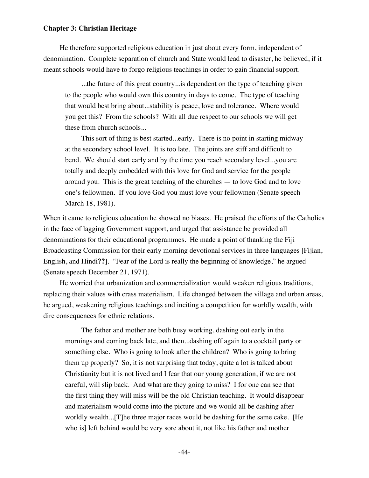He therefore supported religious education in just about every form, independent of denomination. Complete separation of church and State would lead to disaster, he believed, if it meant schools would have to forgo religious teachings in order to gain financial support.

...the future of this great country...is dependent on the type of teaching given to the people who would own this country in days to come. The type of teaching that would best bring about...stability is peace, love and tolerance. Where would you get this? From the schools? With all due respect to our schools we will get these from church schools...

This sort of thing is best started...early. There is no point in starting midway at the secondary school level. It is too late. The joints are stiff and difficult to bend. We should start early and by the time you reach secondary level...you are totally and deeply embedded with this love for God and service for the people around you. This is the great teaching of the churches — to love God and to love one's fellowmen. If you love God you must love your fellowmen (Senate speech March 18, 1981).

When it came to religious education he showed no biases. He praised the efforts of the Catholics in the face of lagging Government support, and urged that assistance be provided all denominations for their educational programmes. He made a point of thanking the Fiji Broadcasting Commission for their early morning devotional services in three languages [Fijian, English, and Hindi**??**]. "Fear of the Lord is really the beginning of knowledge," he argued (Senate speech December 21, 1971).

He worried that urbanization and commercialization would weaken religious traditions, replacing their values with crass materialism. Life changed between the village and urban areas, he argued, weakening religious teachings and inciting a competition for worldly wealth, with dire consequences for ethnic relations.

The father and mother are both busy working, dashing out early in the mornings and coming back late, and then...dashing off again to a cocktail party or something else. Who is going to look after the children? Who is going to bring them up properly? So, it is not surprising that today, quite a lot is talked about Christianity but it is not lived and I fear that our young generation, if we are not careful, will slip back. And what are they going to miss? I for one can see that the first thing they will miss will be the old Christian teaching. It would disappear and materialism would come into the picture and we would all be dashing after worldly wealth...[T]he three major races would be dashing for the same cake. [He who is] left behind would be very sore about it, not like his father and mother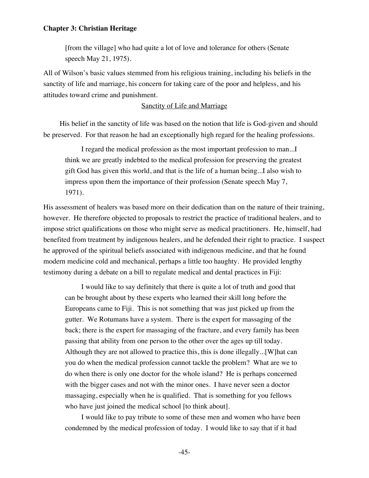[from the village] who had quite a lot of love and tolerance for others (Senate speech May 21, 1975).

All of Wilson's basic values stemmed from his religious training, including his beliefs in the sanctity of life and marriage, his concern for taking care of the poor and helpless, and his attitudes toward crime and punishment.

# Sanctity of Life and Marriage

His belief in the sanctity of life was based on the notion that life is God-given and should be preserved. For that reason he had an exceptionally high regard for the healing professions.

I regard the medical profession as the most important profession to man...I think we are greatly indebted to the medical profession for preserving the greatest gift God has given this world, and that is the life of a human being...I also wish to impress upon them the importance of their profession (Senate speech May 7, 1971).

His assessment of healers was based more on their dedication than on the nature of their training, however. He therefore objected to proposals to restrict the practice of traditional healers, and to impose strict qualifications on those who might serve as medical practitioners. He, himself, had benefited from treatment by indigenous healers, and he defended their right to practice. I suspect he approved of the spiritual beliefs associated with indigenous medicine, and that he found modern medicine cold and mechanical, perhaps a little too haughty. He provided lengthy testimony during a debate on a bill to regulate medical and dental practices in Fiji:

I would like to say definitely that there is quite a lot of truth and good that can be brought about by these experts who learned their skill long before the Europeans came to Fiji. This is not something that was just picked up from the gutter. We Rotumans have a system. There is the expert for massaging of the back; there is the expert for massaging of the fracture, and every family has been passing that ability from one person to the other over the ages up till today. Although they are not allowed to practice this, this is done illegally...[W]hat can you do when the medical profession cannot tackle the problem? What are we to do when there is only one doctor for the whole island? He is perhaps concerned with the bigger cases and not with the minor ones. I have never seen a doctor massaging, especially when he is qualified. That is something for you fellows who have just joined the medical school [to think about].

I would like to pay tribute to some of these men and women who have been condemned by the medical profession of today. I would like to say that if it had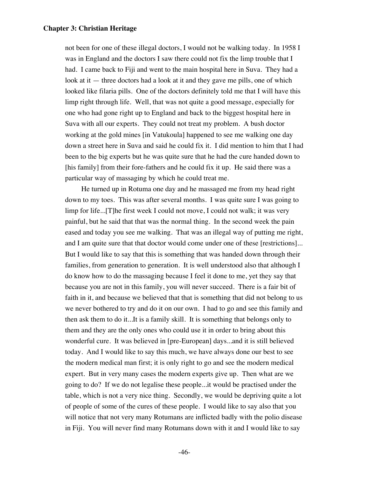not been for one of these illegal doctors, I would not be walking today. In 1958 I was in England and the doctors I saw there could not fix the limp trouble that I had. I came back to Fiji and went to the main hospital here in Suva. They had a look at it — three doctors had a look at it and they gave me pills, one of which looked like filaria pills. One of the doctors definitely told me that I will have this limp right through life. Well, that was not quite a good message, especially for one who had gone right up to England and back to the biggest hospital here in Suva with all our experts. They could not treat my problem. A bush doctor working at the gold mines [in Vatukoula] happened to see me walking one day down a street here in Suva and said he could fix it. I did mention to him that I had been to the big experts but he was quite sure that he had the cure handed down to [his family] from their fore-fathers and he could fix it up. He said there was a particular way of massaging by which he could treat me.

He turned up in Rotuma one day and he massaged me from my head right down to my toes. This was after several months. I was quite sure I was going to limp for life...[T]he first week I could not move, I could not walk; it was very painful, but he said that that was the normal thing. In the second week the pain eased and today you see me walking. That was an illegal way of putting me right, and I am quite sure that that doctor would come under one of these [restrictions]... But I would like to say that this is something that was handed down through their families, from generation to generation. It is well understood also that although I do know how to do the massaging because I feel it done to me, yet they say that because you are not in this family, you will never succeed. There is a fair bit of faith in it, and because we believed that that is something that did not belong to us we never bothered to try and do it on our own. I had to go and see this family and then ask them to do it...It is a family skill. It is something that belongs only to them and they are the only ones who could use it in order to bring about this wonderful cure. It was believed in [pre-European] days...and it is still believed today. And I would like to say this much, we have always done our best to see the modern medical man first; it is only right to go and see the modern medical expert. But in very many cases the modern experts give up. Then what are we going to do? If we do not legalise these people...it would be practised under the table, which is not a very nice thing. Secondly, we would be depriving quite a lot of people of some of the cures of these people. I would like to say also that you will notice that not very many Rotumans are inflicted badly with the polio disease in Fiji. You will never find many Rotumans down with it and I would like to say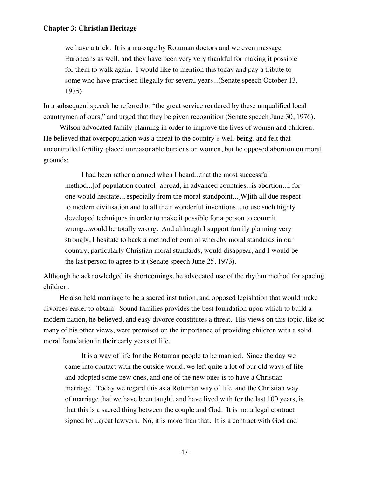we have a trick. It is a massage by Rotuman doctors and we even massage Europeans as well, and they have been very very thankful for making it possible for them to walk again. I would like to mention this today and pay a tribute to some who have practised illegally for several years...(Senate speech October 13, 1975).

In a subsequent speech he referred to "the great service rendered by these unqualified local countrymen of ours," and urged that they be given recognition (Senate speech June 30, 1976).

Wilson advocated family planning in order to improve the lives of women and children. He believed that overpopulation was a threat to the country's well-being, and felt that uncontrolled fertility placed unreasonable burdens on women, but he opposed abortion on moral grounds:

I had been rather alarmed when I heard...that the most successful method...[of population control] abroad, in advanced countries...is abortion...I for one would hesitate.., especially from the moral standpoint...[W]ith all due respect to modern civilisation and to all their wonderful inventions.., to use such highly developed techniques in order to make it possible for a person to commit wrong...would be totally wrong. And although I support family planning very strongly, I hesitate to back a method of control whereby moral standards in our country, particularly Christian moral standards, would disappear, and I would be the last person to agree to it (Senate speech June 25, 1973).

Although he acknowledged its shortcomings, he advocated use of the rhythm method for spacing children.

He also held marriage to be a sacred institution, and opposed legislation that would make divorces easier to obtain. Sound families provides the best foundation upon which to build a modern nation, he believed, and easy divorce constitutes a threat. His views on this topic, like so many of his other views, were premised on the importance of providing children with a solid moral foundation in their early years of life.

It is a way of life for the Rotuman people to be married. Since the day we came into contact with the outside world, we left quite a lot of our old ways of life and adopted some new ones, and one of the new ones is to have a Christian marriage. Today we regard this as a Rotuman way of life, and the Christian way of marriage that we have been taught, and have lived with for the last 100 years, is that this is a sacred thing between the couple and God. It is not a legal contract signed by...great lawyers. No, it is more than that. It is a contract with God and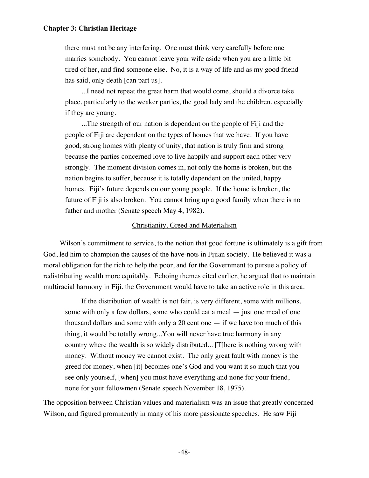there must not be any interfering. One must think very carefully before one marries somebody. You cannot leave your wife aside when you are a little bit tired of her, and find someone else. No, it is a way of life and as my good friend has said, only death [can part us].

...I need not repeat the great harm that would come, should a divorce take place, particularly to the weaker parties, the good lady and the children, especially if they are young.

...The strength of our nation is dependent on the people of Fiji and the people of Fiji are dependent on the types of homes that we have. If you have good, strong homes with plenty of unity, that nation is truly firm and strong because the parties concerned love to live happily and support each other very strongly. The moment division comes in, not only the home is broken, but the nation begins to suffer, because it is totally dependent on the united, happy homes. Fiji's future depends on our young people. If the home is broken, the future of Fiji is also broken. You cannot bring up a good family when there is no father and mother (Senate speech May 4, 1982).

# Christianity, Greed and Materialism

Wilson's commitment to service, to the notion that good fortune is ultimately is a gift from God, led him to champion the causes of the have-nots in Fijian society. He believed it was a moral obligation for the rich to help the poor, and for the Government to pursue a policy of redistributing wealth more equitably. Echoing themes cited earlier, he argued that to maintain multiracial harmony in Fiji, the Government would have to take an active role in this area.

If the distribution of wealth is not fair, is very different, some with millions, some with only a few dollars, some who could eat a meal — just one meal of one thousand dollars and some with only a 20 cent one  $-$  if we have too much of this thing, it would be totally wrong...You will never have true harmony in any country where the wealth is so widely distributed... [T]here is nothing wrong with money. Without money we cannot exist. The only great fault with money is the greed for money, when [it] becomes one's God and you want it so much that you see only yourself, [when] you must have everything and none for your friend, none for your fellowmen (Senate speech November 18, 1975).

The opposition between Christian values and materialism was an issue that greatly concerned Wilson, and figured prominently in many of his more passionate speeches. He saw Fiji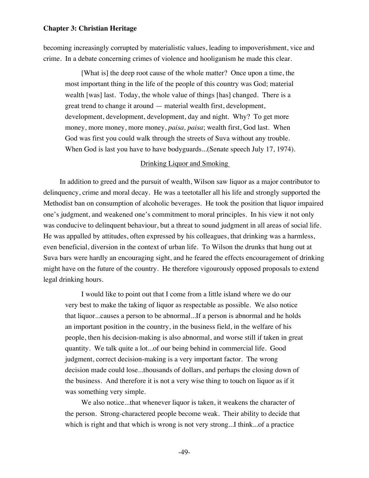becoming increasingly corrupted by materialistic values, leading to impoverishment, vice and crime. In a debate concerning crimes of violence and hooliganism he made this clear.

[What is] the deep root cause of the whole matter? Once upon a time, the most important thing in the life of the people of this country was God; material wealth [was] last. Today, the whole value of things [has] changed. There is a great trend to change it around — material wealth first, development, development, development, development, day and night. Why? To get more money, more money, more money, *paisa, paisa*; wealth first, God last. When God was first you could walk through the streets of Suva without any trouble. When God is last you have to have bodyguards...(Senate speech July 17, 1974).

# Drinking Liquor and Smoking

In addition to greed and the pursuit of wealth, Wilson saw liquor as a major contributor to delinquency, crime and moral decay. He was a teetotaller all his life and strongly supported the Methodist ban on consumption of alcoholic beverages. He took the position that liquor impaired one's judgment, and weakened one's commitment to moral principles. In his view it not only was conducive to delinquent behaviour, but a threat to sound judgment in all areas of social life. He was appalled by attitudes, often expressed by his colleagues, that drinking was a harmless, even beneficial, diversion in the context of urban life. To Wilson the drunks that hung out at Suva bars were hardly an encouraging sight, and he feared the effects encouragement of drinking might have on the future of the country. He therefore vigourously opposed proposals to extend legal drinking hours.

I would like to point out that I come from a little island where we do our very best to make the taking of liquor as respectable as possible. We also notice that liquor...causes a person to be abnormal...If a person is abnormal and he holds an important position in the country, in the business field, in the welfare of his people, then his decision-making is also abnormal, and worse still if taken in great quantity. We talk quite a lot...of our being behind in commercial life. Good judgment, correct decision-making is a very important factor. The wrong decision made could lose...thousands of dollars, and perhaps the closing down of the business. And therefore it is not a very wise thing to touch on liquor as if it was something very simple.

We also notice...that whenever liquor is taken, it weakens the character of the person. Strong-charactered people become weak. Their ability to decide that which is right and that which is wrong is not very strong...I think...of a practice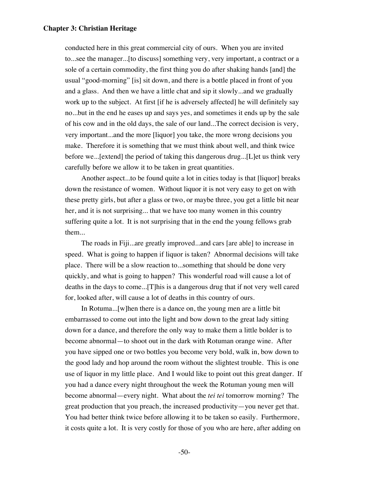conducted here in this great commercial city of ours. When you are invited to...see the manager...[to discuss] something very, very important, a contract or a sole of a certain commodity, the first thing you do after shaking hands [and] the usual "good-morning" [is] sit down, and there is a bottle placed in front of you and a glass. And then we have a little chat and sip it slowly...and we gradually work up to the subject. At first [if he is adversely affected] he will definitely say no...but in the end he eases up and says yes, and sometimes it ends up by the sale of his cow and in the old days, the sale of our land...The correct decision is very, very important...and the more [liquor] you take, the more wrong decisions you make. Therefore it is something that we must think about well, and think twice before we...[extend] the period of taking this dangerous drug...[L]et us think very carefully before we allow it to be taken in great quantities.

Another aspect...to be found quite a lot in cities today is that [liquor] breaks down the resistance of women. Without liquor it is not very easy to get on with these pretty girls, but after a glass or two, or maybe three, you get a little bit near her, and it is not surprising... that we have too many women in this country suffering quite a lot. It is not surprising that in the end the young fellows grab them...

The roads in Fiji...are greatly improved...and cars [are able] to increase in speed. What is going to happen if liquor is taken? Abnormal decisions will take place. There will be a slow reaction to...something that should be done very quickly, and what is going to happen? This wonderful road will cause a lot of deaths in the days to come...[T]his is a dangerous drug that if not very well cared for, looked after, will cause a lot of deaths in this country of ours.

In Rotuma...[w]hen there is a dance on, the young men are a little bit embarrassed to come out into the light and bow down to the great lady sitting down for a dance, and therefore the only way to make them a little bolder is to become abnormal—to shoot out in the dark with Rotuman orange wine. After you have sipped one or two bottles you become very bold, walk in, bow down to the good lady and hop around the room without the slightest trouble. This is one use of liquor in my little place. And I would like to point out this great danger. If you had a dance every night throughout the week the Rotuman young men will become abnormal—every night. What about the *tei tei* tomorrow morning? The great production that you preach, the increased productivity—you never get that. You had better think twice before allowing it to be taken so easily. Furthermore, it costs quite a lot. It is very costly for those of you who are here, after adding on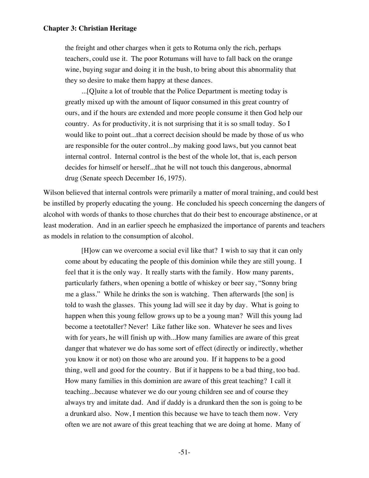the freight and other charges when it gets to Rotuma only the rich, perhaps teachers, could use it. The poor Rotumans will have to fall back on the orange wine, buying sugar and doing it in the bush, to bring about this abnormality that they so desire to make them happy at these dances.

...[Q]uite a lot of trouble that the Police Department is meeting today is greatly mixed up with the amount of liquor consumed in this great country of ours, and if the hours are extended and more people consume it then God help our country. As for productivity, it is not surprising that it is so small today. So I would like to point out...that a correct decision should be made by those of us who are responsible for the outer control...by making good laws, but you cannot beat internal control. Internal control is the best of the whole lot, that is, each person decides for himself or herself...that he will not touch this dangerous, abnormal drug (Senate speech December 16, 1975).

Wilson believed that internal controls were primarily a matter of moral training, and could best be instilled by properly educating the young. He concluded his speech concerning the dangers of alcohol with words of thanks to those churches that do their best to encourage abstinence, or at least moderation. And in an earlier speech he emphasized the importance of parents and teachers as models in relation to the consumption of alcohol.

[H]ow can we overcome a social evil like that? I wish to say that it can only come about by educating the people of this dominion while they are still young. I feel that it is the only way. It really starts with the family. How many parents, particularly fathers, when opening a bottle of whiskey or beer say, "Sonny bring me a glass." While he drinks the son is watching. Then afterwards [the son] is told to wash the glasses. This young lad will see it day by day. What is going to happen when this young fellow grows up to be a young man? Will this young lad become a teetotaller? Never! Like father like son. Whatever he sees and lives with for years, he will finish up with...How many families are aware of this great danger that whatever we do has some sort of effect (directly or indirectly, whether you know it or not) on those who are around you. If it happens to be a good thing, well and good for the country. But if it happens to be a bad thing, too bad. How many families in this dominion are aware of this great teaching? I call it teaching...because whatever we do our young children see and of course they always try and imitate dad. And if daddy is a drunkard then the son is going to be a drunkard also. Now, I mention this because we have to teach them now. Very often we are not aware of this great teaching that we are doing at home. Many of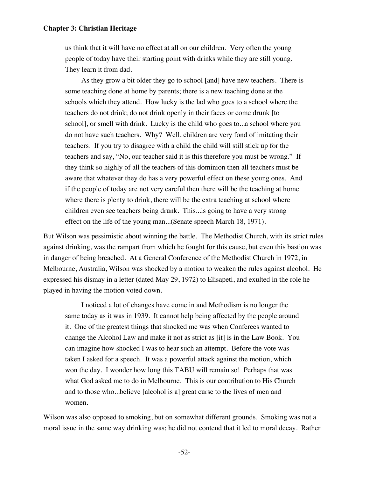us think that it will have no effect at all on our children. Very often the young people of today have their starting point with drinks while they are still young. They learn it from dad.

As they grow a bit older they go to school [and] have new teachers. There is some teaching done at home by parents; there is a new teaching done at the schools which they attend. How lucky is the lad who goes to a school where the teachers do not drink; do not drink openly in their faces or come drunk [to school], or smell with drink. Lucky is the child who goes to...a school where you do not have such teachers. Why? Well, children are very fond of imitating their teachers. If you try to disagree with a child the child will still stick up for the teachers and say, "No, our teacher said it is this therefore you must be wrong." If they think so highly of all the teachers of this dominion then all teachers must be aware that whatever they do has a very powerful effect on these young ones. And if the people of today are not very careful then there will be the teaching at home where there is plenty to drink, there will be the extra teaching at school where children even see teachers being drunk. This...is going to have a very strong effect on the life of the young man...(Senate speech March 18, 1971).

But Wilson was pessimistic about winning the battle. The Methodist Church, with its strict rules against drinking, was the rampart from which he fought for this cause, but even this bastion was in danger of being breached. At a General Conference of the Methodist Church in 1972, in Melbourne, Australia, Wilson was shocked by a motion to weaken the rules against alcohol. He expressed his dismay in a letter (dated May 29, 1972) to Elisapeti, and exulted in the role he played in having the motion voted down.

I noticed a lot of changes have come in and Methodism is no longer the same today as it was in 1939. It cannot help being affected by the people around it. One of the greatest things that shocked me was when Conferees wanted to change the Alcohol Law and make it not as strict as [it] is in the Law Book. You can imagine how shocked I was to hear such an attempt. Before the vote was taken I asked for a speech. It was a powerful attack against the motion, which won the day. I wonder how long this TABU will remain so! Perhaps that was what God asked me to do in Melbourne. This is our contribution to His Church and to those who...believe [alcohol is a] great curse to the lives of men and women.

Wilson was also opposed to smoking, but on somewhat different grounds. Smoking was not a moral issue in the same way drinking was; he did not contend that it led to moral decay. Rather

-52-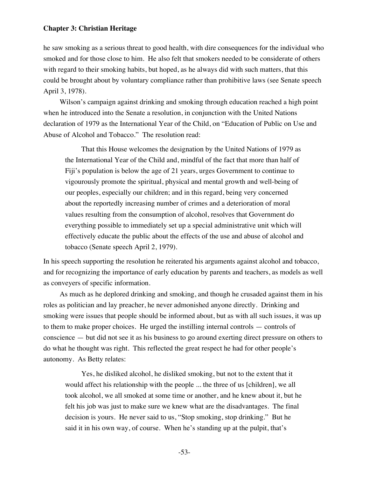he saw smoking as a serious threat to good health, with dire consequences for the individual who smoked and for those close to him. He also felt that smokers needed to be considerate of others with regard to their smoking habits, but hoped, as he always did with such matters, that this could be brought about by voluntary compliance rather than prohibitive laws (see Senate speech April 3, 1978).

Wilson's campaign against drinking and smoking through education reached a high point when he introduced into the Senate a resolution, in conjunction with the United Nations declaration of 1979 as the International Year of the Child, on "Education of Public on Use and Abuse of Alcohol and Tobacco." The resolution read:

That this House welcomes the designation by the United Nations of 1979 as the International Year of the Child and, mindful of the fact that more than half of Fiji's population is below the age of 21 years, urges Government to continue to vigourously promote the spiritual, physical and mental growth and well-being of our peoples, especially our children; and in this regard, being very concerned about the reportedly increasing number of crimes and a deterioration of moral values resulting from the consumption of alcohol, resolves that Government do everything possible to immediately set up a special administrative unit which will effectively educate the public about the effects of the use and abuse of alcohol and tobacco (Senate speech April 2, 1979).

In his speech supporting the resolution he reiterated his arguments against alcohol and tobacco, and for recognizing the importance of early education by parents and teachers, as models as well as conveyers of specific information.

As much as he deplored drinking and smoking, and though he crusaded against them in his roles as politician and lay preacher, he never admonished anyone directly. Drinking and smoking were issues that people should be informed about, but as with all such issues, it was up to them to make proper choices. He urged the instilling internal controls — controls of conscience — but did not see it as his business to go around exerting direct pressure on others to do what he thought was right. This reflected the great respect he had for other people's autonomy. As Betty relates:

Yes, he disliked alcohol, he disliked smoking, but not to the extent that it would affect his relationship with the people ... the three of us [children], we all took alcohol, we all smoked at some time or another, and he knew about it, but he felt his job was just to make sure we knew what are the disadvantages. The final decision is yours. He never said to us, "Stop smoking, stop drinking." But he said it in his own way, of course. When he's standing up at the pulpit, that's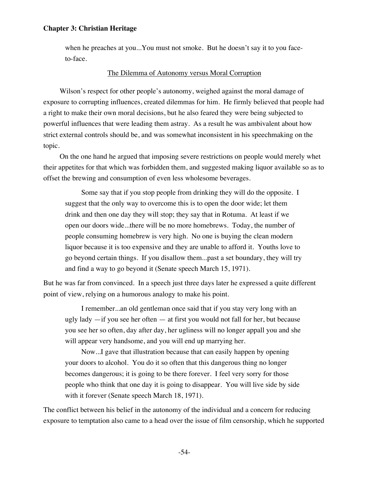when he preaches at you...You must not smoke. But he doesn't say it to you faceto-face.

## The Dilemma of Autonomy versus Moral Corruption

Wilson's respect for other people's autonomy, weighed against the moral damage of exposure to corrupting influences, created dilemmas for him. He firmly believed that people had a right to make their own moral decisions, but he also feared they were being subjected to powerful influences that were leading them astray. As a result he was ambivalent about how strict external controls should be, and was somewhat inconsistent in his speechmaking on the topic.

On the one hand he argued that imposing severe restrictions on people would merely whet their appetites for that which was forbidden them, and suggested making liquor available so as to offset the brewing and consumption of even less wholesome beverages.

Some say that if you stop people from drinking they will do the opposite. I suggest that the only way to overcome this is to open the door wide; let them drink and then one day they will stop; they say that in Rotuma. At least if we open our doors wide...there will be no more homebrews. Today, the number of people consuming homebrew is very high. No one is buying the clean modern liquor because it is too expensive and they are unable to afford it. Youths love to go beyond certain things. If you disallow them...past a set boundary, they will try and find a way to go beyond it (Senate speech March 15, 1971).

But he was far from convinced. In a speech just three days later he expressed a quite different point of view, relying on a humorous analogy to make his point.

I remember...an old gentleman once said that if you stay very long with an ugly lady —if you see her often — at first you would not fall for her, but because you see her so often, day after day, her ugliness will no longer appall you and she will appear very handsome, and you will end up marrying her.

Now...I gave that illustration because that can easily happen by opening your doors to alcohol. You do it so often that this dangerous thing no longer becomes dangerous; it is going to be there forever. I feel very sorry for those people who think that one day it is going to disappear. You will live side by side with it forever (Senate speech March 18, 1971).

The conflict between his belief in the autonomy of the individual and a concern for reducing exposure to temptation also came to a head over the issue of film censorship, which he supported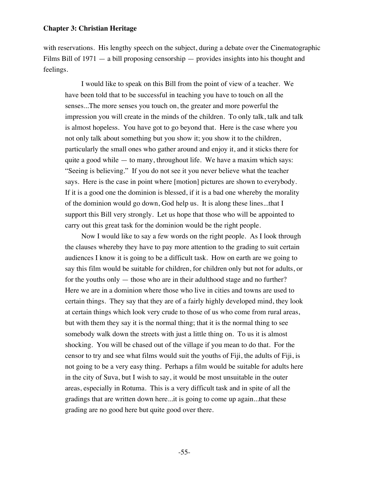with reservations. His lengthy speech on the subject, during a debate over the Cinematographic Films Bill of 1971 — a bill proposing censorship — provides insights into his thought and feelings.

I would like to speak on this Bill from the point of view of a teacher. We have been told that to be successful in teaching you have to touch on all the senses...The more senses you touch on, the greater and more powerful the impression you will create in the minds of the children. To only talk, talk and talk is almost hopeless. You have got to go beyond that. Here is the case where you not only talk about something but you show it; you show it to the children, particularly the small ones who gather around and enjoy it, and it sticks there for quite a good while — to many, throughout life. We have a maxim which says: "Seeing is believing." If you do not see it you never believe what the teacher says. Here is the case in point where [motion] pictures are shown to everybody. If it is a good one the dominion is blessed, if it is a bad one whereby the morality of the dominion would go down, God help us. It is along these lines...that I support this Bill very strongly. Let us hope that those who will be appointed to carry out this great task for the dominion would be the right people.

Now I would like to say a few words on the right people. As I look through the clauses whereby they have to pay more attention to the grading to suit certain audiences I know it is going to be a difficult task. How on earth are we going to say this film would be suitable for children, for children only but not for adults, or for the youths only — those who are in their adulthood stage and no further? Here we are in a dominion where those who live in cities and towns are used to certain things. They say that they are of a fairly highly developed mind, they look at certain things which look very crude to those of us who come from rural areas, but with them they say it is the normal thing; that it is the normal thing to see somebody walk down the streets with just a little thing on. To us it is almost shocking. You will be chased out of the village if you mean to do that. For the censor to try and see what films would suit the youths of Fiji, the adults of Fiji, is not going to be a very easy thing. Perhaps a film would be suitable for adults here in the city of Suva, but I wish to say, it would be most unsuitable in the outer areas, especially in Rotuma. This is a very difficult task and in spite of all the gradings that are written down here...it is going to come up again...that these grading are no good here but quite good over there.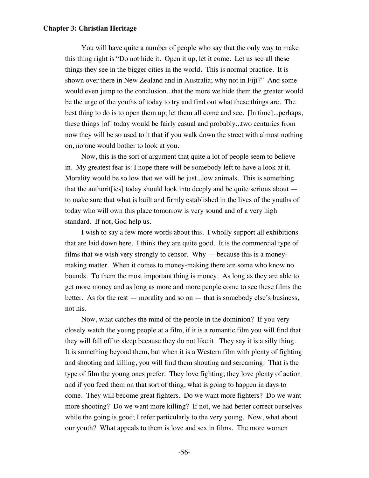You will have quite a number of people who say that the only way to make this thing right is "Do not hide it. Open it up, let it come. Let us see all these things they see in the bigger cities in the world. This is normal practice. It is shown over there in New Zealand and in Australia; why not in Fiji?" And some would even jump to the conclusion...that the more we hide them the greater would be the urge of the youths of today to try and find out what these things are. The best thing to do is to open them up; let them all come and see. [In time]...perhaps, these things [of] today would be fairly casual and probably...two centuries from now they will be so used to it that if you walk down the street with almost nothing on, no one would bother to look at you.

Now, this is the sort of argument that quite a lot of people seem to believe in. My greatest fear is: I hope there will be somebody left to have a look at it. Morality would be so low that we will be just...low animals. This is something that the authorit[ies] today should look into deeply and be quite serious about to make sure that what is built and firmly established in the lives of the youths of today who will own this place tomorrow is very sound and of a very high standard. If not, God help us.

I wish to say a few more words about this. I wholly support all exhibitions that are laid down here. I think they are quite good. It is the commercial type of films that we wish very strongly to censor. Why — because this is a moneymaking matter. When it comes to money-making there are some who know no bounds. To them the most important thing is money. As long as they are able to get more money and as long as more and more people come to see these films the better. As for the rest — morality and so on — that is somebody else's business, not his.

Now, what catches the mind of the people in the dominion? If you very closely watch the young people at a film, if it is a romantic film you will find that they will fall off to sleep because they do not like it. They say it is a silly thing. It is something beyond them, but when it is a Western film with plenty of fighting and shooting and killing, you will find them shouting and screaming. That is the type of film the young ones prefer. They love fighting; they love plenty of action and if you feed them on that sort of thing, what is going to happen in days to come. They will become great fighters. Do we want more fighters? Do we want more shooting? Do we want more killing? If not, we had better correct ourselves while the going is good; I refer particularly to the very young. Now, what about our youth? What appeals to them is love and sex in films. The more women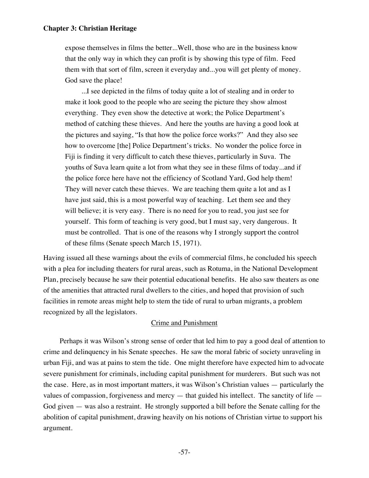expose themselves in films the better...Well, those who are in the business know that the only way in which they can profit is by showing this type of film. Feed them with that sort of film, screen it everyday and...you will get plenty of money. God save the place!

...I see depicted in the films of today quite a lot of stealing and in order to make it look good to the people who are seeing the picture they show almost everything. They even show the detective at work; the Police Department's method of catching these thieves. And here the youths are having a good look at the pictures and saying, "Is that how the police force works?" And they also see how to overcome [the] Police Department's tricks. No wonder the police force in Fiji is finding it very difficult to catch these thieves, particularly in Suva. The youths of Suva learn quite a lot from what they see in these films of today...and if the police force here have not the efficiency of Scotland Yard, God help them! They will never catch these thieves. We are teaching them quite a lot and as I have just said, this is a most powerful way of teaching. Let them see and they will believe; it is very easy. There is no need for you to read, you just see for yourself. This form of teaching is very good, but I must say, very dangerous. It must be controlled. That is one of the reasons why I strongly support the control of these films (Senate speech March 15, 1971).

Having issued all these warnings about the evils of commercial films, he concluded his speech with a plea for including theaters for rural areas, such as Rotuma, in the National Development Plan, precisely because he saw their potential educational benefits. He also saw theaters as one of the amenities that attracted rural dwellers to the cities, and hoped that provision of such facilities in remote areas might help to stem the tide of rural to urban migrants, a problem recognized by all the legislators.

# Crime and Punishment

Perhaps it was Wilson's strong sense of order that led him to pay a good deal of attention to crime and delinquency in his Senate speeches. He saw the moral fabric of society unraveling in urban Fiji, and was at pains to stem the tide. One might therefore have expected him to advocate severe punishment for criminals, including capital punishment for murderers. But such was not the case. Here, as in most important matters, it was Wilson's Christian values — particularly the values of compassion, forgiveness and mercy — that guided his intellect. The sanctity of life — God given — was also a restraint. He strongly supported a bill before the Senate calling for the abolition of capital punishment, drawing heavily on his notions of Christian virtue to support his argument.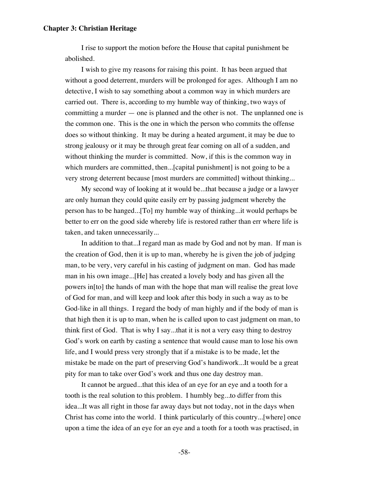I rise to support the motion before the House that capital punishment be abolished.

I wish to give my reasons for raising this point. It has been argued that without a good deterrent, murders will be prolonged for ages. Although I am no detective, I wish to say something about a common way in which murders are carried out. There is, according to my humble way of thinking, two ways of committing a murder — one is planned and the other is not. The unplanned one is the common one. This is the one in which the person who commits the offense does so without thinking. It may be during a heated argument, it may be due to strong jealousy or it may be through great fear coming on all of a sudden, and without thinking the murder is committed. Now, if this is the common way in which murders are committed, then...[capital punishment] is not going to be a very strong deterrent because [most murders are committed] without thinking...

My second way of looking at it would be...that because a judge or a lawyer are only human they could quite easily err by passing judgment whereby the person has to be hanged...[To] my humble way of thinking...it would perhaps be better to err on the good side whereby life is restored rather than err where life is taken, and taken unnecessarily...

In addition to that...I regard man as made by God and not by man. If man is the creation of God, then it is up to man, whereby he is given the job of judging man, to be very, very careful in his casting of judgment on man. God has made man in his own image...[He] has created a lovely body and has given all the powers in[to] the hands of man with the hope that man will realise the great love of God for man, and will keep and look after this body in such a way as to be God-like in all things. I regard the body of man highly and if the body of man is that high then it is up to man, when he is called upon to cast judgment on man, to think first of God. That is why I say...that it is not a very easy thing to destroy God's work on earth by casting a sentence that would cause man to lose his own life, and I would press very strongly that if a mistake is to be made, let the mistake be made on the part of preserving God's handiwork...It would be a great pity for man to take over God's work and thus one day destroy man.

It cannot be argued...that this idea of an eye for an eye and a tooth for a tooth is the real solution to this problem. I humbly beg...to differ from this idea...It was all right in those far away days but not today, not in the days when Christ has come into the world. I think particularly of this country...[where] once upon a time the idea of an eye for an eye and a tooth for a tooth was practised, in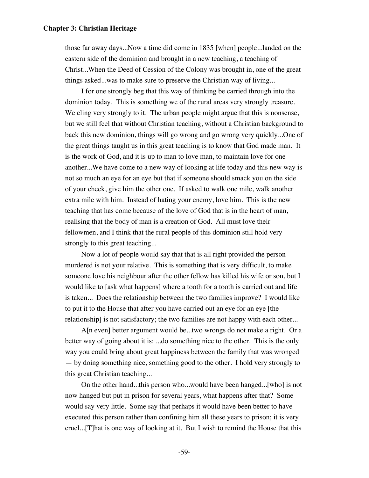those far away days...Now a time did come in 1835 [when] people...landed on the eastern side of the dominion and brought in a new teaching, a teaching of Christ...When the Deed of Cession of the Colony was brought in, one of the great things asked...was to make sure to preserve the Christian way of living...

I for one strongly beg that this way of thinking be carried through into the dominion today. This is something we of the rural areas very strongly treasure. We cling very strongly to it. The urban people might argue that this is nonsense, but we still feel that without Christian teaching, without a Christian background to back this new dominion, things will go wrong and go wrong very quickly...One of the great things taught us in this great teaching is to know that God made man. It is the work of God, and it is up to man to love man, to maintain love for one another...We have come to a new way of looking at life today and this new way is not so much an eye for an eye but that if someone should smack you on the side of your cheek, give him the other one. If asked to walk one mile, walk another extra mile with him. Instead of hating your enemy, love him. This is the new teaching that has come because of the love of God that is in the heart of man, realising that the body of man is a creation of God. All must love their fellowmen, and I think that the rural people of this dominion still hold very strongly to this great teaching...

Now a lot of people would say that that is all right provided the person murdered is not your relative. This is something that is very difficult, to make someone love his neighbour after the other fellow has killed his wife or son, but I would like to [ask what happens] where a tooth for a tooth is carried out and life is taken... Does the relationship between the two families improve? I would like to put it to the House that after you have carried out an eye for an eye [the relationship] is not satisfactory; the two families are not happy with each other...

A[n even] better argument would be...two wrongs do not make a right. Or a better way of going about it is: ...do something nice to the other. This is the only way you could bring about great happiness between the family that was wronged — by doing something nice, something good to the other. I hold very strongly to this great Christian teaching...

On the other hand...this person who...would have been hanged...[who] is not now hanged but put in prison for several years, what happens after that? Some would say very little. Some say that perhaps it would have been better to have executed this person rather than confining him all these years to prison; it is very cruel...[T]hat is one way of looking at it. But I wish to remind the House that this

-59-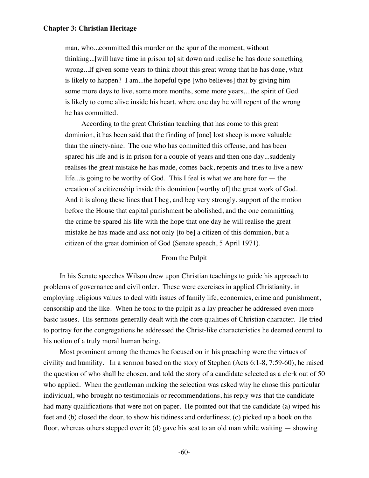man, who...committed this murder on the spur of the moment, without thinking...[will have time in prison to] sit down and realise he has done something wrong...If given some years to think about this great wrong that he has done, what is likely to happen? I am...the hopeful type [who believes] that by giving him some more days to live, some more months, some more years,...the spirit of God is likely to come alive inside his heart, where one day he will repent of the wrong he has committed.

According to the great Christian teaching that has come to this great dominion, it has been said that the finding of [one] lost sheep is more valuable than the ninety-nine. The one who has committed this offense, and has been spared his life and is in prison for a couple of years and then one day...suddenly realises the great mistake he has made, comes back, repents and tries to live a new life...is going to be worthy of God. This I feel is what we are here for — the creation of a citizenship inside this dominion [worthy of] the great work of God. And it is along these lines that I beg, and beg very strongly, support of the motion before the House that capital punishment be abolished, and the one committing the crime be spared his life with the hope that one day he will realise the great mistake he has made and ask not only [to be] a citizen of this dominion, but a citizen of the great dominion of God (Senate speech, 5 April 1971).

### From the Pulpit

In his Senate speeches Wilson drew upon Christian teachings to guide his approach to problems of governance and civil order. These were exercises in applied Christianity, in employing religious values to deal with issues of family life, economics, crime and punishment, censorship and the like. When he took to the pulpit as a lay preacher he addressed even more basic issues. His sermons generally dealt with the core qualities of Christian character. He tried to portray for the congregations he addressed the Christ-like characteristics he deemed central to his notion of a truly moral human being.

Most prominent among the themes he focused on in his preaching were the virtues of civility and humility. In a sermon based on the story of Stephen (Acts 6:1-8, 7:59-60), he raised the question of who shall be chosen, and told the story of a candidate selected as a clerk out of 50 who applied. When the gentleman making the selection was asked why he chose this particular individual, who brought no testimonials or recommendations, his reply was that the candidate had many qualifications that were not on paper. He pointed out that the candidate (a) wiped his feet and (b) closed the door, to show his tidiness and orderliness; (c) picked up a book on the floor, whereas others stepped over it; (d) gave his seat to an old man while waiting — showing

-60-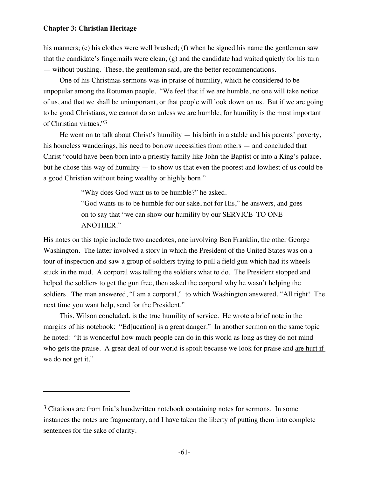$\overline{a}$ 

his manners; (e) his clothes were well brushed; (f) when he signed his name the gentleman saw that the candidate's fingernails were clean; (g) and the candidate had waited quietly for his turn — without pushing. These, the gentleman said, are the better recommendations.

One of his Christmas sermons was in praise of humility, which he considered to be unpopular among the Rotuman people. "We feel that if we are humble, no one will take notice of us, and that we shall be unimportant, or that people will look down on us. But if we are going to be good Christians, we cannot do so unless we are humble, for humility is the most important of Christian virtues."3

He went on to talk about Christ's humility — his birth in a stable and his parents' poverty, his homeless wanderings, his need to borrow necessities from others — and concluded that Christ "could have been born into a priestly family like John the Baptist or into a King's palace, but he chose this way of humility — to show us that even the poorest and lowliest of us could be a good Christian without being wealthy or highly born."

"Why does God want us to be humble?" he asked.

"God wants us to be humble for our sake, not for His," he answers, and goes on to say that "we can show our humility by our SERVICE TO ONE ANOTHER."

His notes on this topic include two anecdotes, one involving Ben Franklin, the other George Washington. The latter involved a story in which the President of the United States was on a tour of inspection and saw a group of soldiers trying to pull a field gun which had its wheels stuck in the mud. A corporal was telling the soldiers what to do. The President stopped and helped the soldiers to get the gun free, then asked the corporal why he wasn't helping the soldiers. The man answered, "I am a corporal," to which Washington answered, "All right! The next time you want help, send for the President."

This, Wilson concluded, is the true humility of service. He wrote a brief note in the margins of his notebook: "Ed[ucation] is a great danger." In another sermon on the same topic he noted: "It is wonderful how much people can do in this world as long as they do not mind who gets the praise. A great deal of our world is spoilt because we look for praise and are hurt if we do not get it."

<sup>&</sup>lt;sup>3</sup> Citations are from Inia's handwritten notebook containing notes for sermons. In some instances the notes are fragmentary, and I have taken the liberty of putting them into complete sentences for the sake of clarity.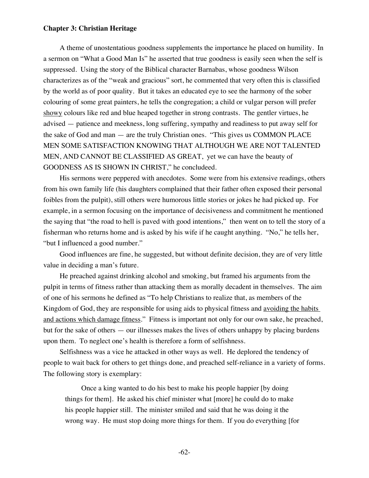A theme of unostentatious goodness supplements the importance he placed on humility. In a sermon on "What a Good Man Is" he asserted that true goodness is easily seen when the self is suppressed. Using the story of the Biblical character Barnabas, whose goodness Wilson characterizes as of the "weak and gracious" sort, he commented that very often this is classified by the world as of poor quality. But it takes an educated eye to see the harmony of the sober colouring of some great painters, he tells the congregation; a child or vulgar person will prefer showy colours like red and blue heaped together in strong contrasts. The gentler virtues, he advised — patience and meekness, long suffering, sympathy and readiness to put away self for the sake of God and man — are the truly Christian ones. "This gives us COMMON PLACE MEN SOME SATISFACTION KNOWING THAT ALTHOUGH WE ARE NOT TALENTED MEN, AND CANNOT BE CLASSIFIED AS GREAT, yet we can have the beauty of GOODNESS AS IS SHOWN IN CHRIST," he concludeed.

His sermons were peppered with anecdotes. Some were from his extensive readings, others from his own family life (his daughters complained that their father often exposed their personal foibles from the pulpit), still others were humorous little stories or jokes he had picked up. For example, in a sermon focusing on the importance of decisiveness and commitment he mentioned the saying that "the road to hell is paved with good intentions," then went on to tell the story of a fisherman who returns home and is asked by his wife if he caught anything. "No," he tells her, "but I influenced a good number."

Good influences are fine, he suggested, but without definite decision, they are of very little value in deciding a man's future.

He preached against drinking alcohol and smoking, but framed his arguments from the pulpit in terms of fitness rather than attacking them as morally decadent in themselves. The aim of one of his sermons he defined as "To help Christians to realize that, as members of the Kingdom of God, they are responsible for using aids to physical fitness and avoiding the habits and actions which damage fitness." Fitness is important not only for our own sake, he preached, but for the sake of others — our illnesses makes the lives of others unhappy by placing burdens upon them. To neglect one's health is therefore a form of selfishness.

Selfishness was a vice he attacked in other ways as well. He deplored the tendency of people to wait back for others to get things done, and preached self-reliance in a variety of forms. The following story is exemplary:

Once a king wanted to do his best to make his people happier [by doing things for them]. He asked his chief minister what [more] he could do to make his people happier still. The minister smiled and said that he was doing it the wrong way. He must stop doing more things for them. If you do everything [for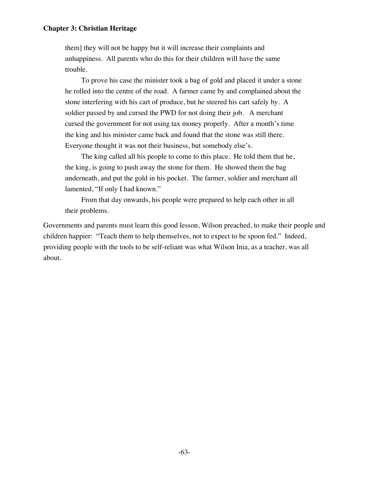them] they will not be happy but it will increase their complaints and unhappiness. All parents who do this for their children will have the same trouble.

To prove his case the minister took a bag of gold and placed it under a stone he rolled into the centre of the road. A farmer came by and complained about the stone interfering with his cart of produce, but he steered his cart safely by. A soldier passed by and cursed the PWD for not doing their job. A merchant cursed the government for not using tax money properly. After a month's time the king and his minister came back and found that the stone was still there. Everyone thought it was not their business, but somebody else's.

The king called all his people to come to this place. He told them that he, the king, is going to push away the stone for them. He showed them the bag underneath, and put the gold in his pocket. The farmer, soldier and merchant all lamented, "If only I had known."

From that day onwards, his people were prepared to help each other in all their problems.

Governments and parents must learn this good lesson, Wilson preached, to make their people and children happier: "Teach them to help themselves, not to expect to be spoon fed." Indeed, providing people with the tools to be self-reliant was what Wilson Inia, as a teacher, was all about.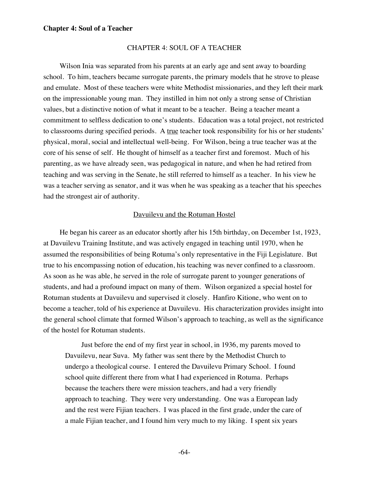### CHAPTER 4: SOUL OF A TEACHER

Wilson Inia was separated from his parents at an early age and sent away to boarding school. To him, teachers became surrogate parents, the primary models that he strove to please and emulate. Most of these teachers were white Methodist missionaries, and they left their mark on the impressionable young man. They instilled in him not only a strong sense of Christian values, but a distinctive notion of what it meant to be a teacher. Being a teacher meant a commitment to selfless dedication to one's students. Education was a total project, not restricted to classrooms during specified periods. A true teacher took responsibility for his or her students' physical, moral, social and intellectual well-being. For Wilson, being a true teacher was at the core of his sense of self. He thought of himself as a teacher first and foremost. Much of his parenting, as we have already seen, was pedagogical in nature, and when he had retired from teaching and was serving in the Senate, he still referred to himself as a teacher. In his view he was a teacher serving as senator, and it was when he was speaking as a teacher that his speeches had the strongest air of authority.

### Davuilevu and the Rotuman Hostel

He began his career as an educator shortly after his 15th birthday, on December 1st, 1923, at Davuilevu Training Institute, and was actively engaged in teaching until 1970, when he assumed the responsibilities of being Rotuma's only representative in the Fiji Legislature. But true to his encompassing notion of education, his teaching was never confined to a classroom. As soon as he was able, he served in the role of surrogate parent to younger generations of students, and had a profound impact on many of them. Wilson organized a special hostel for Rotuman students at Davuilevu and supervised it closely. Hanfiro Kitione, who went on to become a teacher, told of his experience at Davuilevu. His characterization provides insight into the general school climate that formed Wilson's approach to teaching, as well as the significance of the hostel for Rotuman students.

Just before the end of my first year in school, in 1936, my parents moved to Davuilevu, near Suva. My father was sent there by the Methodist Church to undergo a theological course. I entered the Davuilevu Primary School. I found school quite different there from what I had experienced in Rotuma. Perhaps because the teachers there were mission teachers, and had a very friendly approach to teaching. They were very understanding. One was a European lady and the rest were Fijian teachers. I was placed in the first grade, under the care of a male Fijian teacher, and I found him very much to my liking. I spent six years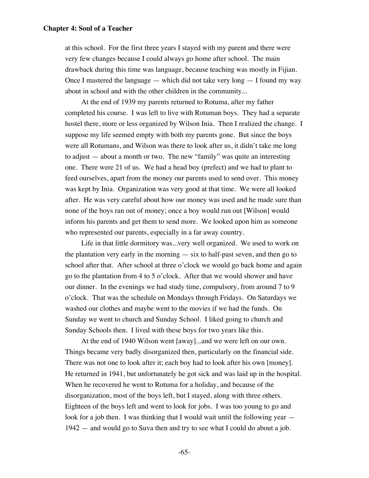at this school. For the first three years I stayed with my parent and there were very few changes because I could always go home after school. The main drawback during this time was language, because teaching was mostly in Fijian. Once I mastered the language — which did not take very long — I found my way about in school and with the other children in the community...

At the end of 1939 my parents returned to Rotuma, after my father completed his course. I was left to live with Rotuman boys. They had a separate hostel there, more or less organized by Wilson Inia. Then I realized the change. I suppose my life seemed empty with both my parents gone. But since the boys were all Rotumans, and Wilson was there to look after us, it didn't take me long to adjust — about a month or two. The new "family" was quite an interesting one. There were 21 of us. We had a head boy (prefect) and we had to plant to feed ourselves, apart from the money our parents used to send over. This money was kept by Inia. Organization was very good at that time. We were all looked after. He was very careful about how our money was used and he made sure than none of the boys ran out of money; once a boy would run out [Wilson] would inform his parents and get them to send more. We looked upon him as someone who represented our parents, especially in a far away country.

Life in that little dormitory was...very well organized. We used to work on the plantation very early in the morning — six to half-past seven, and then go to school after that. After school at three o'clock we would go back home and again go to the plantation from 4 to 5 o'clock. After that we would shower and have our dinner. In the evenings we had study time, compulsory, from around 7 to 9 o'clock. That was the schedule on Mondays through Fridays. On Saturdays we washed our clothes and maybe went to the movies if we had the funds. On Sunday we went to church and Sunday School. I liked going to church and Sunday Schools then. I lived with these boys for two years like this.

At the end of 1940 Wilson went [away]...and we were left on our own. Things became very badly disorganized then, particularly on the financial side. There was not one to look after it; each boy had to look after his own [money]. He returned in 1941, but unfortunately he got sick and was laid up in the hospital. When he recovered he went to Rotuma for a holiday, and because of the disorganization, most of the boys left, but I stayed, along with three others. Eighteen of the boys left and went to look for jobs. I was too young to go and look for a job then. I was thinking that I would wait until the following year — 1942 — and would go to Suva then and try to see what I could do about a job.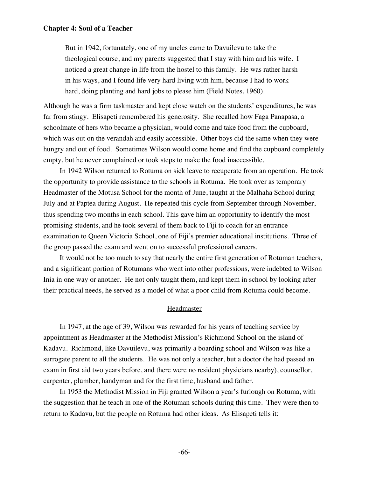But in 1942, fortunately, one of my uncles came to Davuilevu to take the theological course, and my parents suggested that I stay with him and his wife. I noticed a great change in life from the hostel to this family. He was rather harsh in his ways, and I found life very hard living with him, because I had to work hard, doing planting and hard jobs to please him (Field Notes, 1960).

Although he was a firm taskmaster and kept close watch on the students' expenditures, he was far from stingy. Elisapeti remembered his generosity. She recalled how Faga Panapasa, a schoolmate of hers who became a physician, would come and take food from the cupboard, which was out on the verandah and easily accessible. Other boys did the same when they were hungry and out of food. Sometimes Wilson would come home and find the cupboard completely empty, but he never complained or took steps to make the food inaccessible.

In 1942 Wilson returned to Rotuma on sick leave to recuperate from an operation. He took the opportunity to provide assistance to the schools in Rotuma. He took over as temporary Headmaster of the Motusa School for the month of June, taught at the Malhaha School during July and at Paptea during August. He repeated this cycle from September through November, thus spending two months in each school. This gave him an opportunity to identify the most promising students, and he took several of them back to Fiji to coach for an entrance examination to Queen Victoria School, one of Fiji's premier educational institutions. Three of the group passed the exam and went on to successful professional careers.

It would not be too much to say that nearly the entire first generation of Rotuman teachers, and a significant portion of Rotumans who went into other professions, were indebted to Wilson Inia in one way or another. He not only taught them, and kept them in school by looking after their practical needs, he served as a model of what a poor child from Rotuma could become.

# Headmaster

In 1947, at the age of 39, Wilson was rewarded for his years of teaching service by appointment as Headmaster at the Methodist Mission's Richmond School on the island of Kadavu. Richmond, like Davuilevu, was primarily a boarding school and Wilson was like a surrogate parent to all the students. He was not only a teacher, but a doctor (he had passed an exam in first aid two years before, and there were no resident physicians nearby), counsellor, carpenter, plumber, handyman and for the first time, husband and father.

In 1953 the Methodist Mission in Fiji granted Wilson a year's furlough on Rotuma, with the suggestion that he teach in one of the Rotuman schools during this time. They were then to return to Kadavu, but the people on Rotuma had other ideas. As Elisapeti tells it: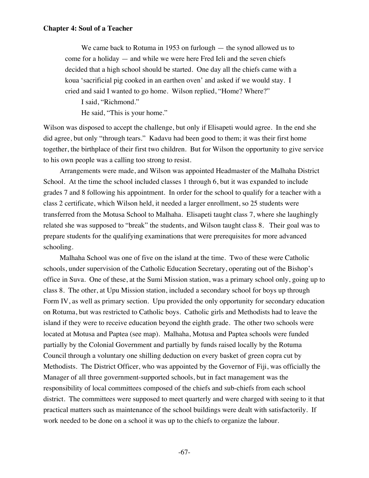We came back to Rotuma in 1953 on furlough — the synod allowed us to come for a holiday — and while we were here Fred Ieli and the seven chiefs decided that a high school should be started. One day all the chiefs came with a koua 'sacrificial pig cooked in an earthen oven' and asked if we would stay. I cried and said I wanted to go home. Wilson replied, "Home? Where?"

I said, "Richmond."

He said, "This is your home."

Wilson was disposed to accept the challenge, but only if Elisapeti would agree. In the end she did agree, but only "through tears." Kadavu had been good to them; it was their first home together, the birthplace of their first two children. But for Wilson the opportunity to give service to his own people was a calling too strong to resist.

Arrangements were made, and Wilson was appointed Headmaster of the Malhaha District School. At the time the school included classes 1 through 6, but it was expanded to include grades 7 and 8 following his appointment. In order for the school to qualify for a teacher with a class 2 certificate, which Wilson held, it needed a larger enrollment, so 25 students were transferred from the Motusa School to Malhaha. Elisapeti taught class 7, where she laughingly related she was supposed to "break" the students, and Wilson taught class 8. Their goal was to prepare students for the qualifying examinations that were prerequisites for more advanced schooling.

Malhaha School was one of five on the island at the time. Two of these were Catholic schools, under supervision of the Catholic Education Secretary, operating out of the Bishop's office in Suva. One of these, at the Sumi Mission station, was a primary school only, going up to class 8. The other, at Upu Mission station, included a secondary school for boys up through Form IV, as well as primary section. Upu provided the only opportunity for secondary education on Rotuma, but was restricted to Catholic boys. Catholic girls and Methodists had to leave the island if they were to receive education beyond the eighth grade. The other two schools were located at Motusa and Paptea (see map). Malhaha, Motusa and Paptea schools were funded partially by the Colonial Government and partially by funds raised locally by the Rotuma Council through a voluntary one shilling deduction on every basket of green copra cut by Methodists. The District Officer, who was appointed by the Governor of Fiji, was officially the Manager of all three government-supported schools, but in fact management was the responsibility of local committees composed of the chiefs and sub-chiefs from each school district. The committees were supposed to meet quarterly and were charged with seeing to it that practical matters such as maintenance of the school buildings were dealt with satisfactorily. If work needed to be done on a school it was up to the chiefs to organize the labour.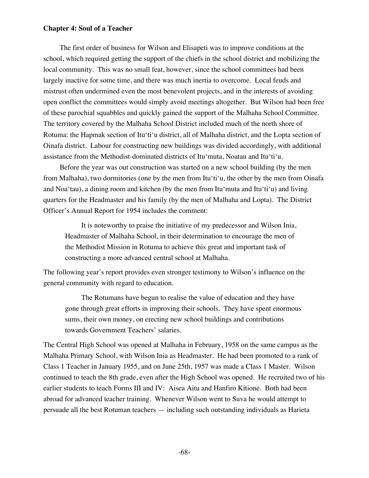The first order of business for Wilson and Elisapeti was to improve conditions at the school, which required getting the support of the chiefs in the school district and mobilizing the local community. This was no small feat, however, since the school committees had been largely inactive for some time, and there was much inertia to overcome. Local feuds and mistrust often undermined even the most benevolent projects, and in the interests of avoiding open conflict the committees would simply avoid meetings altogether. But Wilson had been free of these parochial squabbles and quickly gained the support of the Malhaha School Committee. The territory covered by the Malhaha School District included much of the north shore of Rotuma: the Hapmak section of Itu'ti'u district, all of Malhaha district, and the Lopta section of Oinafa district. Labour for constructing new buildings was divided accordingly, with additional assistance from the Methodist-dominated districts of Itu'muta, Noatau and Itu'ti'u.

Before the year was out construction was started on a new school building (by the men from Malhaha), two dormitories (one by the men from Itu'ti'u, the other by the men from Oinafa and Noa'tau), a dining room and kitchen (by the men from Itu'muta and Itu'ti'u) and living quarters for the Headmaster and his family (by the men of Malhaha and Lopta). The District Officer's Annual Report for 1954 includes the comment:

It is noteworthy to praise the initiative of my predecessor and Wilson Inia, Headmaster of Malhaha School, in their determination to encourage the men of the Methodist Mission in Rotuma to achieve this great and important task of constructing a more advanced central school at Malhaha.

The following year's report provides even stronger testimony to Wilson's influence on the general community with regard to education.

The Rotumans have begun to realise the value of education and they have gone through great efforts in improving their schools. They have spent enormous sums, their own money, on erecting new school buildings and contributions towards Government Teachers' salaries.

The Central High School was opened at Malhaha in February, 1958 on the same campus as the Malhaha Primary School, with Wilson Inia as Headmaster. He had been promoted to a rank of Class 1 Teacher in January 1955, and on June 25th, 1957 was made a Class 1 Master. Wilson continued to teach the 8th grade, even after the High School was opened. He recruited two of his earlier students to teach Forms III and IV: Aisea Aitu and Hanfiro Kitione. Both had been abroad for advanced teacher training. Whenever Wilson went to Suva he would attempt to persuade all the best Rotuman teachers — including such outstanding individuals as Harieta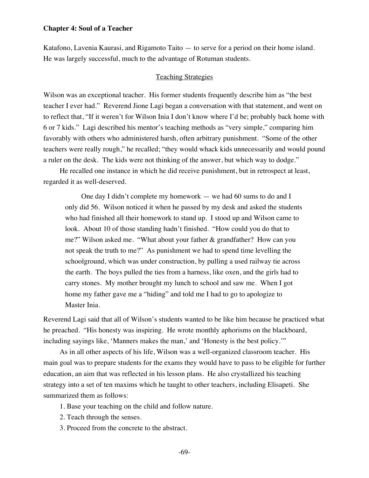Katafono, Lavenia Kaurasi, and Rigamoto Taito — to serve for a period on their home island. He was largely successful, much to the advantage of Rotuman students.

## Teaching Strategies

Wilson was an exceptional teacher. His former students frequently describe him as "the best teacher I ever had." Reverend Jione Lagi began a conversation with that statement, and went on to reflect that, "If it weren't for Wilson Inia I don't know where I'd be; probably back home with 6 or 7 kids." Lagi described his mentor's teaching methods as "very simple," comparing him favorably with others who administered harsh, often arbitrary punishment. "Some of the other teachers were really rough," he recalled; "they would whack kids unnecessarily and would pound a ruler on the desk. The kids were not thinking of the answer, but which way to dodge."

He recalled one instance in which he did receive punishment, but in retrospect at least, regarded it as well-deserved.

One day I didn't complete my homework — we had 60 sums to do and I only did 56. Wilson noticed it when he passed by my desk and asked the students who had finished all their homework to stand up. I stood up and Wilson came to look. About 10 of those standing hadn't finished. "How could you do that to me?" Wilson asked me. "What about your father & grandfather? How can you not speak the truth to me?" As punishment we had to spend time levelling the schoolground, which was under construction, by pulling a used railway tie across the earth. The boys pulled the ties from a harness, like oxen, and the girls had to carry stones. My mother brought my lunch to school and saw me. When I got home my father gave me a "hiding" and told me I had to go to apologize to Master Inia.

Reverend Lagi said that all of Wilson's students wanted to be like him because he practiced what he preached. "His honesty was inspiring. He wrote monthly aphorisms on the blackboard, including sayings like, 'Manners makes the man,' and 'Honesty is the best policy.'"

As in all other aspects of his life, Wilson was a well-organized classroom teacher. His main goal was to prepare students for the exams they would have to pass to be eligible for further education, an aim that was reflected in his lesson plans. He also crystallized his teaching strategy into a set of ten maxims which he taught to other teachers, including Elisapeti. She summarized them as follows:

- 1. Base your teaching on the child and follow nature.
- 2. Teach through the senses.
- 3. Proceed from the concrete to the abstract.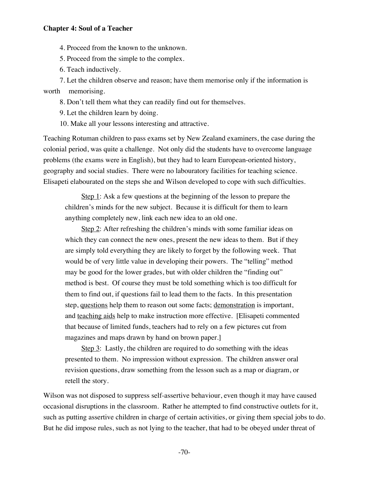4. Proceed from the known to the unknown.

5. Proceed from the simple to the complex.

6. Teach inductively.

7. Let the children observe and reason; have them memorise only if the information is worth memorising.

8. Don't tell them what they can readily find out for themselves.

9. Let the children learn by doing.

10. Make all your lessons interesting and attractive.

Teaching Rotuman children to pass exams set by New Zealand examiners, the case during the colonial period, was quite a challenge. Not only did the students have to overcome language problems (the exams were in English), but they had to learn European-oriented history, geography and social studies. There were no labouratory facilities for teaching science. Elisapeti elabourated on the steps she and Wilson developed to cope with such difficulties.

Step 1: Ask a few questions at the beginning of the lesson to prepare the children's minds for the new subject. Because it is difficult for them to learn anything completely new, link each new idea to an old one.

Step 2: After refreshing the children's minds with some familiar ideas on which they can connect the new ones, present the new ideas to them. But if they are simply told everything they are likely to forget by the following week. That would be of very little value in developing their powers. The "telling" method may be good for the lower grades, but with older children the "finding out" method is best. Of course they must be told something which is too difficult for them to find out, if questions fail to lead them to the facts. In this presentation step, questions help them to reason out some facts; demonstration is important, and teaching aids help to make instruction more effective. [Elisapeti commented that because of limited funds, teachers had to rely on a few pictures cut from magazines and maps drawn by hand on brown paper.]

Step 3: Lastly, the children are required to do something with the ideas presented to them. No impression without expression. The children answer oral revision questions, draw something from the lesson such as a map or diagram, or retell the story.

Wilson was not disposed to suppress self-assertive behaviour, even though it may have caused occasional disruptions in the classroom. Rather he attempted to find constructive outlets for it, such as putting assertive children in charge of certain activities, or giving them special jobs to do. But he did impose rules, such as not lying to the teacher, that had to be obeyed under threat of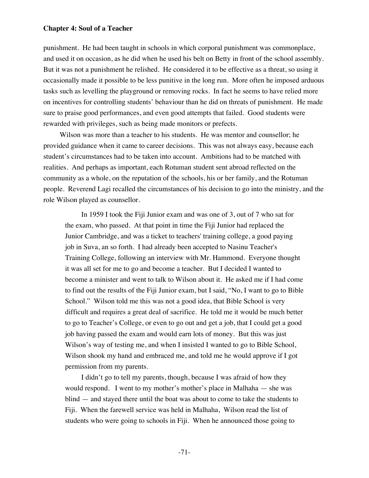punishment. He had been taught in schools in which corporal punishment was commonplace, and used it on occasion, as he did when he used his belt on Betty in front of the school assembly. But it was not a punishment he relished. He considered it to be effective as a threat, so using it occasionally made it possible to be less punitive in the long run. More often he imposed arduous tasks such as levelling the playground or removing rocks. In fact he seems to have relied more on incentives for controlling students' behaviour than he did on threats of punishment. He made sure to praise good performances, and even good attempts that failed. Good students were rewarded with privileges, such as being made monitors or prefects.

Wilson was more than a teacher to his students. He was mentor and counsellor; he provided guidance when it came to career decisions. This was not always easy, because each student's circumstances had to be taken into account. Ambitions had to be matched with realities. And perhaps as important, each Rotuman student sent abroad reflected on the community as a whole, on the reputation of the schools, his or her family, and the Rotuman people. Reverend Lagi recalled the circumstances of his decision to go into the ministry, and the role Wilson played as counsellor.

In 1959 I took the Fiji Junior exam and was one of 3, out of 7 who sat for the exam, who passed. At that point in time the Fiji Junior had replaced the Junior Cambridge, and was a ticket to teachers' training college, a good paying job in Suva, an so forth. I had already been accepted to Nasinu Teacher's Training College, following an interview with Mr. Hammond. Everyone thought it was all set for me to go and become a teacher. But I decided I wanted to become a minister and went to talk to Wilson about it. He asked me if I had come to find out the results of the Fiji Junior exam, but I said, "No, I want to go to Bible School." Wilson told me this was not a good idea, that Bible School is very difficult and requires a great deal of sacrifice. He told me it would be much better to go to Teacher's College, or even to go out and get a job, that I could get a good job having passed the exam and would earn lots of money. But this was just Wilson's way of testing me, and when I insisted I wanted to go to Bible School, Wilson shook my hand and embraced me, and told me he would approve if I got permission from my parents.

I didn't go to tell my parents, though, because I was afraid of how they would respond. I went to my mother's mother's place in Malhaha — she was blind — and stayed there until the boat was about to come to take the students to Fiji. When the farewell service was held in Malhaha, Wilson read the list of students who were going to schools in Fiji. When he announced those going to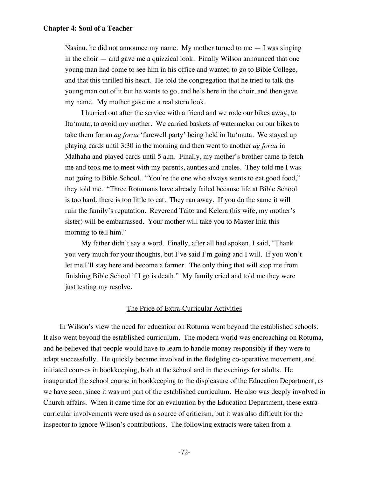Nasinu, he did not announce my name. My mother turned to me  $-1$  was singing in the choir — and gave me a quizzical look. Finally Wilson announced that one young man had come to see him in his office and wanted to go to Bible College, and that this thrilled his heart. He told the congregation that he tried to talk the young man out of it but he wants to go, and he's here in the choir, and then gave my name. My mother gave me a real stern look.

I hurried out after the service with a friend and we rode our bikes away, to Itu'muta, to avoid my mother. We carried baskets of watermelon on our bikes to take them for an *ag forau* 'farewell party' being held in Itu'muta. We stayed up playing cards until 3:30 in the morning and then went to another *ag forau* in Malhaha and played cards until 5 a.m. Finally, my mother's brother came to fetch me and took me to meet with my parents, aunties and uncles. They told me I was not going to Bible School. "You're the one who always wants to eat good food," they told me. "Three Rotumans have already failed because life at Bible School is too hard, there is too little to eat. They ran away. If you do the same it will ruin the family's reputation. Reverend Taito and Kelera (his wife, my mother's sister) will be embarrassed. Your mother will take you to Master Inia this morning to tell him."

My father didn't say a word. Finally, after all had spoken, I said, "Thank you very much for your thoughts, but I've said I'm going and I will. If you won't let me I'll stay here and become a farmer. The only thing that will stop me from finishing Bible School if I go is death." My family cried and told me they were just testing my resolve.

# The Price of Extra-Curricular Activities

In Wilson's view the need for education on Rotuma went beyond the established schools. It also went beyond the established curriculum. The modern world was encroaching on Rotuma, and he believed that people would have to learn to handle money responsibly if they were to adapt successfully. He quickly became involved in the fledgling co-operative movement, and initiated courses in bookkeeping, both at the school and in the evenings for adults. He inaugurated the school course in bookkeeping to the displeasure of the Education Department, as we have seen, since it was not part of the established curriculum. He also was deeply involved in Church affairs. When it came time for an evaluation by the Education Department, these extracurricular involvements were used as a source of criticism, but it was also difficult for the inspector to ignore Wilson's contributions. The following extracts were taken from a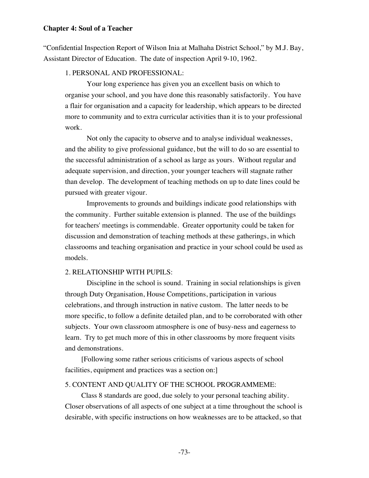"Confidential Inspection Report of Wilson Inia at Malhaha District School," by M.J. Bay, Assistant Director of Education. The date of inspection April 9-10, 1962.

### 1. PERSONAL AND PROFESSIONAL:

 Your long experience has given you an excellent basis on which to organise your school, and you have done this reasonably satisfactorily. You have a flair for organisation and a capacity for leadership, which appears to be directed more to community and to extra curricular activities than it is to your professional work.

 Not only the capacity to observe and to analyse individual weaknesses, and the ability to give professional guidance, but the will to do so are essential to the successful administration of a school as large as yours. Without regular and adequate supervision, and direction, your younger teachers will stagnate rather than develop. The development of teaching methods on up to date lines could be pursued with greater vigour.

 Improvements to grounds and buildings indicate good relationships with the community. Further suitable extension is planned. The use of the buildings for teachers' meetings is commendable. Greater opportunity could be taken for discussion and demonstration of teaching methods at these gatherings, in which classrooms and teaching organisation and practice in your school could be used as models.

### 2. RELATIONSHIP WITH PUPILS:

 Discipline in the school is sound. Training in social relationships is given through Duty Organisation, House Competitions, participation in various celebrations, and through instruction in native custom. The latter needs to be more specific, to follow a definite detailed plan, and to be corroborated with other subjects. Your own classroom atmosphere is one of busy-ness and eagerness to learn. Try to get much more of this in other classrooms by more frequent visits and demonstrations.

[Following some rather serious criticisms of various aspects of school facilities, equipment and practices was a section on:

### 5. CONTENT AND QUALITY OF THE SCHOOL PROGRAMMEME:

Class 8 standards are good, due solely to your personal teaching ability. Closer observations of all aspects of one subject at a time throughout the school is desirable, with specific instructions on how weaknesses are to be attacked, so that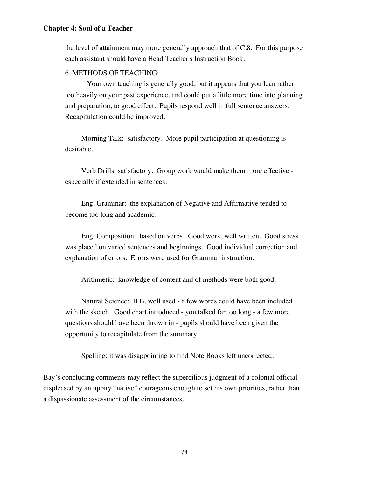the level of attainment may more generally approach that of C.8. For this purpose each assistant should have a Head Teacher's Instruction Book.

# 6. METHODS OF TEACHING:

 Your own teaching is generally good, but it appears that you lean rather too heavily on your past experience, and could put a little more time into planning and preparation, to good effect. Pupils respond well in full sentence answers. Recapitulation could be improved.

Morning Talk: satisfactory. More pupil participation at questioning is desirable.

Verb Drills: satisfactory. Group work would make them more effective especially if extended in sentences.

Eng. Grammar: the explanation of Negative and Affirmative tended to become too long and academic.

Eng. Composition: based on verbs. Good work, well written. Good stress was placed on varied sentences and beginnings. Good individual correction and explanation of errors. Errors were used for Grammar instruction.

Arithmetic: knowledge of content and of methods were both good.

Natural Science: B.B. well used - a few words could have been included with the sketch. Good chart introduced - you talked far too long - a few more questions should have been thrown in - pupils should have been given the opportunity to recapitulate from the summary.

Spelling: it was disappointing to find Note Books left uncorrected.

Bay's concluding comments may reflect the supercilious judgment of a colonial official displeased by an uppity "native" courageous enough to set his own priorities, rather than a dispassionate assessment of the circumstances.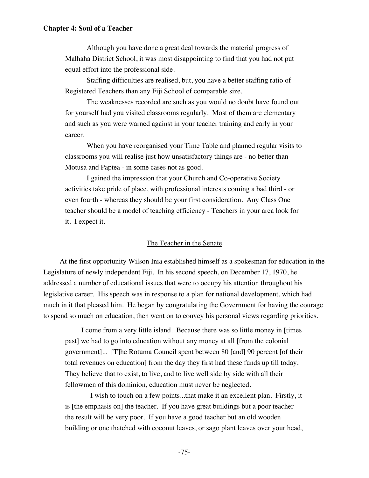Although you have done a great deal towards the material progress of Malhaha District School, it was most disappointing to find that you had not put equal effort into the professional side.

 Staffing difficulties are realised, but, you have a better staffing ratio of Registered Teachers than any Fiji School of comparable size.

 The weaknesses recorded are such as you would no doubt have found out for yourself had you visited classrooms regularly. Most of them are elementary and such as you were warned against in your teacher training and early in your career.

 When you have reorganised your Time Table and planned regular visits to classrooms you will realise just how unsatisfactory things are - no better than Motusa and Paptea - in some cases not as good.

 I gained the impression that your Church and Co-operative Society activities take pride of place, with professional interests coming a bad third - or even fourth - whereas they should be your first consideration. Any Class One teacher should be a model of teaching efficiency - Teachers in your area look for it. I expect it.

## The Teacher in the Senate

At the first opportunity Wilson Inia established himself as a spokesman for education in the Legislature of newly independent Fiji. In his second speech, on December 17, 1970, he addressed a number of educational issues that were to occupy his attention throughout his legislative career. His speech was in response to a plan for national development, which had much in it that pleased him. He began by congratulating the Government for having the courage to spend so much on education, then went on to convey his personal views regarding priorities.

I come from a very little island. Because there was so little money in [times past] we had to go into education without any money at all [from the colonial government]... [T]he Rotuma Council spent between 80 [and] 90 percent [of their total revenues on education] from the day they first had these funds up till today. They believe that to exist, to live, and to live well side by side with all their fellowmen of this dominion, education must never be neglected.

 I wish to touch on a few points...that make it an excellent plan. Firstly, it is [the emphasis on] the teacher. If you have great buildings but a poor teacher the result will be very poor. If you have a good teacher but an old wooden building or one thatched with coconut leaves, or sago plant leaves over your head,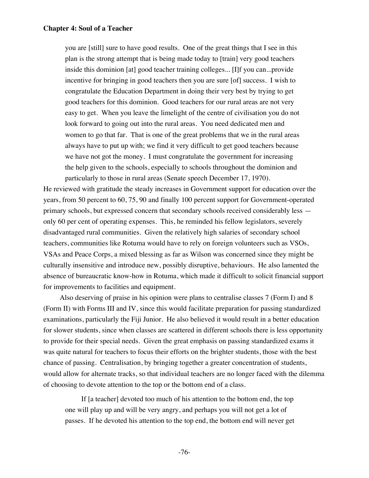you are [still] sure to have good results. One of the great things that I see in this plan is the strong attempt that is being made today to [train] very good teachers inside this dominion [at] good teacher training colleges... [I]f you can...provide incentive for bringing in good teachers then you are sure [of] success. I wish to congratulate the Education Department in doing their very best by trying to get good teachers for this dominion. Good teachers for our rural areas are not very easy to get. When you leave the limelight of the centre of civilisation you do not look forward to going out into the rural areas. You need dedicated men and women to go that far. That is one of the great problems that we in the rural areas always have to put up with; we find it very difficult to get good teachers because we have not got the money. I must congratulate the government for increasing the help given to the schools, especially to schools throughout the dominion and particularly to those in rural areas (Senate speech December 17, 1970).

He reviewed with gratitude the steady increases in Government support for education over the years, from 50 percent to 60, 75, 90 and finally 100 percent support for Government-operated primary schools, but expressed concern that secondary schools received considerably less only 60 per cent of operating expenses. This, he reminded his fellow legislators, severely disadvantaged rural communities. Given the relatively high salaries of secondary school teachers, communities like Rotuma would have to rely on foreign volunteers such as VSOs, VSAs and Peace Corps, a mixed blessing as far as Wilson was concerned since they might be culturally insensitive and introduce new, possibly disruptive, behaviours. He also lamented the absence of bureaucratic know-how in Rotuma, which made it difficult to solicit financial support for improvements to facilities and equipment.

Also deserving of praise in his opinion were plans to centralise classes 7 (Form I) and 8 (Form II) with Forms III and IV, since this would facilitate preparation for passing standardized examinations, particularly the Fiji Junior. He also believed it would result in a better education for slower students, since when classes are scattered in different schools there is less opportunity to provide for their special needs. Given the great emphasis on passing standardized exams it was quite natural for teachers to focus their efforts on the brighter students, those with the best chance of passing. Centralisation, by bringing together a greater concentration of students, would allow for alternate tracks, so that individual teachers are no longer faced with the dilemma of choosing to devote attention to the top or the bottom end of a class.

If [a teacher] devoted too much of his attention to the bottom end, the top one will play up and will be very angry, and perhaps you will not get a lot of passes. If he devoted his attention to the top end, the bottom end will never get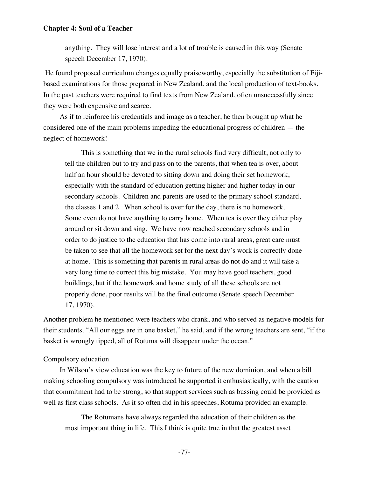anything. They will lose interest and a lot of trouble is caused in this way (Senate speech December 17, 1970).

 He found proposed curriculum changes equally praiseworthy, especially the substitution of Fijibased examinations for those prepared in New Zealand, and the local production of text-books. In the past teachers were required to find texts from New Zealand, often unsuccessfully since they were both expensive and scarce.

As if to reinforce his credentials and image as a teacher, he then brought up what he considered one of the main problems impeding the educational progress of children — the neglect of homework!

This is something that we in the rural schools find very difficult, not only to tell the children but to try and pass on to the parents, that when tea is over, about half an hour should be devoted to sitting down and doing their set homework, especially with the standard of education getting higher and higher today in our secondary schools. Children and parents are used to the primary school standard, the classes 1 and 2. When school is over for the day, there is no homework. Some even do not have anything to carry home. When tea is over they either play around or sit down and sing. We have now reached secondary schools and in order to do justice to the education that has come into rural areas, great care must be taken to see that all the homework set for the next day's work is correctly done at home. This is something that parents in rural areas do not do and it will take a very long time to correct this big mistake. You may have good teachers, good buildings, but if the homework and home study of all these schools are not properly done, poor results will be the final outcome (Senate speech December 17, 1970).

Another problem he mentioned were teachers who drank, and who served as negative models for their students. "All our eggs are in one basket," he said, and if the wrong teachers are sent, "if the basket is wrongly tipped, all of Rotuma will disappear under the ocean."

#### Compulsory education

In Wilson's view education was the key to future of the new dominion, and when a bill making schooling compulsory was introduced he supported it enthusiastically, with the caution that commitment had to be strong, so that support services such as bussing could be provided as well as first class schools. As it so often did in his speeches, Rotuma provided an example.

The Rotumans have always regarded the education of their children as the most important thing in life. This I think is quite true in that the greatest asset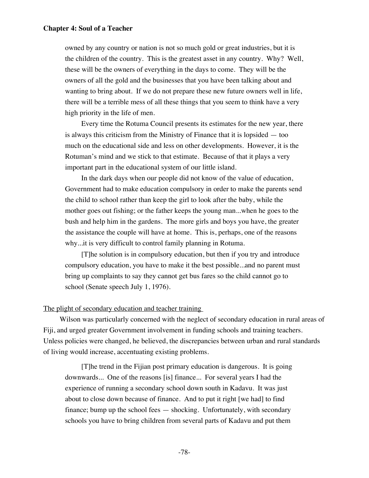owned by any country or nation is not so much gold or great industries, but it is the children of the country. This is the greatest asset in any country. Why? Well, these will be the owners of everything in the days to come. They will be the owners of all the gold and the businesses that you have been talking about and wanting to bring about. If we do not prepare these new future owners well in life, there will be a terrible mess of all these things that you seem to think have a very high priority in the life of men.

Every time the Rotuma Council presents its estimates for the new year, there is always this criticism from the Ministry of Finance that it is lopsided — too much on the educational side and less on other developments. However, it is the Rotuman's mind and we stick to that estimate. Because of that it plays a very important part in the educational system of our little island.

In the dark days when our people did not know of the value of education, Government had to make education compulsory in order to make the parents send the child to school rather than keep the girl to look after the baby, while the mother goes out fishing; or the father keeps the young man...when he goes to the bush and help him in the gardens. The more girls and boys you have, the greater the assistance the couple will have at home. This is, perhaps, one of the reasons why...it is very difficult to control family planning in Rotuma.

[T]he solution is in compulsory education, but then if you try and introduce compulsory education, you have to make it the best possible...and no parent must bring up complaints to say they cannot get bus fares so the child cannot go to school (Senate speech July 1, 1976).

# The plight of secondary education and teacher training

Wilson was particularly concerned with the neglect of secondary education in rural areas of Fiji, and urged greater Government involvement in funding schools and training teachers. Unless policies were changed, he believed, the discrepancies between urban and rural standards of living would increase, accentuating existing problems.

[T]he trend in the Fijian post primary education is dangerous. It is going downwards... One of the reasons [is] finance... For several years I had the experience of running a secondary school down south in Kadavu. It was just about to close down because of finance. And to put it right [we had] to find finance; bump up the school fees — shocking. Unfortunately, with secondary schools you have to bring children from several parts of Kadavu and put them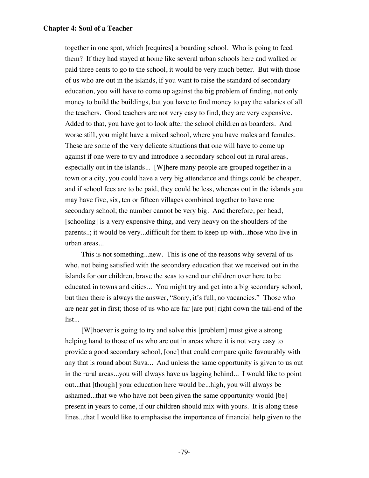together in one spot, which [requires] a boarding school. Who is going to feed them? If they had stayed at home like several urban schools here and walked or paid three cents to go to the school, it would be very much better. But with those of us who are out in the islands, if you want to raise the standard of secondary education, you will have to come up against the big problem of finding, not only money to build the buildings, but you have to find money to pay the salaries of all the teachers. Good teachers are not very easy to find, they are very expensive. Added to that, you have got to look after the school children as boarders. And worse still, you might have a mixed school, where you have males and females. These are some of the very delicate situations that one will have to come up against if one were to try and introduce a secondary school out in rural areas, especially out in the islands... [W]here many people are grouped together in a town or a city, you could have a very big attendance and things could be cheaper, and if school fees are to be paid, they could be less, whereas out in the islands you may have five, six, ten or fifteen villages combined together to have one secondary school; the number cannot be very big. And therefore, per head, [schooling] is a very expensive thing, and very heavy on the shoulders of the parents..; it would be very...difficult for them to keep up with...those who live in urban areas...

This is not something...new. This is one of the reasons why several of us who, not being satisfied with the secondary education that we received out in the islands for our children, brave the seas to send our children over here to be educated in towns and cities... You might try and get into a big secondary school, but then there is always the answer, "Sorry, it's full, no vacancies." Those who are near get in first; those of us who are far [are put] right down the tail-end of the list...

[W]hoever is going to try and solve this [problem] must give a strong helping hand to those of us who are out in areas where it is not very easy to provide a good secondary school, [one] that could compare quite favourably with any that is round about Suva... And unless the same opportunity is given to us out in the rural areas...you will always have us lagging behind... I would like to point out...that [though] your education here would be...high, you will always be ashamed...that we who have not been given the same opportunity would [be] present in years to come, if our children should mix with yours. It is along these lines...that I would like to emphasise the importance of financial help given to the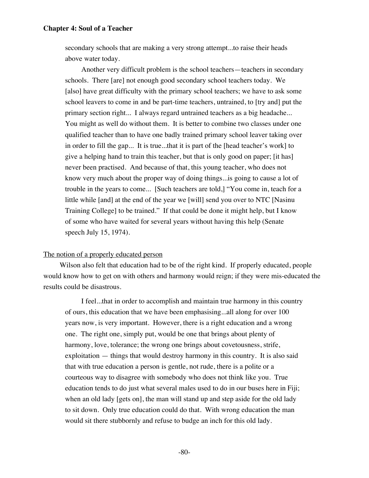secondary schools that are making a very strong attempt...to raise their heads above water today.

Another very difficult problem is the school teachers—teachers in secondary schools. There [are] not enough good secondary school teachers today. We [also] have great difficulty with the primary school teachers; we have to ask some school leavers to come in and be part-time teachers, untrained, to [try and] put the primary section right... I always regard untrained teachers as a big headache... You might as well do without them. It is better to combine two classes under one qualified teacher than to have one badly trained primary school leaver taking over in order to fill the gap... It is true...that it is part of the [head teacher's work] to give a helping hand to train this teacher, but that is only good on paper; [it has] never been practised. And because of that, this young teacher, who does not know very much about the proper way of doing things...is going to cause a lot of trouble in the years to come... [Such teachers are told,] "You come in, teach for a little while [and] at the end of the year we [will] send you over to NTC [Nasinu Training College] to be trained." If that could be done it might help, but I know of some who have waited for several years without having this help (Senate speech July 15, 1974).

### The notion of a properly educated person

Wilson also felt that education had to be of the right kind. If properly educated, people would know how to get on with others and harmony would reign; if they were mis-educated the results could be disastrous.

I feel...that in order to accomplish and maintain true harmony in this country of ours, this education that we have been emphasising...all along for over 100 years now, is very important. However, there is a right education and a wrong one. The right one, simply put, would be one that brings about plenty of harmony, love, tolerance; the wrong one brings about covetousness, strife, exploitation — things that would destroy harmony in this country. It is also said that with true education a person is gentle, not rude, there is a polite or a courteous way to disagree with somebody who does not think like you. True education tends to do just what several males used to do in our buses here in Fiji; when an old lady [gets on], the man will stand up and step aside for the old lady to sit down. Only true education could do that. With wrong education the man would sit there stubbornly and refuse to budge an inch for this old lady.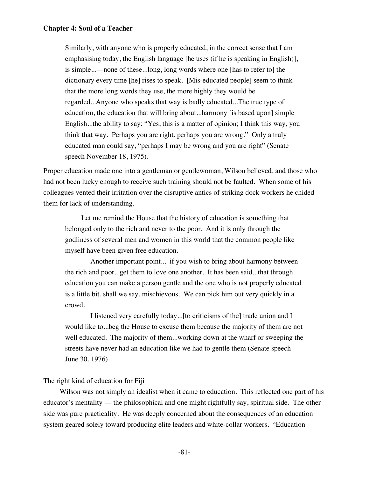Similarly, with anyone who is properly educated, in the correct sense that I am emphasising today, the English language [he uses (if he is speaking in English)], is simple...—none of these...long, long words where one [has to refer to] the dictionary every time [he] rises to speak. [Mis-educated people] seem to think that the more long words they use, the more highly they would be regarded...Anyone who speaks that way is badly educated...The true type of education, the education that will bring about...harmony [is based upon] simple English...the ability to say: "Yes, this is a matter of opinion; I think this way, you think that way. Perhaps you are right, perhaps you are wrong." Only a truly educated man could say, "perhaps I may be wrong and you are right" (Senate speech November 18, 1975).

Proper education made one into a gentleman or gentlewoman, Wilson believed, and those who had not been lucky enough to receive such training should not be faulted. When some of his colleagues vented their irritation over the disruptive antics of striking dock workers he chided them for lack of understanding.

Let me remind the House that the history of education is something that belonged only to the rich and never to the poor. And it is only through the godliness of several men and women in this world that the common people like myself have been given free education.

 Another important point... if you wish to bring about harmony between the rich and poor...get them to love one another. It has been said...that through education you can make a person gentle and the one who is not properly educated is a little bit, shall we say, mischievous. We can pick him out very quickly in a crowd.

 I listened very carefully today...[to criticisms of the] trade union and I would like to...beg the House to excuse them because the majority of them are not well educated. The majority of them...working down at the wharf or sweeping the streets have never had an education like we had to gentle them (Senate speech June 30, 1976).

### The right kind of education for Fiji

Wilson was not simply an idealist when it came to education. This reflected one part of his educator's mentality — the philosophical and one might rightfully say, spiritual side. The other side was pure practicality. He was deeply concerned about the consequences of an education system geared solely toward producing elite leaders and white-collar workers. "Education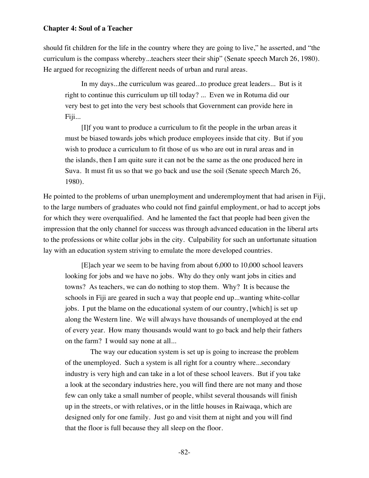should fit children for the life in the country where they are going to live," he asserted, and "the curriculum is the compass whereby...teachers steer their ship" (Senate speech March 26, 1980). He argued for recognizing the different needs of urban and rural areas.

In my days...the curriculum was geared...to produce great leaders... But is it right to continue this curriculum up till today? ... Even we in Rotuma did our very best to get into the very best schools that Government can provide here in Fiji...

[I]f you want to produce a curriculum to fit the people in the urban areas it must be biased towards jobs which produce employees inside that city. But if you wish to produce a curriculum to fit those of us who are out in rural areas and in the islands, then I am quite sure it can not be the same as the one produced here in Suva. It must fit us so that we go back and use the soil (Senate speech March 26, 1980).

He pointed to the problems of urban unemployment and underemployment that had arisen in Fiji, to the large numbers of graduates who could not find gainful employment, or had to accept jobs for which they were overqualified. And he lamented the fact that people had been given the impression that the only channel for success was through advanced education in the liberal arts to the professions or white collar jobs in the city. Culpability for such an unfortunate situation lay with an education system striving to emulate the more developed countries.

[E]ach year we seem to be having from about 6,000 to 10,000 school leavers looking for jobs and we have no jobs. Why do they only want jobs in cities and towns? As teachers, we can do nothing to stop them. Why? It is because the schools in Fiji are geared in such a way that people end up...wanting white-collar jobs. I put the blame on the educational system of our country, [which] is set up along the Western line. We will always have thousands of unemployed at the end of every year. How many thousands would want to go back and help their fathers on the farm? I would say none at all...

 The way our education system is set up is going to increase the problem of the unemployed. Such a system is all right for a country where...secondary industry is very high and can take in a lot of these school leavers. But if you take a look at the secondary industries here, you will find there are not many and those few can only take a small number of people, whilst several thousands will finish up in the streets, or with relatives, or in the little houses in Raiwaqa, which are designed only for one family. Just go and visit them at night and you will find that the floor is full because they all sleep on the floor.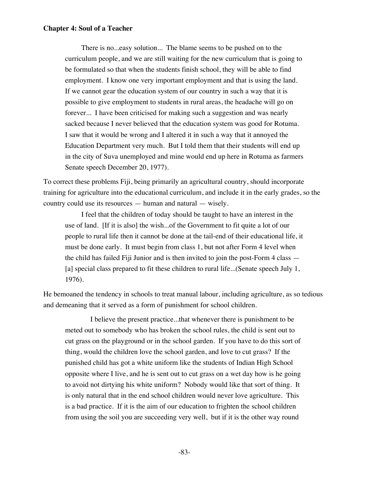There is no...easy solution... The blame seems to be pushed on to the curriculum people, and we are still waiting for the new curriculum that is going to be formulated so that when the students finish school, they will be able to find employment. I know one very important employment and that is using the land. If we cannot gear the education system of our country in such a way that it is possible to give employment to students in rural areas, the headache will go on forever... I have been criticised for making such a suggestion and was nearly sacked because I never believed that the education system was good for Rotuma. I saw that it would be wrong and I altered it in such a way that it annoyed the Education Department very much. But I told them that their students will end up in the city of Suva unemployed and mine would end up here in Rotuma as farmers Senate speech December 20, 1977).

To correct these problems Fiji, being primarily an agricultural country, should incorporate training for agriculture into the educational curriculum, and include it in the early grades, so the country could use its resources — human and natural — wisely.

I feel that the children of today should be taught to have an interest in the use of land. [If it is also] the wish...of the Government to fit quite a lot of our people to rural life then it cannot be done at the tail-end of their educational life, it must be done early. It must begin from class 1, but not after Form 4 level when the child has failed Fiji Junior and is then invited to join the post-Form 4 class — [a] special class prepared to fit these children to rural life...(Senate speech July 1, 1976).

He bemoaned the tendency in schools to treat manual labour, including agriculture, as so tedious and demeaning that it served as a form of punishment for school children.

 I believe the present practice...that whenever there is punishment to be meted out to somebody who has broken the school rules, the child is sent out to cut grass on the playground or in the school garden. If you have to do this sort of thing, would the children love the school garden, and love to cut grass? If the punished child has got a white uniform like the students of Indian High School opposite where I live, and he is sent out to cut grass on a wet day how is he going to avoid not dirtying his white uniform? Nobody would like that sort of thing. It is only natural that in the end school children would never love agriculture. This is a bad practice. If it is the aim of our education to frighten the school children from using the soil you are succeeding very well, but if it is the other way round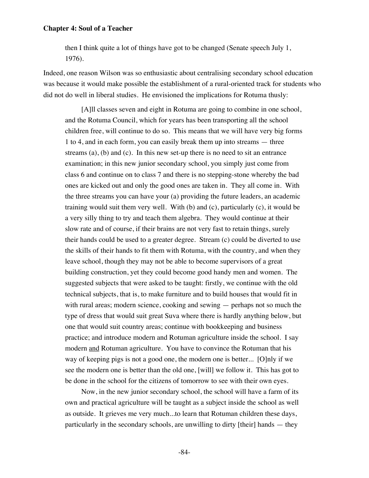then I think quite a lot of things have got to be changed (Senate speech July 1, 1976).

Indeed, one reason Wilson was so enthusiastic about centralising secondary school education was because it would make possible the establishment of a rural-oriented track for students who did not do well in liberal studies. He envisioned the implications for Rotuma thusly:

[A]ll classes seven and eight in Rotuma are going to combine in one school, and the Rotuma Council, which for years has been transporting all the school children free, will continue to do so. This means that we will have very big forms 1 to 4, and in each form, you can easily break them up into streams — three streams (a), (b) and (c). In this new set-up there is no need to sit an entrance examination; in this new junior secondary school, you simply just come from class 6 and continue on to class 7 and there is no stepping-stone whereby the bad ones are kicked out and only the good ones are taken in. They all come in. With the three streams you can have your (a) providing the future leaders, an academic training would suit them very well. With (b) and (c), particularly (c), it would be a very silly thing to try and teach them algebra. They would continue at their slow rate and of course, if their brains are not very fast to retain things, surely their hands could be used to a greater degree. Stream (c) could be diverted to use the skills of their hands to fit them with Rotuma, with the country, and when they leave school, though they may not be able to become supervisors of a great building construction, yet they could become good handy men and women. The suggested subjects that were asked to be taught: firstly, we continue with the old technical subjects, that is, to make furniture and to build houses that would fit in with rural areas; modern science, cooking and sewing — perhaps not so much the type of dress that would suit great Suva where there is hardly anything below, but one that would suit country areas; continue with bookkeeping and business practice; and introduce modern and Rotuman agriculture inside the school. I say modern and Rotuman agriculture. You have to convince the Rotuman that his way of keeping pigs is not a good one, the modern one is better... [O]nly if we see the modern one is better than the old one, [will] we follow it. This has got to be done in the school for the citizens of tomorrow to see with their own eyes.

Now, in the new junior secondary school, the school will have a farm of its own and practical agriculture will be taught as a subject inside the school as well as outside. It grieves me very much...to learn that Rotuman children these days, particularly in the secondary schools, are unwilling to dirty [their] hands — they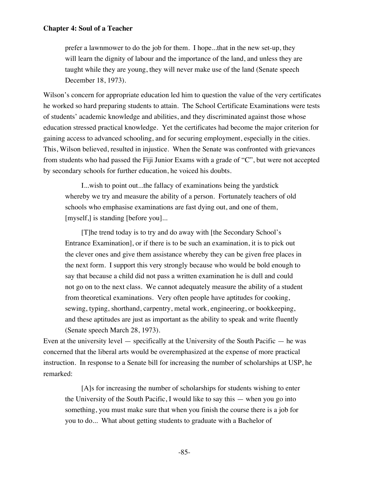prefer a lawnmower to do the job for them. I hope...that in the new set-up, they will learn the dignity of labour and the importance of the land, and unless they are taught while they are young, they will never make use of the land (Senate speech December 18, 1973).

Wilson's concern for appropriate education led him to question the value of the very certificates he worked so hard preparing students to attain. The School Certificate Examinations were tests of students' academic knowledge and abilities, and they discriminated against those whose education stressed practical knowledge. Yet the certificates had become the major criterion for gaining access to advanced schooling, and for securing employment, especially in the cities. This, Wilson believed, resulted in injustice. When the Senate was confronted with grievances from students who had passed the Fiji Junior Exams with a grade of "C", but were not accepted by secondary schools for further education, he voiced his doubts.

I...wish to point out...the fallacy of examinations being the yardstick whereby we try and measure the ability of a person. Fortunately teachers of old schools who emphasise examinations are fast dying out, and one of them, [myself,] is standing [before you]...

[T]he trend today is to try and do away with [the Secondary School's Entrance Examination], or if there is to be such an examination, it is to pick out the clever ones and give them assistance whereby they can be given free places in the next form. I support this very strongly because who would be bold enough to say that because a child did not pass a written examination he is dull and could not go on to the next class. We cannot adequately measure the ability of a student from theoretical examinations. Very often people have aptitudes for cooking, sewing, typing, shorthand, carpentry, metal work, engineering, or bookkeeping, and these aptitudes are just as important as the ability to speak and write fluently (Senate speech March 28, 1973).

Even at the university level — specifically at the University of the South Pacific — he was concerned that the liberal arts would be overemphasized at the expense of more practical instruction. In response to a Senate bill for increasing the number of scholarships at USP, he remarked:

[A]s for increasing the number of scholarships for students wishing to enter the University of the South Pacific, I would like to say this — when you go into something, you must make sure that when you finish the course there is a job for you to do... What about getting students to graduate with a Bachelor of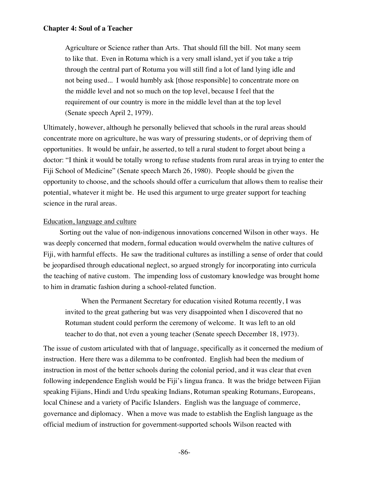Agriculture or Science rather than Arts. That should fill the bill. Not many seem to like that. Even in Rotuma which is a very small island, yet if you take a trip through the central part of Rotuma you will still find a lot of land lying idle and not being used... I would humbly ask [those responsible] to concentrate more on the middle level and not so much on the top level, because I feel that the requirement of our country is more in the middle level than at the top level (Senate speech April 2, 1979).

Ultimately, however, although he personally believed that schools in the rural areas should concentrate more on agriculture, he was wary of pressuring students, or of depriving them of opportunities. It would be unfair, he asserted, to tell a rural student to forget about being a doctor: "I think it would be totally wrong to refuse students from rural areas in trying to enter the Fiji School of Medicine" (Senate speech March 26, 1980). People should be given the opportunity to choose, and the schools should offer a curriculum that allows them to realise their potential, whatever it might be. He used this argument to urge greater support for teaching science in the rural areas.

### Education, language and culture

Sorting out the value of non-indigenous innovations concerned Wilson in other ways. He was deeply concerned that modern, formal education would overwhelm the native cultures of Fiji, with harmful effects. He saw the traditional cultures as instilling a sense of order that could be jeopardised through educational neglect, so argued strongly for incorporating into curricula the teaching of native custom. The impending loss of customary knowledge was brought home to him in dramatic fashion during a school-related function.

When the Permanent Secretary for education visited Rotuma recently, I was invited to the great gathering but was very disappointed when I discovered that no Rotuman student could perform the ceremony of welcome. It was left to an old teacher to do that, not even a young teacher (Senate speech December 18, 1973).

The issue of custom articulated with that of language, specifically as it concerned the medium of instruction. Here there was a dilemma to be confronted. English had been the medium of instruction in most of the better schools during the colonial period, and it was clear that even following independence English would be Fiji's lingua franca. It was the bridge between Fijian speaking Fijians, Hindi and Urdu speaking Indians, Rotuman speaking Rotumans, Europeans, local Chinese and a variety of Pacific Islanders. English was the language of commerce, governance and diplomacy. When a move was made to establish the English language as the official medium of instruction for government-supported schools Wilson reacted with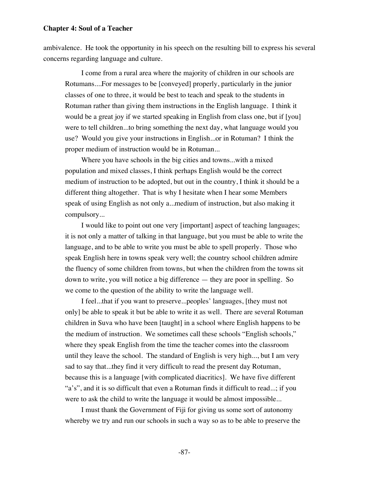ambivalence. He took the opportunity in his speech on the resulting bill to express his several concerns regarding language and culture.

I come from a rural area where the majority of children in our schools are Rotumans....For messages to be [conveyed] properly, particularly in the junior classes of one to three, it would be best to teach and speak to the students in Rotuman rather than giving them instructions in the English language. I think it would be a great joy if we started speaking in English from class one, but if [you] were to tell children...to bring something the next day, what language would you use? Would you give your instructions in English...or in Rotuman? I think the proper medium of instruction would be in Rotuman...

Where you have schools in the big cities and towns...with a mixed population and mixed classes, I think perhaps English would be the correct medium of instruction to be adopted, but out in the country, I think it should be a different thing altogether. That is why I hesitate when I hear some Members speak of using English as not only a...medium of instruction, but also making it compulsory...

I would like to point out one very [important] aspect of teaching languages; it is not only a matter of talking in that language, but you must be able to write the language, and to be able to write you must be able to spell properly. Those who speak English here in towns speak very well; the country school children admire the fluency of some children from towns, but when the children from the towns sit down to write, you will notice a big difference — they are poor in spelling. So we come to the question of the ability to write the language well.

I feel...that if you want to preserve...peoples' languages, [they must not only] be able to speak it but be able to write it as well. There are several Rotuman children in Suva who have been [taught] in a school where English happens to be the medium of instruction. We sometimes call these schools "English schools," where they speak English from the time the teacher comes into the classroom until they leave the school. The standard of English is very high..., but I am very sad to say that...they find it very difficult to read the present day Rotuman, because this is a language [with complicated diacritics]. We have five different "a's", and it is so difficult that even a Rotuman finds it difficult to read...; if you were to ask the child to write the language it would be almost impossible...

I must thank the Government of Fiji for giving us some sort of autonomy whereby we try and run our schools in such a way so as to be able to preserve the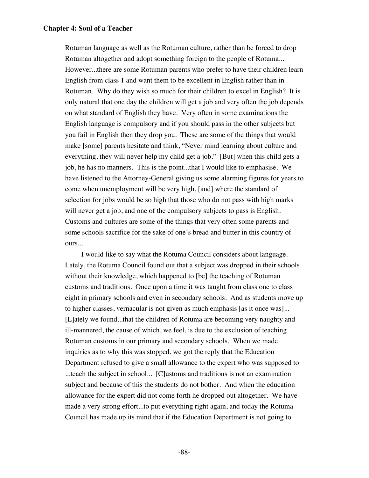Rotuman language as well as the Rotuman culture, rather than be forced to drop Rotuman altogether and adopt something foreign to the people of Rotuma... However...there are some Rotuman parents who prefer to have their children learn English from class 1 and want them to be excellent in English rather than in Rotuman. Why do they wish so much for their children to excel in English? It is only natural that one day the children will get a job and very often the job depends on what standard of English they have. Very often in some examinations the English language is compulsory and if you should pass in the other subjects but you fail in English then they drop you. These are some of the things that would make [some] parents hesitate and think, "Never mind learning about culture and everything, they will never help my child get a job." [But] when this child gets a job, he has no manners. This is the point...that I would like to emphasise. We have listened to the Attorney-General giving us some alarming figures for years to come when unemployment will be very high, [and] where the standard of selection for jobs would be so high that those who do not pass with high marks will never get a job, and one of the compulsory subjects to pass is English. Customs and cultures are some of the things that very often some parents and some schools sacrifice for the sake of one's bread and butter in this country of ours...

I would like to say what the Rotuma Council considers about language. Lately, the Rotuma Council found out that a subject was dropped in their schools without their knowledge, which happened to [be] the teaching of Rotuman customs and traditions. Once upon a time it was taught from class one to class eight in primary schools and even in secondary schools. And as students move up to higher classes, vernacular is not given as much emphasis [as it once was]... [L]ately we found...that the children of Rotuma are becoming very naughty and ill-mannered, the cause of which, we feel, is due to the exclusion of teaching Rotuman customs in our primary and secondary schools. When we made inquiries as to why this was stopped, we got the reply that the Education Department refused to give a small allowance to the expert who was supposed to ...teach the subject in school... [C]ustoms and traditions is not an examination subject and because of this the students do not bother. And when the education allowance for the expert did not come forth he dropped out altogether. We have made a very strong effort...to put everything right again, and today the Rotuma Council has made up its mind that if the Education Department is not going to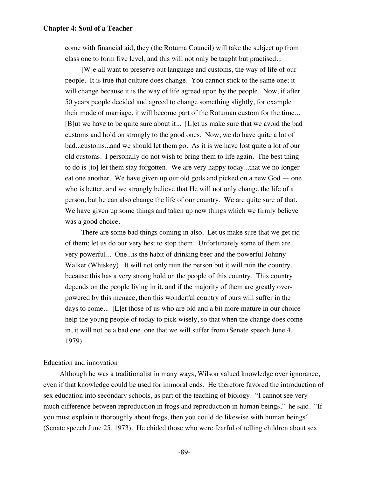come with financial aid, they (the Rotuma Council) will take the subject up from class one to form five level, and this will not only be taught but practised...

[W]e all want to preserve out language and customs, the way of life of our people. It is true that culture does change. You cannot stick to the same one; it will change because it is the way of life agreed upon by the people. Now, if after 50 years people decided and agreed to change something slightly, for example their mode of marriage, it will become part of the Rotuman custom for the time... [B]ut we have to be quite sure about it... [L]et us make sure that we avoid the bad customs and hold on strongly to the good ones. Now, we do have quite a lot of bad...customs...and we should let them go. As it is we have lost quite a lot of our old customs. I personally do not wish to bring them to life again. The best thing to do is [to] let them stay forgotten. We are very happy today...that we no longer eat one another. We have given up our old gods and picked on a new God — one who is better, and we strongly believe that He will not only change the life of a person, but he can also change the life of our country. We are quite sure of that. We have given up some things and taken up new things which we firmly believe was a good choice.

There are some bad things coming in also. Let us make sure that we get rid of them; let us do our very best to stop them. Unfortunately some of them are very powerful... One...is the habit of drinking beer and the powerful Johnny Walker (Whiskey). It will not only ruin the person but it will ruin the country, because this has a very strong hold on the people of this country. This country depends on the people living in it, and if the majority of them are greatly overpowered by this menace, then this wonderful country of ours will suffer in the days to come... [L]et those of us who are old and a bit more mature in our choice help the young people of today to pick wisely, so that when the change does come in, it will not be a bad one, one that we will suffer from (Senate speech June 4, 1979).

### Education and innovation

Although he was a traditionalist in many ways, Wilson valued knowledge over ignorance, even if that knowledge could be used for immoral ends. He therefore favored the introduction of sex education into secondary schools, as part of the teaching of biology. "I cannot see very much difference between reproduction in frogs and reproduction in human beings," he said. "If you must explain it thoroughly about frogs, then you could do likewise with human beings" (Senate speech June 25, 1973). He chided those who were fearful of telling children about sex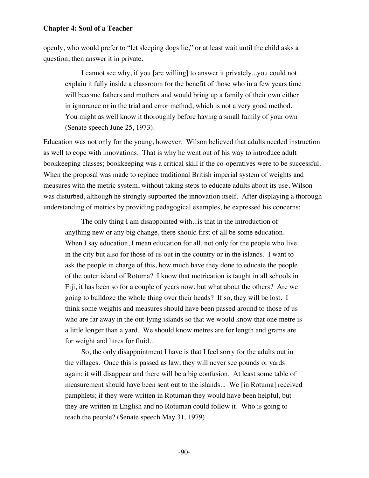openly, who would prefer to "let sleeping dogs lie," or at least wait until the child asks a question, then answer it in private.

I cannot see why, if you [are willing] to answer it privately...you could not explain it fully inside a classroom for the benefit of those who in a few years time will become fathers and mothers and would bring up a family of their own either in ignorance or in the trial and error method, which is not a very good method. You might as well know it thoroughly before having a small family of your own (Senate speech June 25, 1973).

Education was not only for the young, however. Wilson believed that adults needed instruction as well to cope with innovations. That is why he went out of his way to introduce adult bookkeeping classes; bookkeeping was a critical skill if the co-operatives were to be successful. When the proposal was made to replace traditional British imperial system of weights and measures with the metric system, without taking steps to educate adults about its use, Wilson was disturbed, although he strongly supported the innovation itself. After displaying a thorough understanding of metrics by providing pedagogical examples, he expressed his concerns:

The only thing I am disappointed with...is that in the introduction of anything new or any big change, there should first of all be some education. When I say education, I mean education for all, not only for the people who live in the city but also for those of us out in the country or in the islands. I want to ask the people in charge of this, how much have they done to educate the people of the outer island of Rotuma? I know that metrication is taught in all schools in Fiji, it has been so for a couple of years now, but what about the others? Are we going to bulldoze the whole thing over their heads? If so, they will be lost. I think some weights and measures should have been passed around to those of us who are far away in the out-lying islands so that we would know that one metre is a little longer than a yard. We should know metres are for length and grams are for weight and litres for fluid...

So, the only disappointment I have is that I feel sorry for the adults out in the villages. Once this is passed as law, they will never see pounds or yards again; it will disappear and there will be a big confusion. At least some table of measurement should have been sent out to the islands... We [in Rotuma] received pamphlets; if they were written in Rotuman they would have been helpful, but they are written in English and no Rotuman could follow it. Who is going to teach the people? (Senate speech May 31, 1979)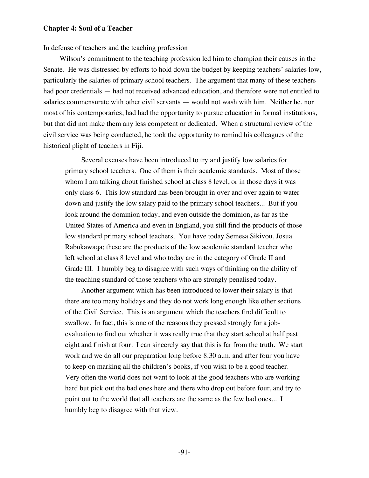#### In defense of teachers and the teaching profession

Wilson's commitment to the teaching profession led him to champion their causes in the Senate. He was distressed by efforts to hold down the budget by keeping teachers' salaries low, particularly the salaries of primary school teachers. The argument that many of these teachers had poor credentials — had not received advanced education, and therefore were not entitled to salaries commensurate with other civil servants — would not wash with him. Neither he, nor most of his contemporaries, had had the opportunity to pursue education in formal institutions, but that did not make them any less competent or dedicated. When a structural review of the civil service was being conducted, he took the opportunity to remind his colleagues of the historical plight of teachers in Fiji.

Several excuses have been introduced to try and justify low salaries for primary school teachers. One of them is their academic standards. Most of those whom I am talking about finished school at class 8 level, or in those days it was only class 6. This low standard has been brought in over and over again to water down and justify the low salary paid to the primary school teachers... But if you look around the dominion today, and even outside the dominion, as far as the United States of America and even in England, you still find the products of those low standard primary school teachers. You have today Semesa Sikivou, Josua Rabukawaqa; these are the products of the low academic standard teacher who left school at class 8 level and who today are in the category of Grade II and Grade III. I humbly beg to disagree with such ways of thinking on the ability of the teaching standard of those teachers who are strongly penalised today.

Another argument which has been introduced to lower their salary is that there are too many holidays and they do not work long enough like other sections of the Civil Service. This is an argument which the teachers find difficult to swallow. In fact, this is one of the reasons they pressed strongly for a jobevaluation to find out whether it was really true that they start school at half past eight and finish at four. I can sincerely say that this is far from the truth. We start work and we do all our preparation long before 8:30 a.m. and after four you have to keep on marking all the children's books, if you wish to be a good teacher. Very often the world does not want to look at the good teachers who are working hard but pick out the bad ones here and there who drop out before four, and try to point out to the world that all teachers are the same as the few bad ones... I humbly beg to disagree with that view.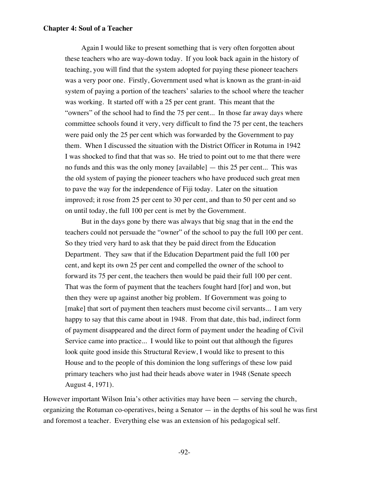Again I would like to present something that is very often forgotten about these teachers who are way-down today. If you look back again in the history of teaching, you will find that the system adopted for paying these pioneer teachers was a very poor one. Firstly, Government used what is known as the grant-in-aid system of paying a portion of the teachers' salaries to the school where the teacher was working. It started off with a 25 per cent grant. This meant that the "owners" of the school had to find the 75 per cent... In those far away days where committee schools found it very, very difficult to find the 75 per cent, the teachers were paid only the 25 per cent which was forwarded by the Government to pay them. When I discussed the situation with the District Officer in Rotuma in 1942 I was shocked to find that that was so. He tried to point out to me that there were no funds and this was the only money [available] — this 25 per cent... This was the old system of paying the pioneer teachers who have produced such great men to pave the way for the independence of Fiji today. Later on the situation improved; it rose from 25 per cent to 30 per cent, and than to 50 per cent and so on until today, the full 100 per cent is met by the Government.

But in the days gone by there was always that big snag that in the end the teachers could not persuade the "owner" of the school to pay the full 100 per cent. So they tried very hard to ask that they be paid direct from the Education Department. They saw that if the Education Department paid the full 100 per cent, and kept its own 25 per cent and compelled the owner of the school to forward its 75 per cent, the teachers then would be paid their full 100 per cent. That was the form of payment that the teachers fought hard [for] and won, but then they were up against another big problem. If Government was going to [make] that sort of payment then teachers must become civil servants... I am very happy to say that this came about in 1948. From that date, this bad, indirect form of payment disappeared and the direct form of payment under the heading of Civil Service came into practice... I would like to point out that although the figures look quite good inside this Structural Review, I would like to present to this House and to the people of this dominion the long sufferings of these low paid primary teachers who just had their heads above water in 1948 (Senate speech August 4, 1971).

However important Wilson Inia's other activities may have been — serving the church, organizing the Rotuman co-operatives, being a Senator — in the depths of his soul he was first and foremost a teacher. Everything else was an extension of his pedagogical self.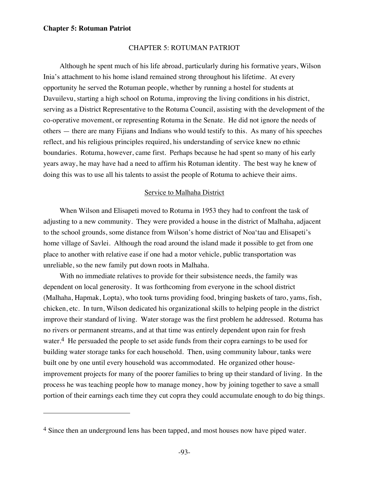$\overline{a}$ 

### CHAPTER 5: ROTUMAN PATRIOT

Although he spent much of his life abroad, particularly during his formative years, Wilson Inia's attachment to his home island remained strong throughout his lifetime. At every opportunity he served the Rotuman people, whether by running a hostel for students at Davuilevu, starting a high school on Rotuma, improving the living conditions in his district, serving as a District Representative to the Rotuma Council, assisting with the development of the co-operative movement, or representing Rotuma in the Senate. He did not ignore the needs of others — there are many Fijians and Indians who would testify to this. As many of his speeches reflect, and his religious principles required, his understanding of service knew no ethnic boundaries. Rotuma, however, came first. Perhaps because he had spent so many of his early years away, he may have had a need to affirm his Rotuman identity. The best way he knew of doing this was to use all his talents to assist the people of Rotuma to achieve their aims.

### Service to Malhaha District

When Wilson and Elisapeti moved to Rotuma in 1953 they had to confront the task of adjusting to a new community. They were provided a house in the district of Malhaha, adjacent to the school grounds, some distance from Wilson's home district of Noa'tau and Elisapeti's home village of Savlei. Although the road around the island made it possible to get from one place to another with relative ease if one had a motor vehicle, public transportation was unreliable, so the new family put down roots in Malhaha.

With no immediate relatives to provide for their subsistence needs, the family was dependent on local generosity. It was forthcoming from everyone in the school district (Malhaha, Hapmak, Lopta), who took turns providing food, bringing baskets of taro, yams, fish, chicken, etc. In turn, Wilson dedicated his organizational skills to helping people in the district improve their standard of living. Water storage was the first problem he addressed. Rotuma has no rivers or permanent streams, and at that time was entirely dependent upon rain for fresh water.<sup>4</sup> He persuaded the people to set aside funds from their copra earnings to be used for building water storage tanks for each household. Then, using community labour, tanks were built one by one until every household was accommodated. He organized other houseimprovement projects for many of the poorer families to bring up their standard of living. In the process he was teaching people how to manage money, how by joining together to save a small portion of their earnings each time they cut copra they could accumulate enough to do big things.

<sup>&</sup>lt;sup>4</sup> Since then an underground lens has been tapped, and most houses now have piped water.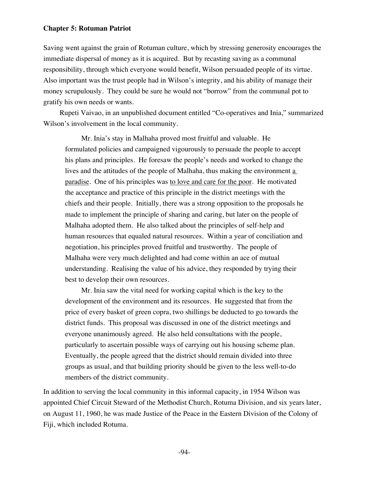Saving went against the grain of Rotuman culture, which by stressing generosity encourages the immediate dispersal of money as it is acquired. But by recasting saving as a communal responsibility, through which everyone would benefit, Wilson persuaded people of its virtue. Also important was the trust people had in Wilson's integrity, and his ability of manage their money scrupulously. They could be sure he would not "borrow" from the communal pot to gratify his own needs or wants.

Rupeti Vaivao, in an unpublished document entitled "Co-operatives and Inia," summarized Wilson's involvement in the local community.

Mr. Inia's stay in Malhaha proved most fruitful and valuable. He formulated policies and campaigned vigourously to persuade the people to accept his plans and principles. He foresaw the people's needs and worked to change the lives and the attitudes of the people of Malhaha, thus making the environment  $\underline{a}$ paradise. One of his principles was to love and care for the poor. He motivated the acceptance and practice of this principle in the district meetings with the chiefs and their people. Initially, there was a strong opposition to the proposals he made to implement the principle of sharing and caring, but later on the people of Malhaha adopted them. He also talked about the principles of self-help and human resources that equaled natural resources. Within a year of conciliation and negotiation, his principles proved fruitful and trustworthy. The people of Malhaha were very much delighted and had come within an ace of mutual understanding. Realising the value of his advice, they responded by trying their best to develop their own resources.

Mr. Inia saw the vital need for working capital which is the key to the development of the environment and its resources. He suggested that from the price of every basket of green copra, two shillings be deducted to go towards the district funds. This proposal was discussed in one of the district meetings and everyone unanimously agreed. He also held consultations with the people, particularly to ascertain possible ways of carrying out his housing scheme plan. Eventually, the people agreed that the district should remain divided into three groups as usual, and that building priority should be given to the less well-to-do members of the district community.

In addition to serving the local community in this informal capacity, in 1954 Wilson was appointed Chief Circuit Steward of the Methodist Church, Rotuma Division, and six years later, on August 11, 1960, he was made Justice of the Peace in the Eastern Division of the Colony of Fiji, which included Rotuma.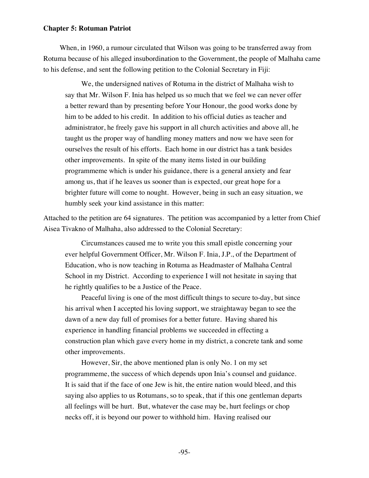When, in 1960, a rumour circulated that Wilson was going to be transferred away from Rotuma because of his alleged insubordination to the Government, the people of Malhaha came to his defense, and sent the following petition to the Colonial Secretary in Fiji:

We, the undersigned natives of Rotuma in the district of Malhaha wish to say that Mr. Wilson F. Inia has helped us so much that we feel we can never offer a better reward than by presenting before Your Honour, the good works done by him to be added to his credit. In addition to his official duties as teacher and administrator, he freely gave his support in all church activities and above all, he taught us the proper way of handling money matters and now we have seen for ourselves the result of his efforts. Each home in our district has a tank besides other improvements. In spite of the many items listed in our building programmeme which is under his guidance, there is a general anxiety and fear among us, that if he leaves us sooner than is expected, our great hope for a brighter future will come to nought. However, being in such an easy situation, we humbly seek your kind assistance in this matter:

Attached to the petition are 64 signatures. The petition was accompanied by a letter from Chief Aisea Tivakno of Malhaha, also addressed to the Colonial Secretary:

Circumstances caused me to write you this small epistle concerning your ever helpful Government Officer, Mr. Wilson F. Inia, J.P., of the Department of Education, who is now teaching in Rotuma as Headmaster of Malhaha Central School in my District. According to experience I will not hesitate in saying that he rightly qualifies to be a Justice of the Peace.

Peaceful living is one of the most difficult things to secure to-day, but since his arrival when I accepted his loving support, we straightaway began to see the dawn of a new day full of promises for a better future. Having shared his experience in handling financial problems we succeeded in effecting a construction plan which gave every home in my district, a concrete tank and some other improvements.

However, Sir, the above mentioned plan is only No. 1 on my set programmeme, the success of which depends upon Inia's counsel and guidance. It is said that if the face of one Jew is hit, the entire nation would bleed, and this saying also applies to us Rotumans, so to speak, that if this one gentleman departs all feelings will be hurt. But, whatever the case may be, hurt feelings or chop necks off, it is beyond our power to withhold him. Having realised our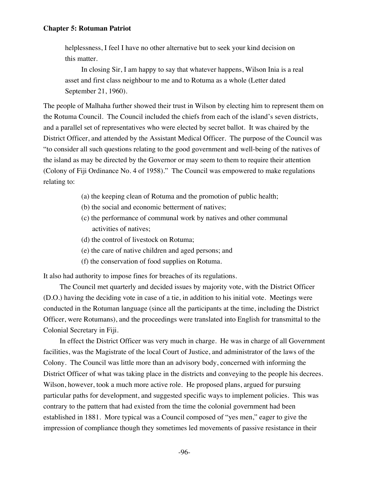helplessness, I feel I have no other alternative but to seek your kind decision on this matter.

In closing Sir, I am happy to say that whatever happens, Wilson Inia is a real asset and first class neighbour to me and to Rotuma as a whole (Letter dated September 21, 1960).

The people of Malhaha further showed their trust in Wilson by electing him to represent them on the Rotuma Council. The Council included the chiefs from each of the island's seven districts, and a parallel set of representatives who were elected by secret ballot. It was chaired by the District Officer, and attended by the Assistant Medical Officer. The purpose of the Council was "to consider all such questions relating to the good government and well-being of the natives of the island as may be directed by the Governor or may seem to them to require their attention (Colony of Fiji Ordinance No. 4 of 1958)." The Council was empowered to make regulations relating to:

- (a) the keeping clean of Rotuma and the promotion of public health;
- (b) the social and economic betterment of natives;
- (c) the performance of communal work by natives and other communal activities of natives;
- (d) the control of livestock on Rotuma;
- (e) the care of native children and aged persons; and
- (f) the conservation of food supplies on Rotuma.

It also had authority to impose fines for breaches of its regulations.

The Council met quarterly and decided issues by majority vote, with the District Officer (D.O.) having the deciding vote in case of a tie, in addition to his initial vote. Meetings were conducted in the Rotuman language (since all the participants at the time, including the District Officer, were Rotumans), and the proceedings were translated into English for transmittal to the Colonial Secretary in Fiji.

In effect the District Officer was very much in charge. He was in charge of all Government facilities, was the Magistrate of the local Court of Justice, and administrator of the laws of the Colony. The Council was little more than an advisory body, concerned with informing the District Officer of what was taking place in the districts and conveying to the people his decrees. Wilson, however, took a much more active role. He proposed plans, argued for pursuing particular paths for development, and suggested specific ways to implement policies. This was contrary to the pattern that had existed from the time the colonial government had been established in 1881. More typical was a Council composed of "yes men," eager to give the impression of compliance though they sometimes led movements of passive resistance in their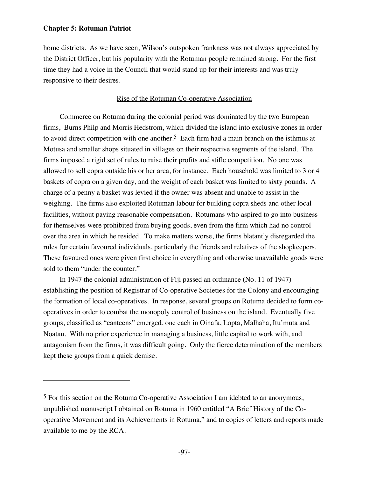$\overline{a}$ 

home districts. As we have seen, Wilson's outspoken frankness was not always appreciated by the District Officer, but his popularity with the Rotuman people remained strong. For the first time they had a voice in the Council that would stand up for their interests and was truly responsive to their desires.

# Rise of the Rotuman Co-operative Association

Commerce on Rotuma during the colonial period was dominated by the two European firms, Burns Philp and Morris Hedstrom, which divided the island into exclusive zones in order to avoid direct competition with one another.<sup>5</sup> Each firm had a main branch on the isthmus at Motusa and smaller shops situated in villages on their respective segments of the island. The firms imposed a rigid set of rules to raise their profits and stifle competition. No one was allowed to sell copra outside his or her area, for instance. Each household was limited to 3 or 4 baskets of copra on a given day, and the weight of each basket was limited to sixty pounds. A charge of a penny a basket was levied if the owner was absent and unable to assist in the weighing. The firms also exploited Rotuman labour for building copra sheds and other local facilities, without paying reasonable compensation. Rotumans who aspired to go into business for themselves were prohibited from buying goods, even from the firm which had no control over the area in which he resided. To make matters worse, the firms blatantly disregarded the rules for certain favoured individuals, particularly the friends and relatives of the shopkeepers. These favoured ones were given first choice in everything and otherwise unavailable goods were sold to them "under the counter."

In 1947 the colonial administration of Fiji passed an ordinance (No. 11 of 1947) establishing the position of Registrar of Co-operative Societies for the Colony and encouraging the formation of local co-operatives. In response, several groups on Rotuma decided to form cooperatives in order to combat the monopoly control of business on the island. Eventually five groups, classified as "canteens" emerged, one each in Oinafa, Lopta, Malhaha, Itu'muta and Noatau. With no prior experience in managing a business, little capital to work with, and antagonism from the firms, it was difficult going. Only the fierce determination of the members kept these groups from a quick demise.

<sup>5</sup> For this section on the Rotuma Co-operative Association I am idebted to an anonymous, unpublished manuscript I obtained on Rotuma in 1960 entitled "A Brief History of the Cooperative Movement and its Achievements in Rotuma," and to copies of letters and reports made available to me by the RCA.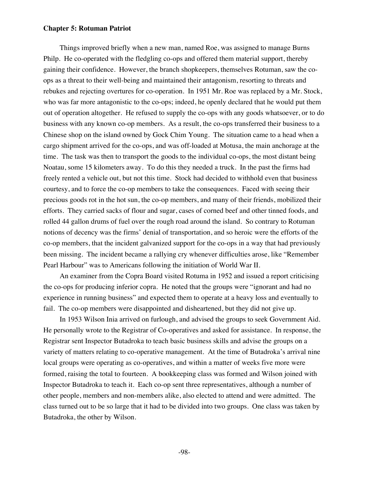Things improved briefly when a new man, named Roe, was assigned to manage Burns Philp. He co-operated with the fledgling co-ops and offered them material support, thereby gaining their confidence. However, the branch shopkeepers, themselves Rotuman, saw the coops as a threat to their well-being and maintained their antagonism, resorting to threats and rebukes and rejecting overtures for co-operation. In 1951 Mr. Roe was replaced by a Mr. Stock, who was far more antagonistic to the co-ops; indeed, he openly declared that he would put them out of operation altogether. He refused to supply the co-ops with any goods whatsoever, or to do business with any known co-op members. As a result, the co-ops transferred their business to a Chinese shop on the island owned by Gock Chim Young. The situation came to a head when a cargo shipment arrived for the co-ops, and was off-loaded at Motusa, the main anchorage at the time. The task was then to transport the goods to the individual co-ops, the most distant being Noatau, some 15 kilometers away. To do this they needed a truck. In the past the firms had freely rented a vehicle out, but not this time. Stock had decided to withhold even that business courtesy, and to force the co-op members to take the consequences. Faced with seeing their precious goods rot in the hot sun, the co-op members, and many of their friends, mobilized their efforts. They carried sacks of flour and sugar, cases of corned beef and other tinned foods, and rolled 44 gallon drums of fuel over the rough road around the island. So contrary to Rotuman notions of decency was the firms' denial of transportation, and so heroic were the efforts of the co-op members, that the incident galvanized support for the co-ops in a way that had previously been missing. The incident became a rallying cry whenever difficulties arose, like "Remember Pearl Harbour" was to Americans following the initiation of World War II.

An examiner from the Copra Board visited Rotuma in 1952 and issued a report criticising the co-ops for producing inferior copra. He noted that the groups were "ignorant and had no experience in running business" and expected them to operate at a heavy loss and eventually to fail. The co-op members were disappointed and disheartened, but they did not give up.

In 1953 Wilson Inia arrived on furlough, and advised the groups to seek Government Aid. He personally wrote to the Registrar of Co-operatives and asked for assistance. In response, the Registrar sent Inspector Butadroka to teach basic business skills and advise the groups on a variety of matters relating to co-operative management. At the time of Butadroka's arrival nine local groups were operating as co-operatives, and within a matter of weeks five more were formed, raising the total to fourteen. A bookkeeping class was formed and Wilson joined with Inspector Butadroka to teach it. Each co-op sent three representatives, although a number of other people, members and non-members alike, also elected to attend and were admitted. The class turned out to be so large that it had to be divided into two groups. One class was taken by Butadroka, the other by Wilson.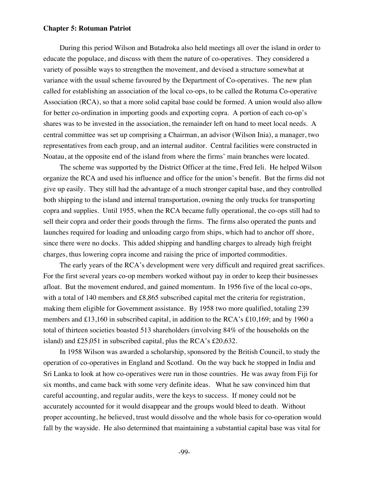During this period Wilson and Butadroka also held meetings all over the island in order to educate the populace, and discuss with them the nature of co-operatives. They considered a variety of possible ways to strengthen the movement, and devised a structure somewhat at variance with the usual scheme favoured by the Department of Co-operatives. The new plan called for establishing an association of the local co-ops, to be called the Rotuma Co-operative Association (RCA), so that a more solid capital base could be formed. A union would also allow for better co-ordination in importing goods and exporting copra. A portion of each co-op's shares was to be invested in the association, the remainder left on hand to meet local needs. A central committee was set up comprising a Chairman, an advisor (Wilson Inia), a manager, two representatives from each group, and an internal auditor. Central facilities were constructed in Noatau, at the opposite end of the island from where the firms' main branches were located.

The scheme was supported by the District Officer at the time, Fred Ieli. He helped Wilson organize the RCA and used his influence and office for the union's benefit. But the firms did not give up easily. They still had the advantage of a much stronger capital base, and they controlled both shipping to the island and internal transportation, owning the only trucks for transporting copra and supplies. Until 1955, when the RCA became fully operational, the co-ops still had to sell their copra and order their goods through the firms. The firms also operated the punts and launches required for loading and unloading cargo from ships, which had to anchor off shore, since there were no docks. This added shipping and handling charges to already high freight charges, thus lowering copra income and raising the price of imported commodities.

The early years of the RCA's development were very difficult and required great sacrifices. For the first several years co-op members worked without pay in order to keep their businesses afloat. But the movement endured, and gained momentum. In 1956 five of the local co-ops, with a total of 140 members and £8,865 subscribed capital met the criteria for registration, making them eligible for Government assistance. By 1958 two more qualified, totaling 239 members and £13,160 in subscribed capital, in addition to the RCA's £10,169; and by 1960 a total of thirteen societies boasted 513 shareholders (involving 84% of the households on the island) and £25,051 in subscribed capital, plus the RCA's £20,632.

In 1958 Wilson was awarded a scholarship, sponsored by the British Council, to study the operation of co-operatives in England and Scotland. On the way back he stopped in India and Sri Lanka to look at how co-operatives were run in those countries. He was away from Fiji for six months, and came back with some very definite ideas. What he saw convinced him that careful accounting, and regular audits, were the keys to success. If money could not be accurately accounted for it would disappear and the groups would bleed to death. Without proper accounting, he believed, trust would dissolve and the whole basis for co-operation would fall by the wayside. He also determined that maintaining a substantial capital base was vital for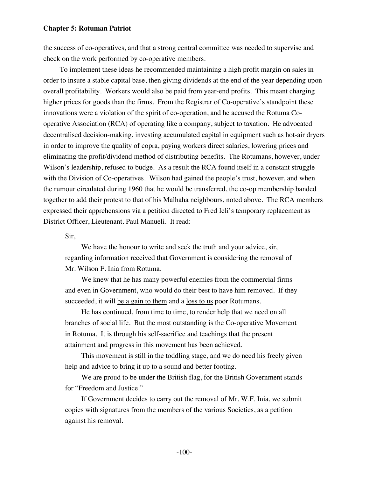the success of co-operatives, and that a strong central committee was needed to supervise and check on the work performed by co-operative members.

To implement these ideas he recommended maintaining a high profit margin on sales in order to insure a stable capital base, then giving dividends at the end of the year depending upon overall profitability. Workers would also be paid from year-end profits. This meant charging higher prices for goods than the firms. From the Registrar of Co-operative's standpoint these innovations were a violation of the spirit of co-operation, and he accused the Rotuma Cooperative Association (RCA) of operating like a company, subject to taxation. He advocated decentralised decision-making, investing accumulated capital in equipment such as hot-air dryers in order to improve the quality of copra, paying workers direct salaries, lowering prices and eliminating the profit/dividend method of distributing benefits. The Rotumans, however, under Wilson's leadership, refused to budge. As a result the RCA found itself in a constant struggle with the Division of Co-operatives. Wilson had gained the people's trust, however, and when the rumour circulated during 1960 that he would be transferred, the co-op membership banded together to add their protest to that of his Malhaha neighbours, noted above. The RCA members expressed their apprehensions via a petition directed to Fred Ieli's temporary replacement as District Officer, Lieutenant. Paul Manueli. It read:

Sir,

We have the honour to write and seek the truth and your advice, sir, regarding information received that Government is considering the removal of Mr. Wilson F. Inia from Rotuma.

We knew that he has many powerful enemies from the commercial firms and even in Government, who would do their best to have him removed. If they succeeded, it will be a gain to them and a <u>loss to us</u> poor Rotumans.

He has continued, from time to time, to render help that we need on all branches of social life. But the most outstanding is the Co-operative Movement in Rotuma. It is through his self-sacrifice and teachings that the present attainment and progress in this movement has been achieved.

This movement is still in the toddling stage, and we do need his freely given help and advice to bring it up to a sound and better footing.

We are proud to be under the British flag, for the British Government stands for "Freedom and Justice."

If Government decides to carry out the removal of Mr. W.F. Inia, we submit copies with signatures from the members of the various Societies, as a petition against his removal.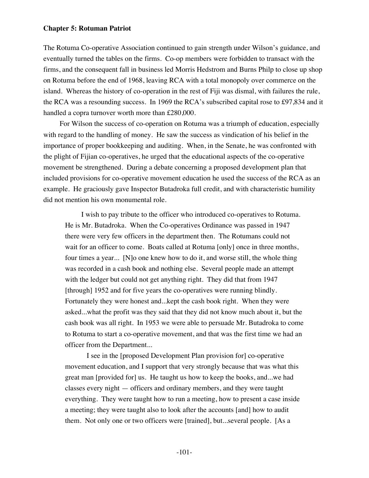The Rotuma Co-operative Association continued to gain strength under Wilson's guidance, and eventually turned the tables on the firms. Co-op members were forbidden to transact with the firms, and the consequent fall in business led Morris Hedstrom and Burns Philp to close up shop on Rotuma before the end of 1968, leaving RCA with a total monopoly over commerce on the island. Whereas the history of co-operation in the rest of Fiji was dismal, with failures the rule, the RCA was a resounding success. In 1969 the RCA's subscribed capital rose to £97,834 and it handled a copra turnover worth more than £280,000.

For Wilson the success of co-operation on Rotuma was a triumph of education, especially with regard to the handling of money. He saw the success as vindication of his belief in the importance of proper bookkeeping and auditing. When, in the Senate, he was confronted with the plight of Fijian co-operatives, he urged that the educational aspects of the co-operative movement be strengthened. During a debate concerning a proposed development plan that included provisions for co-operative movement education he used the success of the RCA as an example. He graciously gave Inspector Butadroka full credit, and with characteristic humility did not mention his own monumental role.

I wish to pay tribute to the officer who introduced co-operatives to Rotuma. He is Mr. Butadroka. When the Co-operatives Ordinance was passed in 1947 there were very few officers in the department then. The Rotumans could not wait for an officer to come. Boats called at Rotuma [only] once in three months, four times a year... [N]o one knew how to do it, and worse still, the whole thing was recorded in a cash book and nothing else. Several people made an attempt with the ledger but could not get anything right. They did that from 1947 [through] 1952 and for five years the co-operatives were running blindly. Fortunately they were honest and...kept the cash book right. When they were asked...what the profit was they said that they did not know much about it, but the cash book was all right. In 1953 we were able to persuade Mr. Butadroka to come to Rotuma to start a co-operative movement, and that was the first time we had an officer from the Department...

 I see in the [proposed Development Plan provision for] co-operative movement education, and I support that very strongly because that was what this great man [provided for] us. He taught us how to keep the books, and...we had classes every night — officers and ordinary members, and they were taught everything. They were taught how to run a meeting, how to present a case inside a meeting; they were taught also to look after the accounts [and] how to audit them. Not only one or two officers were [trained], but...several people. [As a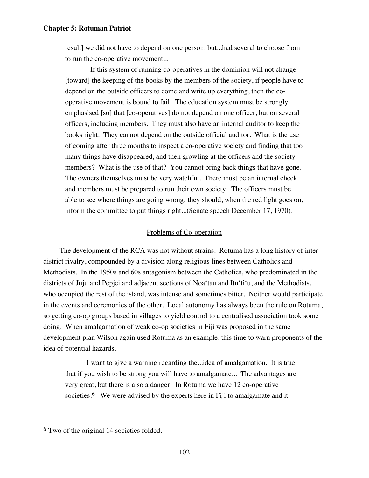result] we did not have to depend on one person, but...had several to choose from to run the co-operative movement...

 If this system of running co-operatives in the dominion will not change [toward] the keeping of the books by the members of the society, if people have to depend on the outside officers to come and write up everything, then the cooperative movement is bound to fail. The education system must be strongly emphasised [so] that [co-operatives] do not depend on one officer, but on several officers, including members. They must also have an internal auditor to keep the books right. They cannot depend on the outside official auditor. What is the use of coming after three months to inspect a co-operative society and finding that too many things have disappeared, and then growling at the officers and the society members? What is the use of that? You cannot bring back things that have gone. The owners themselves must be very watchful. There must be an internal check and members must be prepared to run their own society. The officers must be able to see where things are going wrong; they should, when the red light goes on, inform the committee to put things right...(Senate speech December 17, 1970).

# Problems of Co-operation

The development of the RCA was not without strains. Rotuma has a long history of interdistrict rivalry, compounded by a division along religious lines between Catholics and Methodists. In the 1950s and 60s antagonism between the Catholics, who predominated in the districts of Juju and Pepjei and adjacent sections of Noa'tau and Itu'ti'u, and the Methodists, who occupied the rest of the island, was intense and sometimes bitter. Neither would participate in the events and ceremonies of the other. Local autonomy has always been the rule on Rotuma, so getting co-op groups based in villages to yield control to a centralised association took some doing. When amalgamation of weak co-op societies in Fiji was proposed in the same development plan Wilson again used Rotuma as an example, this time to warn proponents of the idea of potential hazards.

I want to give a warning regarding the...idea of amalgamation. It is true that if you wish to be strong you will have to amalgamate... The advantages are very great, but there is also a danger. In Rotuma we have 12 co-operative societies.<sup>6</sup> We were advised by the experts here in Fiji to amalgamate and it

 $\overline{a}$ 

<sup>6</sup> Two of the original 14 societies folded.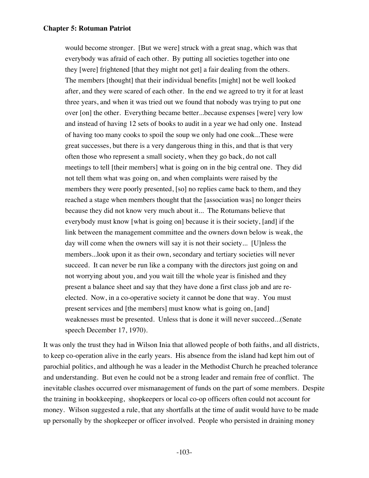would become stronger. [But we were] struck with a great snag, which was that everybody was afraid of each other. By putting all societies together into one they [were] frightened [that they might not get] a fair dealing from the others. The members [thought] that their individual benefits [might] not be well looked after, and they were scared of each other. In the end we agreed to try it for at least three years, and when it was tried out we found that nobody was trying to put one over [on] the other. Everything became better...because expenses [were] very low and instead of having 12 sets of books to audit in a year we had only one. Instead of having too many cooks to spoil the soup we only had one cook...These were great successes, but there is a very dangerous thing in this, and that is that very often those who represent a small society, when they go back, do not call meetings to tell [their members] what is going on in the big central one. They did not tell them what was going on, and when complaints were raised by the members they were poorly presented, [so] no replies came back to them, and they reached a stage when members thought that the [association was] no longer theirs because they did not know very much about it... The Rotumans believe that everybody must know [what is going on] because it is their society, [and] if the link between the management committee and the owners down below is weak, the day will come when the owners will say it is not their society... [U]nless the members...look upon it as their own, secondary and tertiary societies will never succeed. It can never be run like a company with the directors just going on and not worrying about you, and you wait till the whole year is finished and they present a balance sheet and say that they have done a first class job and are reelected. Now, in a co-operative society it cannot be done that way. You must present services and [the members] must know what is going on, [and] weaknesses must be presented. Unless that is done it will never succeed...(Senate speech December 17, 1970).

It was only the trust they had in Wilson Inia that allowed people of both faiths, and all districts, to keep co-operation alive in the early years. His absence from the island had kept him out of parochial politics, and although he was a leader in the Methodist Church he preached tolerance and understanding. But even he could not be a strong leader and remain free of conflict. The inevitable clashes occurred over mismanagement of funds on the part of some members. Despite the training in bookkeeping, shopkeepers or local co-op officers often could not account for money. Wilson suggested a rule, that any shortfalls at the time of audit would have to be made up personally by the shopkeeper or officer involved. People who persisted in draining money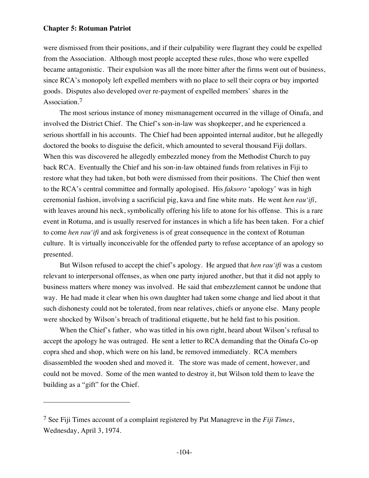$\overline{a}$ 

were dismissed from their positions, and if their culpability were flagrant they could be expelled from the Association. Although most people accepted these rules, those who were expelled became antagonistic. Their expulsion was all the more bitter after the firms went out of business, since RCA's monopoly left expelled members with no place to sell their copra or buy imported goods. Disputes also developed over re-payment of expelled members' shares in the Association.<sup>7</sup>

The most serious instance of money mismanagement occurred in the village of Oinafa, and involved the District Chief. The Chief's son-in-law was shopkeeper, and he experienced a serious shortfall in his accounts. The Chief had been appointed internal auditor, but he allegedly doctored the books to disguise the deficit, which amounted to several thousand Fiji dollars. When this was discovered he allegedly embezzled money from the Methodist Church to pay back RCA. Eventually the Chief and his son-in-law obtained funds from relatives in Fiji to restore what they had taken, but both were dismissed from their positions. The Chief then went to the RCA's central committee and formally apologised. His *faksoro* 'apology' was in high ceremonial fashion, involving a sacrificial pig, kava and fine white mats. He went *hen rau'ifi*, with leaves around his neck, symbolically offering his life to atone for his offense. This is a rare event in Rotuma, and is usually reserved for instances in which a life has been taken. For a chief to come *hen rau'ifi* and ask forgiveness is of great consequence in the context of Rotuman culture. It is virtually inconceivable for the offended party to refuse acceptance of an apology so presented.

But Wilson refused to accept the chief's apology. He argued that *hen rau'ifi* was a custom relevant to interpersonal offenses, as when one party injured another, but that it did not apply to business matters where money was involved. He said that embezzlement cannot be undone that way. He had made it clear when his own daughter had taken some change and lied about it that such dishonesty could not be tolerated, from near relatives, chiefs or anyone else. Many people were shocked by Wilson's breach of traditional etiquette, but he held fast to his position.

When the Chief's father, who was titled in his own right, heard about Wilson's refusal to accept the apology he was outraged. He sent a letter to RCA demanding that the Oinafa Co-op copra shed and shop, which were on his land, be removed immediately. RCA members disassembled the wooden shed and moved it. The store was made of cement, however, and could not be moved. Some of the men wanted to destroy it, but Wilson told them to leave the building as a "gift" for the Chief.

<sup>7</sup> See Fiji Times account of a complaint registered by Pat Managreve in the *Fiji Times*, Wednesday, April 3, 1974.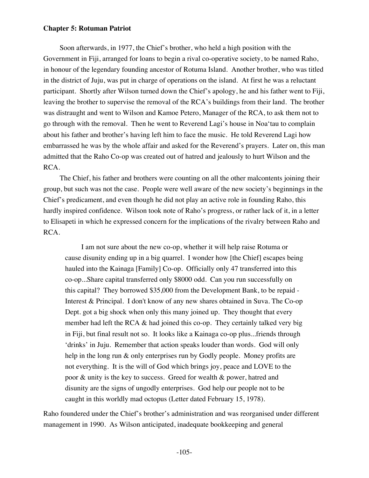Soon afterwards, in 1977, the Chief's brother, who held a high position with the Government in Fiji, arranged for loans to begin a rival co-operative society, to be named Raho, in honour of the legendary founding ancestor of Rotuma Island. Another brother, who was titled in the district of Juju, was put in charge of operations on the island. At first he was a reluctant participant. Shortly after Wilson turned down the Chief's apology, he and his father went to Fiji, leaving the brother to supervise the removal of the RCA's buildings from their land. The brother was distraught and went to Wilson and Kamoe Petero, Manager of the RCA, to ask them not to go through with the removal. Then he went to Reverend Lagi's house in Noa'tau to complain about his father and brother's having left him to face the music. He told Reverend Lagi how embarrassed he was by the whole affair and asked for the Reverend's prayers. Later on, this man admitted that the Raho Co-op was created out of hatred and jealously to hurt Wilson and the RCA.

The Chief, his father and brothers were counting on all the other malcontents joining their group, but such was not the case. People were well aware of the new society's beginnings in the Chief's predicament, and even though he did not play an active role in founding Raho, this hardly inspired confidence. Wilson took note of Raho's progress, or rather lack of it, in a letter to Elisapeti in which he expressed concern for the implications of the rivalry between Raho and RCA.

I am not sure about the new co-op, whether it will help raise Rotuma or cause disunity ending up in a big quarrel. I wonder how [the Chief] escapes being hauled into the Kainaga [Family] Co-op. Officially only 47 transferred into this co-op...Share capital transferred only \$8000 odd. Can you run successfully on this capital? They borrowed \$35,000 from the Development Bank, to be repaid - Interest & Principal. I don't know of any new shares obtained in Suva. The Co-op Dept. got a big shock when only this many joined up. They thought that every member had left the RCA  $\&$  had joined this co-op. They certainly talked very big in Fiji, but final result not so. It looks like a Kainaga co-op plus...friends through 'drinks' in Juju. Remember that action speaks louder than words. God will only help in the long run & only enterprises run by Godly people. Money profits are not everything. It is the will of God which brings joy, peace and LOVE to the poor & unity is the key to success. Greed for wealth & power, hatred and disunity are the signs of ungodly enterprises. God help our people not to be caught in this worldly mad octopus (Letter dated February 15, 1978).

Raho foundered under the Chief's brother's administration and was reorganised under different management in 1990. As Wilson anticipated, inadequate bookkeeping and general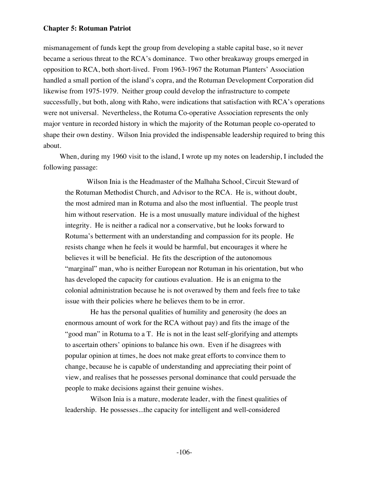mismanagement of funds kept the group from developing a stable capital base, so it never became a serious threat to the RCA's dominance. Two other breakaway groups emerged in opposition to RCA, both short-lived. From 1963-1967 the Rotuman Planters' Association handled a small portion of the island's copra, and the Rotuman Development Corporation did likewise from 1975-1979. Neither group could develop the infrastructure to compete successfully, but both, along with Raho, were indications that satisfaction with RCA's operations were not universal. Nevertheless, the Rotuma Co-operative Association represents the only major venture in recorded history in which the majority of the Rotuman people co-operated to shape their own destiny. Wilson Inia provided the indispensable leadership required to bring this about.

When, during my 1960 visit to the island, I wrote up my notes on leadership, I included the following passage:

 Wilson Inia is the Headmaster of the Malhaha School, Circuit Steward of the Rotuman Methodist Church, and Advisor to the RCA. He is, without doubt, the most admired man in Rotuma and also the most influential. The people trust him without reservation. He is a most unusually mature individual of the highest integrity. He is neither a radical nor a conservative, but he looks forward to Rotuma's betterment with an understanding and compassion for its people. He resists change when he feels it would be harmful, but encourages it where he believes it will be beneficial. He fits the description of the autonomous "marginal" man, who is neither European nor Rotuman in his orientation, but who has developed the capacity for cautious evaluation. He is an enigma to the colonial administration because he is not overawed by them and feels free to take issue with their policies where he believes them to be in error.

 He has the personal qualities of humility and generosity (he does an enormous amount of work for the RCA without pay) and fits the image of the "good man" in Rotuma to a T. He is not in the least self-glorifying and attempts to ascertain others' opinions to balance his own. Even if he disagrees with popular opinion at times, he does not make great efforts to convince them to change, because he is capable of understanding and appreciating their point of view, and realises that he possesses personal dominance that could persuade the people to make decisions against their genuine wishes.

 Wilson Inia is a mature, moderate leader, with the finest qualities of leadership. He possesses...the capacity for intelligent and well-considered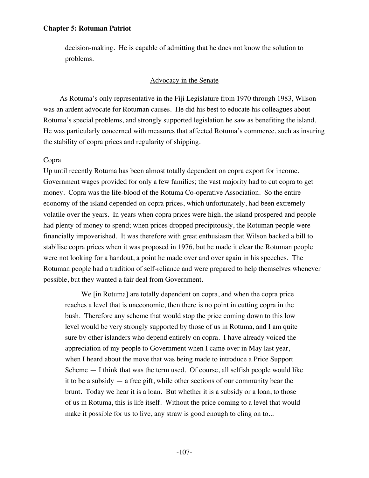decision-making. He is capable of admitting that he does not know the solution to problems.

#### Advocacy in the Senate

As Rotuma's only representative in the Fiji Legislature from 1970 through 1983, Wilson was an ardent advocate for Rotuman causes. He did his best to educate his colleagues about Rotuma's special problems, and strongly supported legislation he saw as benefiting the island. He was particularly concerned with measures that affected Rotuma's commerce, such as insuring the stability of copra prices and regularity of shipping.

# Copra

Up until recently Rotuma has been almost totally dependent on copra export for income. Government wages provided for only a few families; the vast majority had to cut copra to get money. Copra was the life-blood of the Rotuma Co-operative Association. So the entire economy of the island depended on copra prices, which unfortunately, had been extremely volatile over the years. In years when copra prices were high, the island prospered and people had plenty of money to spend; when prices dropped precipitously, the Rotuman people were financially impoverished. It was therefore with great enthusiasm that Wilson backed a bill to stabilise copra prices when it was proposed in 1976, but he made it clear the Rotuman people were not looking for a handout, a point he made over and over again in his speeches. The Rotuman people had a tradition of self-reliance and were prepared to help themselves whenever possible, but they wanted a fair deal from Government.

We [in Rotuma] are totally dependent on copra, and when the copra price reaches a level that is uneconomic, then there is no point in cutting copra in the bush. Therefore any scheme that would stop the price coming down to this low level would be very strongly supported by those of us in Rotuma, and I am quite sure by other islanders who depend entirely on copra. I have already voiced the appreciation of my people to Government when I came over in May last year, when I heard about the move that was being made to introduce a Price Support Scheme — I think that was the term used. Of course, all selfish people would like it to be a subsidy  $-$  a free gift, while other sections of our community bear the brunt. Today we hear it is a loan. But whether it is a subsidy or a loan, to those of us in Rotuma, this is life itself. Without the price coming to a level that would make it possible for us to live, any straw is good enough to cling on to...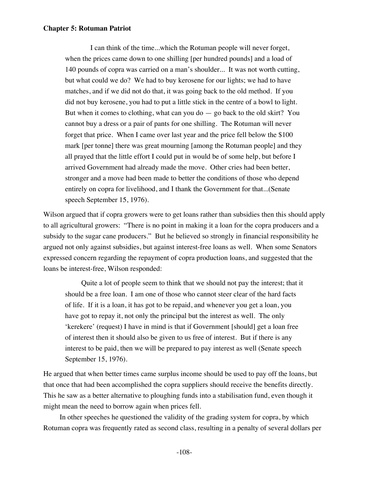I can think of the time...which the Rotuman people will never forget, when the prices came down to one shilling [per hundred pounds] and a load of 140 pounds of copra was carried on a man's shoulder... It was not worth cutting, but what could we do? We had to buy kerosene for our lights; we had to have matches, and if we did not do that, it was going back to the old method. If you did not buy kerosene, you had to put a little stick in the centre of a bowl to light. But when it comes to clothing, what can you do — go back to the old skirt? You cannot buy a dress or a pair of pants for one shilling. The Rotuman will never forget that price. When I came over last year and the price fell below the \$100 mark [per tonne] there was great mourning [among the Rotuman people] and they all prayed that the little effort I could put in would be of some help, but before I arrived Government had already made the move. Other cries had been better, stronger and a move had been made to better the conditions of those who depend entirely on copra for livelihood, and I thank the Government for that...(Senate speech September 15, 1976).

Wilson argued that if copra growers were to get loans rather than subsidies then this should apply to all agricultural growers: "There is no point in making it a loan for the copra producers and a subsidy to the sugar cane producers." But he believed so strongly in financial responsibility he argued not only against subsidies, but against interest-free loans as well. When some Senators expressed concern regarding the repayment of copra production loans, and suggested that the loans be interest-free, Wilson responded:

Quite a lot of people seem to think that we should not pay the interest; that it should be a free loan. I am one of those who cannot steer clear of the hard facts of life. If it is a loan, it has got to be repaid, and whenever you get a loan, you have got to repay it, not only the principal but the interest as well. The only 'kerekere' (request) I have in mind is that if Government [should] get a loan free of interest then it should also be given to us free of interest. But if there is any interest to be paid, then we will be prepared to pay interest as well (Senate speech September 15, 1976).

He argued that when better times came surplus income should be used to pay off the loans, but that once that had been accomplished the copra suppliers should receive the benefits directly. This he saw as a better alternative to ploughing funds into a stabilisation fund, even though it might mean the need to borrow again when prices fell.

In other speeches he questioned the validity of the grading system for copra, by which Rotuman copra was frequently rated as second class, resulting in a penalty of several dollars per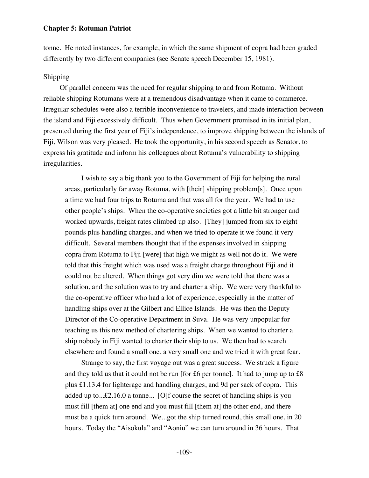tonne. He noted instances, for example, in which the same shipment of copra had been graded differently by two different companies (see Senate speech December 15, 1981).

# Shipping

Of parallel concern was the need for regular shipping to and from Rotuma. Without reliable shipping Rotumans were at a tremendous disadvantage when it came to commerce. Irregular schedules were also a terrible inconvenience to travelers, and made interaction between the island and Fiji excessively difficult. Thus when Government promised in its initial plan, presented during the first year of Fiji's independence, to improve shipping between the islands of Fiji, Wilson was very pleased. He took the opportunity, in his second speech as Senator, to express his gratitude and inform his colleagues about Rotuma's vulnerability to shipping irregularities.

I wish to say a big thank you to the Government of Fiji for helping the rural areas, particularly far away Rotuma, with [their] shipping problem[s]. Once upon a time we had four trips to Rotuma and that was all for the year. We had to use other people's ships. When the co-operative societies got a little bit stronger and worked upwards, freight rates climbed up also. [They] jumped from six to eight pounds plus handling charges, and when we tried to operate it we found it very difficult. Several members thought that if the expenses involved in shipping copra from Rotuma to Fiji [were] that high we might as well not do it. We were told that this freight which was used was a freight charge throughout Fiji and it could not be altered. When things got very dim we were told that there was a solution, and the solution was to try and charter a ship. We were very thankful to the co-operative officer who had a lot of experience, especially in the matter of handling ships over at the Gilbert and Ellice Islands. He was then the Deputy Director of the Co-operative Department in Suva. He was very unpopular for teaching us this new method of chartering ships. When we wanted to charter a ship nobody in Fiji wanted to charter their ship to us. We then had to search elsewhere and found a small one, a very small one and we tried it with great fear.

Strange to say, the first voyage out was a great success. We struck a figure and they told us that it could not be run [for £6 per tonne]. It had to jump up to £8 plus £1.13.4 for lighterage and handling charges, and 9d per sack of copra. This added up to...£2.16.0 a tonne... [O]f course the secret of handling ships is you must fill [them at] one end and you must fill [them at] the other end, and there must be a quick turn around. We...got the ship turned round, this small one, in 20 hours. Today the "Aisokula" and "Aoniu" we can turn around in 36 hours. That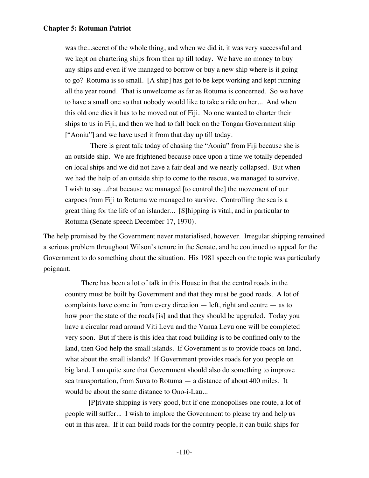was the...secret of the whole thing, and when we did it, it was very successful and we kept on chartering ships from then up till today. We have no money to buy any ships and even if we managed to borrow or buy a new ship where is it going to go? Rotuma is so small. [A ship] has got to be kept working and kept running all the year round. That is unwelcome as far as Rotuma is concerned. So we have to have a small one so that nobody would like to take a ride on her... And when this old one dies it has to be moved out of Fiji. No one wanted to charter their ships to us in Fiji, and then we had to fall back on the Tongan Government ship ["Aoniu"] and we have used it from that day up till today.

 There is great talk today of chasing the "Aoniu" from Fiji because she is an outside ship. We are frightened because once upon a time we totally depended on local ships and we did not have a fair deal and we nearly collapsed. But when we had the help of an outside ship to come to the rescue, we managed to survive. I wish to say...that because we managed [to control the] the movement of our cargoes from Fiji to Rotuma we managed to survive. Controlling the sea is a great thing for the life of an islander... [S]hipping is vital, and in particular to Rotuma (Senate speech December 17, 1970).

The help promised by the Government never materialised, however. Irregular shipping remained a serious problem throughout Wilson's tenure in the Senate, and he continued to appeal for the Government to do something about the situation. His 1981 speech on the topic was particularly poignant.

There has been a lot of talk in this House in that the central roads in the country must be built by Government and that they must be good roads. A lot of complaints have come in from every direction — left, right and centre — as to how poor the state of the roads [is] and that they should be upgraded. Today you have a circular road around Viti Levu and the Vanua Levu one will be completed very soon. But if there is this idea that road building is to be confined only to the land, then God help the small islands. If Government is to provide roads on land, what about the small islands? If Government provides roads for you people on big land, I am quite sure that Government should also do something to improve sea transportation, from Suva to Rotuma — a distance of about 400 miles. It would be about the same distance to Ono-i-Lau...

 [P]rivate shipping is very good, but if one monopolises one route, a lot of people will suffer... I wish to implore the Government to please try and help us out in this area. If it can build roads for the country people, it can build ships for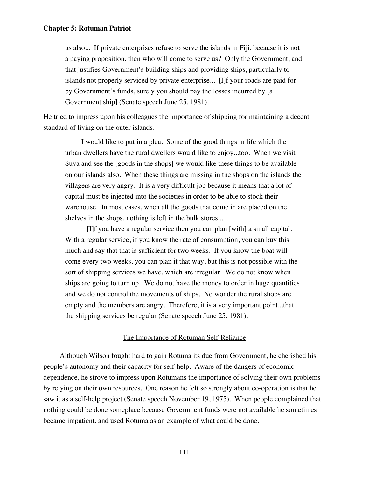us also... If private enterprises refuse to serve the islands in Fiji, because it is not a paying proposition, then who will come to serve us? Only the Government, and that justifies Government's building ships and providing ships, particularly to islands not properly serviced by private enterprise... [I]f your roads are paid for by Government's funds, surely you should pay the losses incurred by [a Government ship] (Senate speech June 25, 1981).

He tried to impress upon his colleagues the importance of shipping for maintaining a decent standard of living on the outer islands.

I would like to put in a plea. Some of the good things in life which the urban dwellers have the rural dwellers would like to enjoy...too. When we visit Suva and see the [goods in the shops] we would like these things to be available on our islands also. When these things are missing in the shops on the islands the villagers are very angry. It is a very difficult job because it means that a lot of capital must be injected into the societies in order to be able to stock their warehouse. In most cases, when all the goods that come in are placed on the shelves in the shops, nothing is left in the bulk stores...

 [I]f you have a regular service then you can plan [with] a small capital. With a regular service, if you know the rate of consumption, you can buy this much and say that that is sufficient for two weeks. If you know the boat will come every two weeks, you can plan it that way, but this is not possible with the sort of shipping services we have, which are irregular. We do not know when ships are going to turn up. We do not have the money to order in huge quantities and we do not control the movements of ships. No wonder the rural shops are empty and the members are angry. Therefore, it is a very important point...that the shipping services be regular (Senate speech June 25, 1981).

# The Importance of Rotuman Self-Reliance

Although Wilson fought hard to gain Rotuma its due from Government, he cherished his people's autonomy and their capacity for self-help. Aware of the dangers of economic dependence, he strove to impress upon Rotumans the importance of solving their own problems by relying on their own resources. One reason he felt so strongly about co-operation is that he saw it as a self-help project (Senate speech November 19, 1975). When people complained that nothing could be done someplace because Government funds were not available he sometimes became impatient, and used Rotuma as an example of what could be done.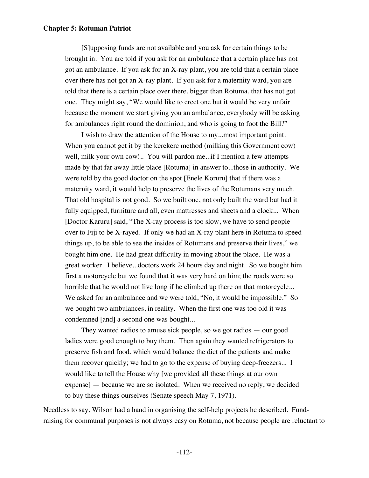[S]upposing funds are not available and you ask for certain things to be brought in. You are told if you ask for an ambulance that a certain place has not got an ambulance. If you ask for an X-ray plant, you are told that a certain place over there has not got an X-ray plant. If you ask for a maternity ward, you are told that there is a certain place over there, bigger than Rotuma, that has not got one. They might say, "We would like to erect one but it would be very unfair because the moment we start giving you an ambulance, everybody will be asking for ambulances right round the dominion, and who is going to foot the Bill?"

I wish to draw the attention of the House to my...most important point. When you cannot get it by the kerekere method (milking this Government cow) well, milk your own cow!.. You will pardon me...if I mention a few attempts made by that far away little place [Rotuma] in answer to...those in authority. We were told by the good doctor on the spot [Enele Koruru] that if there was a maternity ward, it would help to preserve the lives of the Rotumans very much. That old hospital is not good. So we built one, not only built the ward but had it fully equipped, furniture and all, even mattresses and sheets and a clock... When [Doctor Karuru] said, "The X-ray process is too slow, we have to send people over to Fiji to be X-rayed. If only we had an X-ray plant here in Rotuma to speed things up, to be able to see the insides of Rotumans and preserve their lives," we bought him one. He had great difficulty in moving about the place. He was a great worker. I believe...doctors work 24 hours day and night. So we bought him first a motorcycle but we found that it was very hard on him; the roads were so horrible that he would not live long if he climbed up there on that motorcycle... We asked for an ambulance and we were told, "No, it would be impossible." So we bought two ambulances, in reality. When the first one was too old it was condemned [and] a second one was bought...

They wanted radios to amuse sick people, so we got radios — our good ladies were good enough to buy them. Then again they wanted refrigerators to preserve fish and food, which would balance the diet of the patients and make them recover quickly; we had to go to the expense of buying deep-freezers... I would like to tell the House why [we provided all these things at our own expense] — because we are so isolated. When we received no reply, we decided to buy these things ourselves (Senate speech May 7, 1971).

Needless to say, Wilson had a hand in organising the self-help projects he described. Fundraising for communal purposes is not always easy on Rotuma, not because people are reluctant to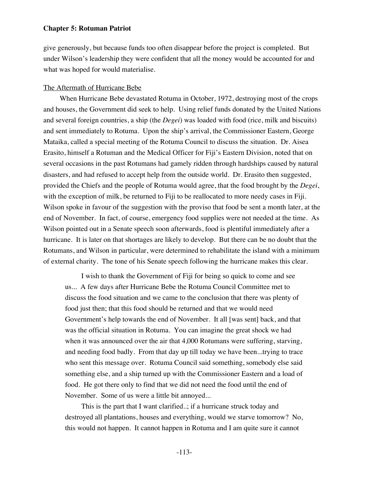give generously, but because funds too often disappear before the project is completed. But under Wilson's leadership they were confident that all the money would be accounted for and what was hoped for would materialise.

#### The Aftermath of Hurricane Bebe

When Hurricane Bebe devastated Rotuma in October, 1972, destroying most of the crops and houses, the Government did seek to help. Using relief funds donated by the United Nations and several foreign countries, a ship (the *Degei*) was loaded with food (rice, milk and biscuits) and sent immediately to Rotuma. Upon the ship's arrival, the Commissioner Eastern, George Mataika, called a special meeting of the Rotuma Council to discuss the situation. Dr. Aisea Erasito, himself a Rotuman and the Medical Officer for Fiji's Eastern Division, noted that on several occasions in the past Rotumans had gamely ridden through hardships caused by natural disasters, and had refused to accept help from the outside world. Dr. Erasito then suggested, provided the Chiefs and the people of Rotuma would agree, that the food brought by the *Degei*, with the exception of milk, be returned to Fiji to be reallocated to more needy cases in Fiji. Wilson spoke in favour of the suggestion with the proviso that food be sent a month later, at the end of November. In fact, of course, emergency food supplies were not needed at the time. As Wilson pointed out in a Senate speech soon afterwards, food is plentiful immediately after a hurricane. It is later on that shortages are likely to develop. But there can be no doubt that the Rotumans, and Wilson in particular, were determined to rehabilitate the island with a minimum of external charity. The tone of his Senate speech following the hurricane makes this clear.

I wish to thank the Government of Fiji for being so quick to come and see us... A few days after Hurricane Bebe the Rotuma Council Committee met to discuss the food situation and we came to the conclusion that there was plenty of food just then; that this food should be returned and that we would need Government's help towards the end of November. It all [was sent] back, and that was the official situation in Rotuma. You can imagine the great shock we had when it was announced over the air that 4,000 Rotumans were suffering, starving, and needing food badly. From that day up till today we have been...trying to trace who sent this message over. Rotuma Council said something, somebody else said something else, and a ship turned up with the Commissioner Eastern and a load of food. He got there only to find that we did not need the food until the end of November. Some of us were a little bit annoyed...

This is the part that I want clarified..; if a hurricane struck today and destroyed all plantations, houses and everything, would we starve tomorrow? No, this would not happen. It cannot happen in Rotuma and I am quite sure it cannot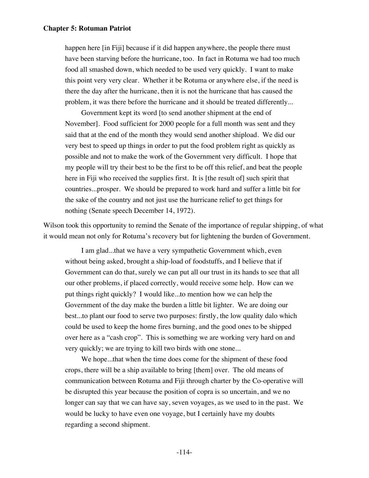happen here [in Fiji] because if it did happen anywhere, the people there must have been starving before the hurricane, too. In fact in Rotuma we had too much food all smashed down, which needed to be used very quickly. I want to make this point very very clear. Whether it be Rotuma or anywhere else, if the need is there the day after the hurricane, then it is not the hurricane that has caused the problem, it was there before the hurricane and it should be treated differently...

Government kept its word [to send another shipment at the end of November]. Food sufficient for 2000 people for a full month was sent and they said that at the end of the month they would send another shipload. We did our very best to speed up things in order to put the food problem right as quickly as possible and not to make the work of the Government very difficult. I hope that my people will try their best to be the first to be off this relief, and beat the people here in Fiji who received the supplies first. It is [the result of] such spirit that countries...prosper. We should be prepared to work hard and suffer a little bit for the sake of the country and not just use the hurricane relief to get things for nothing (Senate speech December 14, 1972).

Wilson took this opportunity to remind the Senate of the importance of regular shipping, of what it would mean not only for Rotuma's recovery but for lightening the burden of Government.

I am glad...that we have a very sympathetic Government which, even without being asked, brought a ship-load of foodstuffs, and I believe that if Government can do that, surely we can put all our trust in its hands to see that all our other problems, if placed correctly, would receive some help. How can we put things right quickly? I would like...to mention how we can help the Government of the day make the burden a little bit lighter. We are doing our best...to plant our food to serve two purposes: firstly, the low quality dalo which could be used to keep the home fires burning, and the good ones to be shipped over here as a "cash crop". This is something we are working very hard on and very quickly; we are trying to kill two birds with one stone...

We hope...that when the time does come for the shipment of these food crops, there will be a ship available to bring [them] over. The old means of communication between Rotuma and Fiji through charter by the Co-operative will be disrupted this year because the position of copra is so uncertain, and we no longer can say that we can have say, seven voyages, as we used to in the past. We would be lucky to have even one voyage, but I certainly have my doubts regarding a second shipment.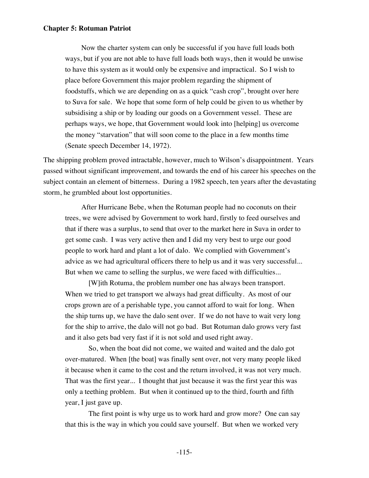Now the charter system can only be successful if you have full loads both ways, but if you are not able to have full loads both ways, then it would be unwise to have this system as it would only be expensive and impractical. So I wish to place before Government this major problem regarding the shipment of foodstuffs, which we are depending on as a quick "cash crop", brought over here to Suva for sale. We hope that some form of help could be given to us whether by subsidising a ship or by loading our goods on a Government vessel. These are perhaps ways, we hope, that Government would look into [helping] us overcome the money "starvation" that will soon come to the place in a few months time (Senate speech December 14, 1972).

The shipping problem proved intractable, however, much to Wilson's disappointment. Years passed without significant improvement, and towards the end of his career his speeches on the subject contain an element of bitterness. During a 1982 speech, ten years after the devastating storm, he grumbled about lost opportunities.

After Hurricane Bebe, when the Rotuman people had no coconuts on their trees, we were advised by Government to work hard, firstly to feed ourselves and that if there was a surplus, to send that over to the market here in Suva in order to get some cash. I was very active then and I did my very best to urge our good people to work hard and plant a lot of dalo. We complied with Government's advice as we had agricultural officers there to help us and it was very successful... But when we came to selling the surplus, we were faced with difficulties...

 [W]ith Rotuma, the problem number one has always been transport. When we tried to get transport we always had great difficulty. As most of our crops grown are of a perishable type, you cannot afford to wait for long. When the ship turns up, we have the dalo sent over. If we do not have to wait very long for the ship to arrive, the dalo will not go bad. But Rotuman dalo grows very fast and it also gets bad very fast if it is not sold and used right away.

 So, when the boat did not come, we waited and waited and the dalo got over-matured. When [the boat] was finally sent over, not very many people liked it because when it came to the cost and the return involved, it was not very much. That was the first year... I thought that just because it was the first year this was only a teething problem. But when it continued up to the third, fourth and fifth year, I just gave up.

 The first point is why urge us to work hard and grow more? One can say that this is the way in which you could save yourself. But when we worked very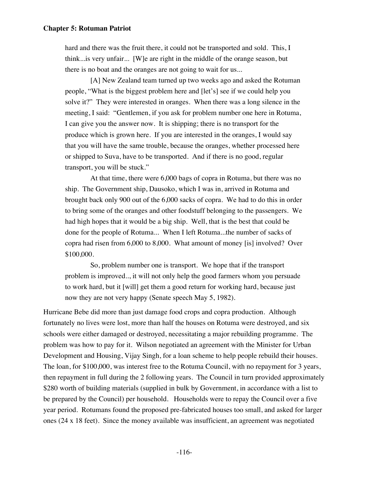hard and there was the fruit there, it could not be transported and sold. This, I think...is very unfair... [W]e are right in the middle of the orange season, but there is no boat and the oranges are not going to wait for us...

 [A] New Zealand team turned up two weeks ago and asked the Rotuman people, "What is the biggest problem here and [let's] see if we could help you solve it?" They were interested in oranges. When there was a long silence in the meeting, I said: "Gentlemen, if you ask for problem number one here in Rotuma, I can give you the answer now. It is shipping; there is no transport for the produce which is grown here. If you are interested in the oranges, I would say that you will have the same trouble, because the oranges, whether processed here or shipped to Suva, have to be transported. And if there is no good, regular transport, you will be stuck."

 At that time, there were 6,000 bags of copra in Rotuma, but there was no ship. The Government ship, Dausoko, which I was in, arrived in Rotuma and brought back only 900 out of the 6,000 sacks of copra. We had to do this in order to bring some of the oranges and other foodstuff belonging to the passengers. We had high hopes that it would be a big ship. Well, that is the best that could be done for the people of Rotuma... When I left Rotuma...the number of sacks of copra had risen from 6,000 to 8,000. What amount of money [is] involved? Over \$100,000.

 So, problem number one is transport. We hope that if the transport problem is improved.., it will not only help the good farmers whom you persuade to work hard, but it [will] get them a good return for working hard, because just now they are not very happy (Senate speech May 5, 1982).

Hurricane Bebe did more than just damage food crops and copra production. Although fortunately no lives were lost, more than half the houses on Rotuma were destroyed, and six schools were either damaged or destroyed, necessitating a major rebuilding programme. The problem was how to pay for it. Wilson negotiated an agreement with the Minister for Urban Development and Housing, Vijay Singh, for a loan scheme to help people rebuild their houses. The loan, for \$100,000, was interest free to the Rotuma Council, with no repayment for 3 years, then repayment in full during the 2 following years. The Council in turn provided approximately \$280 worth of building materials (supplied in bulk by Government, in accordance with a list to be prepared by the Council) per household. Households were to repay the Council over a five year period. Rotumans found the proposed pre-fabricated houses too small, and asked for larger ones (24 x 18 feet). Since the money available was insufficient, an agreement was negotiated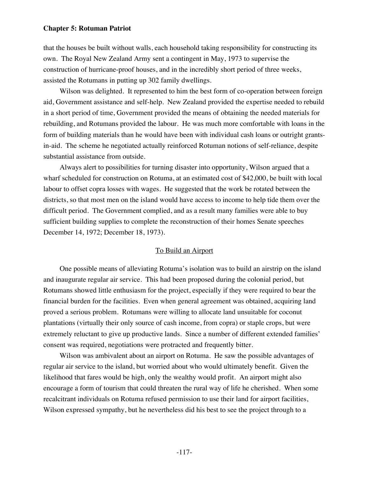that the houses be built without walls, each household taking responsibility for constructing its own. The Royal New Zealand Army sent a contingent in May, 1973 to supervise the construction of hurricane-proof houses, and in the incredibly short period of three weeks, assisted the Rotumans in putting up 302 family dwellings.

Wilson was delighted. It represented to him the best form of co-operation between foreign aid, Government assistance and self-help. New Zealand provided the expertise needed to rebuild in a short period of time, Government provided the means of obtaining the needed materials for rebuilding, and Rotumans provided the labour. He was much more comfortable with loans in the form of building materials than he would have been with individual cash loans or outright grantsin-aid. The scheme he negotiated actually reinforced Rotuman notions of self-reliance, despite substantial assistance from outside.

Always alert to possibilities for turning disaster into opportunity, Wilson argued that a wharf scheduled for construction on Rotuma, at an estimated cost of \$42,000, be built with local labour to offset copra losses with wages. He suggested that the work be rotated between the districts, so that most men on the island would have access to income to help tide them over the difficult period. The Government complied, and as a result many families were able to buy sufficient building supplies to complete the reconstruction of their homes Senate speeches December 14, 1972; December 18, 1973).

#### To Build an Airport

One possible means of alleviating Rotuma's isolation was to build an airstrip on the island and inaugurate regular air service. This had been proposed during the colonial period, but Rotumans showed little enthusiasm for the project, especially if they were required to bear the financial burden for the facilities. Even when general agreement was obtained, acquiring land proved a serious problem. Rotumans were willing to allocate land unsuitable for coconut plantations (virtually their only source of cash income, from copra) or staple crops, but were extremely reluctant to give up productive lands. Since a number of different extended families' consent was required, negotiations were protracted and frequently bitter.

Wilson was ambivalent about an airport on Rotuma. He saw the possible advantages of regular air service to the island, but worried about who would ultimately benefit. Given the likelihood that fares would be high, only the wealthy would profit. An airport might also encourage a form of tourism that could threaten the rural way of life he cherished. When some recalcitrant individuals on Rotuma refused permission to use their land for airport facilities, Wilson expressed sympathy, but he nevertheless did his best to see the project through to a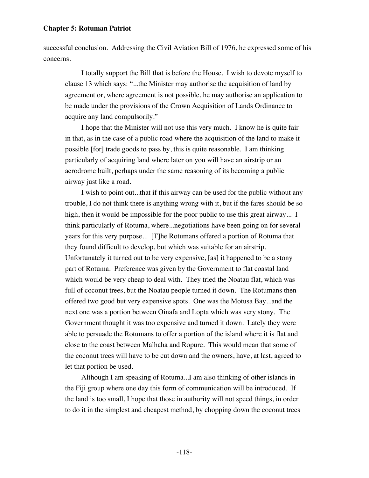successful conclusion. Addressing the Civil Aviation Bill of 1976, he expressed some of his concerns.

I totally support the Bill that is before the House. I wish to devote myself to clause 13 which says: "...the Minister may authorise the acquisition of land by agreement or, where agreement is not possible, he may authorise an application to be made under the provisions of the Crown Acquisition of Lands Ordinance to acquire any land compulsorily."

I hope that the Minister will not use this very much. I know he is quite fair in that, as in the case of a public road where the acquisition of the land to make it possible [for] trade goods to pass by, this is quite reasonable. I am thinking particularly of acquiring land where later on you will have an airstrip or an aerodrome built, perhaps under the same reasoning of its becoming a public airway just like a road.

I wish to point out...that if this airway can be used for the public without any trouble, I do not think there is anything wrong with it, but if the fares should be so high, then it would be impossible for the poor public to use this great airway... I think particularly of Rotuma, where...negotiations have been going on for several years for this very purpose... [T]he Rotumans offered a portion of Rotuma that they found difficult to develop, but which was suitable for an airstrip. Unfortunately it turned out to be very expensive, [as] it happened to be a stony part of Rotuma. Preference was given by the Government to flat coastal land which would be very cheap to deal with. They tried the Noatau flat, which was full of coconut trees, but the Noatau people turned it down. The Rotumans then offered two good but very expensive spots. One was the Motusa Bay...and the next one was a portion between Oinafa and Lopta which was very stony. The Government thought it was too expensive and turned it down. Lately they were able to persuade the Rotumans to offer a portion of the island where it is flat and close to the coast between Malhaha and Ropure. This would mean that some of the coconut trees will have to be cut down and the owners, have, at last, agreed to let that portion be used.

Although I am speaking of Rotuma...I am also thinking of other islands in the Fiji group where one day this form of communication will be introduced. If the land is too small, I hope that those in authority will not speed things, in order to do it in the simplest and cheapest method, by chopping down the coconut trees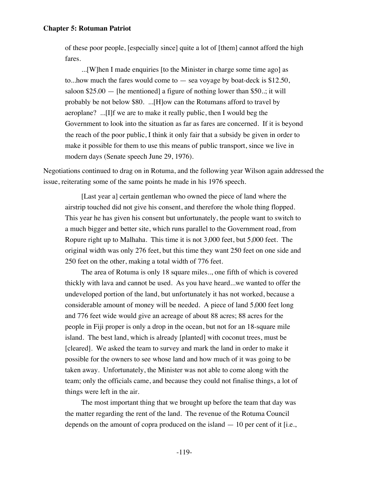of these poor people, [especially since] quite a lot of [them] cannot afford the high fares.

...[W]hen I made enquiries [to the Minister in charge some time ago] as to...how much the fares would come to  $-$  sea voyage by boat-deck is \$12.50, saloon  $$25.00$  - [he mentioned] a figure of nothing lower than \$50..; it will probably be not below \$80. ...[H]ow can the Rotumans afford to travel by aeroplane? ...[I]f we are to make it really public, then I would beg the Government to look into the situation as far as fares are concerned. If it is beyond the reach of the poor public, I think it only fair that a subsidy be given in order to make it possible for them to use this means of public transport, since we live in modern days (Senate speech June 29, 1976).

Negotiations continued to drag on in Rotuma, and the following year Wilson again addressed the issue, reiterating some of the same points he made in his 1976 speech.

[Last year a] certain gentleman who owned the piece of land where the airstrip touched did not give his consent, and therefore the whole thing flopped. This year he has given his consent but unfortunately, the people want to switch to a much bigger and better site, which runs parallel to the Government road, from Ropure right up to Malhaha. This time it is not 3,000 feet, but 5,000 feet. The original width was only 276 feet, but this time they want 250 feet on one side and 250 feet on the other, making a total width of 776 feet.

The area of Rotuma is only 18 square miles.., one fifth of which is covered thickly with lava and cannot be used. As you have heard...we wanted to offer the undeveloped portion of the land, but unfortunately it has not worked, because a considerable amount of money will be needed. A piece of land 5,000 feet long and 776 feet wide would give an acreage of about 88 acres; 88 acres for the people in Fiji proper is only a drop in the ocean, but not for an 18-square mile island. The best land, which is already [planted] with coconut trees, must be [cleared]. We asked the team to survey and mark the land in order to make it possible for the owners to see whose land and how much of it was going to be taken away. Unfortunately, the Minister was not able to come along with the team; only the officials came, and because they could not finalise things, a lot of things were left in the air.

The most important thing that we brought up before the team that day was the matter regarding the rent of the land. The revenue of the Rotuma Council depends on the amount of copra produced on the island — 10 per cent of it [i.e.,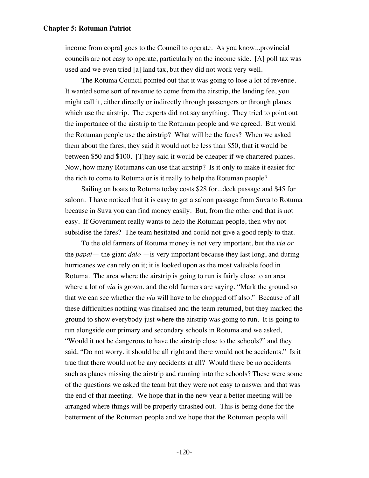income from copra] goes to the Council to operate. As you know...provincial councils are not easy to operate, particularly on the income side. [A] poll tax was used and we even tried [a] land tax, but they did not work very well.

The Rotuma Council pointed out that it was going to lose a lot of revenue. It wanted some sort of revenue to come from the airstrip, the landing fee, you might call it, either directly or indirectly through passengers or through planes which use the airstrip. The experts did not say anything. They tried to point out the importance of the airstrip to the Rotuman people and we agreed. But would the Rotuman people use the airstrip? What will be the fares? When we asked them about the fares, they said it would not be less than \$50, that it would be between \$50 and \$100. [T]hey said it would be cheaper if we chartered planes. Now, how many Rotumans can use that airstrip? Is it only to make it easier for the rich to come to Rotuma or is it really to help the Rotuman people?

Sailing on boats to Rotuma today costs \$28 for...deck passage and \$45 for saloon. I have noticed that it is easy to get a saloon passage from Suva to Rotuma because in Suva you can find money easily. But, from the other end that is not easy. If Government really wants to help the Rotuman people, then why not subsidise the fares? The team hesitated and could not give a good reply to that.

To the old farmers of Rotuma money is not very important, but the *via or* the *papai*— the giant *dalo* —is very important because they last long, and during hurricanes we can rely on it; it is looked upon as the most valuable food in Rotuma. The area where the airstrip is going to run is fairly close to an area where a lot of *via* is grown, and the old farmers are saying, "Mark the ground so that we can see whether the *via* will have to be chopped off also." Because of all these difficulties nothing was finalised and the team returned, but they marked the ground to show everybody just where the airstrip was going to run. It is going to run alongside our primary and secondary schools in Rotuma and we asked, "Would it not be dangerous to have the airstrip close to the schools?" and they said, "Do not worry, it should be all right and there would not be accidents." Is it true that there would not be any accidents at all? Would there be no accidents such as planes missing the airstrip and running into the schools? These were some of the questions we asked the team but they were not easy to answer and that was the end of that meeting. We hope that in the new year a better meeting will be arranged where things will be properly thrashed out. This is being done for the betterment of the Rotuman people and we hope that the Rotuman people will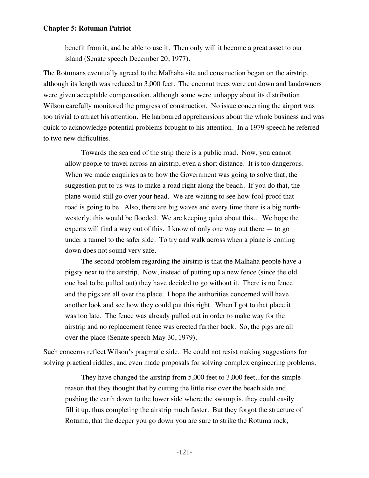benefit from it, and be able to use it. Then only will it become a great asset to our island (Senate speech December 20, 1977).

The Rotumans eventually agreed to the Malhaha site and construction began on the airstrip, although its length was reduced to 3,000 feet. The coconut trees were cut down and landowners were given acceptable compensation, although some were unhappy about its distribution. Wilson carefully monitored the progress of construction. No issue concerning the airport was too trivial to attract his attention. He harboured apprehensions about the whole business and was quick to acknowledge potential problems brought to his attention. In a 1979 speech he referred to two new difficulties.

Towards the sea end of the strip there is a public road. Now, you cannot allow people to travel across an airstrip, even a short distance. It is too dangerous. When we made enquiries as to how the Government was going to solve that, the suggestion put to us was to make a road right along the beach. If you do that, the plane would still go over your head. We are waiting to see how fool-proof that road is going to be. Also, there are big waves and every time there is a big northwesterly, this would be flooded. We are keeping quiet about this... We hope the experts will find a way out of this. I know of only one way out there — to go under a tunnel to the safer side. To try and walk across when a plane is coming down does not sound very safe.

The second problem regarding the airstrip is that the Malhaha people have a pigsty next to the airstrip. Now, instead of putting up a new fence (since the old one had to be pulled out) they have decided to go without it. There is no fence and the pigs are all over the place. I hope the authorities concerned will have another look and see how they could put this right. When I got to that place it was too late. The fence was already pulled out in order to make way for the airstrip and no replacement fence was erected further back. So, the pigs are all over the place (Senate speech May 30, 1979).

Such concerns reflect Wilson's pragmatic side. He could not resist making suggestions for solving practical riddles, and even made proposals for solving complex engineering problems.

They have changed the airstrip from 5,000 feet to 3,000 feet...for the simple reason that they thought that by cutting the little rise over the beach side and pushing the earth down to the lower side where the swamp is, they could easily fill it up, thus completing the airstrip much faster. But they forgot the structure of Rotuma, that the deeper you go down you are sure to strike the Rotuma rock,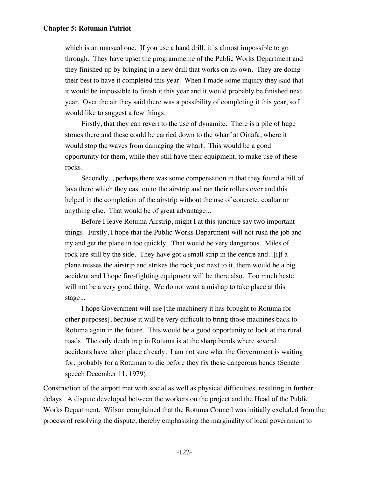which is an unusual one. If you use a hand drill, it is almost impossible to go through. They have upset the programmeme of the Public Works Department and they finished up by bringing in a new drill that works on its own. They are doing their best to have it completed this year. When I made some inquiry they said that it would be impossible to finish it this year and it would probably be finished next year. Over the air they said there was a possibility of completing it this year, so I would like to suggest a few things.

Firstly, that they can revert to the use of dynamite. There is a pile of huge stones there and these could be carried down to the wharf at Oinafa, where it would stop the waves from damaging the wharf. This would be a good opportunity for them, while they still have their equipment, to make use of these rocks.

Secondly.., perhaps there was some compensation in that they found a hill of lava there which they cast on to the airstrip and ran their rollers over and this helped in the completion of the airstrip without the use of concrete, coaltar or anything else. That would be of great advantage...

Before I leave Rotuma Airstrip, might I at this juncture say two important things. Firstly, I hope that the Public Works Department will not rush the job and try and get the plane in too quickly. That would be very dangerous. Miles of rock are still by the side. They have got a small strip in the centre and...[i]f a plane misses the airstrip and strikes the rock just next to it, there would be a big accident and I hope fire-fighting equipment will be there also. Too much haste will not be a very good thing. We do not want a mishap to take place at this stage...

I hope Government will use [the machinery it has brought to Rotuma for other purposes], because it will be very difficult to bring those machines back to Rotuma again in the future. This would be a good opportunity to look at the rural roads. The only death trap in Rotuma is at the sharp bends where several accidents have taken place already. I am not sure what the Government is waiting for, probably for a Rotuman to die before they fix these dangerous bends (Senate speech December 11, 1979).

Construction of the airport met with social as well as physical difficulties, resulting in further delays. A dispute developed between the workers on the project and the Head of the Public Works Department. Wilson complained that the Rotuma Council was initially excluded from the process of resolving the dispute, thereby emphasizing the marginality of local government to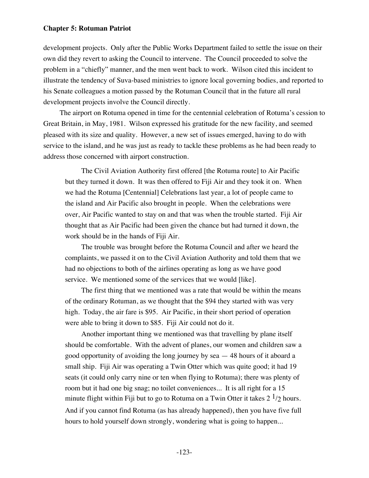development projects. Only after the Public Works Department failed to settle the issue on their own did they revert to asking the Council to intervene. The Council proceeded to solve the problem in a "chiefly" manner, and the men went back to work. Wilson cited this incident to illustrate the tendency of Suva-based ministries to ignore local governing bodies, and reported to his Senate colleagues a motion passed by the Rotuman Council that in the future all rural development projects involve the Council directly.

The airport on Rotuma opened in time for the centennial celebration of Rotuma's cession to Great Britain, in May, 1981. Wilson expressed his gratitude for the new facility, and seemed pleased with its size and quality. However, a new set of issues emerged, having to do with service to the island, and he was just as ready to tackle these problems as he had been ready to address those concerned with airport construction.

The Civil Aviation Authority first offered [the Rotuma route] to Air Pacific but they turned it down. It was then offered to Fiji Air and they took it on. When we had the Rotuma [Centennial] Celebrations last year, a lot of people came to the island and Air Pacific also brought in people. When the celebrations were over, Air Pacific wanted to stay on and that was when the trouble started. Fiji Air thought that as Air Pacific had been given the chance but had turned it down, the work should be in the hands of Fiji Air.

The trouble was brought before the Rotuma Council and after we heard the complaints, we passed it on to the Civil Aviation Authority and told them that we had no objections to both of the airlines operating as long as we have good service. We mentioned some of the services that we would [like].

The first thing that we mentioned was a rate that would be within the means of the ordinary Rotuman, as we thought that the \$94 they started with was very high. Today, the air fare is \$95. Air Pacific, in their short period of operation were able to bring it down to \$85. Fiji Air could not do it.

Another important thing we mentioned was that travelling by plane itself should be comfortable. With the advent of planes, our women and children saw a good opportunity of avoiding the long journey by sea — 48 hours of it aboard a small ship. Fiji Air was operating a Twin Otter which was quite good; it had 19 seats (it could only carry nine or ten when flying to Rotuma); there was plenty of room but it had one big snag; no toilet conveniences... It is all right for a 15 minute flight within Fiji but to go to Rotuma on a Twin Otter it takes  $2^{1/2}$  hours. And if you cannot find Rotuma (as has already happened), then you have five full hours to hold yourself down strongly, wondering what is going to happen...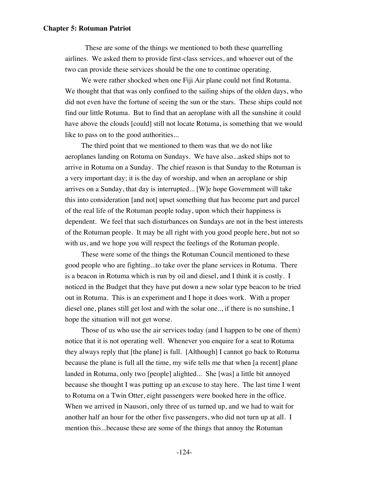These are some of the things we mentioned to both these quarrelling airlines. We asked them to provide first-class services, and whoever out of the two can provide these services should be the one to continue operating.

We were rather shocked when one Fiji Air plane could not find Rotuma. We thought that that was only confined to the sailing ships of the olden days, who did not even have the fortune of seeing the sun or the stars. These ships could not find our little Rotuma. But to find that an aeroplane with all the sunshine it could have above the clouds [could] still not locate Rotuma, is something that we would like to pass on to the good authorities...

The third point that we mentioned to them was that we do not like aeroplanes landing on Rotuma on Sundays. We have also...asked ships not to arrive in Rotuma on a Sunday. The chief reason is that Sunday to the Rotuman is a very important day; it is the day of worship, and when an aeroplane or ship arrives on a Sunday, that day is interrupted... [W]e hope Government will take this into consideration [and not] upset something that has become part and parcel of the real life of the Rotuman people today, upon which their happiness is dependent. We feel that such disturbances on Sundays are not in the best interests of the Rotuman people. It may be all right with you good people here, but not so with us, and we hope you will respect the feelings of the Rotuman people.

These were some of the things the Rotuman Council mentioned to these good people who are fighting...to take over the plane services in Rotuma. There is a beacon in Rotuma which is run by oil and diesel, and I think it is costly. I noticed in the Budget that they have put down a new solar type beacon to be tried out in Rotuma. This is an experiment and I hope it does work. With a proper diesel one, planes still get lost and with the solar one.., if there is no sunshine, I hope the situation will not get worse.

Those of us who use the air services today (and I happen to be one of them) notice that it is not operating well. Whenever you enquire for a seat to Rotuma they always reply that [the plane] is full. [Although] I cannot go back to Rotuma because the plane is full all the time, my wife tells me that when [a recent] plane landed in Rotuma, only two [people] alighted... She [was] a little bit annoyed because she thought I was putting up an excuse to stay here. The last time I went to Rotuma on a Twin Otter, eight passengers were booked here in the office. When we arrived in Nausori, only three of us turned up, and we had to wait for another half an hour for the other five passengers, who did not turn up at all. I mention this...because these are some of the things that annoy the Rotuman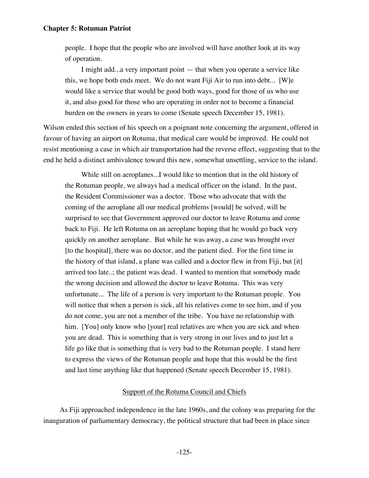people. I hope that the people who are involved will have another look at its way of operation.

I might add...a very important point — that when you operate a service like this, we hope both ends meet. We do not want Fiji Air to run into debt... [W]e would like a service that would be good both ways, good for those of us who use it, and also good for those who are operating in order not to become a financial burden on the owners in years to come (Senate speech December 15, 1981).

Wilson ended this section of his speech on a poignant note concerning the argument, offered in favour of having an airport on Rotuma, that medical care would be improved. He could not resist mentioning a case in which air transportation had the reverse effect, suggesting that to the end he held a distinct ambivalence toward this new, somewhat unsettling, service to the island.

While still on aeroplanes...I would like to mention that in the old history of the Rotuman people, we always had a medical officer on the island. In the past, the Resident Commissioner was a doctor. Those who advocate that with the coming of the aeroplane all our medical problems [would] be solved, will be surprised to see that Government approved our doctor to leave Rotuma and come back to Fiji. He left Rotuma on an aeroplane hoping that he would go back very quickly on another aeroplane. But while he was away, a case was brought over [to the hospital], there was no doctor, and the patient died. For the first time in the history of that island, a plane was called and a doctor flew in from Fiji, but [it] arrived too late..; the patient was dead. I wanted to mention that somebody made the wrong decision and allowed the doctor to leave Rotuma. This was very unfortunate... The life of a person is very important to the Rotuman people. You will notice that when a person is sick, all his relatives come to see him, and if you do not come, you are not a member of the tribe. You have no relationship with him. [You] only know who [your] real relatives are when you are sick and when you are dead. This is something that is very strong in our lives and to just let a life go like that is something that is very bad to the Rotuman people. I stand here to express the views of the Rotuman people and hope that this would be the first and last time anything like that happened (Senate speech December 15, 1981).

# Support of the Rotuma Council and Chiefs

As Fiji approached independence in the late 1960s, and the colony was preparing for the inauguration of parliamentary democracy, the political structure that had been in place since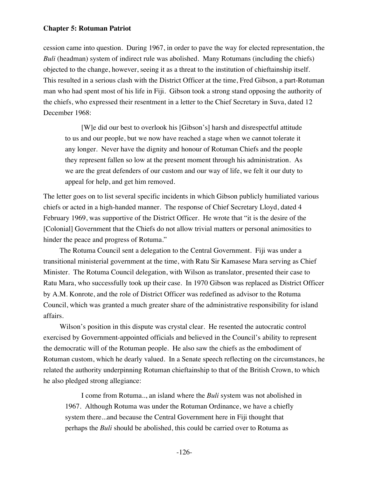cession came into question. During 1967, in order to pave the way for elected representation, the *Buli* (headman) system of indirect rule was abolished. Many Rotumans (including the chiefs) objected to the change, however, seeing it as a threat to the institution of chieftainship itself. This resulted in a serious clash with the District Officer at the time, Fred Gibson, a part-Rotuman man who had spent most of his life in Fiji. Gibson took a strong stand opposing the authority of the chiefs, who expressed their resentment in a letter to the Chief Secretary in Suva, dated 12 December 1968:

[W]e did our best to overlook his [Gibson's] harsh and disrespectful attitude to us and our people, but we now have reached a stage when we cannot tolerate it any longer. Never have the dignity and honour of Rotuman Chiefs and the people they represent fallen so low at the present moment through his administration. As we are the great defenders of our custom and our way of life, we felt it our duty to appeal for help, and get him removed.

The letter goes on to list several specific incidents in which Gibson publicly humiliated various chiefs or acted in a high-handed manner. The response of Chief Secretary Lloyd, dated 4 February 1969, was supportive of the District Officer. He wrote that "it is the desire of the [Colonial] Government that the Chiefs do not allow trivial matters or personal animosities to hinder the peace and progress of Rotuma."

The Rotuma Council sent a delegation to the Central Government. Fiji was under a transitional ministerial government at the time, with Ratu Sir Kamasese Mara serving as Chief Minister. The Rotuma Council delegation, with Wilson as translator, presented their case to Ratu Mara, who successfully took up their case. In 1970 Gibson was replaced as District Officer by A.M. Konrote, and the role of District Officer was redefined as advisor to the Rotuma Council, which was granted a much greater share of the administrative responsibility for island affairs.

Wilson's position in this dispute was crystal clear. He resented the autocratic control exercised by Government-appointed officials and believed in the Council's ability to represent the democratic will of the Rotuman people. He also saw the chiefs as the embodiment of Rotuman custom, which he dearly valued. In a Senate speech reflecting on the circumstances, he related the authority underpinning Rotuman chieftainship to that of the British Crown, to which he also pledged strong allegiance:

I come from Rotuma.., an island where the *Buli* system was not abolished in 1967. Although Rotuma was under the Rotuman Ordinance, we have a chiefly system there...and because the Central Government here in Fiji thought that perhaps the *Buli* should be abolished, this could be carried over to Rotuma as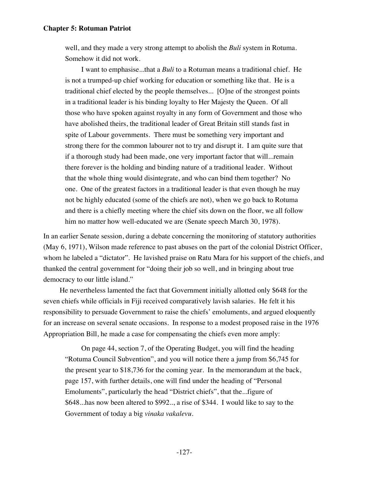well, and they made a very strong attempt to abolish the *Buli* system in Rotuma. Somehow it did not work.

I want to emphasise...that a *Buli* to a Rotuman means a traditional chief. He is not a trumped-up chief working for education or something like that. He is a traditional chief elected by the people themselves... [O]ne of the strongest points in a traditional leader is his binding loyalty to Her Majesty the Queen. Of all those who have spoken against royalty in any form of Government and those who have abolished theirs, the traditional leader of Great Britain still stands fast in spite of Labour governments. There must be something very important and strong there for the common labourer not to try and disrupt it. I am quite sure that if a thorough study had been made, one very important factor that will...remain there forever is the holding and binding nature of a traditional leader. Without that the whole thing would disintegrate, and who can bind them together? No one. One of the greatest factors in a traditional leader is that even though he may not be highly educated (some of the chiefs are not), when we go back to Rotuma and there is a chiefly meeting where the chief sits down on the floor, we all follow him no matter how well-educated we are (Senate speech March 30, 1978).

In an earlier Senate session, during a debate concerning the monitoring of statutory authorities (May 6, 1971), Wilson made reference to past abuses on the part of the colonial District Officer, whom he labeled a "dictator". He lavished praise on Ratu Mara for his support of the chiefs, and thanked the central government for "doing their job so well, and in bringing about true democracy to our little island."

He nevertheless lamented the fact that Government initially allotted only \$648 for the seven chiefs while officials in Fiji received comparatively lavish salaries. He felt it his responsibility to persuade Government to raise the chiefs' emoluments, and argued eloquently for an increase on several senate occasions. In response to a modest proposed raise in the 1976 Appropriation Bill, he made a case for compensating the chiefs even more amply:

On page 44, section 7, of the Operating Budget, you will find the heading "Rotuma Council Subvention", and you will notice there a jump from \$6,745 for the present year to \$18,736 for the coming year. In the memorandum at the back, page 157, with further details, one will find under the heading of "Personal Emoluments", particularly the head "District chiefs", that the...figure of \$648...has now been altered to \$992.., a rise of \$344. I would like to say to the Government of today a big *vinaka vakalevu*.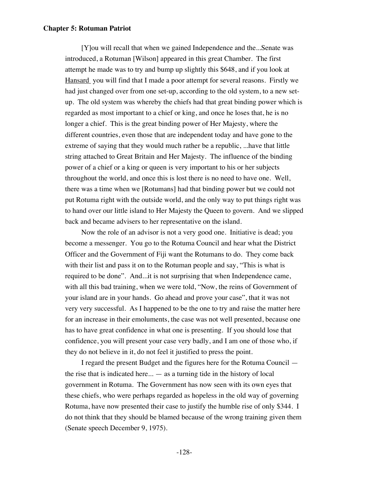[Y]ou will recall that when we gained Independence and the...Senate was introduced, a Rotuman [Wilson] appeared in this great Chamber. The first attempt he made was to try and bump up slightly this \$648, and if you look at Hansard you will find that I made a poor attempt for several reasons. Firstly we had just changed over from one set-up, according to the old system, to a new setup. The old system was whereby the chiefs had that great binding power which is regarded as most important to a chief or king, and once he loses that, he is no longer a chief. This is the great binding power of Her Majesty, where the different countries, even those that are independent today and have gone to the extreme of saying that they would much rather be a republic, ...have that little string attached to Great Britain and Her Majesty. The influence of the binding power of a chief or a king or queen is very important to his or her subjects throughout the world, and once this is lost there is no need to have one. Well, there was a time when we [Rotumans] had that binding power but we could not put Rotuma right with the outside world, and the only way to put things right was to hand over our little island to Her Majesty the Queen to govern. And we slipped back and became advisers to her representative on the island.

Now the role of an advisor is not a very good one. Initiative is dead; you become a messenger. You go to the Rotuma Council and hear what the District Officer and the Government of Fiji want the Rotumans to do. They come back with their list and pass it on to the Rotuman people and say, "This is what is required to be done". And...it is not surprising that when Independence came, with all this bad training, when we were told, "Now, the reins of Government of your island are in your hands. Go ahead and prove your case", that it was not very very successful. As I happened to be the one to try and raise the matter here for an increase in their emoluments, the case was not well presented, because one has to have great confidence in what one is presenting. If you should lose that confidence, you will present your case very badly, and I am one of those who, if they do not believe in it, do not feel it justified to press the point.

I regard the present Budget and the figures here for the Rotuma Council the rise that is indicated here... — as a turning tide in the history of local government in Rotuma. The Government has now seen with its own eyes that these chiefs, who were perhaps regarded as hopeless in the old way of governing Rotuma, have now presented their case to justify the humble rise of only \$344. I do not think that they should be blamed because of the wrong training given them (Senate speech December 9, 1975).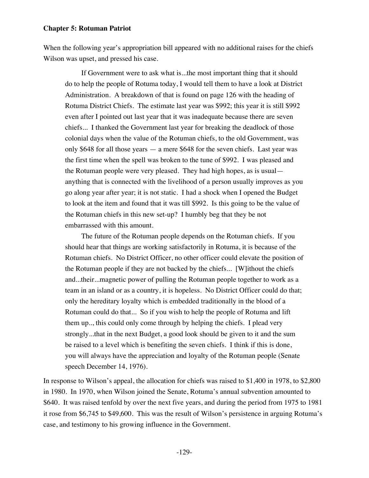When the following year's appropriation bill appeared with no additional raises for the chiefs Wilson was upset, and pressed his case.

If Government were to ask what is...the most important thing that it should do to help the people of Rotuma today, I would tell them to have a look at District Administration. A breakdown of that is found on page 126 with the heading of Rotuma District Chiefs. The estimate last year was \$992; this year it is still \$992 even after I pointed out last year that it was inadequate because there are seven chiefs... I thanked the Government last year for breaking the deadlock of those colonial days when the value of the Rotuman chiefs, to the old Government, was only \$648 for all those years — a mere \$648 for the seven chiefs. Last year was the first time when the spell was broken to the tune of \$992. I was pleased and the Rotuman people were very pleased. They had high hopes, as is usual anything that is connected with the livelihood of a person usually improves as you go along year after year; it is not static. I had a shock when I opened the Budget to look at the item and found that it was till \$992. Is this going to be the value of the Rotuman chiefs in this new set-up? I humbly beg that they be not embarrassed with this amount.

The future of the Rotuman people depends on the Rotuman chiefs. If you should hear that things are working satisfactorily in Rotuma, it is because of the Rotuman chiefs. No District Officer, no other officer could elevate the position of the Rotuman people if they are not backed by the chiefs... [W]ithout the chiefs and...their...magnetic power of pulling the Rotuman people together to work as a team in an island or as a country, it is hopeless. No District Officer could do that; only the hereditary loyalty which is embedded traditionally in the blood of a Rotuman could do that... So if you wish to help the people of Rotuma and lift them up.., this could only come through by helping the chiefs. I plead very strongly...that in the next Budget, a good look should be given to it and the sum be raised to a level which is benefiting the seven chiefs. I think if this is done, you will always have the appreciation and loyalty of the Rotuman people (Senate speech December 14, 1976).

In response to Wilson's appeal, the allocation for chiefs was raised to \$1,400 in 1978, to \$2,800 in 1980. In 1970, when Wilson joined the Senate, Rotuma's annual subvention amounted to \$640. It was raised tenfold by over the next five years, and during the period from 1975 to 1981 it rose from \$6,745 to \$49,600. This was the result of Wilson's persistence in arguing Rotuma's case, and testimony to his growing influence in the Government.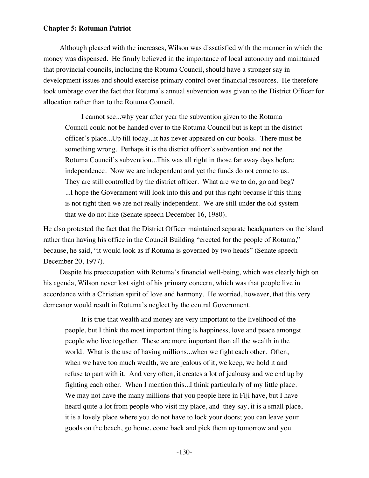Although pleased with the increases, Wilson was dissatisfied with the manner in which the money was dispensed. He firmly believed in the importance of local autonomy and maintained that provincial councils, including the Rotuma Council, should have a stronger say in development issues and should exercise primary control over financial resources. He therefore took umbrage over the fact that Rotuma's annual subvention was given to the District Officer for allocation rather than to the Rotuma Council.

I cannot see...why year after year the subvention given to the Rotuma Council could not be handed over to the Rotuma Council but is kept in the district officer's place...Up till today...it has never appeared on our books. There must be something wrong. Perhaps it is the district officer's subvention and not the Rotuma Council's subvention...This was all right in those far away days before independence. Now we are independent and yet the funds do not come to us. They are still controlled by the district officer. What are we to do, go and beg? ...I hope the Government will look into this and put this right because if this thing is not right then we are not really independent. We are still under the old system that we do not like (Senate speech December 16, 1980).

He also protested the fact that the District Officer maintained separate headquarters on the island rather than having his office in the Council Building "erected for the people of Rotuma," because, he said, "it would look as if Rotuma is governed by two heads" (Senate speech December 20, 1977).

Despite his preoccupation with Rotuma's financial well-being, which was clearly high on his agenda, Wilson never lost sight of his primary concern, which was that people live in accordance with a Christian spirit of love and harmony. He worried, however, that this very demeanor would result in Rotuma's neglect by the central Government.

It is true that wealth and money are very important to the livelihood of the people, but I think the most important thing is happiness, love and peace amongst people who live together. These are more important than all the wealth in the world. What is the use of having millions...when we fight each other. Often, when we have too much wealth, we are jealous of it, we keep, we hold it and refuse to part with it. And very often, it creates a lot of jealousy and we end up by fighting each other. When I mention this...I think particularly of my little place. We may not have the many millions that you people here in Fiji have, but I have heard quite a lot from people who visit my place, and they say, it is a small place, it is a lovely place where you do not have to lock your doors; you can leave your goods on the beach, go home, come back and pick them up tomorrow and you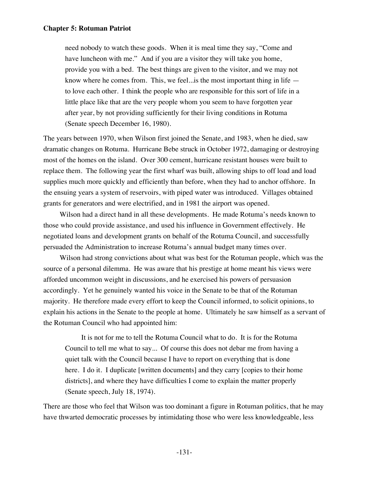need nobody to watch these goods. When it is meal time they say, "Come and have luncheon with me." And if you are a visitor they will take you home, provide you with a bed. The best things are given to the visitor, and we may not know where he comes from. This, we feel...is the most important thing in life to love each other. I think the people who are responsible for this sort of life in a little place like that are the very people whom you seem to have forgotten year after year, by not providing sufficiently for their living conditions in Rotuma (Senate speech December 16, 1980).

The years between 1970, when Wilson first joined the Senate, and 1983, when he died, saw dramatic changes on Rotuma. Hurricane Bebe struck in October 1972, damaging or destroying most of the homes on the island. Over 300 cement, hurricane resistant houses were built to replace them. The following year the first wharf was built, allowing ships to off load and load supplies much more quickly and efficiently than before, when they had to anchor offshore. In the ensuing years a system of reservoirs, with piped water was introduced. Villages obtained grants for generators and were electrified, and in 1981 the airport was opened.

Wilson had a direct hand in all these developments. He made Rotuma's needs known to those who could provide assistance, and used his influence in Government effectively. He negotiated loans and development grants on behalf of the Rotuma Council, and successfully persuaded the Administration to increase Rotuma's annual budget many times over.

Wilson had strong convictions about what was best for the Rotuman people, which was the source of a personal dilemma. He was aware that his prestige at home meant his views were afforded uncommon weight in discussions, and he exercised his powers of persuasion accordingly. Yet he genuinely wanted his voice in the Senate to be that of the Rotuman majority. He therefore made every effort to keep the Council informed, to solicit opinions, to explain his actions in the Senate to the people at home. Ultimately he saw himself as a servant of the Rotuman Council who had appointed him:

It is not for me to tell the Rotuma Council what to do. It is for the Rotuma Council to tell me what to say... Of course this does not debar me from having a quiet talk with the Council because I have to report on everything that is done here. I do it. I duplicate [written documents] and they carry [copies to their home districts], and where they have difficulties I come to explain the matter properly (Senate speech, July 18, 1974).

There are those who feel that Wilson was too dominant a figure in Rotuman politics, that he may have thwarted democratic processes by intimidating those who were less knowledgeable, less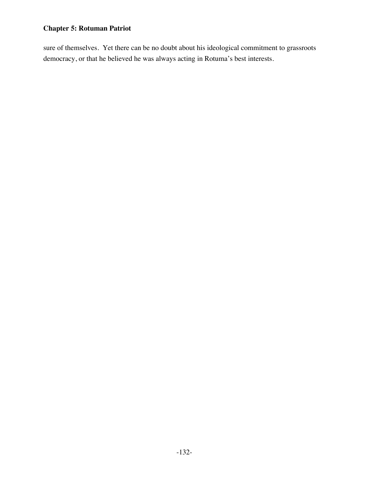sure of themselves. Yet there can be no doubt about his ideological commitment to grassroots democracy, or that he believed he was always acting in Rotuma's best interests.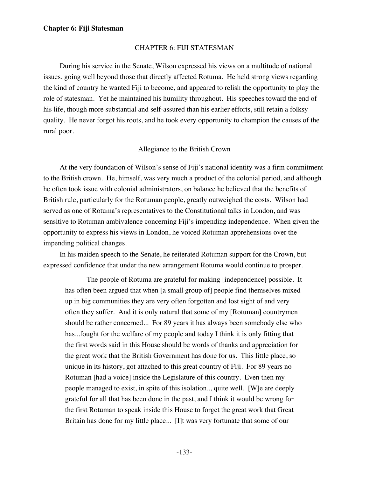#### CHAPTER 6: FIJI STATESMAN

During his service in the Senate, Wilson expressed his views on a multitude of national issues, going well beyond those that directly affected Rotuma. He held strong views regarding the kind of country he wanted Fiji to become, and appeared to relish the opportunity to play the role of statesman. Yet he maintained his humility throughout. His speeches toward the end of his life, though more substantial and self-assured than his earlier efforts, still retain a folksy quality. He never forgot his roots, and he took every opportunity to champion the causes of the rural poor.

# Allegiance to the British Crown

At the very foundation of Wilson's sense of Fiji's national identity was a firm commitment to the British crown. He, himself, was very much a product of the colonial period, and although he often took issue with colonial administrators, on balance he believed that the benefits of British rule, particularly for the Rotuman people, greatly outweighed the costs. Wilson had served as one of Rotuma's representatives to the Constitutional talks in London, and was sensitive to Rotuman ambivalence concerning Fiji's impending independence. When given the opportunity to express his views in London, he voiced Rotuman apprehensions over the impending political changes.

In his maiden speech to the Senate, he reiterated Rotuman support for the Crown, but expressed confidence that under the new arrangement Rotuma would continue to prosper.

The people of Rotuma are grateful for making [independence] possible. It has often been argued that when [a small group of] people find themselves mixed up in big communities they are very often forgotten and lost sight of and very often they suffer. And it is only natural that some of my [Rotuman] countrymen should be rather concerned... For 89 years it has always been somebody else who has...fought for the welfare of my people and today I think it is only fitting that the first words said in this House should be words of thanks and appreciation for the great work that the British Government has done for us. This little place, so unique in its history, got attached to this great country of Fiji. For 89 years no Rotuman [had a voice] inside the Legislature of this country. Even then my people managed to exist, in spite of this isolation.., quite well. [W]e are deeply grateful for all that has been done in the past, and I think it would be wrong for the first Rotuman to speak inside this House to forget the great work that Great Britain has done for my little place... [I]t was very fortunate that some of our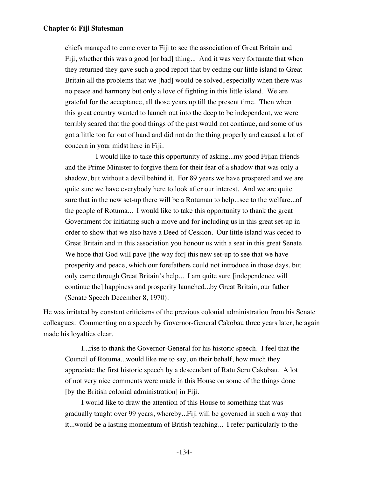chiefs managed to come over to Fiji to see the association of Great Britain and Fiji, whether this was a good [or bad] thing... And it was very fortunate that when they returned they gave such a good report that by ceding our little island to Great Britain all the problems that we [had] would be solved, especially when there was no peace and harmony but only a love of fighting in this little island. We are grateful for the acceptance, all those years up till the present time. Then when this great country wanted to launch out into the deep to be independent, we were terribly scared that the good things of the past would not continue, and some of us got a little too far out of hand and did not do the thing properly and caused a lot of concern in your midst here in Fiji.

 I would like to take this opportunity of asking...my good Fijian friends and the Prime Minister to forgive them for their fear of a shadow that was only a shadow, but without a devil behind it. For 89 years we have prospered and we are quite sure we have everybody here to look after our interest. And we are quite sure that in the new set-up there will be a Rotuman to help...see to the welfare...of the people of Rotuma... I would like to take this opportunity to thank the great Government for initiating such a move and for including us in this great set-up in order to show that we also have a Deed of Cession. Our little island was ceded to Great Britain and in this association you honour us with a seat in this great Senate. We hope that God will pave [the way for] this new set-up to see that we have prosperity and peace, which our forefathers could not introduce in those days, but only came through Great Britain's help... I am quite sure [independence will continue the] happiness and prosperity launched...by Great Britain, our father (Senate Speech December 8, 1970).

He was irritated by constant criticisms of the previous colonial administration from his Senate colleagues. Commenting on a speech by Governor-General Cakobau three years later, he again made his loyalties clear.

I...rise to thank the Governor-General for his historic speech. I feel that the Council of Rotuma...would like me to say, on their behalf, how much they appreciate the first historic speech by a descendant of Ratu Seru Cakobau. A lot of not very nice comments were made in this House on some of the things done [by the British colonial administration] in Fiji.

I would like to draw the attention of this House to something that was gradually taught over 99 years, whereby...Fiji will be governed in such a way that it...would be a lasting momentum of British teaching... I refer particularly to the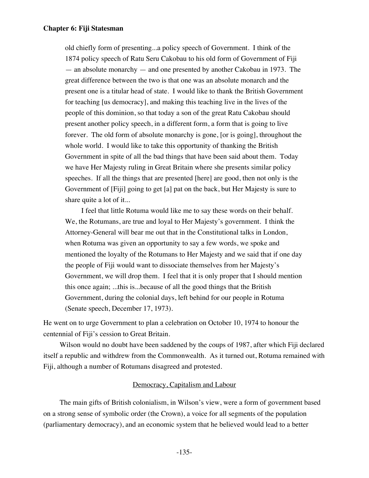old chiefly form of presenting...a policy speech of Government. I think of the 1874 policy speech of Ratu Seru Cakobau to his old form of Government of Fiji — an absolute monarchy — and one presented by another Cakobau in 1973. The great difference between the two is that one was an absolute monarch and the present one is a titular head of state. I would like to thank the British Government for teaching [us democracy], and making this teaching live in the lives of the people of this dominion, so that today a son of the great Ratu Cakobau should present another policy speech, in a different form, a form that is going to live forever. The old form of absolute monarchy is gone, [or is going], throughout the whole world. I would like to take this opportunity of thanking the British Government in spite of all the bad things that have been said about them. Today we have Her Majesty ruling in Great Britain where she presents similar policy speeches. If all the things that are presented [here] are good, then not only is the Government of [Fiji] going to get [a] pat on the back, but Her Majesty is sure to share quite a lot of it...

I feel that little Rotuma would like me to say these words on their behalf. We, the Rotumans, are true and loyal to Her Majesty's government. I think the Attorney-General will bear me out that in the Constitutional talks in London, when Rotuma was given an opportunity to say a few words, we spoke and mentioned the loyalty of the Rotumans to Her Majesty and we said that if one day the people of Fiji would want to dissociate themselves from her Majesty's Government, we will drop them. I feel that it is only proper that I should mention this once again; ...this is...because of all the good things that the British Government, during the colonial days, left behind for our people in Rotuma (Senate speech, December 17, 1973).

He went on to urge Government to plan a celebration on October 10, 1974 to honour the centennial of Fiji's cession to Great Britain.

Wilson would no doubt have been saddened by the coups of 1987, after which Fiji declared itself a republic and withdrew from the Commonwealth. As it turned out, Rotuma remained with Fiji, although a number of Rotumans disagreed and protested.

# Democracy, Capitalism and Labour

The main gifts of British colonialism, in Wilson's view, were a form of government based on a strong sense of symbolic order (the Crown), a voice for all segments of the population (parliamentary democracy), and an economic system that he believed would lead to a better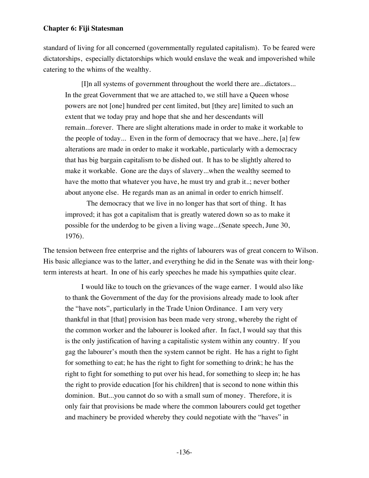standard of living for all concerned (governmentally regulated capitalism). To be feared were dictatorships, especially dictatorships which would enslave the weak and impoverished while catering to the whims of the wealthy.

[I]n all systems of government throughout the world there are...dictators... In the great Government that we are attached to, we still have a Queen whose powers are not [one] hundred per cent limited, but [they are] limited to such an extent that we today pray and hope that she and her descendants will remain...forever. There are slight alterations made in order to make it workable to the people of today... Even in the form of democracy that we have...here, [a] few alterations are made in order to make it workable, particularly with a democracy that has big bargain capitalism to be dished out. It has to be slightly altered to make it workable. Gone are the days of slavery...when the wealthy seemed to have the motto that whatever you have, he must try and grab it..; never bother about anyone else. He regards man as an animal in order to enrich himself.

 The democracy that we live in no longer has that sort of thing. It has improved; it has got a capitalism that is greatly watered down so as to make it possible for the underdog to be given a living wage...(Senate speech, June 30, 1976).

The tension between free enterprise and the rights of labourers was of great concern to Wilson. His basic allegiance was to the latter, and everything he did in the Senate was with their longterm interests at heart. In one of his early speeches he made his sympathies quite clear.

I would like to touch on the grievances of the wage earner. I would also like to thank the Government of the day for the provisions already made to look after the "have nots", particularly in the Trade Union Ordinance. I am very very thankful in that [that] provision has been made very strong, whereby the right of the common worker and the labourer is looked after. In fact, I would say that this is the only justification of having a capitalistic system within any country. If you gag the labourer's mouth then the system cannot be right. He has a right to fight for something to eat; he has the right to fight for something to drink; he has the right to fight for something to put over his head, for something to sleep in; he has the right to provide education [for his children] that is second to none within this dominion. But...you cannot do so with a small sum of money. Therefore, it is only fair that provisions be made where the common labourers could get together and machinery be provided whereby they could negotiate with the "haves" in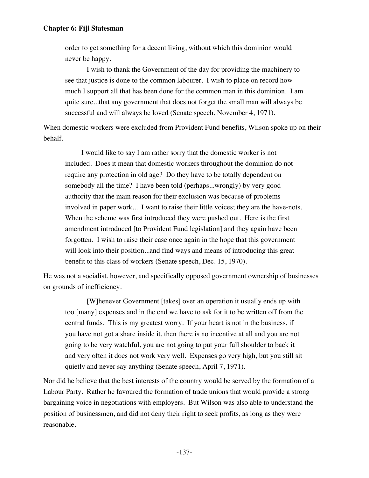order to get something for a decent living, without which this dominion would never be happy.

 I wish to thank the Government of the day for providing the machinery to see that justice is done to the common labourer. I wish to place on record how much I support all that has been done for the common man in this dominion. I am quite sure...that any government that does not forget the small man will always be successful and will always be loved (Senate speech, November 4, 1971).

When domestic workers were excluded from Provident Fund benefits, Wilson spoke up on their behalf.

I would like to say I am rather sorry that the domestic worker is not included. Does it mean that domestic workers throughout the dominion do not require any protection in old age? Do they have to be totally dependent on somebody all the time? I have been told (perhaps...wrongly) by very good authority that the main reason for their exclusion was because of problems involved in paper work... I want to raise their little voices; they are the have-nots. When the scheme was first introduced they were pushed out. Here is the first amendment introduced [to Provident Fund legislation] and they again have been forgotten. I wish to raise their case once again in the hope that this government will look into their position...and find ways and means of introducing this great benefit to this class of workers (Senate speech, Dec. 15, 1970).

He was not a socialist, however, and specifically opposed government ownership of businesses on grounds of inefficiency.

[W]henever Government [takes] over an operation it usually ends up with too [many] expenses and in the end we have to ask for it to be written off from the central funds. This is my greatest worry. If your heart is not in the business, if you have not got a share inside it, then there is no incentive at all and you are not going to be very watchful, you are not going to put your full shoulder to back it and very often it does not work very well. Expenses go very high, but you still sit quietly and never say anything (Senate speech, April 7, 1971).

Nor did he believe that the best interests of the country would be served by the formation of a Labour Party. Rather he favoured the formation of trade unions that would provide a strong bargaining voice in negotiations with employers. But Wilson was also able to understand the position of businessmen, and did not deny their right to seek profits, as long as they were reasonable.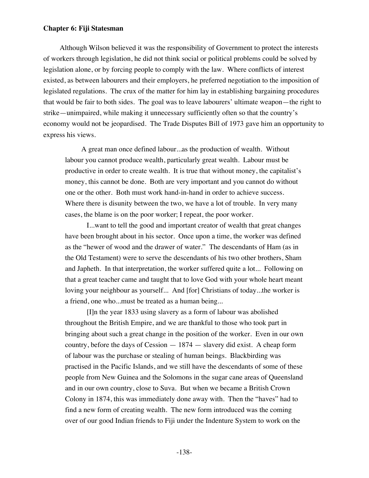Although Wilson believed it was the responsibility of Government to protect the interests of workers through legislation, he did not think social or political problems could be solved by legislation alone, or by forcing people to comply with the law. Where conflicts of interest existed, as between labourers and their employers, he preferred negotiation to the imposition of legislated regulations. The crux of the matter for him lay in establishing bargaining procedures that would be fair to both sides. The goal was to leave labourers' ultimate weapon—the right to strike—unimpaired, while making it unnecessary sufficiently often so that the country's economy would not be jeopardised. The Trade Disputes Bill of 1973 gave him an opportunity to express his views.

A great man once defined labour...as the production of wealth. Without labour you cannot produce wealth, particularly great wealth. Labour must be productive in order to create wealth. It is true that without money, the capitalist's money, this cannot be done. Both are very important and you cannot do without one or the other. Both must work hand-in-hand in order to achieve success. Where there is disunity between the two, we have a lot of trouble. In very many cases, the blame is on the poor worker; I repeat, the poor worker.

 I...want to tell the good and important creator of wealth that great changes have been brought about in his sector. Once upon a time, the worker was defined as the "hewer of wood and the drawer of water." The descendants of Ham (as in the Old Testament) were to serve the descendants of his two other brothers, Sham and Japheth. In that interpretation, the worker suffered quite a lot... Following on that a great teacher came and taught that to love God with your whole heart meant loving your neighbour as yourself... And [for] Christians of today...the worker is a friend, one who...must be treated as a human being...

 [I]n the year 1833 using slavery as a form of labour was abolished throughout the British Empire, and we are thankful to those who took part in bringing about such a great change in the position of the worker. Even in our own country, before the days of Cession — 1874 — slavery did exist. A cheap form of labour was the purchase or stealing of human beings. Blackbirding was practised in the Pacific Islands, and we still have the descendants of some of these people from New Guinea and the Solomons in the sugar cane areas of Queensland and in our own country, close to Suva. But when we became a British Crown Colony in 1874, this was immediately done away with. Then the "haves" had to find a new form of creating wealth. The new form introduced was the coming over of our good Indian friends to Fiji under the Indenture System to work on the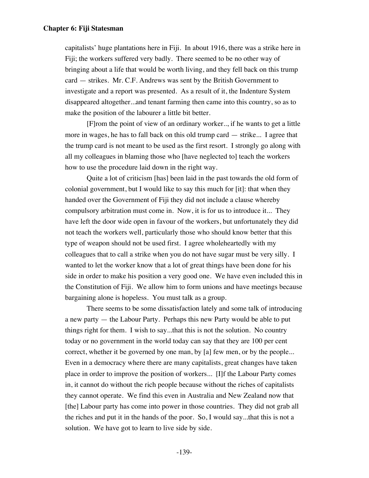capitalists' huge plantations here in Fiji. In about 1916, there was a strike here in Fiji; the workers suffered very badly. There seemed to be no other way of bringing about a life that would be worth living, and they fell back on this trump card — strikes. Mr. C.F. Andrews was sent by the British Government to investigate and a report was presented. As a result of it, the Indenture System disappeared altogether...and tenant farming then came into this country, so as to make the position of the labourer a little bit better.

 [F]rom the point of view of an ordinary worker.., if he wants to get a little more in wages, he has to fall back on this old trump card — strike... I agree that the trump card is not meant to be used as the first resort. I strongly go along with all my colleagues in blaming those who [have neglected to] teach the workers how to use the procedure laid down in the right way.

 Quite a lot of criticism [has] been laid in the past towards the old form of colonial government, but I would like to say this much for [it]: that when they handed over the Government of Fiji they did not include a clause whereby compulsory arbitration must come in. Now, it is for us to introduce it... They have left the door wide open in favour of the workers, but unfortunately they did not teach the workers well, particularly those who should know better that this type of weapon should not be used first. I agree wholeheartedly with my colleagues that to call a strike when you do not have sugar must be very silly. I wanted to let the worker know that a lot of great things have been done for his side in order to make his position a very good one. We have even included this in the Constitution of Fiji. We allow him to form unions and have meetings because bargaining alone is hopeless. You must talk as a group.

 There seems to be some dissatisfaction lately and some talk of introducing a new party — the Labour Party. Perhaps this new Party would be able to put things right for them. I wish to say...that this is not the solution. No country today or no government in the world today can say that they are 100 per cent correct, whether it be governed by one man, by [a] few men, or by the people... Even in a democracy where there are many capitalists, great changes have taken place in order to improve the position of workers... [I]f the Labour Party comes in, it cannot do without the rich people because without the riches of capitalists they cannot operate. We find this even in Australia and New Zealand now that [the] Labour party has come into power in those countries. They did not grab all the riches and put it in the hands of the poor. So, I would say...that this is not a solution. We have got to learn to live side by side.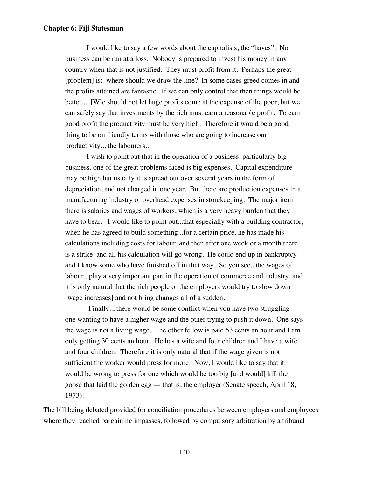I would like to say a few words about the capitalists, the "haves". No business can be run at a loss. Nobody is prepared to invest his money in any country when that is not justified. They must profit from it. Perhaps the great [problem] is: where should we draw the line? In some cases greed comes in and the profits attained are fantastic. If we can only control that then things would be better... [W]e should not let huge profits come at the expense of the poor, but we can safely say that investments by the rich must earn a reasonable profit. To earn good profit the productivity must be very high. Therefore it would be a good thing to be on friendly terms with those who are going to increase our productivity.., the labourers...

 I wish to point out that in the operation of a business, particularly big business, one of the great problems faced is big expenses. Capital expenditure may be high but usually it is spread out over several years in the form of depreciation, and not charged in one year. But there are production expenses in a manufacturing industry or overhead expenses in storekeeping. The major item there is salaries and wages of workers, which is a very heavy burden that they have to bear. I would like to point out...that especially with a building contractor, when he has agreed to build something...for a certain price, he has made his calculations including costs for labour, and then after one week or a month there is a strike, and all his calculation will go wrong. He could end up in bankruptcy and I know some who have finished off in that way. So you see...the wages of labour...play a very important part in the operation of commerce and industry, and it is only natural that the rich people or the employers would try to slow down [wage increases] and not bring changes all of a sudden.

 Finally.., there would be some conflict when you have two struggling one wanting to have a higher wage and the other trying to push it down. One says the wage is not a living wage. The other fellow is paid 53 cents an hour and I am only getting 30 cents an hour. He has a wife and four children and I have a wife and four children. Therefore it is only natural that if the wage given is not sufficient the worker would press for more. Now, I would like to say that it would be wrong to press for one which would be too big [and would] kill the goose that laid the golden egg — that is, the employer (Senate speech, April 18, 1973).

The bill being debated provided for conciliation procedures between employers and employees where they reached bargaining impasses, followed by compulsory arbitration by a tribunal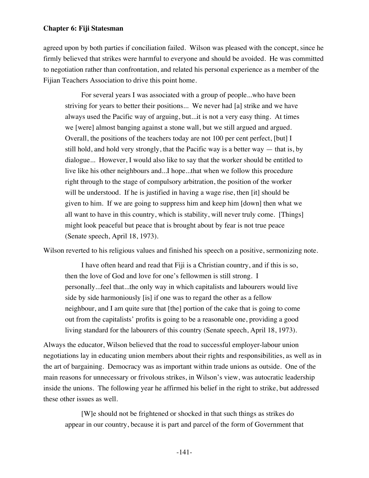agreed upon by both parties if conciliation failed. Wilson was pleased with the concept, since he firmly believed that strikes were harmful to everyone and should be avoided. He was committed to negotiation rather than confrontation, and related his personal experience as a member of the Fijian Teachers Association to drive this point home.

For several years I was associated with a group of people...who have been striving for years to better their positions... We never had [a] strike and we have always used the Pacific way of arguing, but...it is not a very easy thing. At times we [were] almost banging against a stone wall, but we still argued and argued. Overall, the positions of the teachers today are not 100 per cent perfect, [but] I still hold, and hold very strongly, that the Pacific way is a better way — that is, by dialogue... However, I would also like to say that the worker should be entitled to live like his other neighbours and...I hope...that when we follow this procedure right through to the stage of compulsory arbitration, the position of the worker will be understood. If he is justified in having a wage rise, then [it] should be given to him. If we are going to suppress him and keep him [down] then what we all want to have in this country, which is stability, will never truly come. [Things] might look peaceful but peace that is brought about by fear is not true peace (Senate speech, April 18, 1973).

Wilson reverted to his religious values and finished his speech on a positive, sermonizing note.

I have often heard and read that Fiji is a Christian country, and if this is so, then the love of God and love for one's fellowmen is still strong. I personally...feel that...the only way in which capitalists and labourers would live side by side harmoniously [is] if one was to regard the other as a fellow neighbour, and I am quite sure that [the] portion of the cake that is going to come out from the capitalists' profits is going to be a reasonable one, providing a good living standard for the labourers of this country (Senate speech, April 18, 1973).

Always the educator, Wilson believed that the road to successful employer-labour union negotiations lay in educating union members about their rights and responsibilities, as well as in the art of bargaining. Democracy was as important within trade unions as outside. One of the main reasons for unnecessary or frivolous strikes, in Wilson's view, was autocratic leadership inside the unions. The following year he affirmed his belief in the right to strike, but addressed these other issues as well.

[W]e should not be frightened or shocked in that such things as strikes do appear in our country, because it is part and parcel of the form of Government that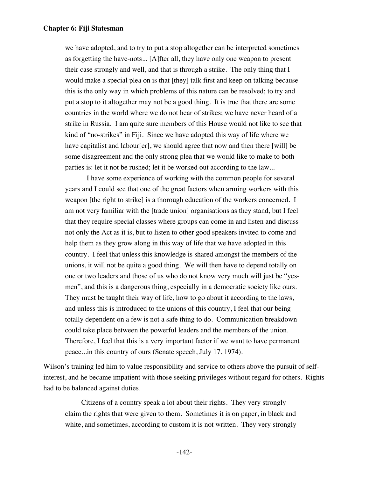we have adopted, and to try to put a stop altogether can be interpreted sometimes as forgetting the have-nots... [A]fter all, they have only one weapon to present their case strongly and well, and that is through a strike. The only thing that I would make a special plea on is that [they] talk first and keep on talking because this is the only way in which problems of this nature can be resolved; to try and put a stop to it altogether may not be a good thing. It is true that there are some countries in the world where we do not hear of strikes; we have never heard of a strike in Russia. I am quite sure members of this House would not like to see that kind of "no-strikes" in Fiji. Since we have adopted this way of life where we have capitalist and labour[er], we should agree that now and then there [will] be some disagreement and the only strong plea that we would like to make to both parties is: let it not be rushed; let it be worked out according to the law...

 I have some experience of working with the common people for several years and I could see that one of the great factors when arming workers with this weapon [the right to strike] is a thorough education of the workers concerned. I am not very familiar with the [trade union] organisations as they stand, but I feel that they require special classes where groups can come in and listen and discuss not only the Act as it is, but to listen to other good speakers invited to come and help them as they grow along in this way of life that we have adopted in this country. I feel that unless this knowledge is shared amongst the members of the unions, it will not be quite a good thing. We will then have to depend totally on one or two leaders and those of us who do not know very much will just be "yesmen", and this is a dangerous thing, especially in a democratic society like ours. They must be taught their way of life, how to go about it according to the laws, and unless this is introduced to the unions of this country, I feel that our being totally dependent on a few is not a safe thing to do. Communication breakdown could take place between the powerful leaders and the members of the union. Therefore, I feel that this is a very important factor if we want to have permanent peace...in this country of ours (Senate speech, July 17, 1974).

Wilson's training led him to value responsibility and service to others above the pursuit of selfinterest, and he became impatient with those seeking privileges without regard for others. Rights had to be balanced against duties.

Citizens of a country speak a lot about their rights. They very strongly claim the rights that were given to them. Sometimes it is on paper, in black and white, and sometimes, according to custom it is not written. They very strongly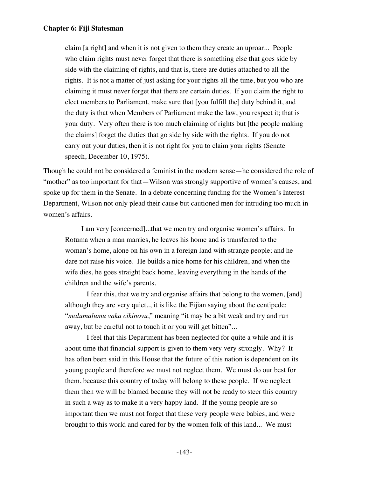claim [a right] and when it is not given to them they create an uproar... People who claim rights must never forget that there is something else that goes side by side with the claiming of rights, and that is, there are duties attached to all the rights. It is not a matter of just asking for your rights all the time, but you who are claiming it must never forget that there are certain duties. If you claim the right to elect members to Parliament, make sure that [you fulfill the] duty behind it, and the duty is that when Members of Parliament make the law, you respect it; that is your duty. Very often there is too much claiming of rights but [the people making the claims] forget the duties that go side by side with the rights. If you do not carry out your duties, then it is not right for you to claim your rights (Senate speech, December 10, 1975).

Though he could not be considered a feminist in the modern sense—he considered the role of "mother" as too important for that—Wilson was strongly supportive of women's causes, and spoke up for them in the Senate. In a debate concerning funding for the Women's Interest Department, Wilson not only plead their cause but cautioned men for intruding too much in women's affairs.

I am very [concerned]...that we men try and organise women's affairs. In Rotuma when a man marries, he leaves his home and is transferred to the woman's home, alone on his own in a foreign land with strange people; and he dare not raise his voice. He builds a nice home for his children, and when the wife dies, he goes straight back home, leaving everything in the hands of the children and the wife's parents.

 I fear this, that we try and organise affairs that belong to the women, [and] although they are very quiet.., it is like the Fijian saying about the centipede: "*malumalumu vaka cikinovu*," meaning "it may be a bit weak and try and run away, but be careful not to touch it or you will get bitten"...

 I feel that this Department has been neglected for quite a while and it is about time that financial support is given to them very very strongly. Why? It has often been said in this House that the future of this nation is dependent on its young people and therefore we must not neglect them. We must do our best for them, because this country of today will belong to these people. If we neglect them then we will be blamed because they will not be ready to steer this country in such a way as to make it a very happy land. If the young people are so important then we must not forget that these very people were babies, and were brought to this world and cared for by the women folk of this land... We must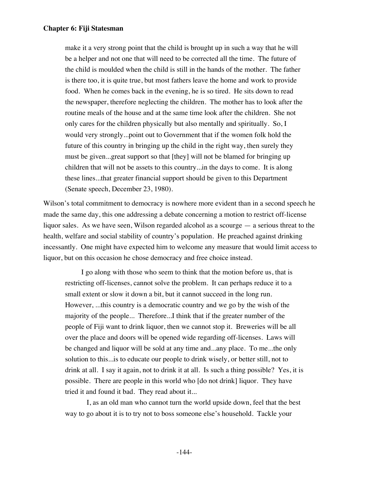make it a very strong point that the child is brought up in such a way that he will be a helper and not one that will need to be corrected all the time. The future of the child is moulded when the child is still in the hands of the mother. The father is there too, it is quite true, but most fathers leave the home and work to provide food. When he comes back in the evening, he is so tired. He sits down to read the newspaper, therefore neglecting the children. The mother has to look after the routine meals of the house and at the same time look after the children. She not only cares for the children physically but also mentally and spiritually. So, I would very strongly...point out to Government that if the women folk hold the future of this country in bringing up the child in the right way, then surely they must be given...great support so that [they] will not be blamed for bringing up children that will not be assets to this country...in the days to come. It is along these lines...that greater financial support should be given to this Department (Senate speech, December 23, 1980).

Wilson's total commitment to democracy is nowhere more evident than in a second speech he made the same day, this one addressing a debate concerning a motion to restrict off-license liquor sales. As we have seen, Wilson regarded alcohol as a scourge — a serious threat to the health, welfare and social stability of country's population. He preached against drinking incessantly. One might have expected him to welcome any measure that would limit access to liquor, but on this occasion he chose democracy and free choice instead.

I go along with those who seem to think that the motion before us, that is restricting off-licenses, cannot solve the problem. It can perhaps reduce it to a small extent or slow it down a bit, but it cannot succeed in the long run. However, ...this country is a democratic country and we go by the wish of the majority of the people... Therefore...I think that if the greater number of the people of Fiji want to drink liquor, then we cannot stop it. Breweries will be all over the place and doors will be opened wide regarding off-licenses. Laws will be changed and liquor will be sold at any time and...any place. To me...the only solution to this...is to educate our people to drink wisely, or better still, not to drink at all. I say it again, not to drink it at all. Is such a thing possible? Yes, it is possible. There are people in this world who [do not drink] liquor. They have tried it and found it bad. They read about it...

 I, as an old man who cannot turn the world upside down, feel that the best way to go about it is to try not to boss someone else's household. Tackle your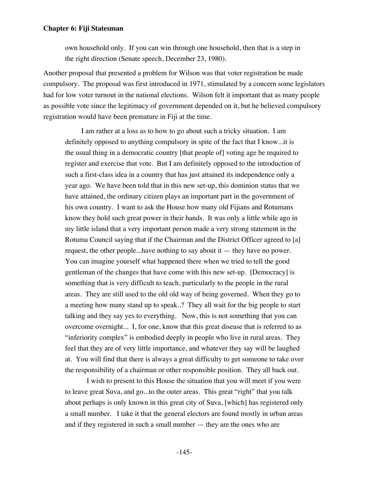own household only. If you can win through one household, then that is a step in the right direction (Senate speech, December 23, 1980).

Another proposal that presented a problem for Wilson was that voter registration be made compulsory. The proposal was first introduced in 1971, stimulated by a concern some legislators had for low voter turnout in the national elections. Wilson felt it important that as many people as possible vote since the legitimacy of government depended on it, but he believed compulsory registration would have been premature in Fiji at the time.

I am rather at a loss as to how to go about such a tricky situation. I am definitely opposed to anything compulsory in spite of the fact that I know...it is the usual thing in a democratic country [that people of] voting age be required to register and exercise that vote. But I am definitely opposed to the introduction of such a first-class idea in a country that has just attained its independence only a year ago. We have been told that in this new set-up, this dominion status that we have attained, the ordinary citizen plays an important part in the government of his own country. I want to ask the House how many old Fijians and Rotumans know they hold such great power in their hands. It was only a little while ago in my little island that a very important person made a very strong statement in the Rotuma Council saying that if the Chairman and the District Officer agreed to [a] request, the other people...have nothing to say about it — they have no power. You can imagine yourself what happened there when we tried to tell the good gentleman of the changes that have come with this new set-up. [Democracy] is something that is very difficult to teach, particularly to the people in the rural areas. They are still used to the old old way of being governed. When they go to a meeting how many stand up to speak..? They all wait for the big people to start talking and they say yes to everything. Now, this is not something that you can overcome overnight... I, for one, know that this great disease that is referred to as "inferiority complex" is embodied deeply in people who live in rural areas. They feel that they are of very little importance, and whatever they say will be laughed at. You will find that there is always a great difficulty to get someone to take over the responsibility of a chairman or other responsible position. They all back out.

 I wish to present to this House the situation that you will meet if you were to leave great Suva, and go...to the outer areas. This great "right" that you talk about perhaps is only known in this great city of Suva, [which] has registered only a small number. I take it that the general electors are found mostly in urban areas and if they registered in such a small number — they are the ones who are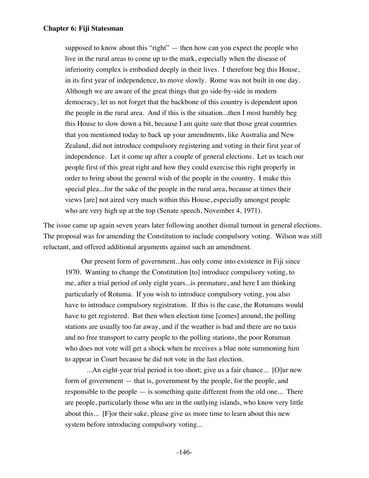supposed to know about this "right" — then how can you expect the people who live in the rural areas to come up to the mark, especially when the disease of inferiority complex is embodied deeply in their lives. I therefore beg this House, in its first year of independence, to move slowly. Rome was not built in one day. Although we are aware of the great things that go side-by-side in modern democracy, let us not forget that the backbone of this country is dependent upon the people in the rural area. And if this is the situation...then I most humbly beg this House to slow down a bit, because I am quite sure that those great countries that you mentioned today to back up your amendments, like Australia and New Zealand, did not introduce compulsory registering and voting in their first year of independence. Let it come up after a couple of general elections. Let us teach our people first of this great right and how they could exercise this right properly in order to bring about the general wish of the people in the country. I make this special plea...for the sake of the people in the rural area, because at times their views [are] not aired very much within this House, especially amongst people who are very high up at the top (Senate speech, November 4, 1971).

The issue came up again seven years later following another dismal turnout in general elections. The proposal was for amending the Constitution to include compulsory voting. Wilson was still reluctant, and offered additional arguments against such an amendment.

Our present form of government...has only come into existence in Fiji since 1970. Wanting to change the Constitution [to] introduce compulsory voting, to me, after a trial period of only eight years...is premature, and here I am thinking particularly of Rotuma. If you wish to introduce compulsory voting, you also have to introduce compulsory registration. If this is the case, the Rotumans would have to get registered. But then when election time [comes] around, the polling stations are usually too far away, and if the weather is bad and there are no taxis and no free transport to carry people to the polling stations, the poor Rotuman who does not vote will get a shock when he receives a blue note summoning him to appear in Court because he did not vote in the last election.

 ...An eight-year trial period is too short; give us a fair chance... [O]ur new form of government — that is, government by the people, for the people, and responsible to the people — is something quite different from the old one... There are people, particularly those who are in the outlying islands, who know very little about this... [F]or their sake, please give us more time to learn about this new system before introducing compulsory voting...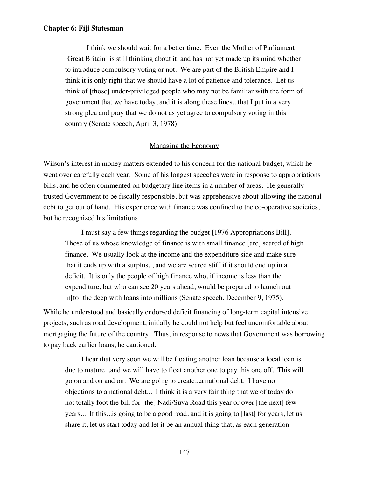I think we should wait for a better time. Even the Mother of Parliament [Great Britain] is still thinking about it, and has not yet made up its mind whether to introduce compulsory voting or not. We are part of the British Empire and I think it is only right that we should have a lot of patience and tolerance. Let us think of [those] under-privileged people who may not be familiar with the form of government that we have today, and it is along these lines...that I put in a very strong plea and pray that we do not as yet agree to compulsory voting in this country (Senate speech, April 3, 1978).

# Managing the Economy

Wilson's interest in money matters extended to his concern for the national budget, which he went over carefully each year. Some of his longest speeches were in response to appropriations bills, and he often commented on budgetary line items in a number of areas. He generally trusted Government to be fiscally responsible, but was apprehensive about allowing the national debt to get out of hand. His experience with finance was confined to the co-operative societies, but he recognized his limitations.

I must say a few things regarding the budget [1976 Appropriations Bill]. Those of us whose knowledge of finance is with small finance [are] scared of high finance. We usually look at the income and the expenditure side and make sure that it ends up with a surplus.., and we are scared stiff if it should end up in a deficit. It is only the people of high finance who, if income is less than the expenditure, but who can see 20 years ahead, would be prepared to launch out in[to] the deep with loans into millions (Senate speech, December 9, 1975).

While he understood and basically endorsed deficit financing of long-term capital intensive projects, such as road development, initially he could not help but feel uncomfortable about mortgaging the future of the country. Thus, in response to news that Government was borrowing to pay back earlier loans, he cautioned:

I hear that very soon we will be floating another loan because a local loan is due to mature...and we will have to float another one to pay this one off. This will go on and on and on. We are going to create...a national debt. I have no objections to a national debt... I think it is a very fair thing that we of today do not totally foot the bill for [the] Nadi/Suva Road this year or over [the next] few years... If this...is going to be a good road, and it is going to [last] for years, let us share it, let us start today and let it be an annual thing that, as each generation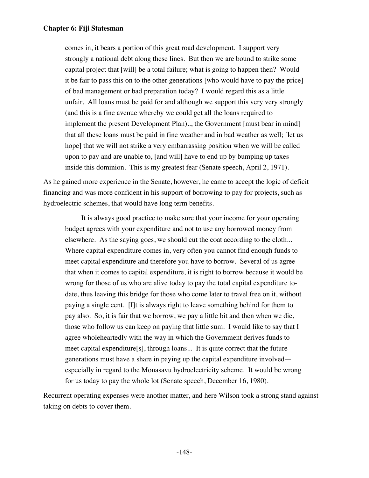comes in, it bears a portion of this great road development. I support very strongly a national debt along these lines. But then we are bound to strike some capital project that [will] be a total failure; what is going to happen then? Would it be fair to pass this on to the other generations [who would have to pay the price] of bad management or bad preparation today? I would regard this as a little unfair. All loans must be paid for and although we support this very very strongly (and this is a fine avenue whereby we could get all the loans required to implement the present Development Plan).., the Government [must bear in mind] that all these loans must be paid in fine weather and in bad weather as well; [let us hope] that we will not strike a very embarrassing position when we will be called upon to pay and are unable to, [and will] have to end up by bumping up taxes inside this dominion. This is my greatest fear (Senate speech, April 2, 1971).

As he gained more experience in the Senate, however, he came to accept the logic of deficit financing and was more confident in his support of borrowing to pay for projects, such as hydroelectric schemes, that would have long term benefits.

It is always good practice to make sure that your income for your operating budget agrees with your expenditure and not to use any borrowed money from elsewhere. As the saying goes, we should cut the coat according to the cloth... Where capital expenditure comes in, very often you cannot find enough funds to meet capital expenditure and therefore you have to borrow. Several of us agree that when it comes to capital expenditure, it is right to borrow because it would be wrong for those of us who are alive today to pay the total capital expenditure todate, thus leaving this bridge for those who come later to travel free on it, without paying a single cent. [I]t is always right to leave something behind for them to pay also. So, it is fair that we borrow, we pay a little bit and then when we die, those who follow us can keep on paying that little sum. I would like to say that I agree wholeheartedly with the way in which the Government derives funds to meet capital expenditure[s], through loans... It is quite correct that the future generations must have a share in paying up the capital expenditure involved especially in regard to the Monasavu hydroelectricity scheme. It would be wrong for us today to pay the whole lot (Senate speech, December 16, 1980).

Recurrent operating expenses were another matter, and here Wilson took a strong stand against taking on debts to cover them.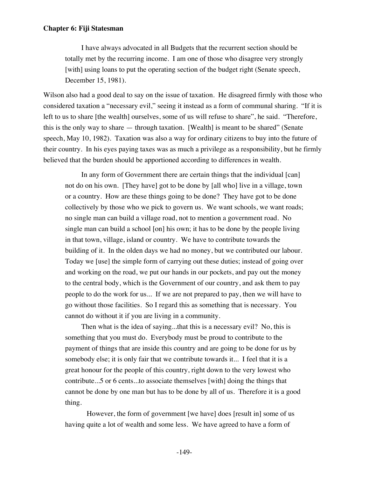I have always advocated in all Budgets that the recurrent section should be totally met by the recurring income. I am one of those who disagree very strongly [with] using loans to put the operating section of the budget right (Senate speech, December 15, 1981).

Wilson also had a good deal to say on the issue of taxation. He disagreed firmly with those who considered taxation a "necessary evil," seeing it instead as a form of communal sharing. "If it is left to us to share [the wealth] ourselves, some of us will refuse to share", he said. "Therefore, this is the only way to share — through taxation. [Wealth] is meant to be shared" (Senate speech, May 10, 1982). Taxation was also a way for ordinary citizens to buy into the future of their country. In his eyes paying taxes was as much a privilege as a responsibility, but he firmly believed that the burden should be apportioned according to differences in wealth.

In any form of Government there are certain things that the individual [can] not do on his own. [They have] got to be done by [all who] live in a village, town or a country. How are these things going to be done? They have got to be done collectively by those who we pick to govern us. We want schools, we want roads; no single man can build a village road, not to mention a government road. No single man can build a school [on] his own; it has to be done by the people living in that town, village, island or country. We have to contribute towards the building of it. In the olden days we had no money, but we contributed our labour. Today we [use] the simple form of carrying out these duties; instead of going over and working on the road, we put our hands in our pockets, and pay out the money to the central body, which is the Government of our country, and ask them to pay people to do the work for us... If we are not prepared to pay, then we will have to go without those facilities. So I regard this as something that is necessary. You cannot do without it if you are living in a community.

Then what is the idea of saying...that this is a necessary evil? No, this is something that you must do. Everybody must be proud to contribute to the payment of things that are inside this country and are going to be done for us by somebody else; it is only fair that we contribute towards it... I feel that it is a great honour for the people of this country, right down to the very lowest who contribute...5 or 6 cents...to associate themselves [with] doing the things that cannot be done by one man but has to be done by all of us. Therefore it is a good thing.

 However, the form of government [we have] does [result in] some of us having quite a lot of wealth and some less. We have agreed to have a form of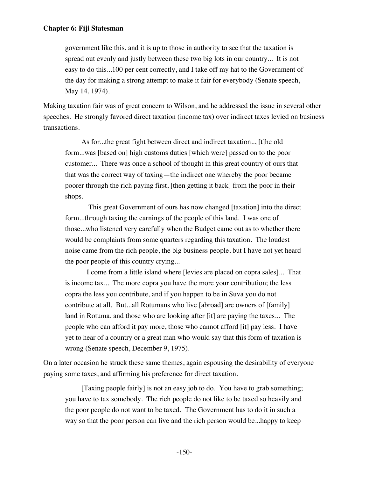government like this, and it is up to those in authority to see that the taxation is spread out evenly and justly between these two big lots in our country... It is not easy to do this...100 per cent correctly, and I take off my hat to the Government of the day for making a strong attempt to make it fair for everybody (Senate speech, May 14, 1974).

Making taxation fair was of great concern to Wilson, and he addressed the issue in several other speeches. He strongly favored direct taxation (income tax) over indirect taxes levied on business transactions.

As for...the great fight between direct and indirect taxation.., [t]he old form...was [based on] high customs duties [which were] passed on to the poor customer... There was once a school of thought in this great country of ours that that was the correct way of taxing—the indirect one whereby the poor became poorer through the rich paying first, [then getting it back] from the poor in their shops.

 This great Government of ours has now changed [taxation] into the direct form...through taxing the earnings of the people of this land. I was one of those...who listened very carefully when the Budget came out as to whether there would be complaints from some quarters regarding this taxation. The loudest noise came from the rich people, the big business people, but I have not yet heard the poor people of this country crying...

 I come from a little island where [levies are placed on copra sales]... That is income tax... The more copra you have the more your contribution; the less copra the less you contribute, and if you happen to be in Suva you do not contribute at all. But...all Rotumans who live [abroad] are owners of [family] land in Rotuma, and those who are looking after [it] are paying the taxes... The people who can afford it pay more, those who cannot afford [it] pay less. I have yet to hear of a country or a great man who would say that this form of taxation is wrong (Senate speech, December 9, 1975).

On a later occasion he struck these same themes, again espousing the desirability of everyone paying some taxes, and affirming his preference for direct taxation.

[Taxing people fairly] is not an easy job to do. You have to grab something; you have to tax somebody. The rich people do not like to be taxed so heavily and the poor people do not want to be taxed. The Government has to do it in such a way so that the poor person can live and the rich person would be...happy to keep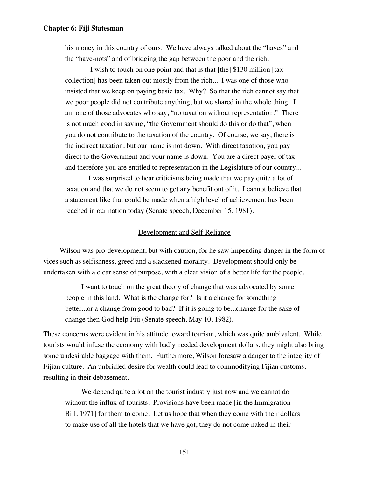his money in this country of ours. We have always talked about the "haves" and the "have-nots" and of bridging the gap between the poor and the rich.

 I wish to touch on one point and that is that [the] \$130 million [tax collection] has been taken out mostly from the rich... I was one of those who insisted that we keep on paying basic tax. Why? So that the rich cannot say that we poor people did not contribute anything, but we shared in the whole thing. I am one of those advocates who say, "no taxation without representation." There is not much good in saying, "the Government should do this or do that", when you do not contribute to the taxation of the country. Of course, we say, there is the indirect taxation, but our name is not down. With direct taxation, you pay direct to the Government and your name is down. You are a direct payer of tax and therefore you are entitled to representation in the Legislature of our country...

 I was surprised to hear criticisms being made that we pay quite a lot of taxation and that we do not seem to get any benefit out of it. I cannot believe that a statement like that could be made when a high level of achievement has been reached in our nation today (Senate speech, December 15, 1981).

#### Development and Self-Reliance

Wilson was pro-development, but with caution, for he saw impending danger in the form of vices such as selfishness, greed and a slackened morality. Development should only be undertaken with a clear sense of purpose, with a clear vision of a better life for the people.

I want to touch on the great theory of change that was advocated by some people in this land. What is the change for? Is it a change for something better...or a change from good to bad? If it is going to be...change for the sake of change then God help Fiji (Senate speech, May 10, 1982).

These concerns were evident in his attitude toward tourism, which was quite ambivalent. While tourists would infuse the economy with badly needed development dollars, they might also bring some undesirable baggage with them. Furthermore, Wilson foresaw a danger to the integrity of Fijian culture. An unbridled desire for wealth could lead to commodifying Fijian customs, resulting in their debasement.

We depend quite a lot on the tourist industry just now and we cannot do without the influx of tourists. Provisions have been made [in the Immigration Bill, 1971] for them to come. Let us hope that when they come with their dollars to make use of all the hotels that we have got, they do not come naked in their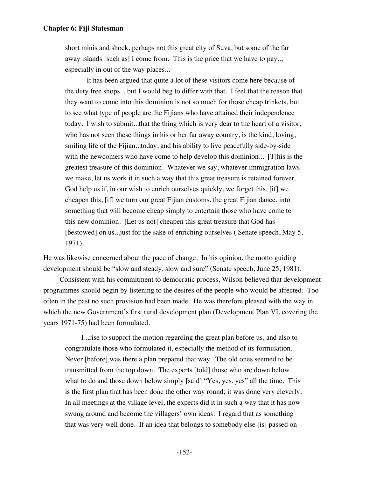short minis and shock, perhaps not this great city of Suva, but some of the far away islands [such as] I come from. This is the price that we have to pay.., especially in out of the way places...

 It has been argued that quite a lot of these visitors come here because of the duty free shops.., but I would beg to differ with that. I feel that the reason that they want to come into this dominion is not so much for those cheap trinkets, but to see what type of people are the Fijians who have attained their independence today. I wish to submit...that the thing which is very dear to the heart of a visitor, who has not seen these things in his or her far away country, is the kind, loving, smiling life of the Fijian...today, and his ability to live peacefully side-by-side with the newcomers who have come to help develop this dominion... [T]his is the greatest treasure of this dominion. Whatever we say, whatever immigration laws we make, let us work it in such a way that this great treasure is retained forever. God help us if, in our wish to enrich ourselves quickly, we forget this, [if] we cheapen this, [if] we turn our great Fijian customs, the great Fijian dance, into something that will become cheap simply to entertain those who have come to this new dominion. [Let us not] cheapen this great treasure that God has [bestowed] on us...just for the sake of enriching ourselves ( Senate speech, May 5, 1971).

He was likewise concerned about the pace of change. In his opinion, the motto guiding development should be "slow and steady, slow and sure" (Senate speech, June 25, 1981).

Consistent with his commitment to democratic process, Wilson believed that development programmes should begin by listening to the desires of the people who would be affected. Too often in the past no such provision had been made. He was therefore pleased with the way in which the new Government's first rural development plan (Development Plan VI, covering the years 1971-75) had been formulated.

I...rise to support the motion regarding the great plan before us, and also to congratulate those who formulated it, especially the method of its formulation. Never [before] was there a plan prepared that way. The old ones seemed to be transmitted from the top down. The experts [told] those who are down below what to do and those down below simply [said] "Yes, yes, yes" all the time. This is the first plan that has been done the other way round; it was done very cleverly. In all meetings at the village level, the experts did it in such a way that it has now swung around and become the villagers' own ideas. I regard that as something that was very well done. If an idea that belongs to somebody else [is] passed on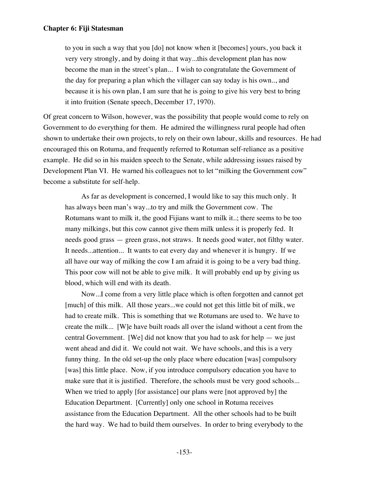to you in such a way that you [do] not know when it [becomes] yours, you back it very very strongly, and by doing it that way...this development plan has now become the man in the street's plan... I wish to congratulate the Government of the day for preparing a plan which the villager can say today is his own.., and because it is his own plan, I am sure that he is going to give his very best to bring it into fruition (Senate speech, December 17, 1970).

Of great concern to Wilson, however, was the possibility that people would come to rely on Government to do everything for them. He admired the willingness rural people had often shown to undertake their own projects, to rely on their own labour, skills and resources. He had encouraged this on Rotuma, and frequently referred to Rotuman self-reliance as a positive example. He did so in his maiden speech to the Senate, while addressing issues raised by Development Plan VI. He warned his colleagues not to let "milking the Government cow" become a substitute for self-help.

As far as development is concerned, I would like to say this much only. It has always been man's way...to try and milk the Government cow. The Rotumans want to milk it, the good Fijians want to milk it..; there seems to be too many milkings, but this cow cannot give them milk unless it is properly fed. It needs good grass — green grass, not straws. It needs good water, not filthy water. It needs...attention... It wants to eat every day and whenever it is hungry. If we all have our way of milking the cow I am afraid it is going to be a very bad thing. This poor cow will not be able to give milk. It will probably end up by giving us blood, which will end with its death.

Now...I come from a very little place which is often forgotten and cannot get [much] of this milk. All those years...we could not get this little bit of milk, we had to create milk. This is something that we Rotumans are used to. We have to create the milk... [W]e have built roads all over the island without a cent from the central Government. [We] did not know that you had to ask for help — we just went ahead and did it. We could not wait. We have schools, and this is a very funny thing. In the old set-up the only place where education [was] compulsory [was] this little place. Now, if you introduce compulsory education you have to make sure that it is justified. Therefore, the schools must be very good schools... When we tried to apply [for assistance] our plans were [not approved by] the Education Department. [Currently] only one school in Rotuma receives assistance from the Education Department. All the other schools had to be built the hard way. We had to build them ourselves. In order to bring everybody to the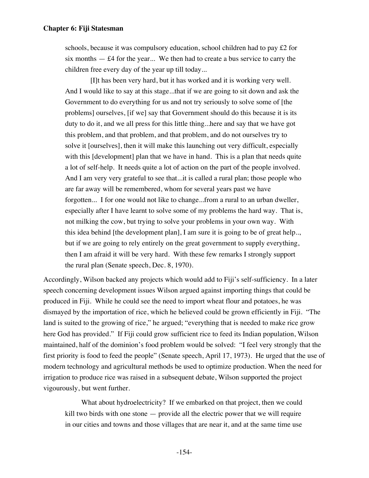schools, because it was compulsory education, school children had to pay £2 for six months  $-$  £4 for the year... We then had to create a bus service to carry the children free every day of the year up till today...

 [I]t has been very hard, but it has worked and it is working very well. And I would like to say at this stage...that if we are going to sit down and ask the Government to do everything for us and not try seriously to solve some of [the problems] ourselves, [if we] say that Government should do this because it is its duty to do it, and we all press for this little thing...here and say that we have got this problem, and that problem, and that problem, and do not ourselves try to solve it [ourselves], then it will make this launching out very difficult, especially with this [development] plan that we have in hand. This is a plan that needs quite a lot of self-help. It needs quite a lot of action on the part of the people involved. And I am very very grateful to see that...it is called a rural plan; those people who are far away will be remembered, whom for several years past we have forgotten... I for one would not like to change...from a rural to an urban dweller, especially after I have learnt to solve some of my problems the hard way. That is, not milking the cow, but trying to solve your problems in your own way. With this idea behind [the development plan], I am sure it is going to be of great help.., but if we are going to rely entirely on the great government to supply everything, then I am afraid it will be very hard. With these few remarks I strongly support the rural plan (Senate speech, Dec. 8, 1970).

Accordingly, Wilson backed any projects which would add to Fiji's self-sufficiency. In a later speech concerning development issues Wilson argued against importing things that could be produced in Fiji. While he could see the need to import wheat flour and potatoes, he was dismayed by the importation of rice, which he believed could be grown efficiently in Fiji. "The land is suited to the growing of rice," he argued; "everything that is needed to make rice grow here God has provided." If Fiji could grow sufficient rice to feed its Indian population, Wilson maintained, half of the dominion's food problem would be solved: "I feel very strongly that the first priority is food to feed the people" (Senate speech, April 17, 1973). He urged that the use of modern technology and agricultural methods be used to optimize production. When the need for irrigation to produce rice was raised in a subsequent debate, Wilson supported the project vigourously, but went further.

What about hydroelectricity? If we embarked on that project, then we could kill two birds with one stone — provide all the electric power that we will require in our cities and towns and those villages that are near it, and at the same time use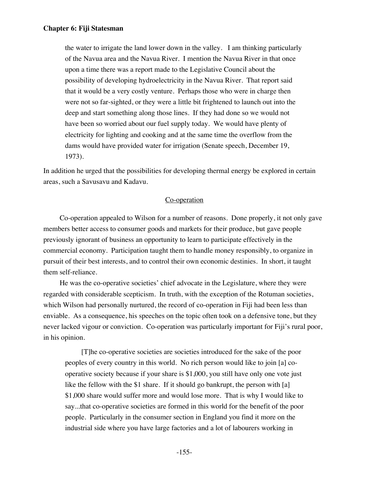the water to irrigate the land lower down in the valley. I am thinking particularly of the Navua area and the Navua River. I mention the Navua River in that once upon a time there was a report made to the Legislative Council about the possibility of developing hydroelectricity in the Navua River. That report said that it would be a very costly venture. Perhaps those who were in charge then were not so far-sighted, or they were a little bit frightened to launch out into the deep and start something along those lines. If they had done so we would not have been so worried about our fuel supply today. We would have plenty of electricity for lighting and cooking and at the same time the overflow from the dams would have provided water for irrigation (Senate speech, December 19, 1973).

In addition he urged that the possibilities for developing thermal energy be explored in certain areas, such a Savusavu and Kadavu.

## Co-operation

Co-operation appealed to Wilson for a number of reasons. Done properly, it not only gave members better access to consumer goods and markets for their produce, but gave people previously ignorant of business an opportunity to learn to participate effectively in the commercial economy. Participation taught them to handle money responsibly, to organize in pursuit of their best interests, and to control their own economic destinies. In short, it taught them self-reliance.

He was the co-operative societies' chief advocate in the Legislature, where they were regarded with considerable scepticism. In truth, with the exception of the Rotuman societies, which Wilson had personally nurtured, the record of co-operation in Fiji had been less than enviable. As a consequence, his speeches on the topic often took on a defensive tone, but they never lacked vigour or conviction. Co-operation was particularly important for Fiji's rural poor, in his opinion.

[T]he co-operative societies are societies introduced for the sake of the poor peoples of every country in this world. No rich person would like to join [a] cooperative society because if your share is \$1,000, you still have only one vote just like the fellow with the \$1 share. If it should go bankrupt, the person with [a] \$1,000 share would suffer more and would lose more. That is why I would like to say...that co-operative societies are formed in this world for the benefit of the poor people. Particularly in the consumer section in England you find it more on the industrial side where you have large factories and a lot of labourers working in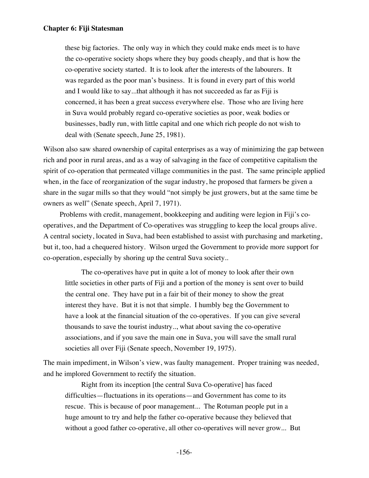these big factories. The only way in which they could make ends meet is to have the co-operative society shops where they buy goods cheaply, and that is how the co-operative society started. It is to look after the interests of the labourers. It was regarded as the poor man's business. It is found in every part of this world and I would like to say...that although it has not succeeded as far as Fiji is concerned, it has been a great success everywhere else. Those who are living here in Suva would probably regard co-operative societies as poor, weak bodies or businesses, badly run, with little capital and one which rich people do not wish to deal with (Senate speech, June 25, 1981).

Wilson also saw shared ownership of capital enterprises as a way of minimizing the gap between rich and poor in rural areas, and as a way of salvaging in the face of competitive capitalism the spirit of co-operation that permeated village communities in the past. The same principle applied when, in the face of reorganization of the sugar industry, he proposed that farmers be given a share in the sugar mills so that they would "not simply be just growers, but at the same time be owners as well" (Senate speech, April 7, 1971).

Problems with credit, management, bookkeeping and auditing were legion in Fiji's cooperatives, and the Department of Co-operatives was struggling to keep the local groups alive. A central society, located in Suva, had been established to assist with purchasing and marketing, but it, too, had a chequered history. Wilson urged the Government to provide more support for co-operation, especially by shoring up the central Suva society..

The co-operatives have put in quite a lot of money to look after their own little societies in other parts of Fiji and a portion of the money is sent over to build the central one. They have put in a fair bit of their money to show the great interest they have. But it is not that simple. I humbly beg the Government to have a look at the financial situation of the co-operatives. If you can give several thousands to save the tourist industry.., what about saving the co-operative associations, and if you save the main one in Suva, you will save the small rural societies all over Fiji (Senate speech, November 19, 1975).

The main impediment, in Wilson's view, was faulty management. Proper training was needed, and he implored Government to rectify the situation.

Right from its inception [the central Suva Co-operative] has faced difficulties—fluctuations in its operations—and Government has come to its rescue. This is because of poor management... The Rotuman people put in a huge amount to try and help the father co-operative because they believed that without a good father co-operative, all other co-operatives will never grow... But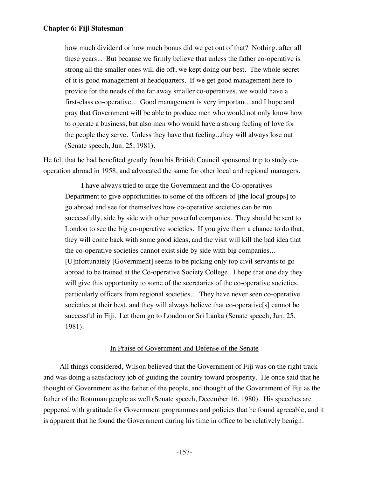how much dividend or how much bonus did we get out of that? Nothing, after all these years... But because we firmly believe that unless the father co-operative is strong all the smaller ones will die off, we kept doing our best. The whole secret of it is good management at headquarters. If we get good management here to provide for the needs of the far away smaller co-operatives, we would have a first-class co-operative... Good management is very important...and I hope and pray that Government will be able to produce men who would not only know how to operate a business, but also men who would have a strong feeling of love for the people they serve. Unless they have that feeling...they will always lose out (Senate speech, Jun. 25, 1981).

He felt that he had benefited greatly from his British Council sponsored trip to study cooperation abroad in 1958, and advocated the same for other local and regional managers.

I have always tried to urge the Government and the Co-operatives Department to give opportunities to some of the officers of [the local groups] to go abroad and see for themselves how co-operative societies can be run successfully, side by side with other powerful companies. They should be sent to London to see the big co-operative societies. If you give them a chance to do that, they will come back with some good ideas, and the visit will kill the bad idea that the co-operative societies cannot exist side by side with big companies... [U]nfortunately [Government] seems to be picking only top civil servants to go abroad to be trained at the Co-operative Society College. I hope that one day they will give this opportunity to some of the secretaries of the co-operative societies, particularly officers from regional societies... They have never seen co-operative societies at their best, and they will always believe that co-operative[s] cannot be successful in Fiji. Let them go to London or Sri Lanka (Senate speech, Jun. 25, 1981).

# In Praise of Government and Defense of the Senate

All things considered, Wilson believed that the Government of Fiji was on the right track and was doing a satisfactory job of guiding the country toward prosperity. He once said that he thought of Government as the father of the people, and thought of the Government of Fiji as the father of the Rotuman people as well (Senate speech, December 16, 1980). His speeches are peppered with gratitude for Government programmes and policies that he found agreeable, and it is apparent that he found the Government during his time in office to be relatively benign.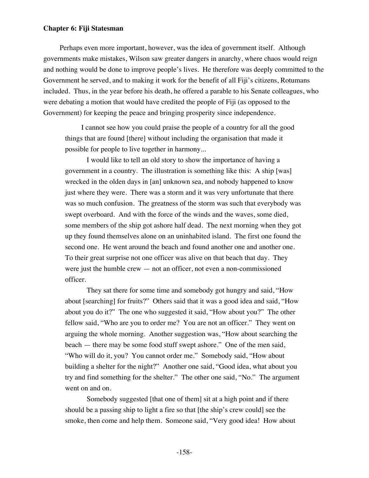Perhaps even more important, however, was the idea of government itself. Although governments make mistakes, Wilson saw greater dangers in anarchy, where chaos would reign and nothing would be done to improve people's lives. He therefore was deeply committed to the Government he served, and to making it work for the benefit of all Fiji's citizens, Rotumans included. Thus, in the year before his death, he offered a parable to his Senate colleagues, who were debating a motion that would have credited the people of Fiji (as opposed to the Government) for keeping the peace and bringing prosperity since independence.

I cannot see how you could praise the people of a country for all the good things that are found [there] without including the organisation that made it possible for people to live together in harmony...

 I would like to tell an old story to show the importance of having a government in a country. The illustration is something like this: A ship [was] wrecked in the olden days in [an] unknown sea, and nobody happened to know just where they were. There was a storm and it was very unfortunate that there was so much confusion. The greatness of the storm was such that everybody was swept overboard. And with the force of the winds and the waves, some died, some members of the ship got ashore half dead. The next morning when they got up they found themselves alone on an uninhabited island. The first one found the second one. He went around the beach and found another one and another one. To their great surprise not one officer was alive on that beach that day. They were just the humble crew — not an officer, not even a non-commissioned officer.

 They sat there for some time and somebody got hungry and said, "How about [searching] for fruits?" Others said that it was a good idea and said, "How about you do it?" The one who suggested it said, "How about you?" The other fellow said, "Who are you to order me? You are not an officer." They went on arguing the whole morning. Another suggestion was, "How about searching the beach — there may be some food stuff swept ashore." One of the men said, "Who will do it, you? You cannot order me." Somebody said, "How about building a shelter for the night?" Another one said, "Good idea, what about you try and find something for the shelter." The other one said, "No." The argument went on and on.

 Somebody suggested [that one of them] sit at a high point and if there should be a passing ship to light a fire so that [the ship's crew could] see the smoke, then come and help them. Someone said, "Very good idea! How about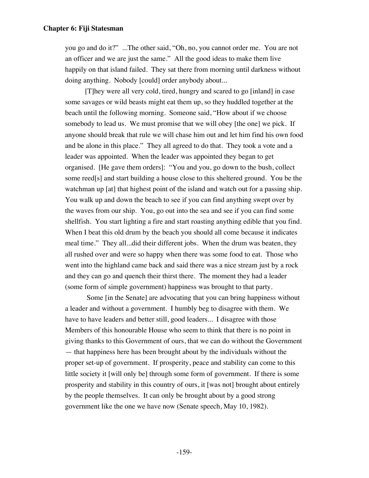you go and do it?" ...The other said, "Oh, no, you cannot order me. You are not an officer and we are just the same." All the good ideas to make them live happily on that island failed. They sat there from morning until darkness without doing anything. Nobody [could] order anybody about...

 [T]hey were all very cold, tired, hungry and scared to go [inland] in case some savages or wild beasts might eat them up, so they huddled together at the beach until the following morning. Someone said, "How about if we choose somebody to lead us. We must promise that we will obey [the one] we pick. If anyone should break that rule we will chase him out and let him find his own food and be alone in this place." They all agreed to do that. They took a vote and a leader was appointed. When the leader was appointed they began to get organised. [He gave them orders]: "You and you, go down to the bush, collect some reed[s] and start building a house close to this sheltered ground. You be the watchman up [at] that highest point of the island and watch out for a passing ship. You walk up and down the beach to see if you can find anything swept over by the waves from our ship. You, go out into the sea and see if you can find some shellfish. You start lighting a fire and start roasting anything edible that you find. When I beat this old drum by the beach you should all come because it indicates meal time." They all...did their different jobs. When the drum was beaten, they all rushed over and were so happy when there was some food to eat. Those who went into the highland came back and said there was a nice stream just by a rock and they can go and quench their thirst there. The moment they had a leader (some form of simple government) happiness was brought to that party.

 Some [in the Senate] are advocating that you can bring happiness without a leader and without a government. I humbly beg to disagree with them. We have to have leaders and better still, good leaders... I disagree with those Members of this honourable House who seem to think that there is no point in giving thanks to this Government of ours, that we can do without the Government — that happiness here has been brought about by the individuals without the proper set-up of government. If prosperity, peace and stability can come to this little society it [will only be] through some form of government. If there is some prosperity and stability in this country of ours, it [was not] brought about entirely by the people themselves. It can only be brought about by a good strong government like the one we have now (Senate speech, May 10, 1982).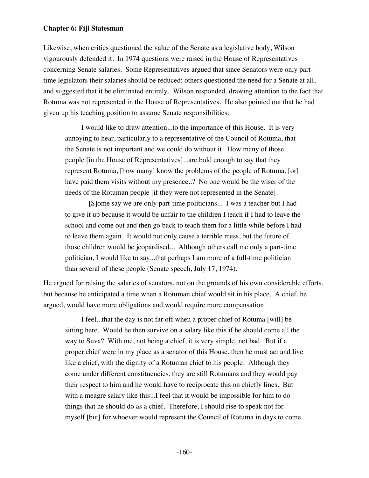Likewise, when critics questioned the value of the Senate as a legislative body, Wilson vigourously defended it. In 1974 questions were raised in the House of Representatives concerning Senate salaries. Some Representatives argued that since Senators were only parttime legislators their salaries should be reduced; others questioned the need for a Senate at all, and suggested that it be eliminated entirely. Wilson responded, drawing attention to the fact that Rotuma was not represented in the House of Representatives. He also pointed out that he had given up his teaching position to assume Senate responsibilities:

I would like to draw attention...to the importance of this House. It is very annoying to hear, particularly to a representative of the Council of Rotuma, that the Senate is not important and we could do without it. How many of those people [in the House of Representatives]...are bold enough to say that they represent Rotuma, [how many] know the problems of the people of Rotuma, [or] have paid them visits without my presence..? No one would be the wiser of the needs of the Rotuman people [if they were not represented in the Senate].

 [S]ome say we are only part-time politicians... I was a teacher but I had to give it up because it would be unfair to the children I teach if I had to leave the school and come out and then go back to teach them for a little while before I had to leave them again. It would not only cause a terrible mess, but the future of those children would be jeopardised... Although others call me only a part-time politician, I would like to say...that perhaps I am more of a full-time politician than several of these people (Senate speech, July 17, 1974).

He argued for raising the salaries of senators, not on the grounds of his own considerable efforts, but because he anticipated a time when a Rotuman chief would sit in his place. A chief, he argued, would have more obligations and would require more compensation.

I feel...that the day is not far off when a proper chief of Rotuma [will] be sitting here. Would he then survive on a salary like this if he should come all the way to Suva? With me, not being a chief, it is very simple, not bad. But if a proper chief were in my place as a senator of this House, then he must act and live like a chief, with the dignity of a Rotuman chief to his people. Although they come under different constituencies, they are still Rotumans and they would pay their respect to him and he would have to reciprocate this on chiefly lines. But with a meagre salary like this...I feel that it would be impossible for him to do things that he should do as a chief. Therefore, I should rise to speak not for myself [but] for whoever would represent the Council of Rotuma in days to come.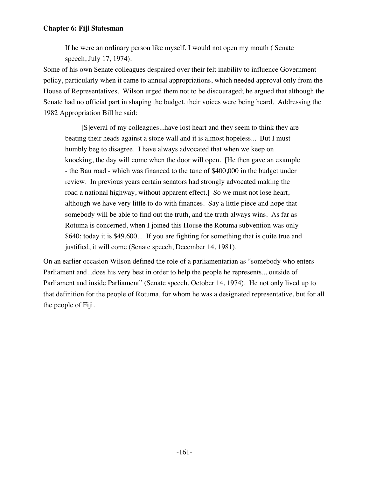If he were an ordinary person like myself, I would not open my mouth ( Senate speech, July 17, 1974).

Some of his own Senate colleagues despaired over their felt inability to influence Government policy, particularly when it came to annual appropriations, which needed approval only from the House of Representatives. Wilson urged them not to be discouraged; he argued that although the Senate had no official part in shaping the budget, their voices were being heard. Addressing the 1982 Appropriation Bill he said:

[S]everal of my colleagues...have lost heart and they seem to think they are beating their heads against a stone wall and it is almost hopeless... But I must humbly beg to disagree. I have always advocated that when we keep on knocking, the day will come when the door will open. [He then gave an example - the Bau road - which was financed to the tune of \$400,000 in the budget under review. In previous years certain senators had strongly advocated making the road a national highway, without apparent effect.] So we must not lose heart, although we have very little to do with finances. Say a little piece and hope that somebody will be able to find out the truth, and the truth always wins. As far as Rotuma is concerned, when I joined this House the Rotuma subvention was only \$640; today it is \$49,600... If you are fighting for something that is quite true and justified, it will come (Senate speech, December 14, 1981).

On an earlier occasion Wilson defined the role of a parliamentarian as "somebody who enters Parliament and...does his very best in order to help the people he represents.., outside of Parliament and inside Parliament" (Senate speech, October 14, 1974). He not only lived up to that definition for the people of Rotuma, for whom he was a designated representative, but for all the people of Fiji.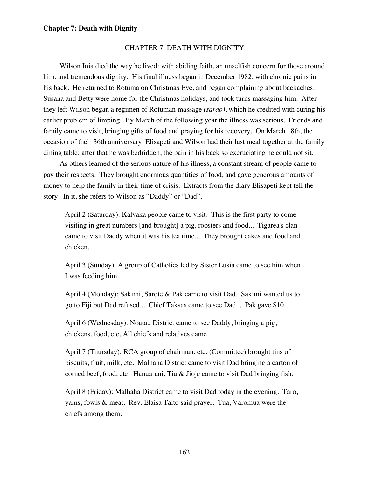#### CHAPTER 7: DEATH WITH DIGNITY

Wilson Inia died the way he lived: with abiding faith, an unselfish concern for those around him, and tremendous dignity. His final illness began in December 1982, with chronic pains in his back. He returned to Rotuma on Christmas Eve, and began complaining about backaches. Susana and Betty were home for the Christmas holidays, and took turns massaging him. After they left Wilson began a regimen of Rotuman massage *(sarao)*, which he credited with curing his earlier problem of limping. By March of the following year the illness was serious. Friends and family came to visit, bringing gifts of food and praying for his recovery. On March 18th, the occasion of their 36th anniversary, Elisapeti and Wilson had their last meal together at the family dining table; after that he was bedridden, the pain in his back so excruciating he could not sit.

As others learned of the serious nature of his illness, a constant stream of people came to pay their respects. They brought enormous quantities of food, and gave generous amounts of money to help the family in their time of crisis. Extracts from the diary Elisapeti kept tell the story. In it, she refers to Wilson as "Daddy" or "Dad".

April 2 (Saturday): Kalvaka people came to visit. This is the first party to come visiting in great numbers [and brought] a pig, roosters and food... Tigarea's clan came to visit Daddy when it was his tea time... They brought cakes and food and chicken.

April 3 (Sunday): A group of Catholics led by Sister Lusia came to see him when I was feeding him.

April 4 (Monday): Sakimi, Sarote & Pak came to visit Dad. Sakimi wanted us to go to Fiji but Dad refused... Chief Taksas came to see Dad... Pak gave \$10.

April 6 (Wednesday): Noatau District came to see Daddy, bringing a pig, chickens, food, etc. All chiefs and relatives came.

April 7 (Thursday): RCA group of chairman, etc. (Committee) brought tins of biscuits, fruit, milk, etc. Malhaha District came to visit Dad bringing a carton of corned beef, food, etc. Hanuarani, Tiu & Jioje came to visit Dad bringing fish.

April 8 (Friday): Malhaha District came to visit Dad today in the evening. Taro, yams, fowls & meat. Rev. Elaisa Taito said prayer. Tua, Varomua were the chiefs among them.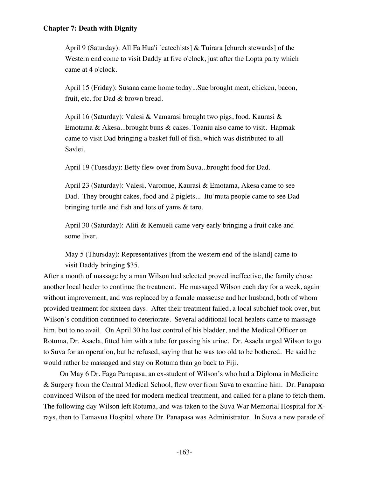April 9 (Saturday): All Fa Hua'i [catechists] & Tuirara [church stewards] of the Western end come to visit Daddy at five o'clock, just after the Lopta party which came at 4 o'clock.

April 15 (Friday): Susana came home today...Sue brought meat, chicken, bacon, fruit, etc. for Dad & brown bread.

April 16 (Saturday): Valesi & Vamarasi brought two pigs, food. Kaurasi & Emotama & Akesa...brought buns & cakes. Toaniu also came to visit. Hapmak came to visit Dad bringing a basket full of fish, which was distributed to all Savlei.

April 19 (Tuesday): Betty flew over from Suva...brought food for Dad.

April 23 (Saturday): Valesi, Varomue, Kaurasi & Emotama, Akesa came to see Dad. They brought cakes, food and 2 piglets... Itu'muta people came to see Dad bringing turtle and fish and lots of yams & taro.

April 30 (Saturday): Aliti & Kemueli came very early bringing a fruit cake and some liver.

May 5 (Thursday): Representatives [from the western end of the island] came to visit Daddy bringing \$35.

After a month of massage by a man Wilson had selected proved ineffective, the family chose another local healer to continue the treatment. He massaged Wilson each day for a week, again without improvement, and was replaced by a female masseuse and her husband, both of whom provided treatment for sixteen days. After their treatment failed, a local subchief took over, but Wilson's condition continued to deteriorate. Several additional local healers came to massage him, but to no avail. On April 30 he lost control of his bladder, and the Medical Officer on Rotuma, Dr. Asaela, fitted him with a tube for passing his urine. Dr. Asaela urged Wilson to go to Suva for an operation, but he refused, saying that he was too old to be bothered. He said he would rather be massaged and stay on Rotuma than go back to Fiji.

On May 6 Dr. Faga Panapasa, an ex-student of Wilson's who had a Diploma in Medicine & Surgery from the Central Medical School, flew over from Suva to examine him. Dr. Panapasa convinced Wilson of the need for modern medical treatment, and called for a plane to fetch them. The following day Wilson left Rotuma, and was taken to the Suva War Memorial Hospital for Xrays, then to Tamavua Hospital where Dr. Panapasa was Administrator. In Suva a new parade of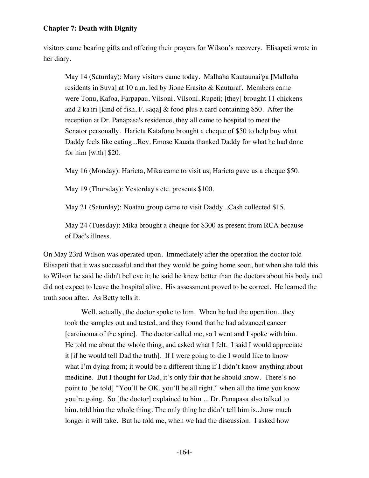visitors came bearing gifts and offering their prayers for Wilson's recovery. Elisapeti wrote in her diary.

May 14 (Saturday): Many visitors came today. Malhaha Kautaunai'ga [Malhaha residents in Suva] at 10 a.m. led by Jione Erasito & Kauturaf. Members came were Tonu, Kafoa, Farpapau, Vilsoni, Vilsoni, Rupeti; [they] brought 11 chickens and 2 ka'iri [kind of fish, F. saqa] & food plus a card containing \$50. After the reception at Dr. Panapasa's residence, they all came to hospital to meet the Senator personally. Harieta Katafono brought a cheque of \$50 to help buy what Daddy feels like eating...Rev. Emose Kauata thanked Daddy for what he had done for him [with] \$20.

May 16 (Monday): Harieta, Mika came to visit us; Harieta gave us a cheque \$50.

May 19 (Thursday): Yesterday's etc. presents \$100.

May 21 (Saturday): Noatau group came to visit Daddy...Cash collected \$15.

May 24 (Tuesday): Mika brought a cheque for \$300 as present from RCA because of Dad's illness.

On May 23rd Wilson was operated upon. Immediately after the operation the doctor told Elisapeti that it was successful and that they would be going home soon, but when she told this to Wilson he said he didn't believe it; he said he knew better than the doctors about his body and did not expect to leave the hospital alive. His assessment proved to be correct. He learned the truth soon after. As Betty tells it:

Well, actually, the doctor spoke to him. When he had the operation...they took the samples out and tested, and they found that he had advanced cancer [carcinoma of the spine]. The doctor called me, so I went and I spoke with him. He told me about the whole thing, and asked what I felt. I said I would appreciate it [if he would tell Dad the truth]. If I were going to die I would like to know what I'm dying from; it would be a different thing if I didn't know anything about medicine. But I thought for Dad, it's only fair that he should know. There's no point to [be told] "You'll be OK, you'll be all right," when all the time you know you're going. So [the doctor] explained to him ... Dr. Panapasa also talked to him, told him the whole thing. The only thing he didn't tell him is...how much longer it will take. But he told me, when we had the discussion. I asked how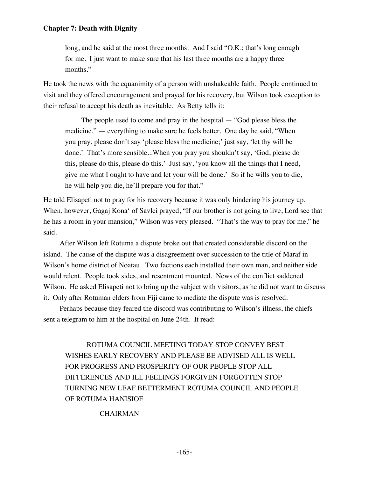long, and he said at the most three months. And I said "O.K.; that's long enough for me. I just want to make sure that his last three months are a happy three months."

He took the news with the equanimity of a person with unshakeable faith. People continued to visit and they offered encouragement and prayed for his recovery, but Wilson took exception to their refusal to accept his death as inevitable. As Betty tells it:

The people used to come and pray in the hospital — "God please bless the medicine," — everything to make sure he feels better. One day he said, "When you pray, please don't say 'please bless the medicine;' just say, 'let thy will be done.' That's more sensible...When you pray you shouldn't say, 'God, please do this, please do this, please do this.' Just say, 'you know all the things that I need, give me what I ought to have and let your will be done.' So if he wills you to die, he will help you die, he'll prepare you for that."

He told Elisapeti not to pray for his recovery because it was only hindering his journey up. When, however, Gagaj Kona' of Savlei prayed, "If our brother is not going to live, Lord see that he has a room in your mansion," Wilson was very pleased. "That's the way to pray for me," he said.

After Wilson left Rotuma a dispute broke out that created considerable discord on the island. The cause of the dispute was a disagreement over succession to the title of Maraf in Wilson's home district of Noatau. Two factions each installed their own man, and neither side would relent. People took sides, and resentment mounted. News of the conflict saddened Wilson. He asked Elisapeti not to bring up the subject with visitors, as he did not want to discuss it. Only after Rotuman elders from Fiji came to mediate the dispute was is resolved.

Perhaps because they feared the discord was contributing to Wilson's illness, the chiefs sent a telegram to him at the hospital on June 24th. It read:

 ROTUMA COUNCIL MEETING TODAY STOP CONVEY BEST WISHES EARLY RECOVERY AND PLEASE BE ADVISED ALL IS WELL FOR PROGRESS AND PROSPERITY OF OUR PEOPLE STOP ALL DIFFERENCES AND ILL FEELINGS FORGIVEN FORGOTTEN STOP TURNING NEW LEAF BETTERMENT ROTUMA COUNCIL AND PEOPLE OF ROTUMA HANISIOF

## CHAIRMAN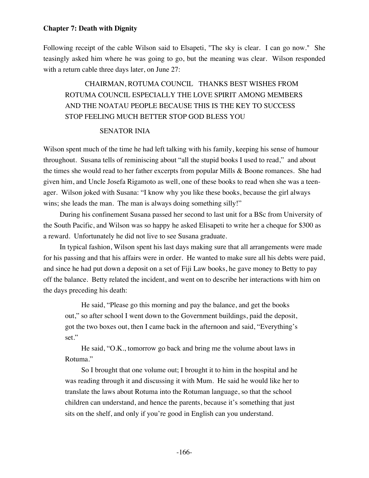Following receipt of the cable Wilson said to Elsapeti, "The sky is clear. I can go now." She teasingly asked him where he was going to go, but the meaning was clear. Wilson responded with a return cable three days later, on June 27:

# CHAIRMAN, ROTUMA COUNCIL THANKS BEST WISHES FROM ROTUMA COUNCIL ESPECIALLY THE LOVE SPIRIT AMONG MEMBERS AND THE NOATAU PEOPLE BECAUSE THIS IS THE KEY TO SUCCESS STOP FEELING MUCH BETTER STOP GOD BLESS YOU

## SENATOR INIA

Wilson spent much of the time he had left talking with his family, keeping his sense of humour throughout. Susana tells of reminiscing about "all the stupid books I used to read," and about the times she would read to her father excerpts from popular Mills & Boone romances. She had given him, and Uncle Josefa Rigamoto as well, one of these books to read when she was a teenager. Wilson joked with Susana: "I know why you like these books, because the girl always wins; she leads the man. The man is always doing something silly!"

During his confinement Susana passed her second to last unit for a BSc from University of the South Pacific, and Wilson was so happy he asked Elisapeti to write her a cheque for \$300 as a reward. Unfortunately he did not live to see Susana graduate.

In typical fashion, Wilson spent his last days making sure that all arrangements were made for his passing and that his affairs were in order. He wanted to make sure all his debts were paid, and since he had put down a deposit on a set of Fiji Law books, he gave money to Betty to pay off the balance. Betty related the incident, and went on to describe her interactions with him on the days preceding his death:

He said, "Please go this morning and pay the balance, and get the books out," so after school I went down to the Government buildings, paid the deposit, got the two boxes out, then I came back in the afternoon and said, "Everything's set."

He said, "O.K., tomorrow go back and bring me the volume about laws in Rotuma."

So I brought that one volume out; I brought it to him in the hospital and he was reading through it and discussing it with Mum. He said he would like her to translate the laws about Rotuma into the Rotuman language, so that the school children can understand, and hence the parents, because it's something that just sits on the shelf, and only if you're good in English can you understand.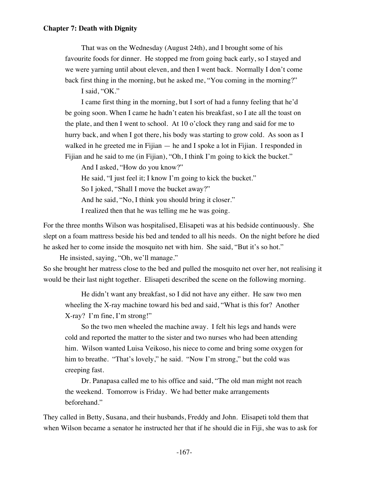That was on the Wednesday (August 24th), and I brought some of his favourite foods for dinner. He stopped me from going back early, so I stayed and we were yarning until about eleven, and then I went back. Normally I don't come back first thing in the morning, but he asked me, "You coming in the morning?"

I said, "OK."

I came first thing in the morning, but I sort of had a funny feeling that he'd be going soon. When I came he hadn't eaten his breakfast, so I ate all the toast on the plate, and then I went to school. At 10 o'clock they rang and said for me to hurry back, and when I got there, his body was starting to grow cold. As soon as I walked in he greeted me in Fijian — he and I spoke a lot in Fijian. I responded in Fijian and he said to me (in Fijian), "Oh, I think I'm going to kick the bucket."

And I asked, "How do you know?"

He said, "I just feel it; I know I'm going to kick the bucket."

So I joked, "Shall I move the bucket away?"

And he said, "No, I think you should bring it closer."

I realized then that he was telling me he was going.

For the three months Wilson was hospitalised, Elisapeti was at his bedside continuously. She slept on a foam mattress beside his bed and tended to all his needs. On the night before he died he asked her to come inside the mosquito net with him. She said, "But it's so hot."

He insisted, saying, "Oh, we'll manage." So she brought her matress close to the bed and pulled the mosquito net over her, not realising it would be their last night together. Elisapeti described the scene on the following morning.

He didn't want any breakfast, so I did not have any either. He saw two men wheeling the X-ray machine toward his bed and said, "What is this for? Another X-ray? I'm fine, I'm strong!"

So the two men wheeled the machine away. I felt his legs and hands were cold and reported the matter to the sister and two nurses who had been attending him. Wilson wanted Luisa Veikoso, his niece to come and bring some oxygen for him to breathe. "That's lovely," he said. "Now I'm strong," but the cold was creeping fast.

Dr. Panapasa called me to his office and said, "The old man might not reach the weekend. Tomorrow is Friday. We had better make arrangements beforehand."

They called in Betty, Susana, and their husbands, Freddy and John. Elisapeti told them that when Wilson became a senator he instructed her that if he should die in Fiji, she was to ask for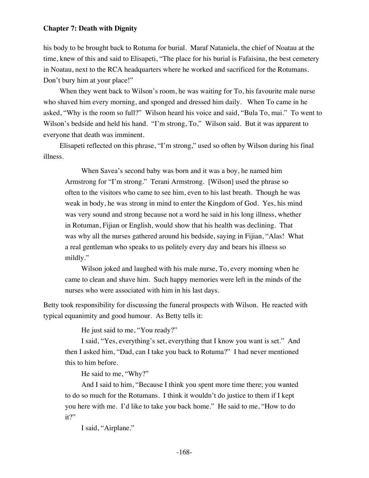his body to be brought back to Rotuma for burial. Maraf Nataniela, the chief of Noatau at the time, knew of this and said to Elisapeti, "The place for his burial is Fafaisina, the best cemetery in Noatau, next to the RCA headquarters where he worked and sacrificed for the Rotumans. Don't bury him at your place!"

When they went back to Wilson's room, he was waiting for To, his favourite male nurse who shaved him every morning, and sponged and dressed him daily. When To came in he asked, "Why is the room so full?" Wilson heard his voice and said, "Bula To, mai." To went to Wilson's bedside and held his hand. "I'm strong, To," Wilson said. But it was apparent to everyone that death was imminent.

Elisapeti reflected on this phrase, "I'm strong," used so often by Wilson during his final illness.

When Savea's second baby was born and it was a boy, he named him Armstrong for "I'm strong." Terani Armstrong. [Wilson] used the phrase so often to the visitors who came to see him, even to his last breath. Though he was weak in body, he was strong in mind to enter the Kingdom of God. Yes, his mind was very sound and strong because not a word he said in his long illness, whether in Rotuman, Fijian or English, would show that his health was declining. That was why all the nurses gathered around his bedside, saying in Fijian, "Alas! What a real gentleman who speaks to us politely every day and bears his illness so mildly."

Wilson joked and laughed with his male nurse, To, every morning when he came to clean and shave him. Such happy memories were left in the minds of the nurses who were associated with him in his last days.

Betty took responsibility for discussing the funeral prospects with Wilson. He reacted with typical equanimity and good humour. As Betty tells it:

He just said to me, "You ready?"

I said, "Yes, everything's set, everything that I know you want is set." And then I asked him, "Dad, can I take you back to Rotuma?" I had never mentioned this to him before.

He said to me, "Why?"

And I said to him, "Because I think you spent more time there; you wanted to do so much for the Rotumans. I think it wouldn't do justice to them if I kept you here with me. I'd like to take you back home." He said to me, "How to do it?"

I said, "Airplane."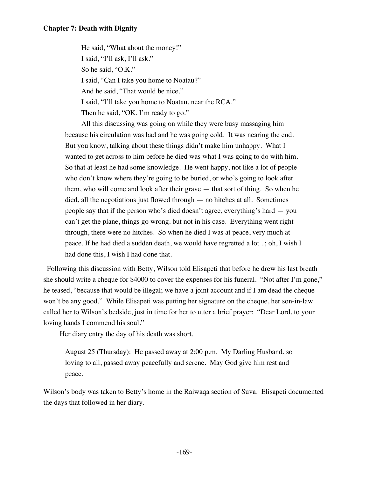He said, "What about the money!" I said, "I'll ask, I'll ask." So he said, "O.K." I said, "Can I take you home to Noatau?" And he said, "That would be nice." I said, "I'll take you home to Noatau, near the RCA." Then he said, "OK, I'm ready to go."

All this discussing was going on while they were busy massaging him because his circulation was bad and he was going cold. It was nearing the end. But you know, talking about these things didn't make him unhappy. What I wanted to get across to him before he died was what I was going to do with him. So that at least he had some knowledge. He went happy, not like a lot of people who don't know where they're going to be buried, or who's going to look after them, who will come and look after their grave — that sort of thing. So when he died, all the negotiations just flowed through — no hitches at all. Sometimes people say that if the person who's died doesn't agree, everything's hard — you can't get the plane, things go wrong. but not in his case. Everything went right through, there were no hitches. So when he died I was at peace, very much at peace. If he had died a sudden death, we would have regretted a lot ..; oh, I wish I had done this, I wish I had done that.

 Following this discussion with Betty, Wilson told Elisapeti that before he drew his last breath she should write a cheque for \$4000 to cover the expenses for his funeral. "Not after I'm gone," he teased, "because that would be illegal; we have a joint account and if I am dead the cheque won't be any good." While Elisapeti was putting her signature on the cheque, her son-in-law called her to Wilson's bedside, just in time for her to utter a brief prayer: "Dear Lord, to your loving hands I commend his soul."

Her diary entry the day of his death was short.

August 25 (Thursday): He passed away at 2:00 p.m. My Darling Husband, so loving to all, passed away peacefully and serene. May God give him rest and peace.

Wilson's body was taken to Betty's home in the Raiwaqa section of Suva. Elisapeti documented the days that followed in her diary.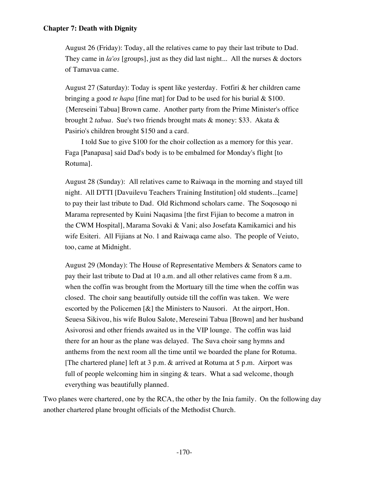August 26 (Friday): Today, all the relatives came to pay their last tribute to Dad. They came in *la'os* [groups], just as they did last night... All the nurses & doctors of Tamavua came.

August 27 (Saturday): Today is spent like yesterday. Fotfiri & her children came bringing a good *te hapa* [fine mat] for Dad to be used for his burial & \$100. {Mereseini Tabua] Brown came. Another party from the Prime Minister's office brought 2 *tabua*. Sue's two friends brought mats & money: \$33. Akata & Pasirio's children brought \$150 and a card.

I told Sue to give \$100 for the choir collection as a memory for this year. Faga [Panapasa] said Dad's body is to be embalmed for Monday's flight [to Rotuma].

August 28 (Sunday): All relatives came to Raiwaqa in the morning and stayed till night. All DTTI [Davuilevu Teachers Training Institution] old students...[came] to pay their last tribute to Dad. Old Richmond scholars came. The Soqosoqo ni Marama represented by Kuini Naqasima [the first Fijian to become a matron in the CWM Hospital], Marama Sovaki & Vani; also Josefata Kamikamici and his wife Esiteri. All Fijians at No. 1 and Raiwaqa came also. The people of Veiuto, too, came at Midnight.

August 29 (Monday): The House of Representative Members & Senators came to pay their last tribute to Dad at 10 a.m. and all other relatives came from 8 a.m. when the coffin was brought from the Mortuary till the time when the coffin was closed. The choir sang beautifully outside till the coffin was taken. We were escorted by the Policemen [&] the Ministers to Nausori. At the airport, Hon. Seuesa Sikivou, his wife Bulou Salote, Mereseini Tabua [Brown] and her husband Asivorosi and other friends awaited us in the VIP lounge. The coffin was laid there for an hour as the plane was delayed. The Suva choir sang hymns and anthems from the next room all the time until we boarded the plane for Rotuma. [The chartered plane] left at 3 p.m. & arrived at Rotuma at 5 p.m. Airport was full of people welcoming him in singing  $\&$  tears. What a sad welcome, though everything was beautifully planned.

Two planes were chartered, one by the RCA, the other by the Inia family. On the following day another chartered plane brought officials of the Methodist Church.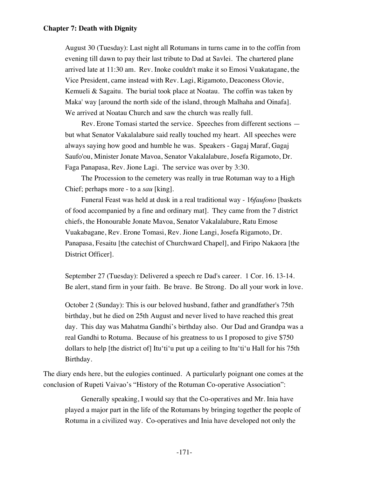August 30 (Tuesday): Last night all Rotumans in turns came in to the coffin from evening till dawn to pay their last tribute to Dad at Savlei. The chartered plane arrived late at 11:30 am. Rev. Inoke couldn't make it so Emosi Vuakatagane, the Vice President, came instead with Rev. Lagi, Rigamoto, Deaconess Olovie, Kemueli  $\&$  Sagaitu. The burial took place at Noatau. The coffin was taken by Maka' way [around the north side of the island, through Malhaha and Oinafa]. We arrived at Noatau Church and saw the church was really full.

Rev. Erone Tomasi started the service. Speeches from different sections but what Senator Vakalalabure said really touched my heart. All speeches were always saying how good and humble he was. Speakers - Gagaj Maraf, Gagaj Saufo'ou, Minister Jonate Mavoa, Senator Vakalalabure, Josefa Rigamoto, Dr. Faga Panapasa, Rev. Jione Lagi. The service was over by 3:30.

The Procession to the cemetery was really in true Rotuman way to a High Chief; perhaps more - to a *sau* [king].

Funeral Feast was held at dusk in a real traditional way - 16*faufono* [baskets of food accompanied by a fine and ordinary mat]. They came from the 7 district chiefs, the Honourable Jonate Mavoa, Senator Vakalalabure, Ratu Emose Vuakabagane, Rev. Erone Tomasi, Rev. Jione Langi, Josefa Rigamoto, Dr. Panapasa, Fesaitu [the catechist of Churchward Chapel], and Firipo Nakaora [the District Officer].

September 27 (Tuesday): Delivered a speech re Dad's career. 1 Cor. 16. 13-14. Be alert, stand firm in your faith. Be brave. Be Strong. Do all your work in love.

October 2 (Sunday): This is our beloved husband, father and grandfather's 75th birthday, but he died on 25th August and never lived to have reached this great day. This day was Mahatma Gandhi's birthday also. Our Dad and Grandpa was a real Gandhi to Rotuma. Because of his greatness to us I proposed to give \$750 dollars to help [the district of] Itu'ti'u put up a ceiling to Itu'ti'u Hall for his 75th Birthday.

The diary ends here, but the eulogies continued. A particularly poignant one comes at the conclusion of Rupeti Vaivao's "History of the Rotuman Co-operative Association":

Generally speaking, I would say that the Co-operatives and Mr. Inia have played a major part in the life of the Rotumans by bringing together the people of Rotuma in a civilized way. Co-operatives and Inia have developed not only the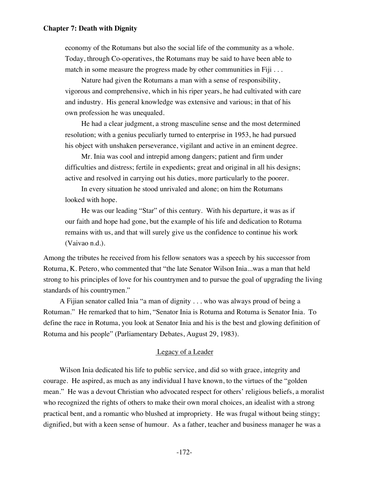economy of the Rotumans but also the social life of the community as a whole. Today, through Co-operatives, the Rotumans may be said to have been able to match in some measure the progress made by other communities in Fiji . . .

Nature had given the Rotumans a man with a sense of responsibility, vigorous and comprehensive, which in his riper years, he had cultivated with care and industry. His general knowledge was extensive and various; in that of his own profession he was unequaled.

He had a clear judgment, a strong masculine sense and the most determined resolution; with a genius peculiarly turned to enterprise in 1953, he had pursued his object with unshaken perseverance, vigilant and active in an eminent degree.

Mr. Inia was cool and intrepid among dangers; patient and firm under difficulties and distress; fertile in expedients; great and original in all his designs; active and resolved in carrying out his duties, more particularly to the poorer.

In every situation he stood unrivaled and alone; on him the Rotumans looked with hope.

He was our leading "Star" of this century. With his departure, it was as if our faith and hope had gone, but the example of his life and dedication to Rotuma remains with us, and that will surely give us the confidence to continue his work (Vaivao n.d.).

Among the tributes he received from his fellow senators was a speech by his successor from Rotuma, K. Petero, who commented that "the late Senator Wilson Inia...was a man that held strong to his principles of love for his countrymen and to pursue the goal of upgrading the living standards of his countrymen."

A Fijian senator called Inia "a man of dignity . . . who was always proud of being a Rotuman." He remarked that to him, "Senator Inia is Rotuma and Rotuma is Senator Inia. To define the race in Rotuma, you look at Senator Inia and his is the best and glowing definition of Rotuma and his people" (Parliamentary Debates, August 29, 1983).

#### Legacy of a Leader

Wilson Inia dedicated his life to public service, and did so with grace, integrity and courage. He aspired, as much as any individual I have known, to the virtues of the "golden mean." He was a devout Christian who advocated respect for others' religious beliefs, a moralist who recognized the rights of others to make their own moral choices, an idealist with a strong practical bent, and a romantic who blushed at impropriety. He was frugal without being stingy; dignified, but with a keen sense of humour. As a father, teacher and business manager he was a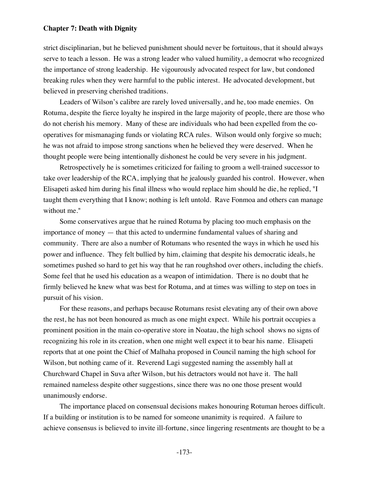strict disciplinarian, but he believed punishment should never be fortuitous, that it should always serve to teach a lesson. He was a strong leader who valued humility, a democrat who recognized the importance of strong leadership. He vigourously advocated respect for law, but condoned breaking rules when they were harmful to the public interest. He advocated development, but believed in preserving cherished traditions.

Leaders of Wilson's calibre are rarely loved universally, and he, too made enemies. On Rotuma, despite the fierce loyalty he inspired in the large majority of people, there are those who do not cherish his memory. Many of these are individuals who had been expelled from the cooperatives for mismanaging funds or violating RCA rules. Wilson would only forgive so much; he was not afraid to impose strong sanctions when he believed they were deserved. When he thought people were being intentionally dishonest he could be very severe in his judgment.

Retrospectively he is sometimes criticized for failing to groom a well-trained successor to take over leadership of the RCA, implying that he jealously guarded his control. However, when Elisapeti asked him during his final illness who would replace him should he die, he replied, "I taught them everything that I know; nothing is left untold. Rave Fonmoa and others can manage without me."

Some conservatives argue that he ruined Rotuma by placing too much emphasis on the importance of money — that this acted to undermine fundamental values of sharing and community. There are also a number of Rotumans who resented the ways in which he used his power and influence. They felt bullied by him, claiming that despite his democratic ideals, he sometimes pushed so hard to get his way that he ran roughshod over others, including the chiefs. Some feel that he used his education as a weapon of intimidation. There is no doubt that he firmly believed he knew what was best for Rotuma, and at times was willing to step on toes in pursuit of his vision.

For these reasons, and perhaps because Rotumans resist elevating any of their own above the rest, he has not been honoured as much as one might expect. While his portrait occupies a prominent position in the main co-operative store in Noatau, the high school shows no signs of recognizing his role in its creation, when one might well expect it to bear his name. Elisapeti reports that at one point the Chief of Malhaha proposed in Council naming the high school for Wilson, but nothing came of it. Reverend Lagi suggested naming the assembly hall at Churchward Chapel in Suva after Wilson, but his detractors would not have it. The hall remained nameless despite other suggestions, since there was no one those present would unanimously endorse.

The importance placed on consensual decisions makes honouring Rotuman heroes difficult. If a building or institution is to be named for someone unanimity is required. A failure to achieve consensus is believed to invite ill-fortune, since lingering resentments are thought to be a